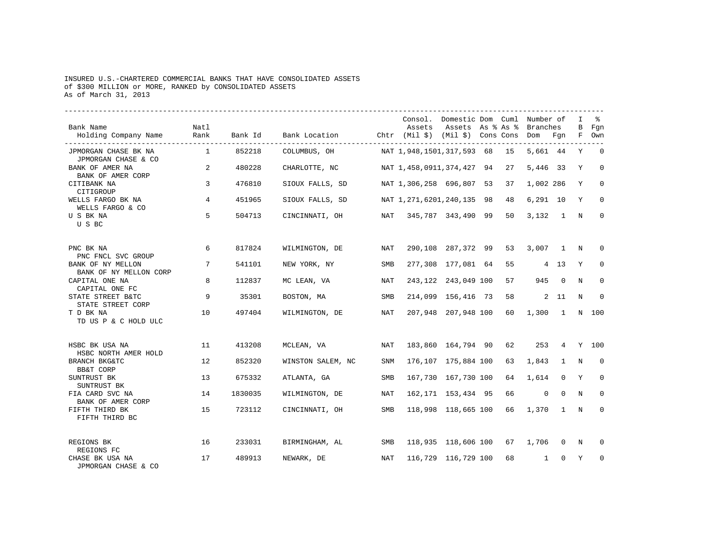## INSURED U.S.-CHARTERED COMMERCIAL BANKS THAT HAVE CONSOLIDATED ASSETS of \$300 MILLION or MORE, RANKED by CONSOLIDATED ASSETS As of March 31, 2013

| Bank Name<br>Holding Company Name                           | Natl<br>Rank   | Bank Id | Bank Location Chtr (Mil \$) (Mil \$) Cons Cons Dom Fgn |            | Consol. Domestic Dom Cuml Number of | Assets Assets As % As % Branches  |    |                         |                | $\mathbf{I}$<br>$\mathbf{B}$ | Fgn<br>F Own   |
|-------------------------------------------------------------|----------------|---------|--------------------------------------------------------|------------|-------------------------------------|-----------------------------------|----|-------------------------|----------------|------------------------------|----------------|
| JPMORGAN CHASE BK NA                                        | $\overline{1}$ | 852218  | COLUMBUS, OH                                           |            | NAT 1,948,1501,317,593 68 15        |                                   |    | 5,661 44                |                | Y                            | $\overline{0}$ |
| JPMORGAN CHASE & CO<br>BANK OF AMER NA<br>BANK OF AMER CORP | 2              | 480228  | CHARLOTTE, NC                                          |            | NAT 1,458,0911,374,427 94           |                                   | 27 | 5,446 33                |                | Y                            | $\Omega$       |
| CITIBANK NA<br>CITIGROUP                                    | $\overline{3}$ | 476810  | SIOUX FALLS, SD                                        |            | NAT 1,306,258 696,807 53            |                                   | 37 | 1,002 286               |                | Y                            | $\mathbf 0$    |
| WELLS FARGO BK NA<br>WELLS FARGO & CO                       | 4              | 451965  | SIOUX FALLS, SD                                        |            | NAT 1,271,6201,240,135 98 48        |                                   |    | $6.291$ 10              |                | Y                            | $\mathbf 0$    |
| U S BK NA<br>U S BC                                         | 5              | 504713  | CINCINNATI, OH                                         |            | NAT 345,787 343,490 99              |                                   | 50 | $3.132 \quad 1 \quad N$ |                |                              | $\mathbf 0$    |
| PNC BK NA<br>PNC FNCL SVC GROUP                             | 6              | 817824  | WILMINGTON, DE                                         | NAT        |                                     | 290,108 287,372 99                | 53 | 3,007 1 N               |                |                              | $\Omega$       |
| BANK OF NY MELLON<br>BANK OF NY MELLON CORP                 | 7              | 541101  | NEW YORK, NY                                           | SMB        |                                     | 277,308 177,081 64                | 55 | 4 13                    |                | Y                            | 0              |
| CAPITAL ONE NA<br>CAPITAL ONE FC                            | 8              | 112837  | MC LEAN, VA                                            | <b>NAT</b> |                                     | 243,122 243,049 100               | 57 |                         | 945 0          | $_{\rm N}$                   | 0              |
| STATE STREET B&TC<br>STATE STREET CORP                      | 9              | 35301   | BOSTON, MA                                             | SMB        |                                     | 214,099 156,416 73 58             |    |                         | 2 11           | N                            | $\Omega$       |
| T D BK NA<br>TD US P & C HOLD ULC                           | 10             | 497404  | WILMINGTON, DE                                         | NAT        |                                     | 207,948 207,948 100 60            |    | 1,300 1                 |                |                              | N 100          |
| HSBC BK USA NA<br>HSBC NORTH AMER HOLD                      | 11             | 413208  | MCLEAN, VA                                             | NAT        |                                     | 183,860 164,794 90 62 253 4 Y 100 |    |                         |                |                              |                |
| BRANCH BKG&TC<br>BB&T CORP                                  | 12             | 852320  | WINSTON SALEM, NC                                      | <b>SNM</b> |                                     | 176,107 175,884 100               | 63 | 1,843                   | $\overline{1}$ | N                            | $\Omega$       |
| SUNTRUST BK<br>SUNTRUST BK                                  | 13             | 675332  | ATLANTA, GA                                            | SMB        |                                     | 167,730 167,730 100               | 64 | 1,614                   | $\overline{0}$ | Y                            | $\mathbf 0$    |
| FIA CARD SVC NA<br>BANK OF AMER CORP                        | 14             | 1830035 | WILMINGTON, DE                                         | NAT        |                                     | 162, 171 153, 434 95              | 66 | $\mathbf 0$             | $\Omega$       | N                            | $\Omega$       |
| FIFTH THIRD BK<br>FIFTH THIRD BC                            | 15             | 723112  | CINCINNATI, OH                                         | SMB        |                                     | 118,998 118,665 100               | 66 | $1,370$ 1 N             |                |                              | $\mathbf 0$    |
| REGIONS BK<br>REGIONS FC                                    | 16             | 233031  | BIRMINGHAM, AL                                         | SMB        |                                     | 118,935 118,606 100 67            |    | 1,706                   | $\overline{0}$ | N                            | $\Omega$       |
| CHASE BK USA NA<br>JPMORGAN CHASE & CO                      | 17             | 489913  | NEWARK, DE                                             | NAT        |                                     | 116,729 116,729 100               | 68 | $\mathbf{1}$            | $\mathbf{0}$   | Y                            | $\mathbf 0$    |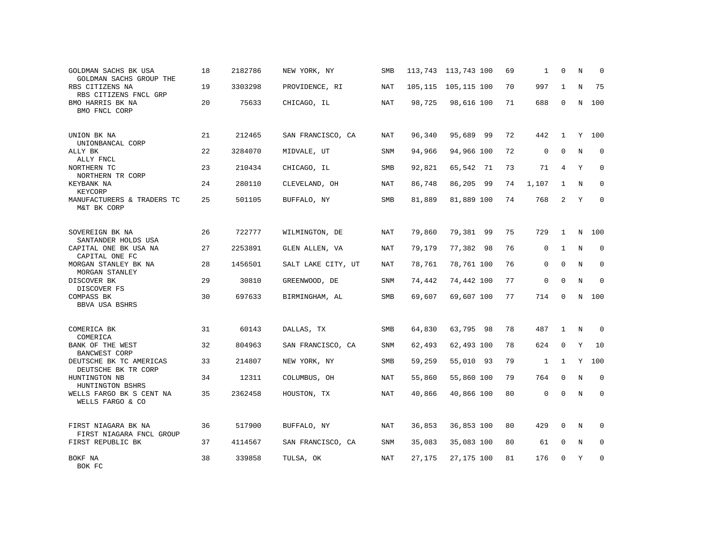| GOLDMAN SACHS BK USA<br>GOLDMAN SACHS GROUP THE      | 18 | 2182786 | NEW YORK, NY       | SMB        |        | 113,743 113,743 100   | 69 | 1            | 0              | N           | 0            |
|------------------------------------------------------|----|---------|--------------------|------------|--------|-----------------------|----|--------------|----------------|-------------|--------------|
| RBS CITIZENS NA<br>RBS CITIZENS FNCL GRP             | 19 | 3303298 | PROVIDENCE, RI     | NAT        |        | 105, 115 105, 115 100 | 70 | 997          | 1              | N           | 75           |
| BMO HARRIS BK NA<br>BMO FNCL CORP                    | 20 | 75633   | CHICAGO, IL        | <b>NAT</b> | 98,725 | 98,616 100            | 71 | 688          | $\mathbf 0$    | $\mathbf N$ | 100          |
| UNION BK NA                                          | 21 | 212465  | SAN FRANCISCO, CA  | NAT        | 96,340 | 95,689 99             | 72 | 442          | $\mathbf{1}$   |             | Y 100        |
| UNIONBANCAL CORP<br>ALLY BK<br>ALLY FNCL             | 22 | 3284070 | MIDVALE, UT        | <b>SNM</b> | 94,966 | 94,966 100            | 72 | $\mathbf{0}$ | $\mathbf 0$    | $\mathbb N$ | $\mathbf{0}$ |
| NORTHERN TC<br>NORTHERN TR CORP                      | 23 | 210434  | CHICAGO, IL        | SMB        | 92,821 | 65,542 71             | 73 | 71           | $\overline{4}$ | Y           | $\mathbf 0$  |
| KEYBANK NA<br>KEYCORP                                | 24 | 280110  | CLEVELAND, OH      | NAT        | 86,748 | 86,205 99             | 74 | 1,107        | $\mathbf{1}$   | N           | $\mathbf 0$  |
| MANUFACTURERS & TRADERS TC<br>M&T BK CORP            | 25 | 501105  | BUFFALO, NY        | SMB        | 81,889 | 81,889 100            | 74 | 768          | $\overline{2}$ | Y           | $\mathbf 0$  |
| SOVEREIGN BK NA<br>SANTANDER HOLDS USA               | 26 | 722777  | WILMINGTON, DE     | <b>NAT</b> | 79,860 | 79,381 99             | 75 | 729          | $\mathbf{1}$   | $\mathbf N$ | 100          |
| CAPITAL ONE BK USA NA<br>CAPITAL ONE FC              | 27 | 2253891 | GLEN ALLEN, VA     | NAT        | 79,179 | 77,382 98             | 76 | 0            | $\mathbf{1}$   | $\mathbf N$ | $\mathbf 0$  |
| MORGAN STANLEY BK NA<br>MORGAN STANLEY               | 28 | 1456501 | SALT LAKE CITY, UT | NAT        | 78,761 | 78,761 100            | 76 | 0            | $\Omega$       | $\mathbf N$ | $\mathbf 0$  |
| DISCOVER BK<br>DISCOVER FS                           | 29 | 30810   | GREENWOOD, DE      | SNM        | 74,442 | 74,442 100            | 77 | $\mathbf 0$  | $\mathbf 0$    | $\mathbf N$ | $\mathbf{0}$ |
| COMPASS BK<br>BBVA USA BSHRS                         | 30 | 697633  | BIRMINGHAM, AL     | SMB        | 69,607 | 69,607 100            | 77 | 714          | $\mathbf 0$    | N           | 100          |
| COMERICA BK                                          | 31 | 60143   | DALLAS, TX         | SMB        | 64,830 | 63,795 98             | 78 | 487          | 1              | N           | 0            |
| COMERICA<br>BANK OF THE WEST<br><b>BANCWEST CORP</b> | 32 | 804963  | SAN FRANCISCO, CA  | SNM        | 62,493 | 62,493 100            | 78 | 624          | $\mathsf{O}$   | Y           | 10           |
| DEUTSCHE BK TC AMERICAS<br>DEUTSCHE BK TR CORP       | 33 | 214807  | NEW YORK, NY       | SMB        | 59,259 | 55,010 93             | 79 | $\mathbf{1}$ | $\mathbf{1}$   |             | Y 100        |
| HUNTINGTON NB<br>HUNTINGTON BSHRS                    | 34 | 12311   | COLUMBUS, OH       | <b>NAT</b> | 55,860 | 55,860 100            | 79 | 764          | $\mathbf 0$    | $_{\rm N}$  | $\Omega$     |
| WELLS FARGO BK S CENT NA<br>WELLS FARGO & CO         | 35 | 2362458 | HOUSTON, TX        | <b>NAT</b> | 40,866 | 40,866 100            | 80 | $\Omega$     | $\Omega$       | $\mathbb N$ | $\Omega$     |
| FIRST NIAGARA BK NA<br>FIRST NIAGARA FNCL GROUP      | 36 | 517900  | BUFFALO, NY        | NAT        | 36,853 | 36,853 100            | 80 | 429          | 0              | N           | $\Omega$     |
| FIRST REPUBLIC BK                                    | 37 | 4114567 | SAN FRANCISCO, CA  | SNM        | 35,083 | 35,083 100            | 80 | 61           | 0              | N           | 0            |
| BOKF NA<br>BOK FC                                    | 38 | 339858  | TULSA, OK          | NAT        | 27,175 | 27,175 100            | 81 | 176          | 0              | Y           | $\mathbf{0}$ |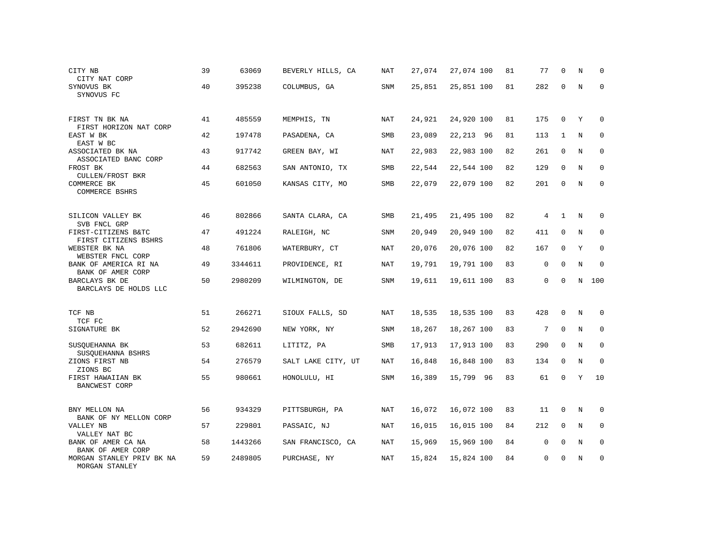| CITY NB<br>CITY NAT CORP                    | 39 | 63069   | BEVERLY HILLS, CA  | NAT        | 27,074 | 27,074 100 | 81 | 77           | $\Omega$     | N           | $\Omega$    |
|---------------------------------------------|----|---------|--------------------|------------|--------|------------|----|--------------|--------------|-------------|-------------|
| SYNOVUS BK<br>SYNOVUS FC                    | 40 | 395238  | COLUMBUS, GA       | SNM        | 25,851 | 25,851 100 | 81 | 282          | $\Omega$     | $\mathbf N$ | $\mathbf 0$ |
| FIRST TN BK NA<br>FIRST HORIZON NAT CORP    | 41 | 485559  | MEMPHIS, TN        | NAT        | 24,921 | 24,920 100 | 81 | 175          | $\mathbf 0$  | Y           | $\Omega$    |
| EAST W BK<br>EAST W BC                      | 42 | 197478  | PASADENA, CA       | SMB        | 23,089 | 22, 213 96 | 81 | 113          | $\mathbf{1}$ | N           | $\mathbf 0$ |
| ASSOCIATED BK NA<br>ASSOCIATED BANC CORP    | 43 | 917742  | GREEN BAY, WI      | NAT        | 22,983 | 22,983 100 | 82 | 261          | $\mathbf 0$  | N           | $\mathbf 0$ |
| FROST BK<br><b>CULLEN/FROST BKR</b>         | 44 | 682563  | SAN ANTONIO, TX    | SMB        | 22,544 | 22,544 100 | 82 | 129          | $\mathbf 0$  | $\mathbf N$ | 0           |
| COMMERCE BK<br>COMMERCE BSHRS               | 45 | 601050  | KANSAS CITY, MO    | SMB        | 22,079 | 22,079 100 | 82 | 201          | $\Omega$     | $\mathbf N$ | $\mathbf 0$ |
| SILICON VALLEY BK<br>SVB FNCL GRP           | 46 | 802866  | SANTA CLARA, CA    | SMB        | 21,495 | 21,495 100 | 82 | 4            | $\mathbf{1}$ | N           | 0           |
| FIRST-CITIZENS B&TC<br>FIRST CITIZENS BSHRS | 47 | 491224  | RALEIGH, NC        | SNM        | 20,949 | 20,949 100 | 82 | 411          | $\mathbf 0$  | N           | 0           |
| WEBSTER BK NA<br>WEBSTER FNCL CORP          | 48 | 761806  | WATERBURY, CT      | NAT        | 20,076 | 20,076 100 | 82 | 167          | $\mathbf 0$  | Y           | 0           |
| BANK OF AMERICA RI NA<br>BANK OF AMER CORP  | 49 | 3344611 | PROVIDENCE, RI     | NAT        | 19,791 | 19,791 100 | 83 | $\mathbf 0$  | $\Omega$     | $\mathbf N$ | $\mathbf 0$ |
| BARCLAYS BK DE<br>BARCLAYS DE HOLDS LLC     | 50 | 2980209 | WILMINGTON, DE     | SNM        | 19,611 | 19,611 100 | 83 | $\mathbf{0}$ | $\Omega$     | $\mathbf N$ | 100         |
| TCF NB<br>TCF FC                            | 51 | 266271  | SIOUX FALLS, SD    | NAT        | 18,535 | 18,535 100 | 83 | 428          | $\mathbf 0$  | N           | 0           |
| SIGNATURE BK                                | 52 | 2942690 | NEW YORK, NY       | SNM        | 18,267 | 18,267 100 | 83 | 7            | $\mathbf 0$  | N           | 0           |
| SUSOUEHANNA BK<br>SUSQUEHANNA BSHRS         | 53 | 682611  | LITITZ, PA         | SMB        | 17,913 | 17,913 100 | 83 | 290          | $\Omega$     | N           | $\mathbf 0$ |
| ZIONS FIRST NB<br>ZIONS BC                  | 54 | 276579  | SALT LAKE CITY, UT | NAT        | 16,848 | 16,848 100 | 83 | 134          | $\mathbf 0$  | N           | $\mathbf 0$ |
| FIRST HAWAIIAN BK<br><b>BANCWEST CORP</b>   | 55 | 980661  | HONOLULU, HI       | SNM        | 16,389 | 15,799 96  | 83 | 61           | $\Omega$     | Y           | 10          |
| BNY MELLON NA<br>BANK OF NY MELLON CORP     | 56 | 934329  | PITTSBURGH, PA     | <b>NAT</b> | 16,072 | 16,072 100 | 83 | 11           | $\mathbf 0$  | N           | $\mathbf 0$ |
| VALLEY NB<br>VALLEY NAT BC                  | 57 | 229801  | PASSAIC, NJ        | <b>NAT</b> | 16,015 | 16,015 100 | 84 | 212          | $\mathbf 0$  | $\mathbf N$ | $\mathbf 0$ |
| BANK OF AMER CA NA<br>BANK OF AMER CORP     | 58 | 1443266 | SAN FRANCISCO, CA  | <b>NAT</b> | 15,969 | 15,969 100 | 84 | $\mathbf 0$  | $\mathbf 0$  | N           | $\mathbf 0$ |
| MORGAN STANLEY PRIV BK NA<br>MORGAN STANLEY | 59 | 2489805 | PURCHASE, NY       | <b>NAT</b> | 15,824 | 15,824 100 | 84 | 0            | U            | N           | $\mathbf 0$ |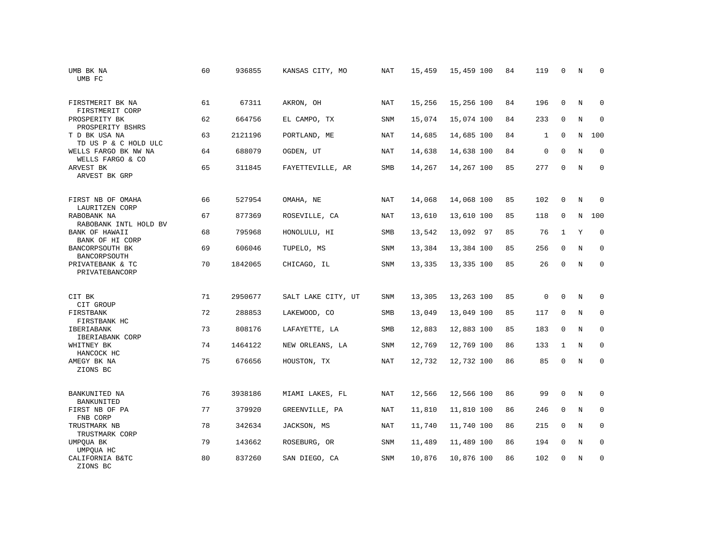| UMB BK NA<br>UMB FC                      | 60 | 936855  | KANSAS CITY, MO    | <b>NAT</b> | 15,459 | 15,459 100 | 84 | 119          | 0            | N           | $\mathbf 0$  |
|------------------------------------------|----|---------|--------------------|------------|--------|------------|----|--------------|--------------|-------------|--------------|
| FIRSTMERIT BK NA<br>FIRSTMERIT CORP      | 61 | 67311   | AKRON, OH          | NAT        | 15,256 | 15,256 100 | 84 | 196          | $\Omega$     | N           | $\Omega$     |
| PROSPERITY BK<br>PROSPERITY BSHRS        | 62 | 664756  | EL CAMPO, TX       | SNM        | 15,074 | 15,074 100 | 84 | 233          | $\mathbf 0$  | $\mathbf N$ | $\mathbf{0}$ |
| T D BK USA NA<br>TD US P & C HOLD ULC    | 63 | 2121196 | PORTLAND, ME       | NAT        | 14,685 | 14,685 100 | 84 | $\mathbf{1}$ | $\Omega$     | N           | 100          |
| WELLS FARGO BK NW NA<br>WELLS FARGO & CO | 64 | 688079  | OGDEN, UT          | NAT        | 14,638 | 14,638 100 | 84 | 0            | $\mathbf 0$  | N           | $\mathbf 0$  |
| ARVEST BK<br>ARVEST BK GRP               | 65 | 311845  | FAYETTEVILLE, AR   | SMB        | 14,267 | 14,267 100 | 85 | 277          | $\mathbf 0$  | N           | $\mathbf{0}$ |
| FIRST NB OF OMAHA<br>LAURITZEN CORP      | 66 | 527954  | OMAHA, NE          | NAT        | 14,068 | 14,068 100 | 85 | 102          | 0            | N           | $\mathbf 0$  |
| RABOBANK NA<br>RABOBANK INTL HOLD BV     | 67 | 877369  | ROSEVILLE, CA      | <b>NAT</b> | 13,610 | 13,610 100 | 85 | 118          | $\mathbf 0$  | $\mathbf N$ | 100          |
| BANK OF HAWAII<br>BANK OF HI CORP        | 68 | 795968  | HONOLULU, HI       | SMB        | 13,542 | 13,092 97  | 85 | 76           | $\mathbf{1}$ | Y           | $\mathbf{0}$ |
| BANCORPSOUTH BK<br>BANCORPSOUTH          | 69 | 606046  | TUPELO, MS         | SNM        | 13,384 | 13,384 100 | 85 | 256          | $\mathbf 0$  | N           | $\mathbf{0}$ |
| PRIVATEBANK & TC<br>PRIVATEBANCORP       | 70 | 1842065 | CHICAGO, IL        | SNM        | 13,335 | 13,335 100 | 85 | 26           | $\Omega$     | N           | $\mathbf{0}$ |
| CIT BK<br>CIT GROUP                      | 71 | 2950677 | SALT LAKE CITY, UT | SNM        | 13,305 | 13,263 100 | 85 | $\mathbf{0}$ | $\Omega$     | N           | $\mathbf 0$  |
| FIRSTBANK<br>FIRSTBANK HC                | 72 | 288853  | LAKEWOOD, CO       | SMB        | 13,049 | 13,049 100 | 85 | 117          | 0            | N           | 0            |
| IBERIABANK<br>IBERIABANK CORP            | 73 | 808176  | LAFAYETTE, LA      | SMB        | 12,883 | 12,883 100 | 85 | 183          | $\mathbf 0$  | N           | $\mathbf{0}$ |
| WHITNEY BK<br>HANCOCK HC                 | 74 | 1464122 | NEW ORLEANS, LA    | SNM        | 12,769 | 12,769 100 | 86 | 133          | $\mathbf{1}$ | N           | 0            |
| AMEGY BK NA<br>ZIONS BC                  | 75 | 676656  | HOUSTON, TX        | NAT        | 12,732 | 12,732 100 | 86 | 85           | $\mathbf{0}$ | N           | $\mathbf{0}$ |
| BANKUNITED NA<br>BANKUNITED              | 76 | 3938186 | MIAMI LAKES, FL    | NAT        | 12,566 | 12,566 100 | 86 | 99           | 0            | N           | 0            |
| FIRST NB OF PA<br>FNB CORP               | 77 | 379920  | GREENVILLE, PA     | NAT        | 11,810 | 11,810 100 | 86 | 246          | $\mathbf 0$  | N           | 0            |
| TRUSTMARK NB<br>TRUSTMARK CORP           | 78 | 342634  | JACKSON, MS        | <b>NAT</b> | 11,740 | 11,740 100 | 86 | 215          | $\Omega$     | N           | $\mathbf 0$  |
| UMPQUA BK<br>UMPQUA HC                   | 79 | 143662  | ROSEBURG, OR       | SNM        | 11,489 | 11,489 100 | 86 | 194          | $\mathbf 0$  | N           | 0            |
| CALIFORNIA B&TC<br>ZIONS BC              | 80 | 837260  | SAN DIEGO, CA      | SNM        | 10,876 | 10,876 100 | 86 | 102          | $\Omega$     | N           | $\mathbf{0}$ |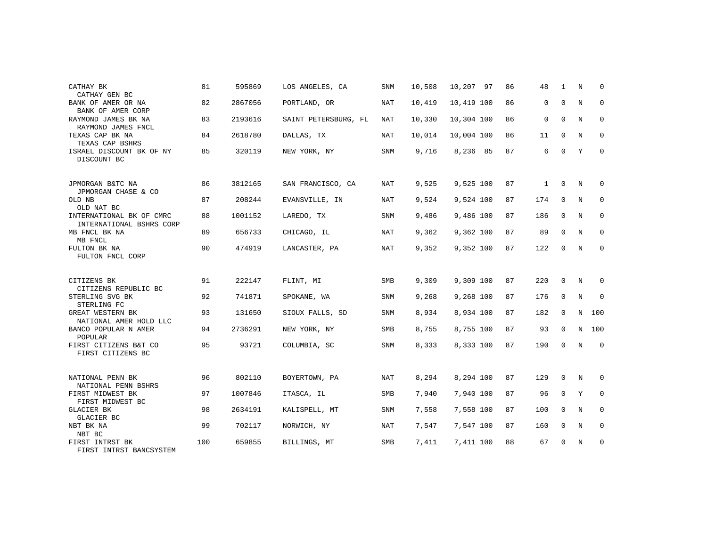| CATHAY BK<br>CATHAY GEN BC                           | 81  | 595869  | LOS ANGELES, CA      | <b>SNM</b> | 10,508 | 10,207 97  | 86 | 48           | 1           | N | $\Omega$    |
|------------------------------------------------------|-----|---------|----------------------|------------|--------|------------|----|--------------|-------------|---|-------------|
| BANK OF AMER OR NA<br>BANK OF AMER CORP              | 82  | 2867056 | PORTLAND, OR         | NAT        | 10,419 | 10,419 100 | 86 | 0            | 0           | N | 0           |
| RAYMOND JAMES BK NA<br>RAYMOND JAMES FNCL            | 83  | 2193616 | SAINT PETERSBURG, FL | NAT        | 10,330 | 10,304 100 | 86 | $\mathbf 0$  | 0           | N | 0           |
| TEXAS CAP BK NA<br>TEXAS CAP BSHRS                   | 84  | 2618780 | DALLAS, TX           | NAT        | 10,014 | 10,004 100 | 86 | 11           | $\mathbf 0$ | N | 0           |
| ISRAEL DISCOUNT BK OF NY<br>DISCOUNT BC              | 85  | 320119  | NEW YORK, NY         | <b>SNM</b> | 9,716  | 8,236 85   | 87 | 6            | $\Omega$    | Υ | $\mathbf 0$ |
| JPMORGAN B&TC NA<br>JPMORGAN CHASE & CO              | 86  | 3812165 | SAN FRANCISCO, CA    | NAT        | 9,525  | 9,525 100  | 87 | $\mathbf{1}$ | $\Omega$    | N | $\Omega$    |
| OLD NB<br>OLD NAT BC                                 | 87  | 208244  | EVANSVILLE, IN       | NAT        | 9,524  | 9,524 100  | 87 | 174          | $\mathbf 0$ | N | 0           |
| INTERNATIONAL BK OF CMRC<br>INTERNATIONAL BSHRS CORP | 88  | 1001152 | LAREDO, TX           | SNM        | 9,486  | 9,486 100  | 87 | 186          | $\mathbf 0$ | N | 0           |
| MB FNCL BK NA<br>MB FNCL                             | 89  | 656733  | CHICAGO, IL          | NAT        | 9,362  | 9,362 100  | 87 | 89           | 0           | N | $\mathbf 0$ |
| FULTON BK NA<br>FULTON FNCL CORP                     | 90  | 474919  | LANCASTER, PA        | <b>NAT</b> | 9,352  | 9,352 100  | 87 | 122          | 0           | N | 0           |
| CITIZENS BK<br>CITIZENS REPUBLIC BC                  | 91  | 222147  | FLINT, MI            | SMB        | 9,309  | 9,309 100  | 87 | 220          | $\Omega$    | N | 0           |
| STERLING SVG BK<br>STERLING FC                       | 92  | 741871  | SPOKANE, WA          | SNM        | 9,268  | 9,268 100  | 87 | 176          | 0           | N | $\mathbf 0$ |
| GREAT WESTERN BK<br>NATIONAL AMER HOLD LLC           | 93  | 131650  | SIOUX FALLS, SD      | <b>SNM</b> | 8,934  | 8,934 100  | 87 | 182          | $\mathbf 0$ | N | 100         |
| BANCO POPULAR N AMER<br>POPULAR                      | 94  | 2736291 | NEW YORK, NY         | SMB        | 8,755  | 8,755 100  | 87 | 93           | $\mathbf 0$ | N | 100         |
| FIRST CITIZENS B&T CO<br>FIRST CITIZENS BC           | 95  | 93721   | COLUMBIA, SC         | <b>SNM</b> | 8,333  | 8,333 100  | 87 | 190          | 0           | N | 0           |
| NATIONAL PENN BK<br>NATIONAL PENN BSHRS              | 96  | 802110  | BOYERTOWN, PA        | NAT        | 8,294  | 8,294 100  | 87 | 129          | 0           | N | 0           |
| FIRST MIDWEST BK<br>FIRST MIDWEST BC                 | 97  | 1007846 | ITASCA, IL           | SMB        | 7,940  | 7,940 100  | 87 | 96           | $\mathbf 0$ | Y | $\mathbf 0$ |
| <b>GLACIER BK</b><br>GLACIER BC                      | 98  | 2634191 | KALISPELL, MT        | <b>SNM</b> | 7,558  | 7,558 100  | 87 | 100          | 0           | N | 0           |
| NBT BK NA<br>NBT BC                                  | 99  | 702117  | NORWICH, NY          | <b>NAT</b> | 7,547  | 7,547 100  | 87 | 160          | 0           | N | 0           |
| FIRST INTRST BK<br>FIRST INTRST BANCSYSTEM           | 100 | 659855  | BILLINGS, MT         | <b>SMB</b> | 7,411  | 7,411 100  | 88 | 67           | 0           | N | 0           |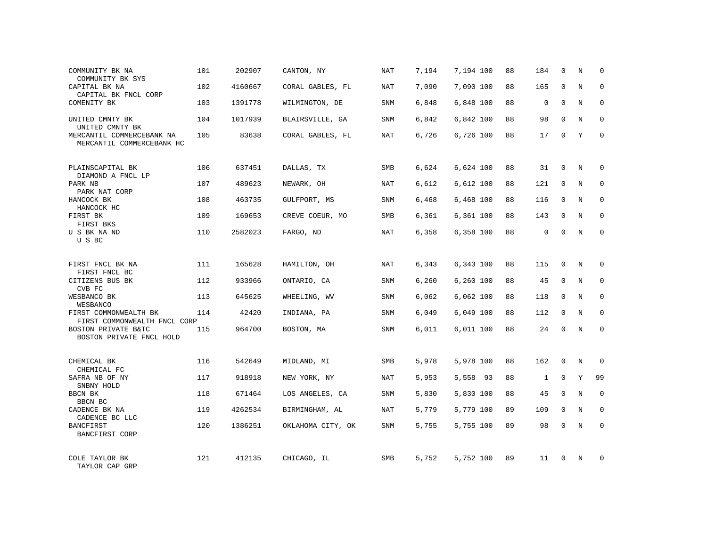| COMMUNITY BK NA<br>COMMUNITY BK SYS                    | 101 | 202907  | CANTON, NY        | NAT        | 7,194 | 7,194 100 | 88 | 184          | $\mathbf 0$ | N           | 0            |
|--------------------------------------------------------|-----|---------|-------------------|------------|-------|-----------|----|--------------|-------------|-------------|--------------|
| CAPITAL BK NA<br>CAPITAL BK FNCL CORP                  | 102 | 4160667 | CORAL GABLES, FL  | NAT        | 7,090 | 7,090 100 | 88 | 165          | 0           | N           | $\mathbf 0$  |
| COMENITY BK                                            | 103 | 1391778 | WILMINGTON, DE    | <b>SNM</b> | 6,848 | 6,848 100 | 88 | $\Omega$     | $\Omega$    | $\mathbf N$ | $\Omega$     |
| UNITED CMNTY BK<br>UNITED CMNTY BK                     | 104 | 1017939 | BLAIRSVILLE, GA   | <b>SNM</b> | 6,842 | 6,842 100 | 88 | 98           | $\mathbf 0$ | N           | $\mathbf 0$  |
| MERCANTIL COMMERCEBANK NA<br>MERCANTIL COMMERCEBANK HC | 105 | 83638   | CORAL GABLES, FL  | NAT        | 6,726 | 6,726 100 | 88 | 17           | $\Omega$    | Y           | $\Omega$     |
| PLAINSCAPITAL BK<br>DIAMOND A FNCL LP                  | 106 | 637451  | DALLAS, TX        | SMB        | 6,624 | 6,624 100 | 88 | 31           | $\mathbf 0$ | N           | $\Omega$     |
| PARK NB<br>PARK NAT CORP                               | 107 | 489623  | NEWARK, OH        | <b>NAT</b> | 6,612 | 6,612 100 | 88 | 121          | $\mathbf 0$ | N           | $\Omega$     |
| HANCOCK BK<br>HANCOCK HC                               | 108 | 463735  | GULFPORT, MS      | <b>SNM</b> | 6,468 | 6,468 100 | 88 | 116          | $\mathbf 0$ | N           | 0            |
| FIRST BK<br>FIRST BKS                                  | 109 | 169653  | CREVE COEUR, MO   | SMB        | 6,361 | 6,361 100 | 88 | 143          | $\mathbf 0$ | N           | $\mathbf{0}$ |
| U S BK NA ND<br>U S BC                                 | 110 | 2582023 | FARGO, ND         | NAT        | 6,358 | 6,358 100 | 88 | $\mathbf 0$  | $\mathbf 0$ | N           | $\mathbf 0$  |
| FIRST FNCL BK NA<br>FIRST FNCL BC                      | 111 | 165628  | HAMILTON, OH      | <b>NAT</b> | 6,343 | 6,343 100 | 88 | 115          | $\mathbf 0$ | N           | $\Omega$     |
| CITIZENS BUS BK<br>CVB FC                              | 112 | 933966  | ONTARIO, CA       | <b>SNM</b> | 6,260 | 6,260 100 | 88 | 45           | 0           | N           | $\mathbf 0$  |
| WESBANCO BK<br>WESBANCO                                | 113 | 645625  | WHEELING, WV      | <b>SNM</b> | 6,062 | 6,062 100 | 88 | 118          | $\mathbf 0$ | N           | $\mathbf 0$  |
| FIRST COMMONWEALTH BK<br>FIRST COMMONWEALTH FNCL CORP  | 114 | 42420   | INDIANA, PA       | SNM        | 6,049 | 6,049 100 | 88 | 112          | 0           | N           | $\mathbf 0$  |
| BOSTON PRIVATE B&TC<br>BOSTON PRIVATE FNCL HOLD        | 115 | 964700  | BOSTON, MA        | <b>SNM</b> | 6,011 | 6,011 100 | 88 | 24           | $\mathbf 0$ | N           | $\mathbf 0$  |
| CHEMICAL BK<br>CHEMICAL FC                             | 116 | 542649  | MIDLAND, MI       | SMB        | 5,978 | 5,978 100 | 88 | 162          | 0           | N           | 0            |
| SAFRA NB OF NY<br>SNBNY HOLD                           | 117 | 918918  | NEW YORK, NY      | <b>NAT</b> | 5,953 | 5,558 93  | 88 | $\mathbf{1}$ | $\mathbf 0$ | Y           | 99           |
| BBCN BK<br>BBCN BC                                     | 118 | 671464  | LOS ANGELES, CA   | SNM        | 5,830 | 5,830 100 | 88 | 45           | 0           | N           | 0            |
| CADENCE BK NA<br>CADENCE BC LLC                        | 119 | 4262534 | BIRMINGHAM, AL    | <b>NAT</b> | 5,779 | 5,779 100 | 89 | 109          | $\mathbf 0$ | N           | 0            |
| <b>BANCFIRST</b><br>BANCFIRST CORP                     | 120 | 1386251 | OKLAHOMA CITY, OK | SNM        | 5,755 | 5,755 100 | 89 | 98           | $\Omega$    | N           | $\Omega$     |
| COLE TAYLOR BK<br>TAYLOR CAP GRP                       | 121 | 412135  | CHICAGO, IL       | SMB        | 5,752 | 5,752 100 | 89 | 11           | $\Omega$    | N           | <sup>0</sup> |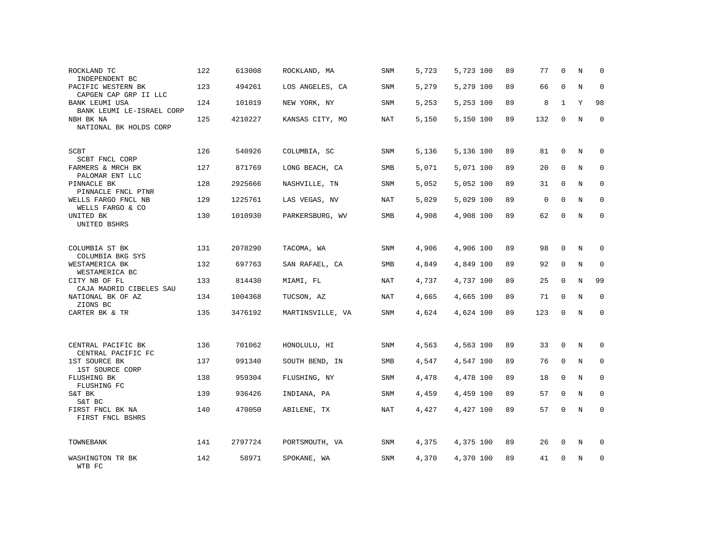| ROCKLAND TC<br>INDEPENDENT BC                          | 122 | 613008  | ROCKLAND, MA     | SNM        | 5,723 | 5,723 100 | 89 | 77       | $\mathbf 0$  | N           | $\Omega$    |
|--------------------------------------------------------|-----|---------|------------------|------------|-------|-----------|----|----------|--------------|-------------|-------------|
| PACIFIC WESTERN BK<br>CAPGEN CAP GRP II LLC            | 123 | 494261  | LOS ANGELES, CA  | SNM        | 5,279 | 5,279 100 | 89 | 66       | $\mathbf 0$  | N           | $\mathbf 0$ |
| <b>BANK LEUMI USA</b><br>BANK LEUMI LE-ISRAEL CORP     | 124 | 101019  | NEW YORK, NY     | SNM        | 5,253 | 5,253 100 | 89 | 8        | $\mathbf{1}$ | Y           | 98          |
| NBH BK NA<br>NATIONAL BK HOLDS CORP                    | 125 | 4210227 | KANSAS CITY, MO  | NAT        | 5,150 | 5,150 100 | 89 | 132      | $\mathbf 0$  | N           | $\mathbf 0$ |
| <b>SCBT</b>                                            | 126 | 540926  | COLUMBIA, SC     | SNM        | 5,136 | 5,136 100 | 89 | 81       | $\mathbf 0$  | N           | 0           |
| SCBT FNCL CORP<br>FARMERS & MRCH BK<br>PALOMAR ENT LLC | 127 | 871769  | LONG BEACH, CA   | <b>SMB</b> | 5,071 | 5,071 100 | 89 | 20       | $\mathbf 0$  | N           | $\mathbf 0$ |
| PINNACLE BK<br>PINNACLE FNCL PTNR                      | 128 | 2925666 | NASHVILLE, TN    | SNM        | 5,052 | 5,052 100 | 89 | 31       | $\mathbf 0$  | N           | $\mathbf 0$ |
| WELLS FARGO FNCL NB<br>WELLS FARGO & CO                | 129 | 1225761 | LAS VEGAS, NV    | NAT        | 5,029 | 5,029 100 | 89 | $\Omega$ | $\mathbf 0$  | N           | $\Omega$    |
| UNITED BK<br>UNITED BSHRS                              | 130 | 1010930 | PARKERSBURG, WV  | <b>SMB</b> | 4,908 | 4,908 100 | 89 | 62       | $\mathbf 0$  | $\mathbf N$ | $\mathbf 0$ |
| COLUMBIA ST BK<br>COLUMBIA BKG SYS                     | 131 | 2078290 | TACOMA, WA       | SNM        | 4,906 | 4,906 100 | 89 | 98       | $\mathbf 0$  | N           | 0           |
| WESTAMERICA BK<br>WESTAMERICA BC                       | 132 | 697763  | SAN RAFAEL, CA   | SMB        | 4,849 | 4,849 100 | 89 | 92       | $\mathbf 0$  | N           | 0           |
| CITY NB OF FL<br>CAJA MADRID CIBELES SAU               | 133 | 814430  | MIAMI, FL        | NAT        | 4,737 | 4,737 100 | 89 | 25       | 0            | $\mathbf N$ | 99          |
| NATIONAL BK OF AZ<br>ZIONS BC                          | 134 | 1004368 | TUCSON, AZ       | <b>NAT</b> | 4,665 | 4,665 100 | 89 | 71       | 0            | $\mathbf N$ | $\mathbf 0$ |
| CARTER BK & TR                                         | 135 | 3476192 | MARTINSVILLE, VA | SNM        | 4,624 | 4,624 100 | 89 | 123      | 0            | $\mathbb N$ | $\mathbf 0$ |
| CENTRAL PACIFIC BK<br>CENTRAL PACIFIC FC               | 136 | 701062  | HONOLULU, HI     | SNM        | 4,563 | 4,563 100 | 89 | 33       | $\mathbf 0$  | N           | $\Omega$    |
| 1ST SOURCE BK<br>1ST SOURCE CORP                       | 137 | 991340  | SOUTH BEND, IN   | <b>SMB</b> | 4,547 | 4,547 100 | 89 | 76       | $\Omega$     | $_{\rm N}$  | $\Omega$    |
| FLUSHING BK<br>FLUSHING FC                             | 138 | 959304  | FLUSHING, NY     | SNM        | 4,478 | 4,478 100 | 89 | 18       | $\Omega$     | N           | $\Omega$    |
| S&T BK<br>S&T BC                                       | 139 | 936426  | INDIANA, PA      | SNM        | 4,459 | 4,459 100 | 89 | 57       | $\Omega$     | N           | $\Omega$    |
| FIRST FNCL BK NA<br>FIRST FNCL BSHRS                   | 140 | 470050  | ABILENE, TX      | NAT        | 4,427 | 4,427 100 | 89 | 57       | $\Omega$     | N           | $\Omega$    |
| TOWNEBANK                                              | 141 | 2797724 | PORTSMOUTH, VA   | SNM        | 4,375 | 4,375 100 | 89 | 26       | 0            | N           | $\Omega$    |
| WASHINGTON TR BK<br>WTB FC                             | 142 | 58971   | SPOKANE, WA      | SNM        | 4,370 | 4,370 100 | 89 | 41       | O            | $\mathbf N$ | $\mathbf 0$ |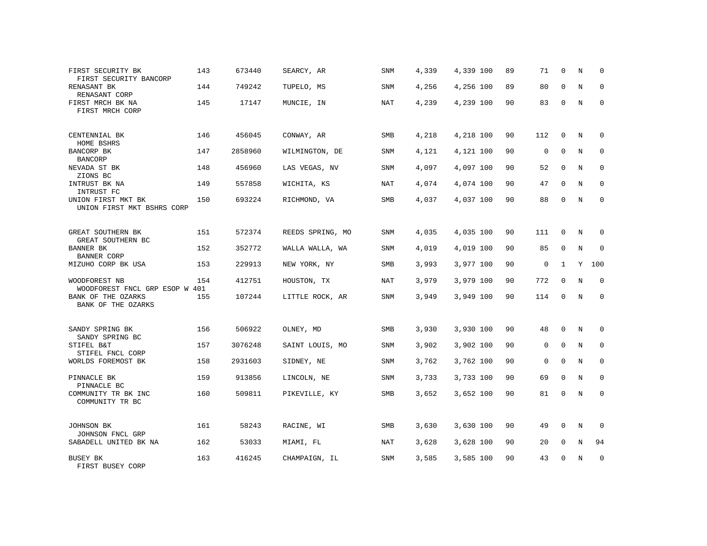| FIRST SECURITY BK<br>FIRST SECURITY BANCORP          | 143 | 673440  | SEARCY, AR       | SNM        | 4,339 | 4,339 100 | 89 | 71          | $\mathbf 0$  | N           | $\Omega$    |
|------------------------------------------------------|-----|---------|------------------|------------|-------|-----------|----|-------------|--------------|-------------|-------------|
| RENASANT BK<br>RENASANT CORP                         | 144 | 749242  | TUPELO, MS       | SNM        | 4,256 | 4,256 100 | 89 | 80          | $\Omega$     | N           | $\Omega$    |
| FIRST MRCH BK NA<br>FIRST MRCH CORP                  | 145 | 17147   | MUNCIE, IN       | NAT        | 4,239 | 4,239 100 | 90 | 83          | $\mathbf 0$  | N           | 0           |
| CENTENNIAL BK<br>HOME BSHRS                          | 146 | 456045  | CONWAY, AR       | SMB        | 4,218 | 4,218 100 | 90 | 112         | 0            | N           | $\Omega$    |
| BANCORP BK<br><b>BANCORP</b>                         | 147 | 2858960 | WILMINGTON, DE   | SNM        | 4,121 | 4,121 100 | 90 | $\mathbf 0$ | $\mathbf 0$  | N           | 0           |
| NEVADA ST BK<br>ZIONS BC                             | 148 | 456960  | LAS VEGAS, NV    | SNM        | 4,097 | 4,097 100 | 90 | 52          | $\mathbf 0$  | N           | $\mathbf 0$ |
| INTRUST BK NA<br>INTRUST FC                          | 149 | 557858  | WICHITA, KS      | <b>NAT</b> | 4,074 | 4,074 100 | 90 | 47          | $\Omega$     | N           | $\Omega$    |
| UNION FIRST MKT BK<br>UNION FIRST MKT BSHRS CORP     | 150 | 693224  | RICHMOND, VA     | SMB        | 4,037 | 4,037 100 | 90 | 88          | $\mathbf 0$  | N           | $\mathbf 0$ |
| GREAT SOUTHERN BK                                    | 151 | 572374  | REEDS SPRING, MO | SNM        | 4,035 | 4,035 100 | 90 | 111         | 0            | N           | 0           |
| GREAT SOUTHERN BC<br>BANNER BK<br><b>BANNER CORP</b> | 152 | 352772  | WALLA WALLA, WA  | SNM        | 4,019 | 4,019 100 | 90 | 85          | $\Omega$     | N           | $\mathbf 0$ |
| MIZUHO CORP BK USA                                   | 153 | 229913  | NEW YORK, NY     | <b>SMB</b> | 3,993 | 3,977 100 | 90 | $\mathbf 0$ | $\mathbf{1}$ | Y           | 100         |
| WOODFOREST NB<br>WOODFOREST FNCL GRP ESOP W 401      | 154 | 412751  | HOUSTON, TX      | NAT        | 3,979 | 3,979 100 | 90 | 772         | $\Omega$     | N           | $\mathbf 0$ |
| BANK OF THE OZARKS<br>BANK OF THE OZARKS             | 155 | 107244  | LITTLE ROCK, AR  | <b>SNM</b> | 3,949 | 3,949 100 | 90 | 114         | $\Omega$     | N           | $\Omega$    |
| SANDY SPRING BK                                      | 156 | 506922  | OLNEY, MD        | <b>SMB</b> | 3,930 | 3,930 100 | 90 | 48          | $\Omega$     | N           | $\Omega$    |
| SANDY SPRING BC<br>STIFEL B&T<br>STIFEL FNCL CORP    | 157 | 3076248 | SAINT LOUIS, MO  | SNM        | 3,902 | 3,902 100 | 90 | $\mathbf 0$ | $\mathbf 0$  | N           | $\mathbf 0$ |
| WORLDS FOREMOST BK                                   | 158 | 2931603 | SIDNEY, NE       | <b>SNM</b> | 3,762 | 3,762 100 | 90 | $\Omega$    | $\Omega$     | N           | $\mathbf 0$ |
| PINNACLE BK<br>PINNACLE BC                           | 159 | 913856  | LINCOLN, NE      | SNM        | 3,733 | 3,733 100 | 90 | 69          | 0            | N           | $\mathbf 0$ |
| COMMUNITY TR BK INC<br>COMMUNITY TR BC               | 160 | 509811  | PIKEVILLE, KY    | SMB        | 3,652 | 3,652 100 | 90 | 81          | $\Omega$     | $\mathbf N$ | $\mathbf 0$ |
| JOHNSON BK<br>JOHNSON FNCL GRP                       | 161 | 58243   | RACINE, WI       | <b>SMB</b> | 3,630 | 3,630 100 | 90 | 49          | 0            | N           | 0           |
| SABADELL UNITED BK NA                                | 162 | 53033   | MIAMI, FL        | <b>NAT</b> | 3,628 | 3,628 100 | 90 | 20          | $\mathbf 0$  | $\rm N$     | 94          |
| BUSEY BK<br>FIRST BUSEY CORP                         | 163 | 416245  | CHAMPAIGN, IL    | SNM        | 3,585 | 3,585 100 | 90 | 43          | $\Omega$     | N           | $\mathbf 0$ |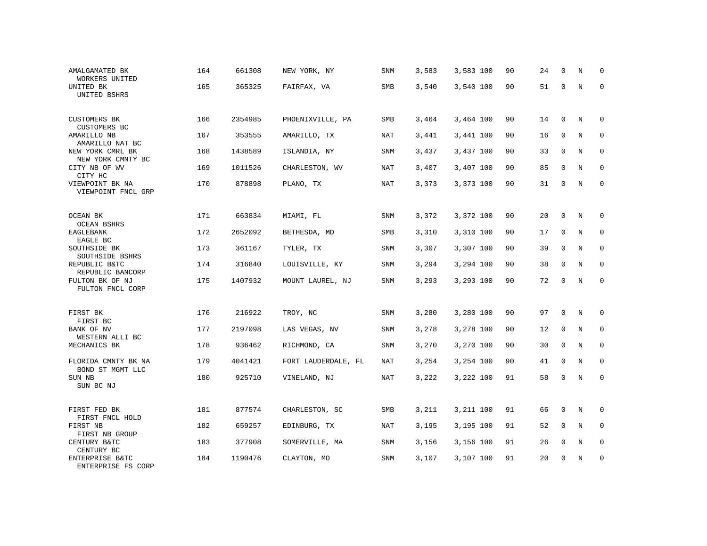| AMALGAMATED BK<br>WORKERS UNITED            | 164 | 661308  | NEW YORK, NY        | SNM        | 3,583 | 3,583 100 | 90 | 24 | $\mathbf 0$  | N           | 0           |
|---------------------------------------------|-----|---------|---------------------|------------|-------|-----------|----|----|--------------|-------------|-------------|
| UNITED BK<br>UNITED BSHRS                   | 165 | 365325  | FAIRFAX, VA         | SMB        | 3,540 | 3,540 100 | 90 | 51 | $\mathbf 0$  | $\mathbf N$ | $\mathbf 0$ |
| <b>CUSTOMERS BK</b><br>CUSTOMERS BC         | 166 | 2354985 | PHOENIXVILLE, PA    | <b>SMB</b> | 3,464 | 3,464 100 | 90 | 14 | 0            | N           | 0           |
| AMARILLO NB<br>AMARILLO NAT BC              | 167 | 353555  | AMARILLO, TX        | NAT        | 3,441 | 3,441 100 | 90 | 16 | $\mathbf 0$  | N           | $\mathbf 0$ |
| NEW YORK CMRL BK<br>NEW YORK CMNTY BC       | 168 | 1438589 | ISLANDIA, NY        | SNM        | 3,437 | 3,437 100 | 90 | 33 | $\mathbf 0$  | N           | $\mathbf 0$ |
| CITY NB OF WV<br>CITY HC                    | 169 | 1011526 | CHARLESTON, WV      | NAT        | 3,407 | 3,407 100 | 90 | 85 | 0            | N           | $\mathbf 0$ |
| VIEWPOINT BK NA<br>VIEWPOINT FNCL GRP       | 170 | 878898  | PLANO, TX           | NAT        | 3,373 | 3,373 100 | 90 | 31 | $\mathbf 0$  | N           | $\mathbf 0$ |
| OCEAN BK                                    | 171 | 663834  | MIAMI, FL           | SNM        | 3,372 | 3,372 100 | 90 | 20 | $\mathbf 0$  | N           | 0           |
| <b>OCEAN BSHRS</b><br>EAGLEBANK<br>EAGLE BC | 172 | 2652092 | BETHESDA, MD        | SMB        | 3,310 | 3,310 100 | 90 | 17 | $\mathbf 0$  | N           | $\mathbf 0$ |
| SOUTHSIDE BK<br>SOUTHSIDE BSHRS             | 173 | 361167  | TYLER, TX           | SNM        | 3,307 | 3,307 100 | 90 | 39 | $\mathbf 0$  | N           | 0           |
| REPUBLIC B&TC<br>REPUBLIC BANCORP           | 174 | 316840  | LOUISVILLE, KY      | SNM        | 3,294 | 3,294 100 | 90 | 38 | $\mathbf 0$  | N           | $\mathbf 0$ |
| FULTON BK OF NJ<br>FULTON FNCL CORP         | 175 | 1407932 | MOUNT LAUREL, NJ    | SNM        | 3,293 | 3,293 100 | 90 | 72 | $\mathbf 0$  | N           | $\mathbf 0$ |
| FIRST BK<br>FIRST BC                        | 176 | 216922  | TROY, NC            | SNM        | 3,280 | 3,280 100 | 90 | 97 | $\mathbf 0$  | N           | 0           |
| BANK OF NV<br>WESTERN ALLI BC               | 177 | 2197098 | LAS VEGAS, NV       | SNM        | 3,278 | 3,278 100 | 90 | 12 | $\mathbf{0}$ | N           | $\mathbf 0$ |
| MECHANICS BK                                | 178 | 936462  | RICHMOND, CA        | SNM        | 3,270 | 3,270 100 | 90 | 30 | $\mathbf 0$  | $\mathbf N$ | $\mathbf 0$ |
| FLORIDA CMNTY BK NA<br>BOND ST MGMT LLC     | 179 | 4041421 | FORT LAUDERDALE, FL | NAT        | 3,254 | 3,254 100 | 90 | 41 | $\mathbf 0$  | N           | $\mathbf 0$ |
| SUN NB<br>SUN BC NJ                         | 180 | 925710  | VINELAND, NJ        | NAT        | 3,222 | 3,222 100 | 91 | 58 | $\mathbf 0$  | $\rm N$     | $\mathbf 0$ |
| FIRST FED BK<br>FIRST FNCL HOLD             | 181 | 877574  | CHARLESTON, SC      | SMB        | 3,211 | 3,211 100 | 91 | 66 | $\mathbf 0$  | N           | 0           |
| FIRST NB<br>FIRST NB GROUP                  | 182 | 659257  | EDINBURG, TX        | NAT        | 3,195 | 3,195 100 | 91 | 52 | 0            | N           | $\mathbf 0$ |
| CENTURY B&TC<br>CENTURY BC                  | 183 | 377908  | SOMERVILLE, MA      | SNM        | 3,156 | 3,156 100 | 91 | 26 | 0            | N           | 0           |
| ENTERPRISE B&TC<br>ENTERPRISE FS CORP       | 184 | 1190476 | CLAYTON, MO         | SNM        | 3,107 | 3,107 100 | 91 | 20 | $\mathbf 0$  | N           | $\mathbf 0$ |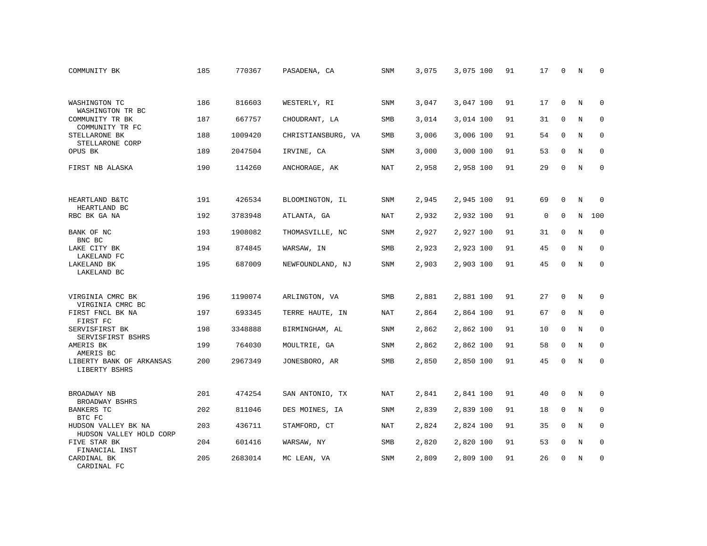| COMMUNITY BK                                   | 185 | 770367  | PASADENA, CA       | SNM        | 3,075 | 3,075 100 | 91 | 17          | 0           | N       | 0           |
|------------------------------------------------|-----|---------|--------------------|------------|-------|-----------|----|-------------|-------------|---------|-------------|
|                                                |     |         |                    |            |       |           |    |             |             |         |             |
| WASHINGTON TC<br>WASHINGTON TR BC              | 186 | 816603  | WESTERLY, RI       | SNM        | 3,047 | 3,047 100 | 91 | 17          | 0           | N       | $\Omega$    |
| COMMUNITY TR BK<br>COMMUNITY TR FC             | 187 | 667757  | CHOUDRANT, LA      | SMB        | 3,014 | 3,014 100 | 91 | 31          | 0           | N       | 0           |
| STELLARONE BK<br>STELLARONE CORP               | 188 | 1009420 | CHRISTIANSBURG, VA | SMB        | 3,006 | 3,006 100 | 91 | 54          | $\mathbf 0$ | N       | $\mathbf 0$ |
| OPUS BK                                        | 189 | 2047504 | IRVINE, CA         | SNM        | 3,000 | 3,000 100 | 91 | 53          | $\mathbf 0$ | N       | $\mathbf 0$ |
| FIRST NB ALASKA                                | 190 | 114260  | ANCHORAGE, AK      | NAT        | 2,958 | 2,958 100 | 91 | 29          | $\mathbf 0$ | $\rm N$ | $\mathbf 0$ |
|                                                |     |         |                    |            |       |           |    |             |             |         |             |
| HEARTLAND B&TC<br>HEARTLAND BC                 | 191 | 426534  | BLOOMINGTON, IL    | <b>SNM</b> | 2,945 | 2,945 100 | 91 | 69          | $\Omega$    | N       | $\Omega$    |
| RBC BK GA NA                                   | 192 | 3783948 | ATLANTA, GA        | NAT        | 2,932 | 2,932 100 | 91 | $\mathbf 0$ | $\mathbf 0$ | $\rm N$ | 100         |
| BANK OF NC<br>BNC BC                           | 193 | 1908082 | THOMASVILLE, NC    | SNM        | 2,927 | 2,927 100 | 91 | 31          | 0           | N       | $\mathbf 0$ |
| LAKE CITY BK<br>LAKELAND FC                    | 194 | 874845  | WARSAW, IN         | SMB        | 2,923 | 2,923 100 | 91 | 45          | $\mathbf 0$ | N       | $\mathbf 0$ |
| LAKELAND BK<br>LAKELAND BC                     | 195 | 687009  | NEWFOUNDLAND, NJ   | SNM        | 2,903 | 2,903 100 | 91 | 45          | $\Omega$    | N       | $\Omega$    |
|                                                |     |         |                    |            |       |           |    |             |             |         |             |
| VIRGINIA CMRC BK<br>VIRGINIA CMRC BC           | 196 | 1190074 | ARLINGTON, VA      | SMB        | 2,881 | 2,881 100 | 91 | 27          | 0           | N       | 0           |
| FIRST FNCL BK NA<br>FIRST FC                   | 197 | 693345  | TERRE HAUTE, IN    | <b>NAT</b> | 2,864 | 2,864 100 | 91 | 67          | $\mathbf 0$ | N       | $\mathbf 0$ |
| SERVISFIRST BK<br>SERVISFIRST BSHRS            | 198 | 3348888 | BIRMINGHAM, AL     | SNM        | 2,862 | 2,862 100 | 91 | 10          | $\mathbf 0$ | N       | 0           |
| AMERIS BK<br>AMERIS BC                         | 199 | 764030  | MOULTRIE, GA       | SNM        | 2,862 | 2,862 100 | 91 | 58          | $\mathbf 0$ | N       | $\mathbf 0$ |
| LIBERTY BANK OF ARKANSAS<br>LIBERTY BSHRS      | 200 | 2967349 | JONESBORO, AR      | SMB        | 2,850 | 2,850 100 | 91 | 45          | $\Omega$    | N       | $\mathbf 0$ |
|                                                |     |         |                    |            |       |           |    |             |             |         |             |
| BROADWAY NB<br>BROADWAY BSHRS                  | 201 | 474254  | SAN ANTONIO, TX    | <b>NAT</b> | 2,841 | 2,841 100 | 91 | 40          | 0           | N       | 0           |
| <b>BANKERS TC</b><br>BTC FC                    | 202 | 811046  | DES MOINES, IA     | SNM        | 2,839 | 2,839 100 | 91 | 18          | $\mathbf 0$ | N       | $\mathbf 0$ |
| HUDSON VALLEY BK NA<br>HUDSON VALLEY HOLD CORP | 203 | 436711  | STAMFORD, CT       | NAT        | 2,824 | 2,824 100 | 91 | 35          | $\mathbf 0$ | N       | 0           |
| FIVE STAR BK<br>FINANCIAL INST                 | 204 | 601416  | WARSAW, NY         | SMB        | 2,820 | 2,820 100 | 91 | 53          | $\mathbf 0$ | N       | 0           |
| CARDINAL BK<br>CARDINAL FC                     | 205 | 2683014 | MC LEAN, VA        | SNM        | 2,809 | 2,809 100 | 91 | 26          | $\Omega$    | N       | $\mathbf 0$ |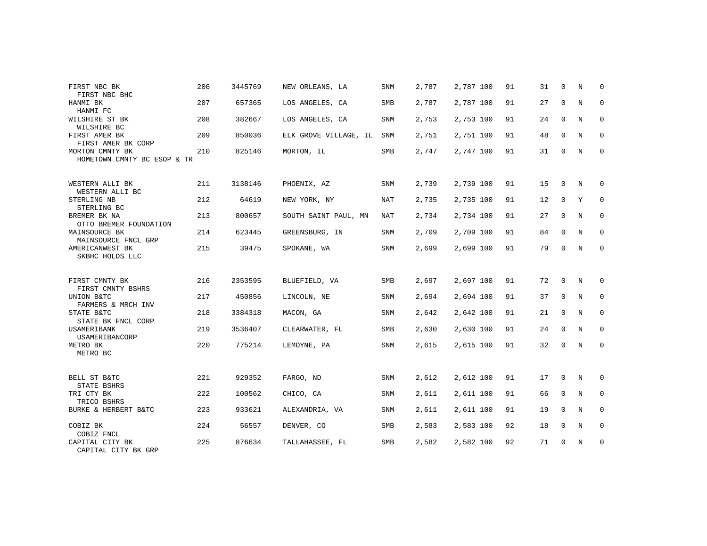| FIRST NBC BK                                   | 206 | 3445769 | NEW ORLEANS, LA       | <b>SNM</b> | 2,787 | 2,787 100 | 91 | 31 | $\Omega$    | N | $\Omega$    |
|------------------------------------------------|-----|---------|-----------------------|------------|-------|-----------|----|----|-------------|---|-------------|
| FIRST NBC BHC<br>HANMI BK                      | 207 | 657365  | LOS ANGELES, CA       | <b>SMB</b> | 2,787 | 2,787 100 | 91 | 27 | $\mathbf 0$ | N | $\mathbf 0$ |
| HANMI FC                                       |     |         |                       |            |       |           |    |    |             |   |             |
| WILSHIRE ST BK<br>WILSHIRE BC                  | 208 | 382667  | LOS ANGELES, CA       | <b>SNM</b> | 2,753 | 2,753 100 | 91 | 24 | $\mathbf 0$ | N | 0           |
| FIRST AMER BK<br>FIRST AMER BK CORP            | 209 | 850036  | ELK GROVE VILLAGE, IL | <b>SNM</b> | 2,751 | 2,751 100 | 91 | 48 | $\mathbf 0$ | N | 0           |
| MORTON CMNTY BK<br>HOMETOWN CMNTY BC ESOP & TR | 210 | 825146  | MORTON, IL            | <b>SMB</b> | 2,747 | 2,747 100 | 91 | 31 | 0           | N | 0           |
|                                                |     |         |                       |            |       |           |    |    |             |   |             |
| WESTERN ALLI BK<br>WESTERN ALLI BC             | 211 | 3138146 | PHOENIX, AZ           | <b>SNM</b> | 2,739 | 2,739 100 | 91 | 15 | $\mathbf 0$ | N | 0           |
| STERLING NB<br>STERLING BC                     | 212 | 64619   | NEW YORK, NY          | NAT        | 2,735 | 2,735 100 | 91 | 12 | $\mathbf 0$ | Y | 0           |
| BREMER BK NA<br>OTTO BREMER FOUNDATION         | 213 | 800657  | SOUTH SAINT PAUL, MN  | NAT        | 2,734 | 2,734 100 | 91 | 27 | $\mathbf 0$ | N | 0           |
| MAINSOURCE BK<br>MAINSOURCE FNCL GRP           | 214 | 623445  | GREENSBURG, IN        | SNM        | 2,709 | 2,709 100 | 91 | 84 | $\mathbf 0$ | N | 0           |
| AMERICANWEST BK<br>SKBHC HOLDS LLC             | 215 | 39475   | SPOKANE, WA           | SNM        | 2,699 | 2,699 100 | 91 | 79 | 0           | N | 0           |
|                                                |     |         |                       |            |       |           |    |    |             |   |             |
| FIRST CMNTY BK<br>FIRST CMNTY BSHRS            | 216 | 2353595 | BLUEFIELD, VA         | <b>SMB</b> | 2,697 | 2,697 100 | 91 | 72 | $\Omega$    | N | 0           |
| UNION B&TC<br>FARMERS & MRCH INV               | 217 | 450856  | LINCOLN, NE           | SNM        | 2,694 | 2,694 100 | 91 | 37 | 0           | N | $\mathbf 0$ |
| STATE B&TC<br>STATE BK FNCL CORP               | 218 | 3384318 | MACON, GA             | SNM        | 2,642 | 2,642 100 | 91 | 21 | $\mathbf 0$ | N | 0           |
| USAMERIBANK<br>USAMERIBANCORP                  | 219 | 3536407 | CLEARWATER, FL        | SMB        | 2,630 | 2,630 100 | 91 | 24 | $\mathbf 0$ | N | $\mathbf 0$ |
| METRO BK<br>METRO BC                           | 220 | 775214  | LEMOYNE, PA           | <b>SNM</b> | 2,615 | 2,615 100 | 91 | 32 | $\mathbf 0$ | N | 0           |
|                                                |     |         |                       |            |       |           |    |    |             |   |             |
| BELL ST B&TC<br>STATE BSHRS                    | 221 | 929352  | FARGO, ND             | SNM        | 2,612 | 2,612 100 | 91 | 17 | $\mathbf 0$ | N | 0           |
| TRI CTY BK<br>TRICO BSHRS                      | 222 | 100562  | CHICO, CA             | SNM        | 2,611 | 2,611 100 | 91 | 66 | $\mathbf 0$ | N | $\mathbf 0$ |
| BURKE & HERBERT B&TC                           | 223 | 933621  | ALEXANDRIA, VA        | <b>SNM</b> | 2,611 | 2,611 100 | 91 | 19 | $\mathbf 0$ | N | 0           |
| COBIZ BK<br>COBIZ FNCL                         | 224 | 56557   | DENVER, CO            | SMB        | 2,583 | 2,583 100 | 92 | 18 | $\mathbf 0$ | N | $\mathbf 0$ |
| CAPITAL CITY BK<br>CAPITAL CITY BK GRP         | 225 | 876634  | TALLAHASSEE, FL       | <b>SMB</b> | 2,582 | 2,582 100 | 92 | 71 | 0           | N | 0           |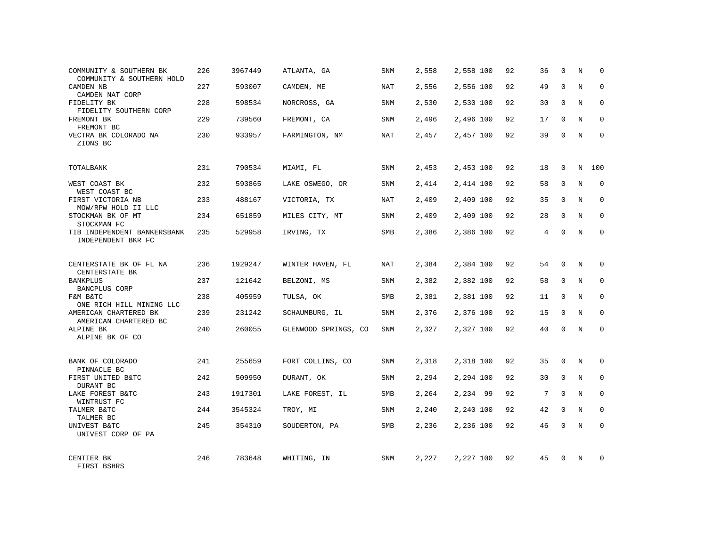| COMMUNITY & SOUTHERN BK<br>COMMUNITY & SOUTHERN HOLD | 226 | 3967449 | ATLANTA, GA          | SNM        | 2,558 | 2,558 100 | 92 | 36 | $\Omega$    | N           | $\Omega$    |
|------------------------------------------------------|-----|---------|----------------------|------------|-------|-----------|----|----|-------------|-------------|-------------|
| CAMDEN NB<br>CAMDEN NAT CORP                         | 227 | 593007  | CAMDEN, ME           | <b>NAT</b> | 2,556 | 2,556 100 | 92 | 49 | $\Omega$    | N           | $\Omega$    |
| FIDELITY BK<br>FIDELITY SOUTHERN CORP                | 228 | 598534  | NORCROSS, GA         | SNM        | 2,530 | 2,530 100 | 92 | 30 | $\mathbf 0$ | N           | $\mathbf 0$ |
| FREMONT BK<br>FREMONT BC                             | 229 | 739560  | FREMONT, CA          | SNM        | 2,496 | 2,496 100 | 92 | 17 | $\Omega$    | N           | $\Omega$    |
| VECTRA BK COLORADO NA<br>ZIONS BC                    | 230 | 933957  | FARMINGTON, NM       | <b>NAT</b> | 2,457 | 2,457 100 | 92 | 39 | $\Omega$    | N           | $\Omega$    |
| TOTALBANK                                            | 231 | 790534  | MIAMI, FL            | SNM        | 2,453 | 2,453 100 | 92 | 18 | $\Omega$    | N           | 100         |
| WEST COAST BK<br>WEST COAST BC                       | 232 | 593865  | LAKE OSWEGO, OR      | SNM        | 2,414 | 2,414 100 | 92 | 58 | $\mathbf 0$ | N           | $\mathbf 0$ |
| FIRST VICTORIA NB<br>MOW/RPW HOLD II LLC             | 233 | 488167  | VICTORIA, TX         | <b>NAT</b> | 2,409 | 2,409 100 | 92 | 35 | $\Omega$    | N           | $\Omega$    |
| STOCKMAN BK OF MT<br>STOCKMAN FC                     | 234 | 651859  | MILES CITY, MT       | SNM        | 2,409 | 2,409 100 | 92 | 28 | $\mathbf 0$ | N           | $\mathbf 0$ |
| TIB INDEPENDENT BANKERSBANK<br>INDEPENDENT BKR FC    | 235 | 529958  | IRVING, TX           | SMB        | 2,386 | 2,386 100 | 92 | 4  | $\Omega$    | N           | $\Omega$    |
| CENTERSTATE BK OF FL NA<br>CENTERSTATE BK            | 236 | 1929247 | WINTER HAVEN, FL     | <b>NAT</b> | 2,384 | 2,384 100 | 92 | 54 | $\Omega$    | N           | $\Omega$    |
| <b>BANKPLUS</b><br>BANCPLUS CORP                     | 237 | 121642  | BELZONI, MS          | SNM        | 2,382 | 2,382 100 | 92 | 58 | $\Omega$    | $_{\rm N}$  | $\Omega$    |
| F&M B&TC<br>ONE RICH HILL MINING LLC                 | 238 | 405959  | TULSA, OK            | SMB        | 2,381 | 2,381 100 | 92 | 11 | $\mathbf 0$ | N           | $\mathbf 0$ |
| AMERICAN CHARTERED BK<br>AMERICAN CHARTERED BC       | 239 | 231242  | SCHAUMBURG, IL       | SNM        | 2,376 | 2,376 100 | 92 | 15 | $\Omega$    | $_{\rm N}$  | $\mathbf 0$ |
| ALPINE BK<br>ALPINE BK OF CO                         | 240 | 260055  | GLENWOOD SPRINGS, CO | SNM        | 2,327 | 2,327 100 | 92 | 40 | 0           | N           | 0           |
| BANK OF COLORADO<br>PINNACLE BC                      | 241 | 255659  | FORT COLLINS, CO     | SNM        | 2,318 | 2,318 100 | 92 | 35 | $\mathbf 0$ | $\mathbf N$ | $\mathbf 0$ |
| FIRST UNITED B&TC<br>DURANT BC                       | 242 | 509950  | DURANT, OK           | SNM        | 2,294 | 2,294 100 | 92 | 30 | $\mathbf 0$ | N           | $\mathbf 0$ |
| LAKE FOREST B&TC<br>WINTRUST FC                      | 243 | 1917301 | LAKE FOREST, IL      | SMB        | 2,264 | 2,234 99  | 92 | 7  | $\Omega$    | N           | $\Omega$    |
| TALMER B&TC<br>TALMER BC                             | 244 | 3545324 | TROY, MI             | SNM        | 2,240 | 2,240 100 | 92 | 42 | $\mathbf 0$ | N           | $\mathbf 0$ |
| UNIVEST B&TC<br>UNIVEST CORP OF PA                   | 245 | 354310  | SOUDERTON, PA        | SMB        | 2,236 | 2,236 100 | 92 | 46 | $\Omega$    | N           | $\Omega$    |
| CENTIER BK<br>FIRST BSHRS                            | 246 | 783648  | WHITING, IN          | SNM        | 2,227 | 2,227 100 | 92 | 45 | $\Omega$    | N           | $\Omega$    |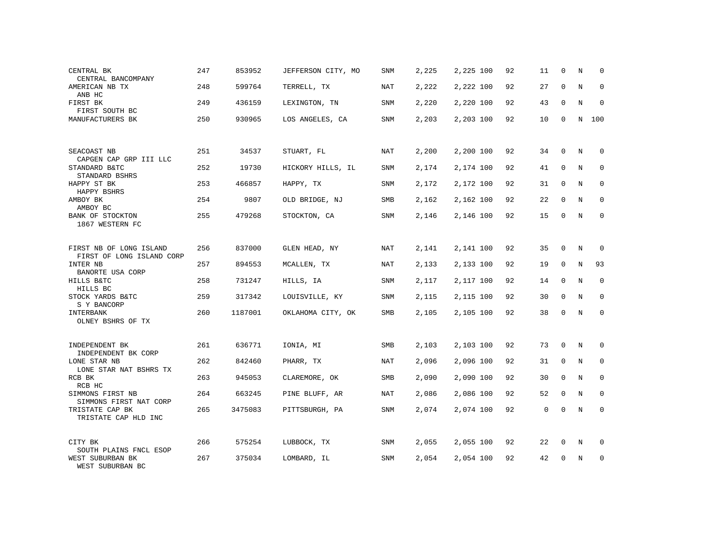| CENTRAL BK<br>CENTRAL BANCOMPANY                     | 247 | 853952  | JEFFERSON CITY, MO | SNM        | 2,225 | 2,225 100 | 92 | 11          | $\mathbf 0$ | N           | 0           |
|------------------------------------------------------|-----|---------|--------------------|------------|-------|-----------|----|-------------|-------------|-------------|-------------|
| AMERICAN NB TX<br>ANB HC                             | 248 | 599764  | TERRELL, TX        | NAT        | 2,222 | 2,222 100 | 92 | 27          | $\Omega$    | N           | $\Omega$    |
| FIRST BK<br>FIRST SOUTH BC                           | 249 | 436159  | LEXINGTON, TN      | SNM        | 2,220 | 2,220 100 | 92 | 43          | $\mathbf 0$ | N           | $\mathbf 0$ |
| MANUFACTURERS BK                                     | 250 | 930965  | LOS ANGELES, CA    | <b>SNM</b> | 2,203 | 2,203 100 | 92 | 10          | $\Omega$    | $\mathbf N$ | 100         |
|                                                      |     |         |                    |            |       |           |    |             |             |             |             |
| SEACOAST NB<br>CAPGEN CAP GRP III LLC                | 251 | 34537   | STUART, FL         | NAT        | 2,200 | 2,200 100 | 92 | 34          | $\mathbf 0$ | N           | 0           |
| STANDARD B&TC<br>STANDARD BSHRS                      | 252 | 19730   | HICKORY HILLS, IL  | SNM        | 2,174 | 2,174 100 | 92 | 41          | $\mathbf 0$ | N           | 0           |
| HAPPY ST BK<br>HAPPY BSHRS                           | 253 | 466857  | HAPPY, TX          | SNM        | 2,172 | 2,172 100 | 92 | 31          | $\mathbf 0$ | N           | 0           |
| AMBOY BK<br>AMBOY BC                                 | 254 | 9807    | OLD BRIDGE, NJ     | SMB        | 2,162 | 2,162 100 | 92 | 22          | $\Omega$    | N           | $\Omega$    |
| BANK OF STOCKTON<br>1867 WESTERN FC                  | 255 | 479268  | STOCKTON, CA       | SNM        | 2,146 | 2,146 100 | 92 | 15          | 0           | N           | 0           |
|                                                      |     |         |                    |            |       |           |    |             |             |             |             |
| FIRST NB OF LONG ISLAND<br>FIRST OF LONG ISLAND CORP | 256 | 837000  | GLEN HEAD, NY      | NAT        | 2,141 | 2,141 100 | 92 | 35          | 0           | N           | 0           |
| INTER NB<br>BANORTE USA CORP                         | 257 | 894553  | MCALLEN, TX        | NAT        | 2,133 | 2,133 100 | 92 | 19          | $\Omega$    | N           | 93          |
| HILLS B&TC<br>HILLS BC                               | 258 | 731247  | HILLS, IA          | SNM        | 2,117 | 2,117 100 | 92 | 14          | $\mathbf 0$ | N           | $\mathbf 0$ |
| STOCK YARDS B&TC<br>S Y BANCORP                      | 259 | 317342  | LOUISVILLE, KY     | SNM        | 2,115 | 2,115 100 | 92 | 30          | $\mathbf 0$ | N           | $\mathbf 0$ |
| INTERBANK<br>OLNEY BSHRS OF TX                       | 260 | 1187001 | OKLAHOMA CITY, OK  | SMB        | 2,105 | 2,105 100 | 92 | 38          | $\Omega$    | N           | $\mathbf 0$ |
|                                                      |     |         |                    |            |       |           |    |             |             |             |             |
| INDEPENDENT BK<br>INDEPENDENT BK CORP                | 261 | 636771  | IONIA, MI          | SMB        | 2,103 | 2,103 100 | 92 | 73          | 0           | N           | $\mathbf 0$ |
| LONE STAR NB<br>LONE STAR NAT BSHRS TX               | 262 | 842460  | PHARR, TX          | NAT        | 2,096 | 2,096 100 | 92 | 31          | $\mathbf 0$ | N           | 0           |
| RCB BK<br>RCB HC                                     | 263 | 945053  | CLAREMORE, OK      | SMB        | 2,090 | 2,090 100 | 92 | 30          | $\mathbf 0$ | $\mathbf N$ | $\mathbf 0$ |
| SIMMONS FIRST NB<br>SIMMONS FIRST NAT CORP           | 264 | 663245  | PINE BLUFF, AR     | NAT        | 2,086 | 2,086 100 | 92 | 52          | $\mathbf 0$ | N           | $\mathbf 0$ |
| TRISTATE CAP BK<br>TRISTATE CAP HLD INC              | 265 | 3475083 | PITTSBURGH, PA     | SNM        | 2,074 | 2,074 100 | 92 | $\mathbf 0$ | $\mathbf 0$ | $\rm N$     | $\mathbf 0$ |
|                                                      |     |         |                    |            |       |           |    |             |             |             |             |
| CITY BK<br>SOUTH PLAINS FNCL ESOP                    | 266 | 575254  | LUBBOCK, TX        | SNM        | 2,055 | 2,055 100 | 92 | 22          | 0           | N           | 0           |
| WEST SUBURBAN BK<br>WEST SUBURBAN BC                 | 267 | 375034  | LOMBARD, IL        | SNM        | 2,054 | 2,054 100 | 92 | 42          | $\mathbf 0$ | N           | 0           |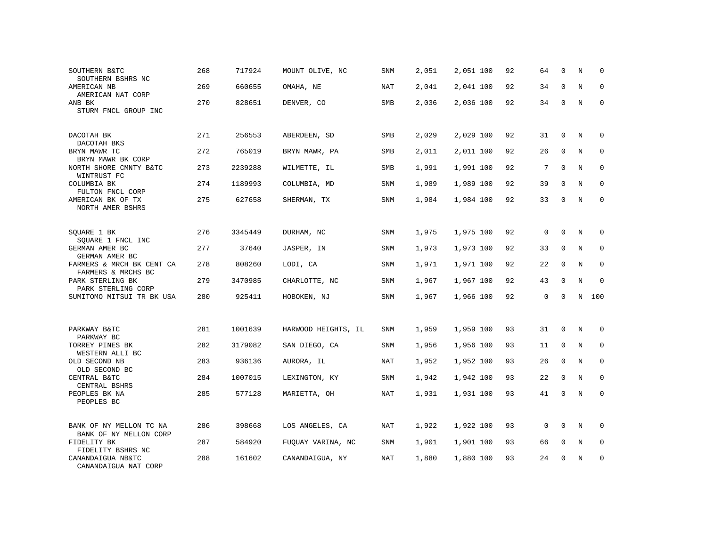| SOUTHERN B&TC<br>SOUTHERN BSHRS NC                | 268 | 717924  | MOUNT OLIVE, NC     | SNM        | 2,051 | 2,051 100 | 92 | 64           | $\mathbf 0$ | N           | $\Omega$    |
|---------------------------------------------------|-----|---------|---------------------|------------|-------|-----------|----|--------------|-------------|-------------|-------------|
| AMERICAN NB<br>AMERICAN NAT CORP                  | 269 | 660655  | OMAHA, NE           | <b>NAT</b> | 2,041 | 2,041 100 | 92 | 34           | $\Omega$    | N           | $\Omega$    |
| ANB BK<br>STURM FNCL GROUP INC                    | 270 | 828651  | DENVER, CO          | SMB        | 2,036 | 2,036 100 | 92 | 34           | 0           | N           | 0           |
| DACOTAH BK<br>DACOTAH BKS                         | 271 | 256553  | ABERDEEN, SD        | SMB        | 2,029 | 2,029 100 | 92 | 31           | 0           | N           | 0           |
| BRYN MAWR TC<br>BRYN MAWR BK CORP                 | 272 | 765019  | BRYN MAWR, PA       | SMB        | 2,011 | 2,011 100 | 92 | 26           | $\Omega$    | N           | $\mathbf 0$ |
| NORTH SHORE CMNTY B&TC<br>WINTRUST FC             | 273 | 2239288 | WILMETTE, IL        | SMB        | 1,991 | 1,991 100 | 92 | 7            | $\Omega$    | N           | $\mathbf 0$ |
| COLUMBIA BK<br>FULTON FNCL CORP                   | 274 | 1189993 | COLUMBIA, MD        | SNM        | 1,989 | 1,989 100 | 92 | 39           | $\Omega$    | N           | $\mathbf 0$ |
| AMERICAN BK OF TX<br>NORTH AMER BSHRS             | 275 | 627658  | SHERMAN, TX         | SNM        | 1,984 | 1,984 100 | 92 | 33           | $\mathbf 0$ | N           | $\mathbf 0$ |
| SQUARE 1 BK<br>SQUARE 1 FNCL INC                  | 276 | 3345449 | DURHAM, NC          | SNM        | 1,975 | 1,975 100 | 92 | $\mathbf 0$  | $\Omega$    | N           | 0           |
| GERMAN AMER BC<br>GERMAN AMER BC                  | 277 | 37640   | JASPER, IN          | SNM        | 1,973 | 1,973 100 | 92 | 33           | $\mathbf 0$ | N           | $\mathbf 0$ |
| FARMERS & MRCH BK CENT CA<br>FARMERS & MRCHS BC   | 278 | 808260  | LODI, CA            | <b>SNM</b> | 1,971 | 1,971 100 | 92 | 22           | $\Omega$    | N           | $\Omega$    |
| PARK STERLING BK<br>PARK STERLING CORP            | 279 | 3470985 | CHARLOTTE, NC       | SNM        | 1,967 | 1,967 100 | 92 | 43           | $\Omega$    | N           | $\mathbf 0$ |
| SUMITOMO MITSUI TR BK USA                         | 280 | 925411  | HOBOKEN, NJ         | <b>SNM</b> | 1,967 | 1,966 100 | 92 | $\Omega$     | $\Omega$    | N           | 100         |
| PARKWAY B&TC<br>PARKWAY BC                        | 281 | 1001639 | HARWOOD HEIGHTS, IL | <b>SNM</b> | 1,959 | 1,959 100 | 93 | 31           | $\Omega$    | N           | 0           |
| TORREY PINES BK<br>WESTERN ALLI BC                | 282 | 3179082 | SAN DIEGO, CA       | SNM        | 1,956 | 1,956 100 | 93 | 11           | $\mathbf 0$ | N           | $\mathbf 0$ |
| OLD SECOND NB<br>OLD SECOND BC                    | 283 | 936136  | AURORA, IL          | <b>NAT</b> | 1,952 | 1,952 100 | 93 | 26           | $\Omega$    | $_{\rm N}$  | $\mathbf 0$ |
| CENTRAL B&TC<br>CENTRAL BSHRS                     | 284 | 1007015 | LEXINGTON, KY       | SNM        | 1,942 | 1,942 100 | 93 | 22           | $\mathbf 0$ | N           | $\mathbf 0$ |
| PEOPLES BK NA<br>PEOPLES BC                       | 285 | 577128  | MARIETTA, OH        | <b>NAT</b> | 1,931 | 1,931 100 | 93 | 41           | $\Omega$    | $\mathbf N$ | $\mathbf 0$ |
| BANK OF NY MELLON TC NA<br>BANK OF NY MELLON CORP | 286 | 398668  | LOS ANGELES, CA     | <b>NAT</b> | 1,922 | 1,922 100 | 93 | $\mathbf{0}$ | $\Omega$    | N           | 0           |
| FIDELITY BK<br>FIDELITY BSHRS NC                  | 287 | 584920  | FUQUAY VARINA, NC   | SNM        | 1,901 | 1,901 100 | 93 | 66           | $\mathbf 0$ | N           | 0           |
| CANANDAIGUA NB&TC<br>CANANDAIGUA NAT CORP         | 288 | 161602  | CANANDAIGUA, NY     | <b>NAT</b> | 1,880 | 1,880 100 | 93 | 24           | $\Omega$    | N           | $\mathbf 0$ |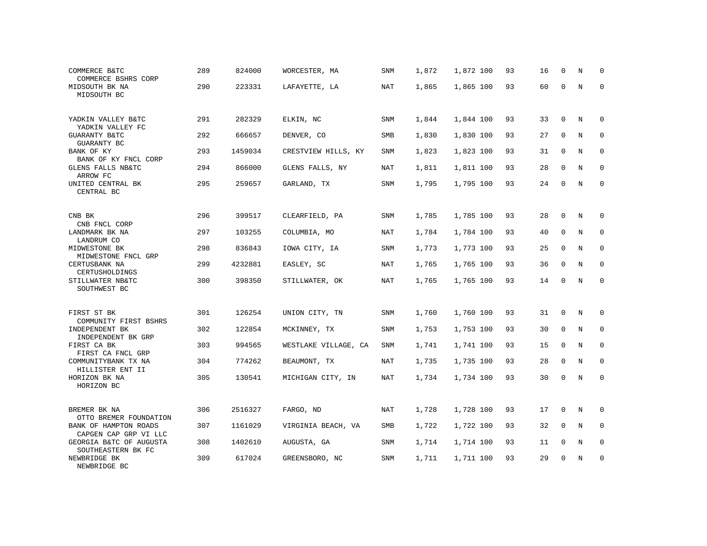| COMMERCE B&TC<br>COMMERCE BSHRS CORP           | 289 | 824000  | WORCESTER, MA        | SNM        | 1,872 | 1,872 100 | 93 | 16 | $\mathbf 0$  | N | 0            |
|------------------------------------------------|-----|---------|----------------------|------------|-------|-----------|----|----|--------------|---|--------------|
| MIDSOUTH BK NA<br>MIDSOUTH BC                  | 290 | 223331  | LAFAYETTE, LA        | NAT        | 1,865 | 1,865 100 | 93 | 60 | $\Omega$     | N | 0            |
| YADKIN VALLEY B&TC<br>YADKIN VALLEY FC         | 291 | 282329  | ELKIN, NC            | SNM        | 1,844 | 1,844 100 | 93 | 33 | $\mathbf 0$  | N | $\Omega$     |
| GUARANTY B&TC<br>GUARANTY BC                   | 292 | 666657  | DENVER, CO           | SMB        | 1,830 | 1,830 100 | 93 | 27 | $\Omega$     | N | $\Omega$     |
| BANK OF KY<br>BANK OF KY FNCL CORP             | 293 | 1459034 | CRESTVIEW HILLS, KY  | SNM        | 1,823 | 1,823 100 | 93 | 31 | $\mathbf 0$  | N | 0            |
| GLENS FALLS NB&TC<br>ARROW FC                  | 294 | 866000  | GLENS FALLS, NY      | <b>NAT</b> | 1,811 | 1,811 100 | 93 | 28 | $\Omega$     | N | $\Omega$     |
| UNITED CENTRAL BK<br>CENTRAL BC                | 295 | 259657  | GARLAND, TX          | SNM        | 1,795 | 1,795 100 | 93 | 24 | $\mathbf 0$  | N | $\mathbf{0}$ |
| CNB BK<br>CNB FNCL CORP                        | 296 | 399517  | CLEARFIELD, PA       | SNM        | 1,785 | 1,785 100 | 93 | 28 | 0            | N | $\Omega$     |
| LANDMARK BK NA<br>LANDRUM CO                   | 297 | 103255  | COLUMBIA, MO         | NAT        | 1,784 | 1,784 100 | 93 | 40 | $\Omega$     | N | $\mathbf{0}$ |
| MIDWESTONE BK<br>MIDWESTONE FNCL GRP           | 298 | 836843  | IOWA CITY, IA        | SNM        | 1,773 | 1,773 100 | 93 | 25 | $\mathbf 0$  | N | $\mathbf 0$  |
| CERTUSBANK NA<br>CERTUSHOLDINGS                | 299 | 4232881 | EASLEY, SC           | NAT        | 1,765 | 1,765 100 | 93 | 36 | $\mathbf{0}$ | N | $\mathbf{0}$ |
| STILLWATER NB&TC<br>SOUTHWEST BC               | 300 | 398350  | STILLWATER, OK       | NAT        | 1,765 | 1,765 100 | 93 | 14 | $\Omega$     | N | $\Omega$     |
| FIRST ST BK<br>COMMUNITY FIRST BSHRS           | 301 | 126254  | UNION CITY, TN       | SNM        | 1,760 | 1,760 100 | 93 | 31 | $\mathbf 0$  | N | $\mathbf 0$  |
| INDEPENDENT BK<br>INDEPENDENT BK GRP           | 302 | 122854  | MCKINNEY, TX         | SNM        | 1,753 | 1,753 100 | 93 | 30 | $\mathbf 0$  | N | $\mathbf 0$  |
| FIRST CA BK<br>FIRST CA FNCL GRP               | 303 | 994565  | WESTLAKE VILLAGE, CA | SNM        | 1,741 | 1,741 100 | 93 | 15 | $\mathbf 0$  | N | 0            |
| COMMUNITYBANK TX NA<br>HILLISTER ENT II        | 304 | 774262  | BEAUMONT, TX         | NAT        | 1,735 | 1,735 100 | 93 | 28 | $\mathbf{0}$ | N | $\mathbf{0}$ |
| HORIZON BK NA<br>HORIZON BC                    | 305 | 130541  | MICHIGAN CITY, IN    | NAT        | 1,734 | 1,734 100 | 93 | 30 | $\mathbf 0$  | N | $\mathbf{0}$ |
| BREMER BK NA<br>OTTO BREMER FOUNDATION         | 306 | 2516327 | FARGO, ND            | NAT        | 1,728 | 1,728 100 | 93 | 17 | $\mathbf 0$  | N | 0            |
| BANK OF HAMPTON ROADS<br>CAPGEN CAP GRP VI LLC | 307 | 1161029 | VIRGINIA BEACH, VA   | SMB        | 1,722 | 1,722 100 | 93 | 32 | $\mathbf{0}$ | N | $\mathbf 0$  |
| GEORGIA B&TC OF AUGUSTA<br>SOUTHEASTERN BK FC  | 308 | 1402610 | AUGUSTA, GA          | SNM        | 1,714 | 1,714 100 | 93 | 11 | 0            | N | 0            |
| NEWBRIDGE BK<br>NEWBRIDGE BC                   | 309 | 617024  | GREENSBORO, NC       | SNM        | 1,711 | 1,711 100 | 93 | 29 | $\Omega$     | N | $\mathbf{0}$ |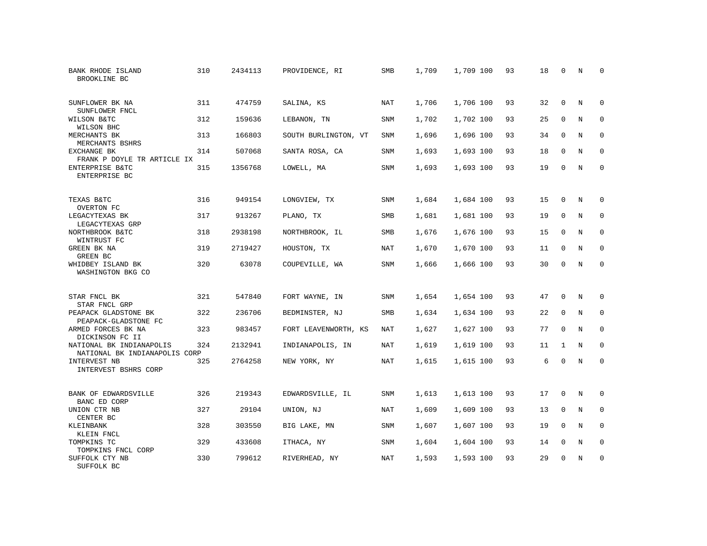| BANK RHODE ISLAND<br>BROOKLINE BC                         | 310 | 2434113 | PROVIDENCE, RI       | <b>SMB</b> | 1,709 | 1,709 100 | 93 | 18 | 0            | N | $\mathbf 0$  |
|-----------------------------------------------------------|-----|---------|----------------------|------------|-------|-----------|----|----|--------------|---|--------------|
| SUNFLOWER BK NA<br>SUNFLOWER FNCL                         | 311 | 474759  | SALINA, KS           | <b>NAT</b> | 1,706 | 1,706 100 | 93 | 32 | $\Omega$     | N | $\Omega$     |
| WILSON B&TC<br>WILSON BHC                                 | 312 | 159636  | LEBANON, TN          | SNM        | 1,702 | 1,702 100 | 93 | 25 | $\mathbf 0$  | N | $\mathbf{0}$ |
| MERCHANTS BK<br>MERCHANTS BSHRS                           | 313 | 166803  | SOUTH BURLINGTON, VT | <b>SNM</b> | 1,696 | 1,696 100 | 93 | 34 | $\Omega$     | N | $\Omega$     |
| EXCHANGE BK<br>FRANK P DOYLE TR ARTICLE IX                | 314 | 507068  | SANTA ROSA, CA       | SNM        | 1,693 | 1,693 100 | 93 | 18 | $\mathbf 0$  | N | 0            |
| ENTERPRISE B&TC<br>ENTERPRISE BC                          | 315 | 1356768 | LOWELL, MA           | SNM        | 1,693 | 1,693 100 | 93 | 19 | $\mathbf{0}$ | N | $\mathbf{0}$ |
| TEXAS B&TC<br>OVERTON FC                                  | 316 | 949154  | LONGVIEW, TX         | SNM        | 1,684 | 1,684 100 | 93 | 15 | 0            | N | $\mathbf 0$  |
| LEGACYTEXAS BK<br>LEGACYTEXAS GRP                         | 317 | 913267  | PLANO, TX            | SMB        | 1,681 | 1,681 100 | 93 | 19 | $\mathbf 0$  | N | $\mathbf{0}$ |
| NORTHBROOK B&TC<br>WINTRUST FC                            | 318 | 2938198 | NORTHBROOK, IL       | SMB        | 1,676 | 1,676 100 | 93 | 15 | $\mathbf 0$  | N | $\mathbf 0$  |
| GREEN BK NA<br>GREEN BC                                   | 319 | 2719427 | HOUSTON, TX          | NAT        | 1,670 | 1,670 100 | 93 | 11 | $\mathbf 0$  | N | $\mathbf{0}$ |
| WHIDBEY ISLAND BK<br>WASHINGTON BKG CO                    | 320 | 63078   | COUPEVILLE, WA       | SNM        | 1,666 | 1,666 100 | 93 | 30 | $\Omega$     | N | $\mathbf{0}$ |
| STAR FNCL BK<br>STAR FNCL GRP                             | 321 | 547840  | FORT WAYNE, IN       | SNM        | 1,654 | 1,654 100 | 93 | 47 | $\Omega$     | N | $\mathbf 0$  |
| PEAPACK GLADSTONE BK<br>PEAPACK-GLADSTONE FC              | 322 | 236706  | BEDMINSTER, NJ       | SMB        | 1,634 | 1,634 100 | 93 | 22 | 0            | N | 0            |
| ARMED FORCES BK NA<br>DICKINSON FC II                     | 323 | 983457  | FORT LEAVENWORTH, KS | NAT        | 1,627 | 1,627 100 | 93 | 77 | $\mathbf{0}$ | N | $\mathbf 0$  |
| NATIONAL BK INDIANAPOLIS<br>NATIONAL BK INDIANAPOLIS CORP | 324 | 2132941 | INDIANAPOLIS, IN     | <b>NAT</b> | 1,619 | 1,619 100 | 93 | 11 | $\mathbf{1}$ | N | 0            |
| INTERVEST NB<br>INTERVEST BSHRS CORP                      | 325 | 2764258 | NEW YORK, NY         | NAT        | 1,615 | 1,615 100 | 93 | 6  | $\mathbf{0}$ | N | $\mathbf 0$  |
| BANK OF EDWARDSVILLE<br>BANC ED CORP                      | 326 | 219343  | EDWARDSVILLE, IL     | SNM        | 1,613 | 1,613 100 | 93 | 17 | $\mathbf 0$  | N | 0            |
| UNION CTR NB<br>CENTER BC                                 | 327 | 29104   | UNION, NJ            | NAT        | 1,609 | 1,609 100 | 93 | 13 | $\mathbf 0$  | N | 0            |
| KLEINBANK<br>KLEIN FNCL                                   | 328 | 303550  | BIG LAKE, MN         | SNM        | 1,607 | 1,607 100 | 93 | 19 | $\Omega$     | N | $\mathbf 0$  |
| TOMPKINS TC<br>TOMPKINS FNCL CORP                         | 329 | 433608  | ITHACA, NY           | SNM        | 1,604 | 1,604 100 | 93 | 14 | $\mathbf 0$  | N | 0            |
| SUFFOLK CTY NB<br>SUFFOLK BC                              | 330 | 799612  | RIVERHEAD, NY        | NAT        | 1,593 | 1,593 100 | 93 | 29 | $\Omega$     | N | $\mathbf{0}$ |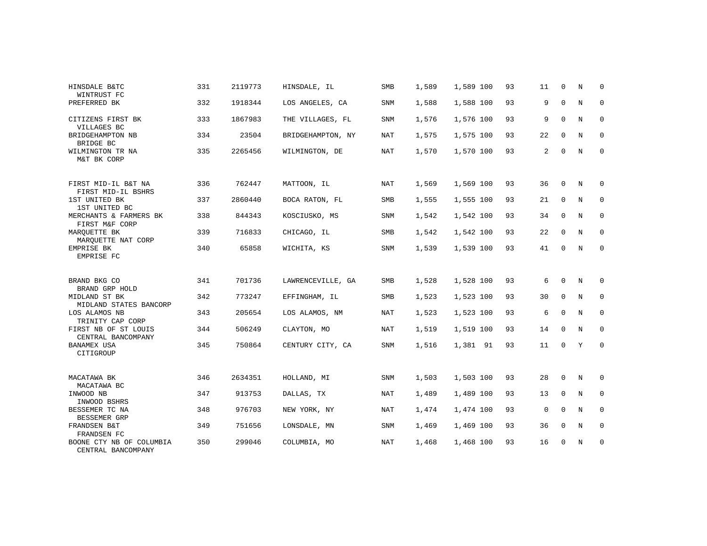| HINSDALE B&TC<br>WINTRUST FC                   | 331 | 2119773 | HINSDALE, IL      | SMB        | 1,589 | 1,589 100 | 93 | 11             | $\Omega$    | N       | $\Omega$    |
|------------------------------------------------|-----|---------|-------------------|------------|-------|-----------|----|----------------|-------------|---------|-------------|
| PREFERRED BK                                   | 332 | 1918344 | LOS ANGELES, CA   | <b>SNM</b> | 1,588 | 1,588 100 | 93 | 9              | $\mathbf 0$ | $\rm N$ | $\mathbf 0$ |
| CITIZENS FIRST BK<br>VILLAGES BC               | 333 | 1867983 | THE VILLAGES, FL  | <b>SNM</b> | 1,576 | 1,576 100 | 93 | 9              | $\mathbf 0$ | N       | 0           |
| BRIDGEHAMPTON NB<br>BRIDGE BC                  | 334 | 23504   | BRIDGEHAMPTON, NY | NAT        | 1,575 | 1,575 100 | 93 | 22             | $\Omega$    | N       | $\mathbf 0$ |
| WILMINGTON TR NA<br>M&T BK CORP                | 335 | 2265456 | WILMINGTON, DE    | <b>NAT</b> | 1,570 | 1,570 100 | 93 | $\overline{a}$ | 0           | N       | $\mathbf 0$ |
| FIRST MID-IL B&T NA<br>FIRST MID-IL BSHRS      | 336 | 762447  | MATTOON, IL       | <b>NAT</b> | 1,569 | 1,569 100 | 93 | 36             | $\Omega$    | N       | 0           |
| 1ST UNITED BK<br>1ST UNITED BC                 | 337 | 2860440 | BOCA RATON, FL    | SMB        | 1,555 | 1,555 100 | 93 | 21             | $\mathbf 0$ | N       | 0           |
| MERCHANTS & FARMERS BK<br>FIRST M&F CORP       | 338 | 844343  | KOSCIUSKO, MS     | SNM        | 1,542 | 1,542 100 | 93 | 34             | $\mathbf 0$ | N       | 0           |
| MAROUETTE BK<br>MAROUETTE NAT CORP             | 339 | 716833  | CHICAGO, IL       | <b>SMB</b> | 1,542 | 1,542 100 | 93 | 22             | $\mathbf 0$ | N       | 0           |
| EMPRISE BK<br>EMPRISE FC                       | 340 | 65858   | WICHITA, KS       | SNM        | 1,539 | 1,539 100 | 93 | 41             | 0           | N       | $\mathbf 0$ |
| BRAND BKG CO<br>BRAND GRP HOLD                 | 341 | 701736  | LAWRENCEVILLE, GA | <b>SMB</b> | 1,528 | 1,528 100 | 93 | 6              | $\Omega$    | N       | 0           |
| MIDLAND ST BK<br>MIDLAND STATES BANCORP        | 342 | 773247  | EFFINGHAM, IL     | SMB        | 1,523 | 1,523 100 | 93 | 30             | $\mathbf 0$ | N       | $\mathbf 0$ |
| LOS ALAMOS NB<br>TRINITY CAP CORP              | 343 | 205654  | LOS ALAMOS, NM    | <b>NAT</b> | 1,523 | 1,523 100 | 93 | 6              | $\mathbf 0$ | N       | $\mathbf 0$ |
| FIRST NB OF ST LOUIS<br>CENTRAL BANCOMPANY     | 344 | 506249  | CLAYTON, MO       | <b>NAT</b> | 1,519 | 1,519 100 | 93 | 14             | $\Omega$    | N       | $\mathbf 0$ |
| <b>BANAMEX USA</b><br>CITIGROUP                | 345 | 750864  | CENTURY CITY, CA  | <b>SNM</b> | 1,516 | 1,381 91  | 93 | 11             | $\mathbf 0$ | Y       | $\mathbf 0$ |
| MACATAWA BK<br>MACATAWA BC                     | 346 | 2634351 | HOLLAND, MI       | SNM        | 1,503 | 1,503 100 | 93 | 28             | $\mathbf 0$ | N       | 0           |
| INWOOD NB<br>INWOOD BSHRS                      | 347 | 913753  | DALLAS, TX        | <b>NAT</b> | 1,489 | 1,489 100 | 93 | 13             | $\Omega$    | N       | $\mathbf 0$ |
| BESSEMER TC NA<br>BESSEMER GRP                 | 348 | 976703  | NEW YORK, NY      | <b>NAT</b> | 1,474 | 1,474 100 | 93 | $\mathbf 0$    | $\mathbf 0$ | N       | 0           |
| FRANDSEN B&T<br>FRANDSEN FC                    | 349 | 751656  | LONSDALE, MN      | <b>SNM</b> | 1,469 | 1,469 100 | 93 | 36             | $\Omega$    | N       | $\mathbf 0$ |
| BOONE CTY NB OF COLUMBIA<br>CENTRAL BANCOMPANY | 350 | 299046  | COLUMBIA, MO      | <b>NAT</b> | 1,468 | 1,468 100 | 93 | 16             | 0           | N       | $\mathbf 0$ |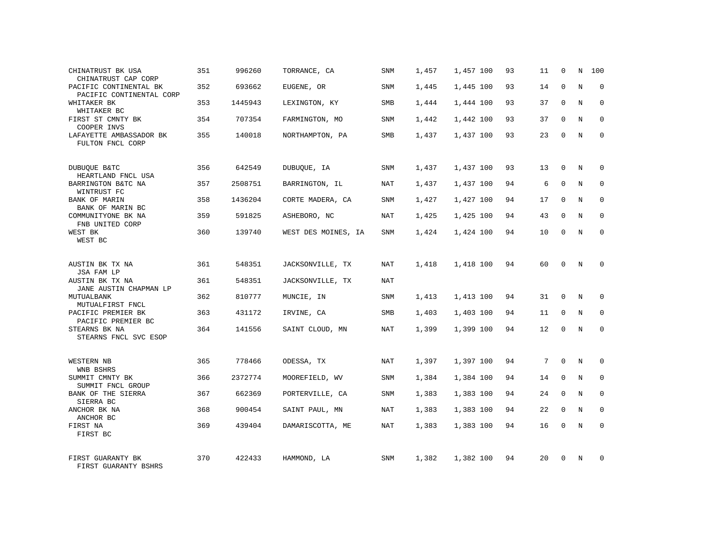| CHINATRUST BK USA<br>CHINATRUST CAP CORP           | 351 | 996260  | TORRANCE, CA        | SNM        | 1,457 | 1,457 100 | 93 | 11 | $\mathbf 0$ | N          | 100         |
|----------------------------------------------------|-----|---------|---------------------|------------|-------|-----------|----|----|-------------|------------|-------------|
| PACIFIC CONTINENTAL BK<br>PACIFIC CONTINENTAL CORP | 352 | 693662  | EUGENE, OR          | SNM        | 1,445 | 1,445 100 | 93 | 14 | $\Omega$    | N          | $\mathbf 0$ |
| WHITAKER BK<br>WHITAKER BC                         | 353 | 1445943 | LEXINGTON, KY       | SMB        | 1,444 | 1,444 100 | 93 | 37 | $\mathbf 0$ | N          | 0           |
| FIRST ST CMNTY BK<br>COOPER INVS                   | 354 | 707354  | FARMINGTON, MO      | SNM        | 1,442 | 1,442 100 | 93 | 37 | $\Omega$    | N          | $\Omega$    |
| LAFAYETTE AMBASSADOR BK<br>FULTON FNCL CORP        | 355 | 140018  | NORTHAMPTON, PA     | SMB        | 1,437 | 1,437 100 | 93 | 23 | $\Omega$    | N          | 0           |
| <b>DUBUQUE B&amp;TC</b><br>HEARTLAND FNCL USA      | 356 | 642549  | DUBUQUE, IA         | SNM        | 1,437 | 1,437 100 | 93 | 13 | $\mathbf 0$ | N          | 0           |
| BARRINGTON B&TC NA<br>WINTRUST FC                  | 357 | 2508751 | BARRINGTON, IL      | NAT        | 1,437 | 1,437 100 | 94 | 6  | $\Omega$    | N          | $\mathbf 0$ |
| BANK OF MARIN<br>BANK OF MARIN BC                  | 358 | 1436204 | CORTE MADERA, CA    | SNM        | 1,427 | 1,427 100 | 94 | 17 | $\mathbf 0$ | N          | $\mathbf 0$ |
| COMMUNITYONE BK NA<br>FNB UNITED CORP              | 359 | 591825  | ASHEBORO, NC        | NAT        | 1,425 | 1,425 100 | 94 | 43 | $\Omega$    | N          | $\Omega$    |
| WEST BK<br>WEST BC                                 | 360 | 139740  | WEST DES MOINES, IA | SNM        | 1,424 | 1,424 100 | 94 | 10 | $\Omega$    | N          | $\mathbf 0$ |
| AUSTIN BK TX NA<br>JSA FAM LP                      | 361 | 548351  | JACKSONVILLE, TX    | NAT        | 1,418 | 1,418 100 | 94 | 60 | $\Omega$    | N          | $\Omega$    |
| AUSTIN BK TX NA<br>JANE AUSTIN CHAPMAN LP          | 361 | 548351  | JACKSONVILLE, TX    | NAT        |       |           |    |    |             |            |             |
| MUTUALBANK<br>MUTUALFIRST FNCL                     | 362 | 810777  | MUNCIE, IN          | <b>SNM</b> | 1,413 | 1,413 100 | 94 | 31 | $\Omega$    | N          | $\Omega$    |
| PACIFIC PREMIER BK<br>PACIFIC PREMIER BC           | 363 | 431172  | IRVINE, CA          | SMB        | 1,403 | 1,403 100 | 94 | 11 | $\mathbf 0$ | N          | $\mathbf 0$ |
| STEARNS BK NA<br>STEARNS FNCL SVC ESOP             | 364 | 141556  | SAINT CLOUD, MN     | <b>NAT</b> | 1,399 | 1,399 100 | 94 | 12 | $\Omega$    | N          | $\Omega$    |
| WESTERN NB<br>WNB BSHRS                            | 365 | 778466  | ODESSA, TX          | NAT        | 1,397 | 1,397 100 | 94 | 7  | $\Omega$    | N          | $\Omega$    |
| SUMMIT CMNTY BK<br>SUMMIT FNCL GROUP               | 366 | 2372774 | MOOREFIELD, WV      | SNM        | 1,384 | 1,384 100 | 94 | 14 | $\mathbf 0$ | N          | $\mathbf 0$ |
| BANK OF THE SIERRA<br>SIERRA BC                    | 367 | 662369  | PORTERVILLE, CA     | SNM        | 1,383 | 1,383 100 | 94 | 24 | $\Omega$    | N          | $\Omega$    |
| ANCHOR BK NA<br>ANCHOR BC                          | 368 | 900454  | SAINT PAUL, MN      | <b>NAT</b> | 1,383 | 1,383 100 | 94 | 22 | $\mathbf 0$ | N          | $\mathbf 0$ |
| FIRST NA<br>FIRST BC                               | 369 | 439404  | DAMARISCOTTA, ME    | <b>NAT</b> | 1,383 | 1,383 100 | 94 | 16 | $\Omega$    | $_{\rm N}$ | $\Omega$    |
| FIRST GUARANTY BK<br>FIRST GUARANTY BSHRS          | 370 | 422433  | HAMMOND, LA         | SNM        | 1,382 | 1,382 100 | 94 | 20 | $\Omega$    | N          | $\Omega$    |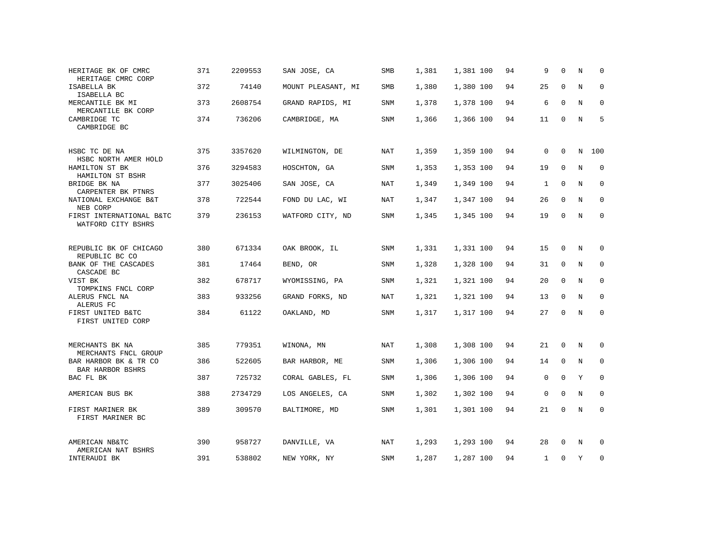| HERITAGE BK OF CMRC<br>HERITAGE CMRC CORP      | 371 | 2209553 | SAN JOSE, CA       | SMB        | 1,381 | 1,381 100 | 94 | 9            | $\Omega$     | N           | $\Omega$    |
|------------------------------------------------|-----|---------|--------------------|------------|-------|-----------|----|--------------|--------------|-------------|-------------|
| ISABELLA BK<br>ISABELLA BC                     | 372 | 74140   | MOUNT PLEASANT, MI | SMB        | 1,380 | 1,380 100 | 94 | 25           | $\mathbf 0$  | N           | $\mathbf 0$ |
| MERCANTILE BK MI<br>MERCANTILE BK CORP         | 373 | 2608754 | GRAND RAPIDS, MI   | SNM        | 1,378 | 1,378 100 | 94 | 6            | $\mathbf 0$  | N           | 0           |
| CAMBRIDGE TC<br>CAMBRIDGE BC                   | 374 | 736206  | CAMBRIDGE, MA      | SNM        | 1,366 | 1,366 100 | 94 | 11           | $\Omega$     | $\mathbf N$ | 5           |
| HSBC TC DE NA<br>HSBC NORTH AMER HOLD          | 375 | 3357620 | WILMINGTON, DE     | NAT        | 1,359 | 1,359 100 | 94 | $\mathbf 0$  | 0            | N           | 100         |
| HAMILTON ST BK<br>HAMILTON ST BSHR             | 376 | 3294583 | HOSCHTON, GA       | SNM        | 1,353 | 1,353 100 | 94 | 19           | $\Omega$     | N           | $\mathbf 0$ |
| BRIDGE BK NA<br>CARPENTER BK PTNRS             | 377 | 3025406 | SAN JOSE, CA       | <b>NAT</b> | 1,349 | 1,349 100 | 94 | $\mathbf{1}$ | $\mathbf 0$  | $\mathbf N$ | $\mathbf 0$ |
| NATIONAL EXCHANGE B&T<br>NEB CORP              | 378 | 722544  | FOND DU LAC, WI    | <b>NAT</b> | 1,347 | 1,347 100 | 94 | 26           | $\mathbf 0$  | N           | $\mathbf 0$ |
| FIRST INTERNATIONAL B&TC<br>WATFORD CITY BSHRS | 379 | 236153  | WATFORD CITY, ND   | SNM        | 1,345 | 1,345 100 | 94 | 19           | 0            | N           | $\Omega$    |
| REPUBLIC BK OF CHICAGO<br>REPUBLIC BC CO       | 380 | 671334  | OAK BROOK, IL      | SNM        | 1,331 | 1,331 100 | 94 | 15           | 0            | N           | 0           |
| BANK OF THE CASCADES<br>CASCADE BC             | 381 | 17464   | BEND, OR           | SNM        | 1,328 | 1,328 100 | 94 | 31           | 0            | N           | 0           |
| VIST BK<br>TOMPKINS FNCL CORP                  | 382 | 678717  | WYOMISSING, PA     | <b>SNM</b> | 1,321 | 1,321 100 | 94 | 20           | $\mathbf 0$  | $\mathbf N$ | $\mathbf 0$ |
| ALERUS FNCL NA<br>ALERUS FC                    | 383 | 933256  | GRAND FORKS, ND    | NAT        | 1,321 | 1,321 100 | 94 | 13           | 0            | N           | 0           |
| FIRST UNITED B&TC<br>FIRST UNITED CORP         | 384 | 61122   | OAKLAND, MD        | <b>SNM</b> | 1,317 | 1,317 100 | 94 | 27           | 0            | N           | $\mathbf 0$ |
| MERCHANTS BK NA<br>MERCHANTS FNCL GROUP        | 385 | 779351  | WINONA, MN         | NAT        | 1,308 | 1,308 100 | 94 | 21           | $\mathbf{0}$ | N           | 0           |
| BAR HARBOR BK & TR CO<br>BAR HARBOR BSHRS      | 386 | 522605  | BAR HARBOR, ME     | SNM        | 1,306 | 1,306 100 | 94 | 14           | 0            | N           | 0           |
| BAC FL BK                                      | 387 | 725732  | CORAL GABLES, FL   | SNM        | 1,306 | 1,306 100 | 94 | $\mathbf 0$  | $\mathbf 0$  | Y           | $\mathbf 0$ |
| AMERICAN BUS BK                                | 388 | 2734729 | LOS ANGELES, CA    | SNM        | 1,302 | 1,302 100 | 94 | $\mathbf 0$  | $\mathbf 0$  | N           | $\mathbf 0$ |
| FIRST MARINER BK<br>FIRST MARINER BC           | 389 | 309570  | BALTIMORE, MD      | SNM        | 1,301 | 1,301 100 | 94 | 21           | 0            | N           | $\mathbf 0$ |
| AMERICAN NB&TC<br>AMERICAN NAT BSHRS           | 390 | 958727  | DANVILLE, VA       | NAT        | 1,293 | 1,293 100 | 94 | 28           | $\Omega$     | N           | 0           |
| INTERAUDI BK                                   | 391 | 538802  | NEW YORK, NY       | SNM        | 1,287 | 1,287 100 | 94 | $\mathbf{1}$ | 0            | Y           | 0           |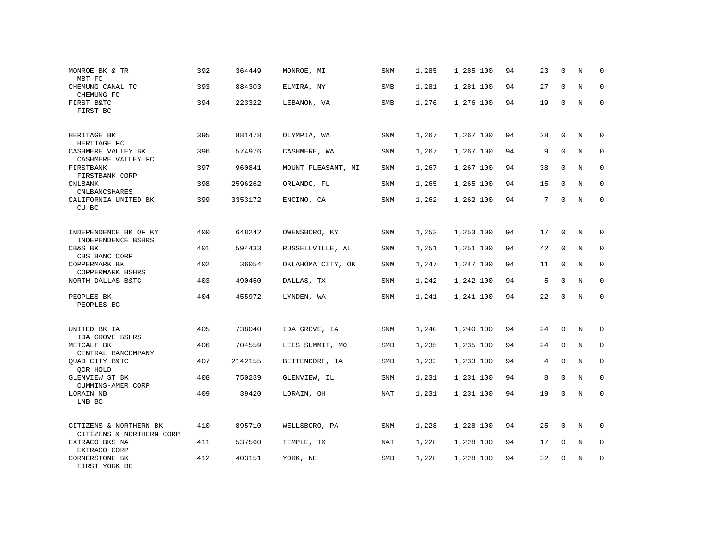| MONROE BK & TR<br>MBT FC                           | 392 | 364449  | MONROE, MI         | SNM        | 1,285 | 1,285 100 | 94 | 23 | $\mathbf 0$ | N           | 0           |
|----------------------------------------------------|-----|---------|--------------------|------------|-------|-----------|----|----|-------------|-------------|-------------|
| CHEMUNG CANAL TC<br>CHEMUNG FC                     | 393 | 884303  | ELMIRA, NY         | SMB        | 1,281 | 1,281 100 | 94 | 27 | $\Omega$    | N           | $\Omega$    |
| FIRST B&TC<br>FIRST BC                             | 394 | 223322  | LEBANON, VA        | SMB        | 1,276 | 1,276 100 | 94 | 19 | $\mathbf 0$ | N           | 0           |
| HERITAGE BK<br>HERITAGE FC                         | 395 | 881478  | OLYMPIA, WA        | SNM        | 1,267 | 1,267 100 | 94 | 28 | $\mathbf 0$ | N           | $\Omega$    |
| CASHMERE VALLEY BK<br>CASHMERE VALLEY FC           | 396 | 574976  | CASHMERE, WA       | SNM        | 1,267 | 1,267 100 | 94 | 9  | $\Omega$    | N           | 0           |
| FIRSTBANK<br>FIRSTBANK CORP                        | 397 | 960841  | MOUNT PLEASANT, MI | SNM        | 1,267 | 1,267 100 | 94 | 38 | $\mathbf 0$ | N           | $\mathbf 0$ |
| <b>CNLBANK</b><br><b>CNLBANCSHARES</b>             | 398 | 2596262 | ORLANDO, FL        | SNM        | 1,265 | 1,265 100 | 94 | 15 | $\Omega$    | N           | $\mathbf 0$ |
| CALIFORNIA UNITED BK<br>CU BC                      | 399 | 3353172 | ENCINO, CA         | SNM        | 1,262 | 1,262 100 | 94 | 7  | $\mathbf 0$ | N           | $\mathbf 0$ |
| INDEPENDENCE BK OF KY<br>INDEPENDENCE BSHRS        | 400 | 648242  | OWENSBORO, KY      | SNM        | 1,253 | 1,253 100 | 94 | 17 | $\mathbf 0$ | N           | 0           |
| CB&S BK<br>CBS BANC CORP                           | 401 | 594433  | RUSSELLVILLE, AL   | SNM        | 1,251 | 1,251 100 | 94 | 42 | $\mathbf 0$ | N           | $\mathbf 0$ |
| COPPERMARK BK<br>COPPERMARK BSHRS                  | 402 | 36054   | OKLAHOMA CITY, OK  | <b>SNM</b> | 1,247 | 1,247 100 | 94 | 11 | $\Omega$    | N           | $\Omega$    |
| NORTH DALLAS B&TC                                  | 403 | 490450  | DALLAS, TX         | SNM        | 1,242 | 1,242 100 | 94 | 5  | $\Omega$    | N           | $\mathbf 0$ |
| PEOPLES BK<br>PEOPLES BC                           | 404 | 455972  | LYNDEN, WA         | <b>SNM</b> | 1,241 | 1,241 100 | 94 | 22 | $\Omega$    | N           | $\Omega$    |
| UNITED BK IA<br>IDA GROVE BSHRS                    | 405 | 738040  | IDA GROVE, IA      | <b>SNM</b> | 1,240 | 1,240 100 | 94 | 24 | $\Omega$    | N           | $\Omega$    |
| METCALF BK<br>CENTRAL BANCOMPANY                   | 406 | 704559  | LEES SUMMIT, MO    | SMB        | 1,235 | 1,235 100 | 94 | 24 | $\mathbf 0$ | N           | $\mathbf 0$ |
| QUAD CITY B&TC<br>QCR HOLD                         | 407 | 2142155 | BETTENDORF, IA     | <b>SMB</b> | 1,233 | 1,233 100 | 94 | 4  | $\Omega$    | N           | $\mathbf 0$ |
| GLENVIEW ST BK<br>CUMMINS-AMER CORP                | 408 | 750239  | GLENVIEW, IL       | SNM        | 1,231 | 1,231 100 | 94 | 8  | 0           | N           | $\mathbf 0$ |
| LORAIN NB<br>LNB BC                                | 409 | 39420   | LORAIN, OH         | <b>NAT</b> | 1,231 | 1,231 100 | 94 | 19 | $\Omega$    | $\mathbf N$ | $\mathbf 0$ |
| CITIZENS & NORTHERN BK<br>CITIZENS & NORTHERN CORP | 410 | 895710  | WELLSBORO, PA      | SNM        | 1,228 | 1,228 100 | 94 | 25 | 0           | N           | 0           |
| EXTRACO BKS NA<br>EXTRACO CORP                     | 411 | 537560  | TEMPLE, TX         | NAT        | 1,228 | 1,228 100 | 94 | 17 | $\mathbf 0$ | N           | 0           |
| CORNERSTONE BK<br>FIRST YORK BC                    | 412 | 403151  | YORK, NE           | SMB        | 1,228 | 1,228 100 | 94 | 32 | $\Omega$    | N           | $\mathbf 0$ |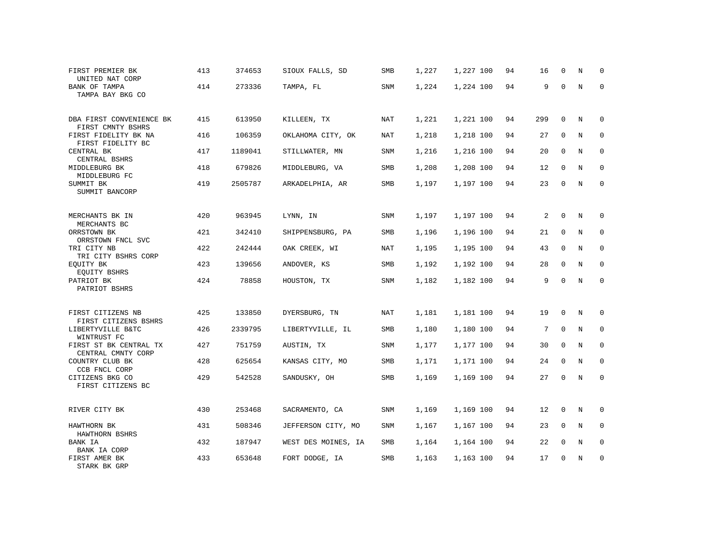| FIRST PREMIER BK<br>UNITED NAT CORP           | 413 | 374653  | SIOUX FALLS, SD     | SMB | 1,227 | 1,227 100 | 94 | 16                | $\mathbf 0$  | N           | $\Omega$    |
|-----------------------------------------------|-----|---------|---------------------|-----|-------|-----------|----|-------------------|--------------|-------------|-------------|
| BANK OF TAMPA<br>TAMPA BAY BKG CO             | 414 | 273336  | TAMPA, FL           | SNM | 1,224 | 1,224 100 | 94 | 9                 | $\Omega$     | N           | $\mathbf 0$ |
| DBA FIRST CONVENIENCE BK<br>FIRST CMNTY BSHRS | 415 | 613950  | KILLEEN, TX         | NAT | 1,221 | 1,221 100 | 94 | 299               | $\mathbf 0$  | N           | $\mathbf 0$ |
| FIRST FIDELITY BK NA<br>FIRST FIDELITY BC     | 416 | 106359  | OKLAHOMA CITY, OK   | NAT | 1,218 | 1,218 100 | 94 | 27                | $\Omega$     | N           | $\mathbf 0$ |
| CENTRAL BK<br>CENTRAL BSHRS                   | 417 | 1189041 | STILLWATER, MN      | SNM | 1,216 | 1,216 100 | 94 | 20                | $\mathbf 0$  | N           | $\mathbf 0$ |
| MIDDLEBURG BK<br>MIDDLEBURG FC                | 418 | 679826  | MIDDLEBURG, VA      | SMB | 1,208 | 1,208 100 | 94 | 12                | $\mathbf 0$  | N           | $\mathbf 0$ |
| SUMMIT BK<br>SUMMIT BANCORP                   | 419 | 2505787 | ARKADELPHIA, AR     | SMB | 1,197 | 1,197 100 | 94 | 23                | $\mathbf 0$  | N           | $\mathbf 0$ |
| MERCHANTS BK IN<br>MERCHANTS BC               | 420 | 963945  | LYNN, IN            | SNM | 1,197 | 1,197 100 | 94 | 2                 | $\mathsf 0$  | N           | 0           |
| ORRSTOWN BK<br>ORRSTOWN FNCL SVC              | 421 | 342410  | SHIPPENSBURG, PA    | SMB | 1,196 | 1,196 100 | 94 | 21                | 0            | N           | 0           |
| TRI CITY NB<br>TRI CITY BSHRS CORP            | 422 | 242444  | OAK CREEK, WI       | NAT | 1,195 | 1,195 100 | 94 | 43                | $\mathsf{O}$ | $\rm N$     | $\mathbf 0$ |
| EOUITY BK<br>EQUITY BSHRS                     | 423 | 139656  | ANDOVER, KS         | SMB | 1,192 | 1,192 100 | 94 | 28                | $\mathbf 0$  | N           | $\mathbf 0$ |
| PATRIOT BK<br>PATRIOT BSHRS                   | 424 | 78858   | HOUSTON, TX         | SNM | 1,182 | 1,182 100 | 94 | 9                 | $\mathbf 0$  | N           | $\mathbf 0$ |
| FIRST CITIZENS NB<br>FIRST CITIZENS BSHRS     | 425 | 133850  | DYERSBURG, TN       | NAT | 1,181 | 1,181 100 | 94 | 19                | 0            | N           | 0           |
| LIBERTYVILLE B&TC<br>WINTRUST FC              | 426 | 2339795 | LIBERTYVILLE, IL    | SMB | 1,180 | 1,180 100 | 94 | 7                 | $\mathbf 0$  | N           | $\mathbf 0$ |
| FIRST ST BK CENTRAL TX<br>CENTRAL CMNTY CORP  | 427 | 751759  | AUSTIN, TX          | SNM | 1,177 | 1,177 100 | 94 | 30                | $\mathbf 0$  | $\mathbf N$ | $\mathsf 0$ |
| COUNTRY CLUB BK<br>CCB FNCL CORP              | 428 | 625654  | KANSAS CITY, MO     | SMB | 1,171 | 1,171 100 | 94 | 24                | 0            | $\mathbf N$ | $\mathbf 0$ |
| CITIZENS BKG CO<br>FIRST CITIZENS BC          | 429 | 542528  | SANDUSKY, OH        | SMB | 1,169 | 1,169 100 | 94 | 27                | $\mathbf 0$  | $\mathbf N$ | $\mathbf 0$ |
| RIVER CITY BK                                 | 430 | 253468  | SACRAMENTO, CA      | SNM | 1,169 | 1,169 100 | 94 | $12 \overline{ }$ | $\mathbf 0$  | N           | $\mathbf 0$ |
| HAWTHORN BK<br>HAWTHORN BSHRS                 | 431 | 508346  | JEFFERSON CITY, MO  | SNM | 1,167 | 1,167 100 | 94 | 23                | 0            | N           | $\mathbf 0$ |
| BANK IA<br>BANK IA CORP                       | 432 | 187947  | WEST DES MOINES, IA | SMB | 1,164 | 1,164 100 | 94 | 22                | 0            | N           | $\mathbf 0$ |
| FIRST AMER BK<br>STARK BK GRP                 | 433 | 653648  | FORT DODGE, IA      | SMB | 1,163 | 1,163 100 | 94 | 17                | 0            | N           | $\mathbf 0$ |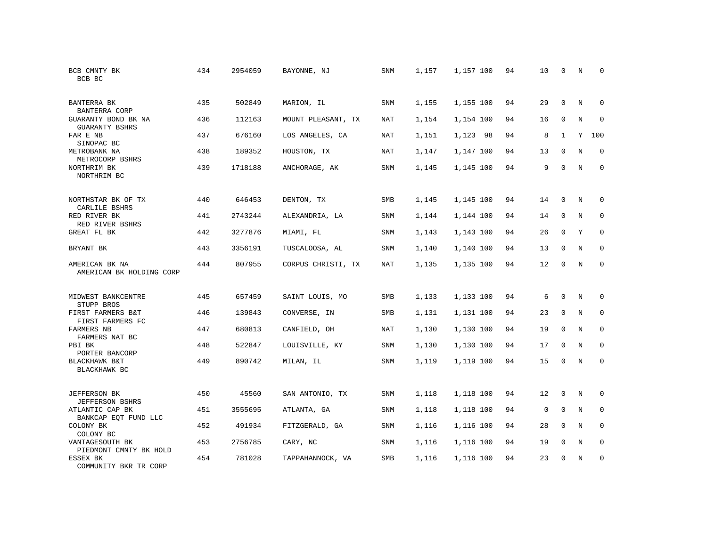| BCB CMNTY BK<br>BCB BC                       | 434 | 2954059 | BAYONNE, NJ        | SNM        | 1,157 | 1,157 100 | 94 | 10          | $\mathbf 0$  | N           | $\mathbf 0$  |
|----------------------------------------------|-----|---------|--------------------|------------|-------|-----------|----|-------------|--------------|-------------|--------------|
| BANTERRA BK<br>BANTERRA CORP                 | 435 | 502849  | MARION, IL         | <b>SNM</b> | 1,155 | 1,155 100 | 94 | 29          | $\Omega$     | N           | $\mathbf{0}$ |
| GUARANTY BOND BK NA<br><b>GUARANTY BSHRS</b> | 436 | 112163  | MOUNT PLEASANT, TX | NAT        | 1,154 | 1,154 100 | 94 | 16          | 0            | N           | 0            |
| FAR E NB<br>SINOPAC BC                       | 437 | 676160  | LOS ANGELES, CA    | <b>NAT</b> | 1,151 | 1,123 98  | 94 | 8           | $\mathbf{1}$ | Y           | 100          |
| METROBANK NA<br>METROCORP BSHRS              | 438 | 189352  | HOUSTON, TX        | <b>NAT</b> | 1,147 | 1,147 100 | 94 | 13          | $\Omega$     | $\mathbf N$ | $\mathbf{0}$ |
| NORTHRIM BK<br>NORTHRIM BC                   | 439 | 1718188 | ANCHORAGE, AK      | SNM        | 1,145 | 1,145 100 | 94 | 9           | $\mathbf{0}$ | N           | $\mathbf{0}$ |
| NORTHSTAR BK OF TX<br>CARLILE BSHRS          | 440 | 646453  | DENTON, TX         | SMB        | 1,145 | 1,145 100 | 94 | 14          | $\mathbf{0}$ | $\mathbf N$ | $\mathbf 0$  |
| RED RIVER BK<br>RED RIVER BSHRS              | 441 | 2743244 | ALEXANDRIA, LA     | SNM        | 1,144 | 1,144 100 | 94 | 14          | $\mathbf 0$  | N           | 0            |
| GREAT FL BK                                  | 442 | 3277876 | MIAMI, FL          | <b>SNM</b> | 1,143 | 1,143 100 | 94 | 26          | $\Omega$     | Y           | $\mathbf{0}$ |
| BRYANT BK                                    | 443 | 3356191 | TUSCALOOSA, AL     | SNM        | 1,140 | 1,140 100 | 94 | 13          | $\mathbf 0$  | N           | 0            |
| AMERICAN BK NA<br>AMERICAN BK HOLDING CORP   | 444 | 807955  | CORPUS CHRISTI, TX | <b>NAT</b> | 1,135 | 1,135 100 | 94 | 12          | $\mathbf{0}$ | N           | $\mathbf{0}$ |
| MIDWEST BANKCENTRE<br>STUPP BROS             | 445 | 657459  | SAINT LOUIS, MO    | SMB        | 1,133 | 1,133 100 | 94 | 6           | $\mathbf{0}$ | N           | 0            |
| FIRST FARMERS B&T<br>FIRST FARMERS FC        | 446 | 139843  | CONVERSE, IN       | SMB        | 1,131 | 1,131 100 | 94 | 23          | $\mathbf 0$  | N           | 0            |
| <b>FARMERS NB</b><br>FARMERS NAT BC          | 447 | 680813  | CANFIELD, OH       | <b>NAT</b> | 1,130 | 1,130 100 | 94 | 19          | $\Omega$     | N           | $\mathbf 0$  |
| PBI BK<br>PORTER BANCORP                     | 448 | 522847  | LOUISVILLE, KY     | SNM        | 1,130 | 1,130 100 | 94 | 17          | $\mathbf 0$  | N           | 0            |
| BLACKHAWK B&T<br>BLACKHAWK BC                | 449 | 890742  | MILAN, IL          | SNM        | 1,119 | 1,119 100 | 94 | 15          | $\mathbf{0}$ | N           | $\mathbf{0}$ |
| <b>JEFFERSON BK</b><br>JEFFERSON BSHRS       | 450 | 45560   | SAN ANTONIO, TX    | SNM        | 1,118 | 1,118 100 | 94 | 12          | $\mathbf{0}$ | N           | $\mathbf 0$  |
| ATLANTIC CAP BK<br>BANKCAP EOT FUND LLC      | 451 | 3555695 | ATLANTA, GA        | SNM        | 1,118 | 1,118 100 | 94 | $\mathbf 0$ | $\mathbf 0$  | N           | $\mathbf 0$  |
| COLONY BK<br>COLONY BC                       | 452 | 491934  | FITZGERALD, GA     | SNM        | 1,116 | 1,116 100 | 94 | 28          | $\mathbf 0$  | N           | $\mathbf 0$  |
| VANTAGESOUTH BK<br>PIEDMONT CMNTY BK HOLD    | 453 | 2756785 | CARY, NC           | SNM        | 1,116 | 1,116 100 | 94 | 19          | $\mathbf 0$  | N           | 0            |
| ESSEX BK<br>COMMUNITY BKR TR CORP            | 454 | 781028  | TAPPAHANNOCK, VA   | SMB        | 1,116 | 1,116 100 | 94 | 23          | $\Omega$     | N           | $\mathbf{0}$ |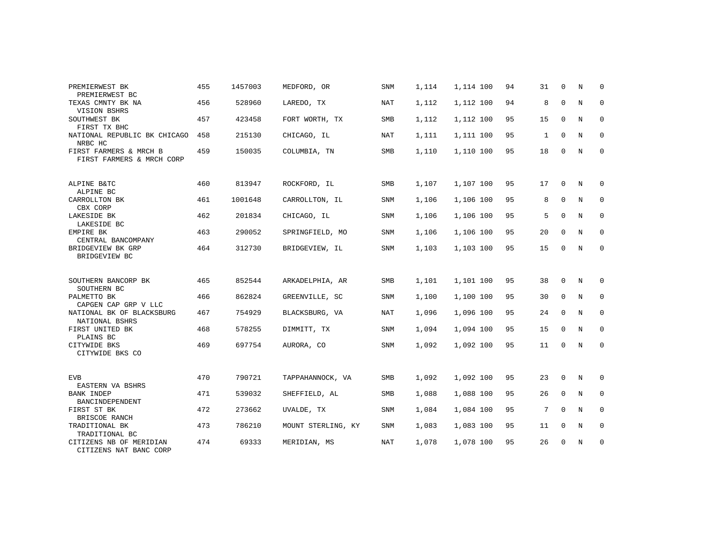| PREMIERWEST BK                                      | 455 | 1457003 | MEDFORD, OR        | <b>SNM</b> | 1,114 | 1,114 100 | 94 | 31 | $\Omega$    | N | $\Omega$    |
|-----------------------------------------------------|-----|---------|--------------------|------------|-------|-----------|----|----|-------------|---|-------------|
| PREMIERWEST BC<br>TEXAS CMNTY BK NA<br>VISION BSHRS | 456 | 528960  | LAREDO, TX         | NAT        | 1,112 | 1,112 100 | 94 | 8  | $\mathbf 0$ | N | $\mathbf 0$ |
| SOUTHWEST BK<br>FIRST TX BHC                        | 457 | 423458  | FORT WORTH, TX     | <b>SMB</b> | 1,112 | 1,112 100 | 95 | 15 | $\mathbf 0$ | N | 0           |
| NATIONAL REPUBLIC BK CHICAGO<br>NRBC HC             | 458 | 215130  | CHICAGO, IL        | NAT        | 1,111 | 1,111 100 | 95 | 1  | $\Omega$    | N | 0           |
| FIRST FARMERS & MRCH B<br>FIRST FARMERS & MRCH CORP | 459 | 150035  | COLUMBIA, TN       | <b>SMB</b> | 1,110 | 1,110 100 | 95 | 18 | $\mathbf 0$ | N | $\mathbf 0$ |
| ALPINE B&TC<br>ALPINE BC                            | 460 | 813947  | ROCKFORD, IL       | <b>SMB</b> | 1,107 | 1,107 100 | 95 | 17 | $\Omega$    | N | 0           |
| CARROLLTON BK<br>CBX CORP                           | 461 | 1001648 | CARROLLTON, IL     | SNM        | 1,106 | 1,106 100 | 95 | 8  | $\mathbf 0$ | N | $\mathsf 0$ |
| LAKESIDE BK<br>LAKESIDE BC                          | 462 | 201834  | CHICAGO, IL        | <b>SNM</b> | 1,106 | 1,106 100 | 95 | 5  | $\Omega$    | N | 0           |
| EMPIRE BK<br>CENTRAL BANCOMPANY                     | 463 | 290052  | SPRINGFIELD, MO    | SNM        | 1,106 | 1,106 100 | 95 | 20 | $\mathbf 0$ | N | $\mathbf 0$ |
| BRIDGEVIEW BK GRP<br>BRIDGEVIEW BC                  | 464 | 312730  | BRIDGEVIEW, IL     | SNM        | 1,103 | 1,103 100 | 95 | 15 | $\mathbf 0$ | N | $\mathbf 0$ |
| SOUTHERN BANCORP BK<br>SOUTHERN BC                  | 465 | 852544  | ARKADELPHIA, AR    | SMB        | 1,101 | 1,101 100 | 95 | 38 | $\Omega$    | N | 0           |
| PALMETTO BK<br>CAPGEN CAP GRP V LLC                 | 466 | 862824  | GREENVILLE, SC     | SNM        | 1,100 | 1,100 100 | 95 | 30 | 0           | N | $\mathbf 0$ |
| NATIONAL BK OF BLACKSBURG<br>NATIONAL BSHRS         | 467 | 754929  | BLACKSBURG, VA     | NAT        | 1,096 | 1,096 100 | 95 | 24 | 0           | N | 0           |
| FIRST UNITED BK<br>PLAINS BC                        | 468 | 578255  | DIMMITT, TX        | <b>SNM</b> | 1,094 | 1,094 100 | 95 | 15 | $\Omega$    | N | $\mathbf 0$ |
| CITYWIDE BKS<br>CITYWIDE BKS CO                     | 469 | 697754  | AURORA, CO         | <b>SNM</b> | 1,092 | 1,092 100 | 95 | 11 | 0           | N | 0           |
| <b>EVB</b><br>EASTERN VA BSHRS                      | 470 | 790721  | TAPPAHANNOCK, VA   | <b>SMB</b> | 1,092 | 1,092 100 | 95 | 23 | 0           | N | 0           |
| <b>BANK INDEP</b><br>BANCINDEPENDENT                | 471 | 539032  | SHEFFIELD, AL      | SMB        | 1,088 | 1,088 100 | 95 | 26 | $\Omega$    | N | $\mathbf 0$ |
| FIRST ST BK<br>BRISCOE RANCH                        | 472 | 273662  | UVALDE, TX         | <b>SNM</b> | 1,084 | 1,084 100 | 95 | 7  | $\mathbf 0$ | N | 0           |
| TRADITIONAL BK<br>TRADITIONAL BC                    | 473 | 786210  | MOUNT STERLING, KY | <b>SNM</b> | 1,083 | 1,083 100 | 95 | 11 | $\mathbf 0$ | N | $\mathbf 0$ |
| CITIZENS NB OF MERIDIAN<br>CITIZENS NAT BANC CORP   | 474 | 69333   | MERIDIAN, MS       | <b>NAT</b> | 1,078 | 1,078 100 | 95 | 26 | $\mathbf 0$ | N | 0           |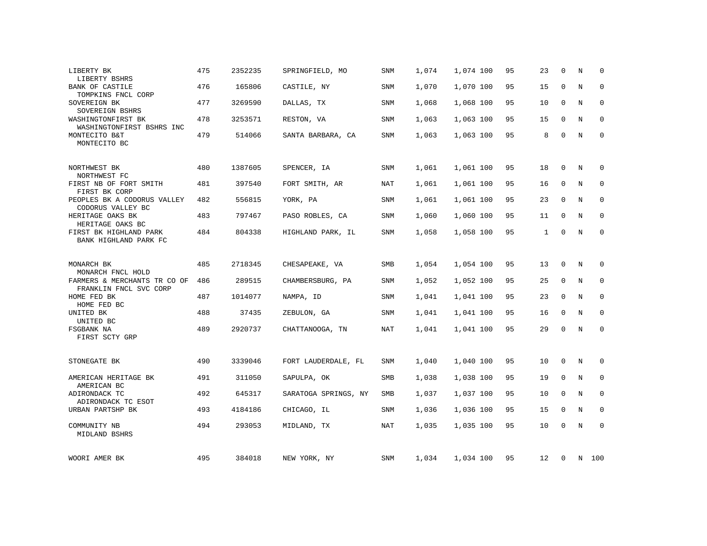| LIBERTY BK<br>LIBERTY BSHRS                            | 475 | 2352235 | SPRINGFIELD, MO      | SNM        | 1,074 | 1,074 100 | 95 | 23           | $\Omega$    | N           | $\Omega$    |
|--------------------------------------------------------|-----|---------|----------------------|------------|-------|-----------|----|--------------|-------------|-------------|-------------|
| <b>BANK OF CASTILE</b><br>TOMPKINS FNCL CORP           | 476 | 165806  | CASTILE, NY          | SNM        | 1,070 | 1,070 100 | 95 | 15           | $\mathbf 0$ | N           | $\mathbf 0$ |
| SOVEREIGN BK<br>SOVEREIGN BSHRS                        | 477 | 3269590 | DALLAS, TX           | SNM        | 1,068 | 1,068 100 | 95 | 10           | $\mathbf 0$ | N           | 0           |
| WASHINGTONFIRST BK<br>WASHINGTONFIRST BSHRS INC        | 478 | 3253571 | RESTON, VA           | SNM        | 1,063 | 1,063 100 | 95 | 15           | $\Omega$    | $\rm N$     | $\Omega$    |
| MONTECITO B&T<br>MONTECITO BC                          | 479 | 514066  | SANTA BARBARA, CA    | SNM        | 1,063 | 1,063 100 | 95 | 8            | $\mathbf 0$ | N           | $\mathbf 0$ |
| NORTHWEST BK<br>NORTHWEST FC                           | 480 | 1387605 | SPENCER, IA          | SNM        | 1,061 | 1,061 100 | 95 | 18           | $\mathbf 0$ | N           | 0           |
| FIRST NB OF FORT SMITH<br>FIRST BK CORP                | 481 | 397540  | FORT SMITH, AR       | <b>NAT</b> | 1,061 | 1,061 100 | 95 | 16           | $\mathbf 0$ | $\mathbf N$ | $\mathbf 0$ |
| PEOPLES BK A CODORUS VALLEY<br>CODORUS VALLEY BC       | 482 | 556815  | YORK, PA             | SNM        | 1,061 | 1,061 100 | 95 | 23           | $\mathbf 0$ | N           | $\mathbf 0$ |
| HERITAGE OAKS BK<br>HERITAGE OAKS BC                   | 483 | 797467  | PASO ROBLES, CA      | SNM        | 1,060 | 1,060 100 | 95 | 11           | 0           | N           | $\Omega$    |
| FIRST BK HIGHLAND PARK<br>BANK HIGHLAND PARK FC        | 484 | 804338  | HIGHLAND PARK, IL    | SNM        | 1,058 | 1,058 100 | 95 | $\mathbf{1}$ | $\mathbf 0$ | N           | $\mathbf 0$ |
| MONARCH BK<br>MONARCH FNCL HOLD                        | 485 | 2718345 | CHESAPEAKE, VA       | <b>SMB</b> | 1,054 | 1,054 100 | 95 | 13           | 0           | N           | 0           |
| FARMERS & MERCHANTS TR CO OF<br>FRANKLIN FNCL SVC CORP | 486 | 289515  | CHAMBERSBURG, PA     | SNM        | 1,052 | 1,052 100 | 95 | 25           | $\mathbf 0$ | $\mathbf N$ | 0           |
| HOME FED BK<br>HOME FED BC                             | 487 | 1014077 | NAMPA, ID            | SNM        | 1,041 | 1,041 100 | 95 | 23           | $\mathbf 0$ | N           | 0           |
| UNITED BK<br>UNITED BC                                 | 488 | 37435   | ZEBULON, GA          | SNM        | 1,041 | 1,041 100 | 95 | 16           | $\mathbf 0$ | N           | 0           |
| FSGBANK NA<br>FIRST SCTY GRP                           | 489 | 2920737 | CHATTANOOGA, TN      | <b>NAT</b> | 1,041 | 1,041 100 | 95 | 29           | $\mathbf 0$ | $\mathbf N$ | $\mathbf 0$ |
| STONEGATE BK                                           | 490 | 3339046 | FORT LAUDERDALE, FL  | SNM        | 1,040 | 1,040 100 | 95 | 10           | 0           | N           | 0           |
| AMERICAN HERITAGE BK                                   | 491 | 311050  | SAPULPA, OK          | SMB        | 1,038 | 1,038 100 | 95 | 19           | $\mathbf 0$ | N           | $\mathbf 0$ |
| AMERICAN BC<br>ADIRONDACK TC<br>ADIRONDACK TC ESOT     | 492 | 645317  | SARATOGA SPRINGS, NY | SMB        | 1,037 | 1,037 100 | 95 | 10           | $\mathbf 0$ | N           | $\mathbf 0$ |
| URBAN PARTSHP BK                                       | 493 | 4184186 | CHICAGO, IL          | SNM        | 1,036 | 1,036 100 | 95 | 15           | 0           | N           | $\mathbf 0$ |
| COMMUNITY NB<br>MIDLAND BSHRS                          | 494 | 293053  | MIDLAND, TX          | <b>NAT</b> | 1,035 | 1,035 100 | 95 | 10           | $\Omega$    | $\mathbf N$ | $\mathbf 0$ |
| WOORI AMER BK                                          | 495 | 384018  | NEW YORK, NY         | SNM        | 1,034 | 1,034 100 | 95 | 12           | 0           |             | N 100       |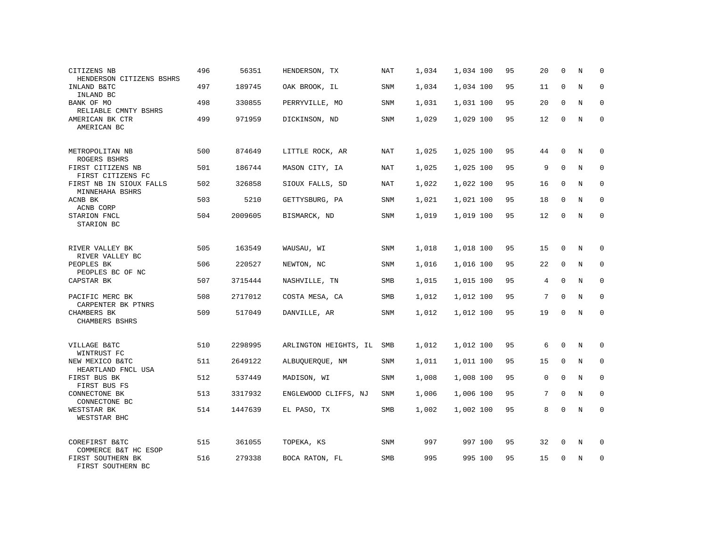| CITIZENS NB<br>HENDERSON CITIZENS BSHRS                        | 496 | 56351   | HENDERSON, TX         | NAT        | 1,034 | 1,034 100 | 95 | 20          | $\mathbf 0$ | N          | $\mathbf 0$ |
|----------------------------------------------------------------|-----|---------|-----------------------|------------|-------|-----------|----|-------------|-------------|------------|-------------|
| INLAND B&TC<br>INLAND BC                                       | 497 | 189745  | OAK BROOK, IL         | SNM        | 1,034 | 1,034 100 | 95 | 11          | $\mathbf 0$ | N          | $\mathbf 0$ |
| BANK OF MO<br>RELIABLE CMNTY BSHRS                             | 498 | 330855  | PERRYVILLE, MO        | SNM        | 1,031 | 1,031 100 | 95 | 20          | 0           | N          | 0           |
| AMERICAN BK CTR<br>AMERICAN BC                                 | 499 | 971959  | DICKINSON, ND         | SNM        | 1,029 | 1,029 100 | 95 | 12          | $\Omega$    | N          | $\mathbf 0$ |
| METROPOLITAN NB<br>ROGERS BSHRS                                | 500 | 874649  | LITTLE ROCK, AR       | NAT        | 1,025 | 1,025 100 | 95 | 44          | $\Omega$    | N          | $\mathbf 0$ |
| FIRST CITIZENS NB<br>FIRST CITIZENS FC                         | 501 | 186744  | MASON CITY, IA        | NAT        | 1,025 | 1,025 100 | 95 | 9           | $\mathbf 0$ | N          | $\mathbf 0$ |
| FIRST NB IN SIOUX FALLS<br>MINNEHAHA BSHRS                     | 502 | 326858  | SIOUX FALLS, SD       | NAT        | 1,022 | 1,022 100 | 95 | 16          | $\Omega$    | N          | $\mathbf 0$ |
| ACNB BK<br>ACNB CORP                                           | 503 | 5210    | GETTYSBURG, PA        | SNM        | 1,021 | 1,021 100 | 95 | 18          | $\mathbf 0$ | N          | $\mathbf 0$ |
| STARION FNCL<br>STARION BC                                     | 504 | 2009605 | BISMARCK, ND          | SNM        | 1,019 | 1,019 100 | 95 | 12          | $\mathbf 0$ | N          | $\mathbf 0$ |
| RIVER VALLEY BK<br>RIVER VALLEY BC                             | 505 | 163549  | WAUSAU, WI            | SNM        | 1,018 | 1,018 100 | 95 | 15          | $\mathbf 0$ | N          | $\mathbf 0$ |
| PEOPLES BK<br>PEOPLES BC OF NC                                 | 506 | 220527  | NEWTON, NC            | SNM        | 1,016 | 1,016 100 | 95 | 22          | $\Omega$    | N          | $\mathbf 0$ |
| CAPSTAR BK                                                     | 507 | 3715444 | NASHVILLE, TN         | SMB        | 1,015 | 1,015 100 | 95 | 4           | $\mathbf 0$ | N          | $\mathbf 0$ |
| PACIFIC MERC BK<br>CARPENTER BK PTNRS                          | 508 | 2717012 | COSTA MESA, CA        | SMB        | 1,012 | 1,012 100 | 95 | 7           | $\Omega$    | N          | $\mathbf 0$ |
| CHAMBERS BK<br>CHAMBERS BSHRS                                  | 509 | 517049  | DANVILLE, AR          | SNM        | 1,012 | 1,012 100 | 95 | 19          | $\mathbf 0$ | N          | $\mathbf 0$ |
| VILLAGE B&TC                                                   | 510 | 2298995 | ARLINGTON HEIGHTS, IL | SMB        | 1,012 | 1,012 100 | 95 | 6           | $\mathbf 0$ | N          | 0           |
| WINTRUST FC<br>NEW MEXICO B&TC                                 | 511 | 2649122 | ALBUOUEROUE, NM       | <b>SNM</b> | 1,011 | 1,011 100 | 95 | 15          | $\mathbf 0$ | N          | $\mathbf 0$ |
| HEARTLAND FNCL USA<br>FIRST BUS BK<br>FIRST BUS FS             | 512 | 537449  | MADISON, WI           | SNM        | 1,008 | 1,008 100 | 95 | $\mathbf 0$ | $\mathbf 0$ | N          | $\mathbf 0$ |
| CONNECTONE BK<br>CONNECTONE BC                                 | 513 | 3317932 | ENGLEWOOD CLIFFS, NJ  | <b>SNM</b> | 1,006 | 1,006 100 | 95 | 7           | $\Omega$    | $_{\rm N}$ | $\mathbf 0$ |
| WESTSTAR BK<br>WESTSTAR BHC                                    | 514 | 1447639 | EL PASO, TX           | SMB        | 1,002 | 1,002 100 | 95 | 8           | 0           | N          | $\mathbf 0$ |
| COREFIRST B&TC                                                 | 515 | 361055  | TOPEKA, KS            | SNM        | 997   | 997 100   | 95 | 32          | 0           | N          | 0           |
| COMMERCE B&T HC ESOP<br>FIRST SOUTHERN BK<br>FIRST SOUTHERN BC | 516 | 279338  | BOCA RATON, FL        | <b>SMB</b> | 995   | 995 100   | 95 | 15          | $\mathbf 0$ | N          | $\mathbf 0$ |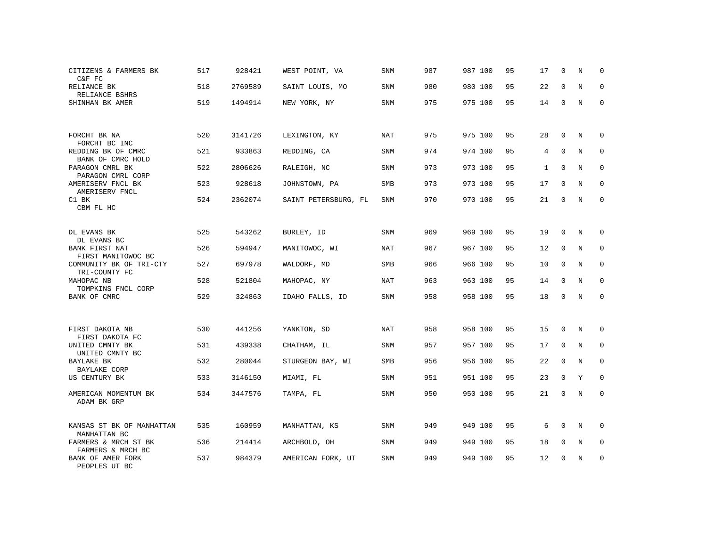| CITIZENS & FARMERS BK<br>C&F FC           | 517 | 928421  | WEST POINT, VA       | <b>SNM</b> | 987 | 987 100 | 95 | 17           | $\mathbf 0$  | N           | 0                   |
|-------------------------------------------|-----|---------|----------------------|------------|-----|---------|----|--------------|--------------|-------------|---------------------|
| RELIANCE BK<br>RELIANCE BSHRS             | 518 | 2769589 | SAINT LOUIS, MO      | SNM        | 980 | 980 100 | 95 | 22           | $\mathbf 0$  | N           | 0                   |
| SHINHAN BK AMER                           | 519 | 1494914 | NEW YORK, NY         | SNM        | 975 | 975 100 | 95 | 14           | $\mathbf 0$  | N           | $\mathbf 0$         |
| FORCHT BK NA<br>FORCHT BC INC             | 520 | 3141726 | LEXINGTON, KY        | NAT        | 975 | 975 100 | 95 | 28           | $\Omega$     | N           | $\Omega$            |
| REDDING BK OF CMRC<br>BANK OF CMRC HOLD   | 521 | 933863  | REDDING, CA          | SNM        | 974 | 974 100 | 95 | 4            | $\mathbf 0$  | N           | 0                   |
| PARAGON CMRL BK<br>PARAGON CMRL CORP      | 522 | 2806626 | RALEIGH, NC          | <b>SNM</b> | 973 | 973 100 | 95 | $\mathbf{1}$ | $\mathbf{0}$ | N           | $\mathbf 0$         |
| AMERISERV FNCL BK<br>AMERISERV FNCL       | 523 | 928618  | JOHNSTOWN, PA        | <b>SMB</b> | 973 | 973 100 | 95 | 17           | $\mathbf 0$  | N           | $\mathbf{0}$        |
| C1 BK<br>CBM FL HC                        | 524 | 2362074 | SAINT PETERSBURG, FL | <b>SNM</b> | 970 | 970 100 | 95 | 21           | $\mathbf{0}$ | $\rm N$     | $\mathbf 0$         |
| DL EVANS BK<br>DL EVANS BC                | 525 | 543262  | BURLEY, ID           | SNM        | 969 | 969 100 | 95 | 19           | $\mathbf{0}$ | N           | $\mathbf 0$         |
| BANK FIRST NAT<br>FIRST MANITOWOC BC      | 526 | 594947  | MANITOWOC, WI        | NAT        | 967 | 967 100 | 95 | 12           | 0            | N           | 0                   |
| COMMUNITY BK OF TRI-CTY<br>TRI-COUNTY FC  | 527 | 697978  | WALDORF, MD          | SMB        | 966 | 966 100 | 95 | 10           | $\mathbf{0}$ | N           | 0                   |
| MAHOPAC NB<br>TOMPKINS FNCL CORP          | 528 | 521804  | MAHOPAC, NY          | NAT        | 963 | 963 100 | 95 | 14           | 0            | N           | 0                   |
| BANK OF CMRC                              | 529 | 324863  | IDAHO FALLS, ID      | SNM        | 958 | 958 100 | 95 | 18           | 0            | $\rm N$     | $\mathsf{O}\xspace$ |
| FIRST DAKOTA NB<br>FIRST DAKOTA FC        | 530 | 441256  | YANKTON, SD          | <b>NAT</b> | 958 | 958 100 | 95 | 15           | 0            | N           | 0                   |
| UNITED CMNTY BK<br>UNITED CMNTY BC        | 531 | 439338  | CHATHAM, IL          | <b>SNM</b> | 957 | 957 100 | 95 | 17           | 0            | N           | 0                   |
| BAYLAKE BK<br><b>BAYLAKE CORP</b>         | 532 | 280044  | STURGEON BAY, WI     | SMB        | 956 | 956 100 | 95 | 22           | 0            | N           | $\mathbf 0$         |
| US CENTURY BK                             | 533 | 3146150 | MIAMI, FL            | <b>SNM</b> | 951 | 951 100 | 95 | 23           | $\mathbf 0$  | Y           | 0                   |
| AMERICAN MOMENTUM BK<br>ADAM BK GRP       | 534 | 3447576 | TAMPA, FL            | SNM        | 950 | 950 100 | 95 | 21           | $\mathbf 0$  | $\mathbf N$ | $\mathbf 0$         |
| KANSAS ST BK OF MANHATTAN<br>MANHATTAN BC | 535 | 160959  | MANHATTAN, KS        | <b>SNM</b> | 949 | 949 100 | 95 | 6            | $\mathbf 0$  | N           | 0                   |
| FARMERS & MRCH ST BK<br>FARMERS & MRCH BC | 536 | 214414  | ARCHBOLD, OH         | <b>SNM</b> | 949 | 949 100 | 95 | 18           | $\mathbf 0$  | N           | 0                   |
| BANK OF AMER FORK<br>PEOPLES UT BC        | 537 | 984379  | AMERICAN FORK, UT    | <b>SNM</b> | 949 | 949 100 | 95 | 12           | 0            | N           | 0                   |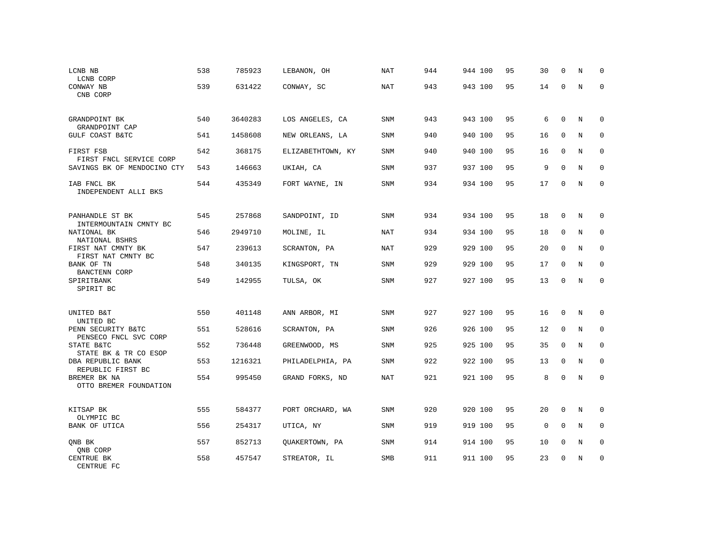| LCNB NB<br>LCNB CORP                        | 538 | 785923  | LEBANON, OH       | NAT        | 944 | 944 100 | 95 | 30          | $\mathbf 0$  | N           | 0            |
|---------------------------------------------|-----|---------|-------------------|------------|-----|---------|----|-------------|--------------|-------------|--------------|
| CONWAY NB<br>CNB CORP                       | 539 | 631422  | CONWAY, SC        | NAT        | 943 | 943 100 | 95 | 14          | $\mathbf 0$  | $\rm N$     | $\mathbf{0}$ |
| GRANDPOINT BK<br>GRANDPOINT CAP             | 540 | 3640283 | LOS ANGELES, CA   | SNM        | 943 | 943 100 | 95 | 6           | 0            | N           | 0            |
| GULF COAST B&TC                             | 541 | 1458608 | NEW ORLEANS, LA   | SNM        | 940 | 940 100 | 95 | 16          | $\mathbf{0}$ | N           | $\mathbf 0$  |
| FIRST FSB<br>FIRST FNCL SERVICE CORP        | 542 | 368175  | ELIZABETHTOWN, KY | SNM        | 940 | 940 100 | 95 | 16          | $\Omega$     | N           | 0            |
| SAVINGS BK OF MENDOCINO CTY                 | 543 | 146663  | UKIAH, CA         | SNM        | 937 | 937 100 | 95 | 9           | $\Omega$     | N           | $\Omega$     |
| IAB FNCL BK<br>INDEPENDENT ALLI BKS         | 544 | 435349  | FORT WAYNE, IN    | SNM        | 934 | 934 100 | 95 | 17          | $\mathbf 0$  | N           | $\mathbf{0}$ |
| PANHANDLE ST BK<br>INTERMOUNTAIN CMNTY BC   | 545 | 257868  | SANDPOINT, ID     | SNM        | 934 | 934 100 | 95 | 18          | $\mathbf 0$  | N           | 0            |
| NATIONAL BK<br>NATIONAL BSHRS               | 546 | 2949710 | MOLINE, IL        | <b>NAT</b> | 934 | 934 100 | 95 | 18          | $\mathbf{0}$ | N           | $\mathbf 0$  |
| FIRST NAT CMNTY BK<br>FIRST NAT CMNTY BC    | 547 | 239613  | SCRANTON, PA      | NAT        | 929 | 929 100 | 95 | 20          | $\mathbf 0$  | N           | 0            |
| BANK OF TN<br>BANCTENN CORP                 | 548 | 340135  | KINGSPORT, TN     | SNM        | 929 | 929 100 | 95 | 17          | $\mathbf{0}$ | N           | $\mathbf 0$  |
| SPIRITBANK<br>SPIRIT BC                     | 549 | 142955  | TULSA, OK         | SNM        | 927 | 927 100 | 95 | 13          | $\mathbf 0$  | N           | $\mathbf{0}$ |
| UNITED B&T<br>UNITED BC                     | 550 | 401148  | ANN ARBOR, MI     | SNM        | 927 | 927 100 | 95 | 16          | $\mathbf 0$  | N           | 0            |
| PENN SECURITY B&TC<br>PENSECO FNCL SVC CORP | 551 | 528616  | SCRANTON, PA      | <b>SNM</b> | 926 | 926 100 | 95 | 12          | $\mathbf{0}$ | N           | $\mathbf 0$  |
| STATE B&TC<br>STATE BK & TR CO ESOP         | 552 | 736448  | GREENWOOD, MS     | SNM        | 925 | 925 100 | 95 | 35          | 0            | N           | 0            |
| DBA REPUBLIC BANK<br>REPUBLIC FIRST BC      | 553 | 1216321 | PHILADELPHIA, PA  | SNM        | 922 | 922 100 | 95 | 13          | $\mathbf{0}$ | N           | $\mathbf 0$  |
| BREMER BK NA<br>OTTO BREMER FOUNDATION      | 554 | 995450  | GRAND FORKS, ND   | <b>NAT</b> | 921 | 921 100 | 95 | 8           | $\mathbf 0$  | $\mathbf N$ | $\mathbf{0}$ |
| KITSAP BK<br>OLYMPIC BC                     | 555 | 584377  | PORT ORCHARD, WA  | SNM        | 920 | 920 100 | 95 | 20          | 0            | N           | 0            |
| BANK OF UTICA                               | 556 | 254317  | UTICA, NY         | <b>SNM</b> | 919 | 919 100 | 95 | $\mathbf 0$ | $\mathbf 0$  | N           | 0            |
| ONB BK<br>QNB CORP                          | 557 | 852713  | QUAKERTOWN, PA    | <b>SNM</b> | 914 | 914 100 | 95 | 10          | 0            | N           | 0            |
| CENTRUE BK<br>CENTRUE FC                    | 558 | 457547  | STREATOR, IL      | <b>SMB</b> | 911 | 911 100 | 95 | 23          | 0            | N           | $\mathbf 0$  |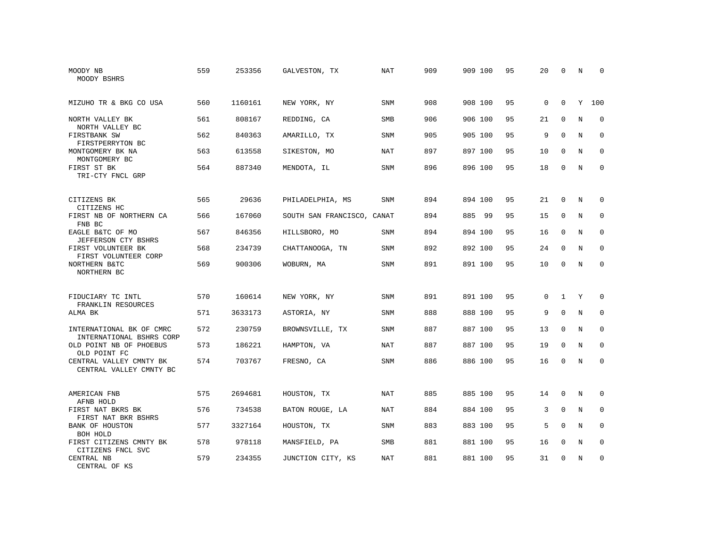| MOODY NB<br>MOODY BSHRS                              | 559 | 253356  | GALVESTON, TX              | NAT        | 909 | 909 100     | 95 | 20       | 0            | N | $\Omega$    |
|------------------------------------------------------|-----|---------|----------------------------|------------|-----|-------------|----|----------|--------------|---|-------------|
| MIZUHO TR & BKG CO USA                               | 560 | 1160161 | NEW YORK, NY               | SNM        | 908 | 908 100     | 95 | 0        | $\mathbf{0}$ | Y | 100         |
| NORTH VALLEY BK<br>NORTH VALLEY BC                   | 561 | 808167  | REDDING, CA                | <b>SMB</b> | 906 | 906 100     | 95 | 21       | $\Omega$     | N | $\Omega$    |
| FIRSTBANK SW<br>FIRSTPERRYTON BC                     | 562 | 840363  | AMARILLO, TX               | SNM        | 905 | 905 100     | 95 | 9        | $\Omega$     | N | $\mathbf 0$ |
| MONTGOMERY BK NA<br>MONTGOMERY BC                    | 563 | 613558  | SIKESTON, MO               | NAT        | 897 | 897 100     | 95 | 10       | $\Omega$     | N | $\Omega$    |
| FIRST ST BK<br>TRI-CTY FNCL GRP                      | 564 | 887340  | MENDOTA, IL                | SNM        | 896 | 896 100     | 95 | 18       | $\mathbf 0$  | N | $\mathbf 0$ |
| CITIZENS BK<br>CITIZENS HC                           | 565 | 29636   | PHILADELPHIA, MS           | SNM        | 894 | 894 100     | 95 | 21       | $\mathbf{0}$ | N | 0           |
| FIRST NB OF NORTHERN CA<br>FNB BC                    | 566 | 167060  | SOUTH SAN FRANCISCO, CANAT |            | 894 | 885<br>- 99 | 95 | 15       | $\mathbf 0$  | N | 0           |
| EAGLE B&TC OF MO<br>JEFFERSON CTY BSHRS              | 567 | 846356  | HILLSBORO, MO              | SNM        | 894 | 894 100     | 95 | 16       | $\mathbf 0$  | N | $\mathbf 0$ |
| FIRST VOLUNTEER BK<br>FIRST VOLUNTEER CORP           | 568 | 234739  | CHATTANOOGA, TN            | <b>SNM</b> | 892 | 892 100     | 95 | 24       | $\Omega$     | N | 0           |
| NORTHERN B&TC<br>NORTHERN BC                         | 569 | 900306  | WOBURN, MA                 | SNM        | 891 | 891 100     | 95 | 10       | $\Omega$     | N | $\Omega$    |
| FIDUCIARY TC INTL                                    | 570 | 160614  | NEW YORK, NY               | SNM        | 891 | 891 100     | 95 | $\Omega$ | $\mathbf{1}$ | Y | $\Omega$    |
| FRANKLIN RESOURCES<br>ALMA BK                        | 571 | 3633173 | ASTORIA, NY                | SNM        | 888 | 888 100     | 95 | 9        | $\mathbf 0$  | N | 0           |
| INTERNATIONAL BK OF CMRC<br>INTERNATIONAL BSHRS CORP | 572 | 230759  | BROWNSVILLE, TX            | SNM        | 887 | 887 100     | 95 | 13       | $\Omega$     | N | $\Omega$    |
| OLD POINT NB OF PHOEBUS<br>OLD POINT FC              | 573 | 186221  | HAMPTON, VA                | <b>NAT</b> | 887 | 887 100     | 95 | 19       | $\mathbf 0$  | N | $\mathbf 0$ |
| CENTRAL VALLEY CMNTY BK<br>CENTRAL VALLEY CMNTY BC   | 574 | 703767  | FRESNO, CA                 | <b>SNM</b> | 886 | 886 100     | 95 | 16       | $\Omega$     | N | $\Omega$    |
| AMERICAN FNB<br>AFNB HOLD                            | 575 | 2694681 | HOUSTON, TX                | <b>NAT</b> | 885 | 885 100     | 95 | 14       | $\Omega$     | N | $\Omega$    |
| FIRST NAT BKRS BK<br>FIRST NAT BKR BSHRS             | 576 | 734538  | BATON ROUGE, LA            | <b>NAT</b> | 884 | 884 100     | 95 | 3        | $\mathbf 0$  | N | 0           |
| BANK OF HOUSTON<br>BOH HOLD                          | 577 | 3327164 | HOUSTON, TX                | SNM        | 883 | 883 100     | 95 | 5        | $\Omega$     | N | $\mathbf 0$ |
| FIRST CITIZENS CMNTY BK<br>CITIZENS FNCL SVC         | 578 | 978118  | MANSFIELD, PA              | SMB        | 881 | 881 100     | 95 | 16       | $\mathbf 0$  | N | 0           |
| CENTRAL NB<br>CENTRAL OF KS                          | 579 | 234355  | JUNCTION CITY, KS          | <b>NAT</b> | 881 | 881 100     | 95 | 31       | $\Omega$     | N | $\mathbf 0$ |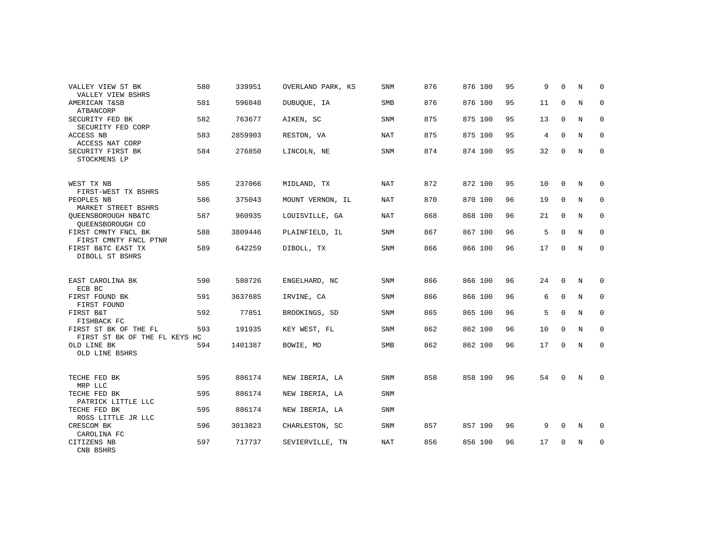| VALLEY VIEW ST BK<br>VALLEY VIEW BSHRS                 | 580 | 339951  | OVERLAND PARK, KS | <b>SNM</b> | 876 | 876 100 | 95 | 9  | $\Omega$    | N | $\Omega$    |
|--------------------------------------------------------|-----|---------|-------------------|------------|-----|---------|----|----|-------------|---|-------------|
| AMERICAN T&SB<br>ATBANCORP                             | 581 | 596848  | DUBUQUE, IA       | <b>SMB</b> | 876 | 876 100 | 95 | 11 | 0           | N | $\mathbf 0$ |
| SECURITY FED BK<br>SECURITY FED CORP                   | 582 | 763677  | AIKEN, SC         | <b>SNM</b> | 875 | 875 100 | 95 | 13 | $\mathbf 0$ | N | 0           |
| ACCESS NB<br>ACCESS NAT CORP                           | 583 | 2859903 | RESTON, VA        | NAT        | 875 | 875 100 | 95 | 4  | $\Omega$    | N | 0           |
| SECURITY FIRST BK<br>STOCKMENS LP                      | 584 | 276850  | LINCOLN, NE       | <b>SNM</b> | 874 | 874 100 | 95 | 32 | $\mathbf 0$ | N | $\mathbf 0$ |
| WEST TX NB<br>FIRST-WEST TX BSHRS                      | 585 | 237066  | MIDLAND, TX       | <b>NAT</b> | 872 | 872 100 | 95 | 10 | $\Omega$    | N | 0           |
| PEOPLES NB<br>MARKET STREET BSHRS                      | 586 | 375043  | MOUNT VERNON, IL  | NAT        | 870 | 870 100 | 96 | 19 | $\mathbf 0$ | N | 0           |
| OUEENSBOROUGH NB&TC<br>QUEENSBOROUGH CO                | 587 | 960935  | LOUISVILLE, GA    | NAT        | 868 | 868 100 | 96 | 21 | $\mathbf 0$ | N | 0           |
| FIRST CMNTY FNCL BK<br>FIRST CMNTY FNCL PTNR           | 588 | 3809446 | PLAINFIELD, IL    | SNM        | 867 | 867 100 | 96 | 5  | $\mathbf 0$ | N | 0           |
| FIRST B&TC EAST TX<br>DIBOLL ST BSHRS                  | 589 | 642259  | DIBOLL, TX        | SNM        | 866 | 866 100 | 96 | 17 | $\mathbf 0$ | N | $\mathbf 0$ |
| EAST CAROLINA BK<br>ECB BC                             | 590 | 580726  | ENGELHARD, NC     | <b>SNM</b> | 866 | 866 100 | 96 | 24 | $\Omega$    | N | 0           |
| FIRST FOUND BK<br>FIRST FOUND                          | 591 | 3637685 | IRVINE, CA        | SNM        | 866 | 866 100 | 96 | 6  | $\mathbf 0$ | N | $\mathbf 0$ |
| FIRST B&T<br>FISHBACK FC                               | 592 | 77851   | BROOKINGS, SD     | <b>SNM</b> | 865 | 865 100 | 96 | 5  | $\mathbf 0$ | N | 0           |
| FIRST ST BK OF THE FL<br>FIRST ST BK OF THE FL KEYS HC | 593 | 191935  | KEY WEST, FL      | <b>SNM</b> | 862 | 862 100 | 96 | 10 | $\Omega$    | N | $\mathbf 0$ |
| OLD LINE BK<br>OLD LINE BSHRS                          | 594 | 1401387 | BOWIE, MD         | <b>SMB</b> | 862 | 862 100 | 96 | 17 | 0           | N | 0           |
| TECHE FED BK<br>MRP LLC                                | 595 | 886174  | NEW IBERIA, LA    | <b>SNM</b> | 858 | 858 100 | 96 | 54 | $\mathbf 0$ | N | 0           |
| TECHE FED BK<br>PATRICK LITTLE LLC                     | 595 | 886174  | NEW IBERIA, LA    | <b>SNM</b> |     |         |    |    |             |   |             |
| TECHE FED BK<br>ROSS LITTLE JR LLC                     | 595 | 886174  | NEW IBERIA, LA    | <b>SNM</b> |     |         |    |    |             |   |             |
| CRESCOM BK<br>CAROLINA FC                              | 596 | 3013823 | CHARLESTON, SC    | <b>SNM</b> | 857 | 857 100 | 96 | 9  | $\Omega$    | N | 0           |
| CITIZENS NB<br>CNB BSHRS                               | 597 | 717737  | SEVIERVILLE, TN   | <b>NAT</b> | 856 | 856 100 | 96 | 17 | $\mathbf 0$ | N | 0           |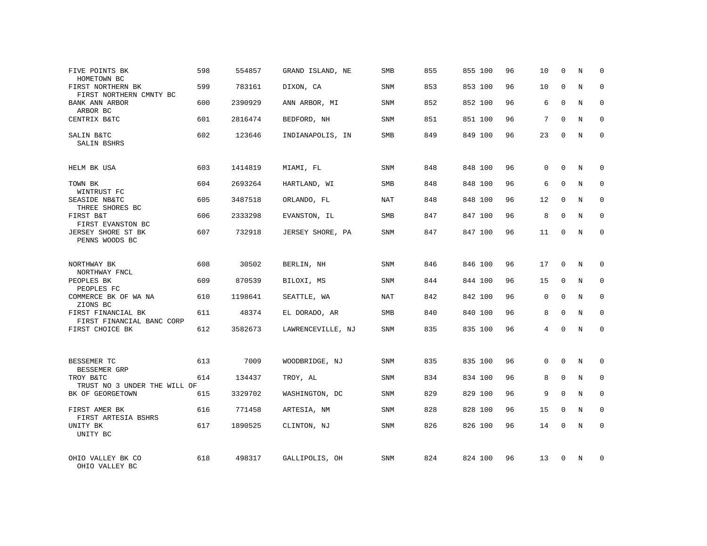| FIVE POINTS BK<br>HOMETOWN BC                    | 598 | 554857  | GRAND ISLAND, NE  | SMB        | 855 | 855 100 | 96 | 10       | 0           | N          | 0            |
|--------------------------------------------------|-----|---------|-------------------|------------|-----|---------|----|----------|-------------|------------|--------------|
| FIRST NORTHERN BK<br>FIRST NORTHERN CMNTY BC     | 599 | 783161  | DIXON, CA         | SNM        | 853 | 853 100 | 96 | 10       | $\Omega$    | N          | $\mathbf 0$  |
| BANK ANN ARBOR<br>ARBOR BC                       | 600 | 2390929 | ANN ARBOR, MI     | SNM        | 852 | 852 100 | 96 | 6        | 0           | N          | $\mathbf 0$  |
| CENTRIX B&TC                                     | 601 | 2816474 | BEDFORD, NH       | SNM        | 851 | 851 100 | 96 | 7        | $\Omega$    | N          | $\mathbf 0$  |
| SALIN B&TC<br>SALIN BSHRS                        | 602 | 123646  | INDIANAPOLIS, IN  | SMB        | 849 | 849 100 | 96 | 23       | 0           | N          | 0            |
| HELM BK USA                                      | 603 | 1414819 | MIAMI, FL         | SNM        | 848 | 848 100 | 96 | 0        | $\Omega$    | N          | $\mathbf 0$  |
| TOWN BK<br>WINTRUST FC                           | 604 | 2693264 | HARTLAND, WI      | SMB        | 848 | 848 100 | 96 | 6        | $\Omega$    | N          | $\mathbf 0$  |
| SEASIDE NB&TC<br>THREE SHORES BC                 | 605 | 3487518 | ORLANDO, FL       | <b>NAT</b> | 848 | 848 100 | 96 | 12       | $\mathbf 0$ | N          | $\mathbf 0$  |
| FIRST B&T<br>FIRST EVANSTON BC                   | 606 | 2333298 | EVANSTON, IL      | <b>SMB</b> | 847 | 847 100 | 96 | 8        | $\Omega$    | N          | $\mathbf{0}$ |
| JERSEY SHORE ST BK<br>PENNS WOODS BC             | 607 | 732918  | JERSEY SHORE, PA  | SNM        | 847 | 847 100 | 96 | 11       | $\mathbf 0$ | N          | $\mathbf 0$  |
| NORTHWAY BK<br>NORTHWAY FNCL                     | 608 | 30502   | BERLIN, NH        | SNM        | 846 | 846 100 | 96 | 17       | $\Omega$    | N          | $\Omega$     |
| PEOPLES BK<br>PEOPLES FC                         | 609 | 870539  | BILOXI, MS        | SNM        | 844 | 844 100 | 96 | 15       | $\mathbf 0$ | N          | $\mathbf{0}$ |
| COMMERCE BK OF WA NA<br>ZIONS BC                 | 610 | 1198641 | SEATTLE, WA       | <b>NAT</b> | 842 | 842 100 | 96 | $\Omega$ | $\Omega$    | N          | $\Omega$     |
| FIRST FINANCIAL BK<br>FIRST FINANCIAL BANC CORP  | 611 | 48374   | EL DORADO, AR     | <b>SMB</b> | 840 | 840 100 | 96 | 8        | $\mathbf 0$ | N          | $\mathbf{0}$ |
| FIRST CHOICE BK                                  | 612 | 3582673 | LAWRENCEVILLE, NJ | <b>SNM</b> | 835 | 835 100 | 96 | 4        | $\Omega$    | $_{\rm N}$ | $\mathbf{0}$ |
| BESSEMER TC                                      | 613 | 7009    | WOODBRIDGE, NJ    | <b>SNM</b> | 835 | 835 100 | 96 | $\Omega$ | $\Omega$    | N          | $\mathbf{0}$ |
| BESSEMER GRP<br>TROY B&TC                        | 614 | 134437  | TROY, AL          | SNM        | 834 | 834 100 | 96 | 8        | $\mathbf 0$ | N          | 0            |
| TRUST NO 3 UNDER THE WILL OF<br>BK OF GEORGETOWN | 615 | 3329702 | WASHINGTON, DC    | SNM        | 829 | 829 100 | 96 | 9        | $\Omega$    | $_{\rm N}$ | $\mathbf 0$  |
| FIRST AMER BK                                    | 616 | 771458  | ARTESIA, NM       | SNM        | 828 | 828 100 | 96 | 15       | 0           | N          | $\mathbf 0$  |
| FIRST ARTESIA BSHRS<br>UNITY BK<br>UNITY BC      | 617 | 1890525 | CLINTON, NJ       | SNM        | 826 | 826 100 | 96 | 14       | $\Omega$    | N          | $\mathbf{0}$ |
| OHIO VALLEY BK CO<br>OHIO VALLEY BC              | 618 | 498317  | GALLIPOLIS, OH    | <b>SNM</b> | 824 | 824 100 | 96 | 13       | $\Omega$    | N          | $\Omega$     |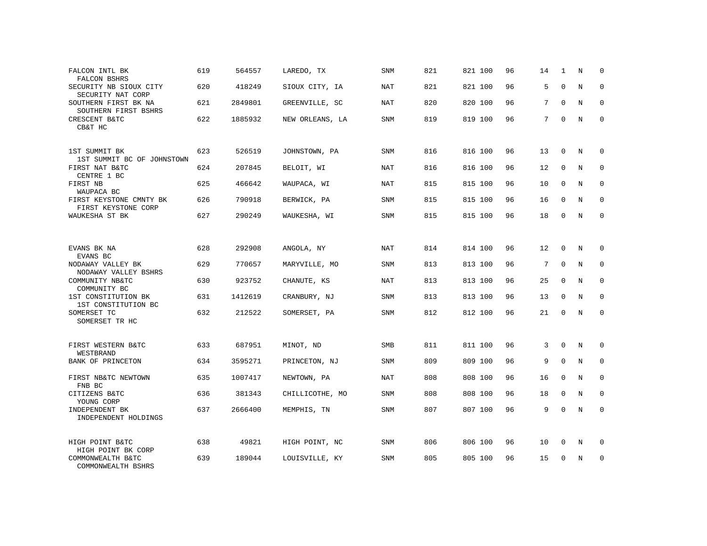| FALCON INTL BK<br>FALCON BSHRS                 | 619 | 564557  | LAREDO, TX      | SNM        | 821 | 821 100 | 96 | 14 | 1           | N           | $\mathbf 0$  |
|------------------------------------------------|-----|---------|-----------------|------------|-----|---------|----|----|-------------|-------------|--------------|
| SECURITY NB SIOUX CITY<br>SECURITY NAT CORP    | 620 | 418249  | SIOUX CITY, IA  | <b>NAT</b> | 821 | 821 100 | 96 | 5  | $\Omega$    | $\mathbf N$ | $\mathbf{0}$ |
| SOUTHERN FIRST BK NA<br>SOUTHERN FIRST BSHRS   | 621 | 2849801 | GREENVILLE, SC  | NAT        | 820 | 820 100 | 96 | 7  | $\Omega$    | N           | 0            |
| CRESCENT B&TC<br>CB&T HC                       | 622 | 1885932 | NEW ORLEANS, LA | SNM        | 819 | 819 100 | 96 | 7  | $\Omega$    | N           | $\mathbf 0$  |
| 1ST SUMMIT BK<br>1ST SUMMIT BC OF JOHNSTOWN    | 623 | 526519  | JOHNSTOWN, PA   | SNM        | 816 | 816 100 | 96 | 13 | 0           | N           | $\mathbf 0$  |
| FIRST NAT B&TC<br>CENTRE 1 BC                  | 624 | 207845  | BELOIT, WI      | <b>NAT</b> | 816 | 816 100 | 96 | 12 | $\mathbf 0$ | N           | $\mathbf 0$  |
| FIRST NB<br>WAUPACA BC                         | 625 | 466642  | WAUPACA, WI     | NAT        | 815 | 815 100 | 96 | 10 | $\Omega$    | N           | $\mathbf{0}$ |
| FIRST KEYSTONE CMNTY BK<br>FIRST KEYSTONE CORP | 626 | 790918  | BERWICK, PA     | <b>SNM</b> | 815 | 815 100 | 96 | 16 | $\mathbf 0$ | N           | $\mathbf 0$  |
| WAUKESHA ST BK                                 | 627 | 290249  | WAUKESHA, WI    | SNM        | 815 | 815 100 | 96 | 18 | $\Omega$    | N           | $\mathbf{0}$ |
|                                                |     |         |                 |            |     |         |    |    |             |             |              |
| EVANS BK NA<br>EVANS BC                        | 628 | 292908  | ANGOLA, NY      | NAT        | 814 | 814 100 | 96 | 12 | $\mathbf 0$ | N           | $\mathbf 0$  |
| NODAWAY VALLEY BK<br>NODAWAY VALLEY BSHRS      | 629 | 770657  | MARYVILLE, MO   | SNM        | 813 | 813 100 | 96 | 7  | $\Omega$    | N           | $\mathbf 0$  |
| COMMUNITY NB&TC<br>COMMUNITY BC                | 630 | 923752  | CHANUTE, KS     | NAT        | 813 | 813 100 | 96 | 25 | $\Omega$    | N           | $\mathbf{0}$ |
| 1ST CONSTITUTION BK<br>1ST CONSTITUTION BC     | 631 | 1412619 | CRANBURY, NJ    | SNM        | 813 | 813 100 | 96 | 13 | $\Omega$    | N           | $\Omega$     |
| SOMERSET TC<br>SOMERSET TR HC                  | 632 | 212522  | SOMERSET, PA    | SNM        | 812 | 812 100 | 96 | 21 | 0           | N           | $\mathbf{0}$ |
|                                                |     |         |                 |            |     |         |    |    |             |             |              |
| FIRST WESTERN B&TC<br>WESTBRAND                | 633 | 687951  | MINOT, ND       | <b>SMB</b> | 811 | 811 100 | 96 | 3  | $\mathbf 0$ | N           | 0            |
| BANK OF PRINCETON                              | 634 | 3595271 | PRINCETON, NJ   | SNM        | 809 | 809 100 | 96 | 9  | $\Omega$    | $_{\rm N}$  | $\mathbf 0$  |
| FIRST NB&TC NEWTOWN<br>FNB BC                  | 635 | 1007417 | NEWTOWN, PA     | NAT        | 808 | 808 100 | 96 | 16 | $\mathbf 0$ | N           | $\mathbf 0$  |
| CITIZENS B&TC<br>YOUNG CORP                    | 636 | 381343  | CHILLICOTHE, MO | <b>SNM</b> | 808 | 808 100 | 96 | 18 | $\mathbf 0$ | N           | $\mathbf 0$  |
| INDEPENDENT BK<br>INDEPENDENT HOLDINGS         | 637 | 2666400 | MEMPHIS, TN     | SNM        | 807 | 807 100 | 96 | 9  | 0           | N           | $\mathbf 0$  |
| HIGH POINT B&TC<br>HIGH POINT BK CORP          | 638 | 49821   | HIGH POINT, NC  | SNM        | 806 | 806 100 | 96 | 10 | $\mathbf 0$ | N           | 0            |
| COMMONWEALTH B&TC<br>COMMONWEALTH BSHRS        | 639 | 189044  | LOUISVILLE, KY  | <b>SNM</b> | 805 | 805 100 | 96 | 15 | $\Omega$    | N           | $\mathbf{0}$ |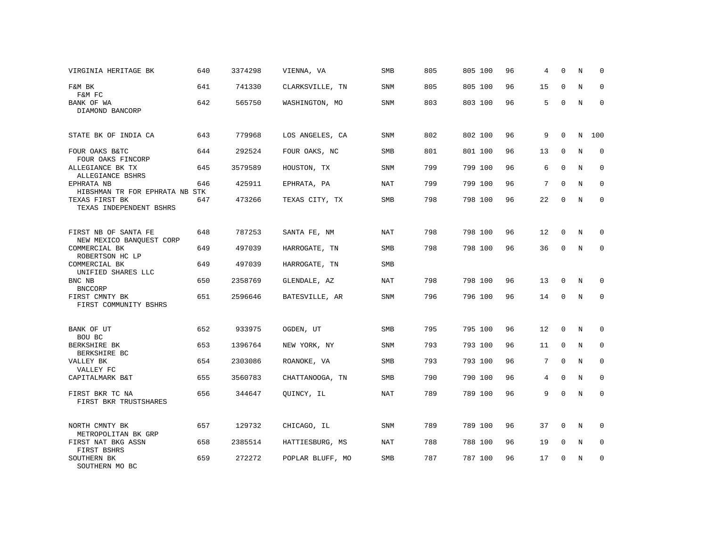| VIRGINIA HERITAGE BK                             | 640 | 3374298 | VIENNA, VA       | SMB        | 805 | 805 100 | 96 | 4              | $\mathbf 0$  | N           | $\mathbf 0$ |
|--------------------------------------------------|-----|---------|------------------|------------|-----|---------|----|----------------|--------------|-------------|-------------|
| F&M BK<br>F&M FC                                 | 641 | 741330  | CLARKSVILLE, TN  | SNM        | 805 | 805 100 | 96 | 15             | 0            | $\rm N$     | $\mathbf 0$ |
| BANK OF WA<br>DIAMOND BANCORP                    | 642 | 565750  | WASHINGTON, MO   | SNM        | 803 | 803 100 | 96 | 5              | $\mathbf 0$  | $\mathbb N$ | $\mathbf 0$ |
| STATE BK OF INDIA CA                             | 643 | 779968  | LOS ANGELES, CA  | SNM        | 802 | 802 100 | 96 | 9              | $\mathbf 0$  | N           | 100         |
| FOUR OAKS B&TC<br>FOUR OAKS FINCORP              | 644 | 292524  | FOUR OAKS, NC    | <b>SMB</b> | 801 | 801 100 | 96 | 13             | $\mathbf 0$  | $\rm N$     | $\mathbf 0$ |
| ALLEGIANCE BK TX<br>ALLEGIANCE BSHRS             | 645 | 3579589 | HOUSTON, TX      | SNM        | 799 | 799 100 | 96 | 6              | $\mathbf 0$  | N           | 0           |
| EPHRATA NB<br>HIBSHMAN TR FOR EPHRATA NB STK     | 646 | 425911  | EPHRATA, PA      | NAT        | 799 | 799 100 | 96 | 7              | $\mathbf 0$  | N           | 0           |
| TEXAS FIRST BK<br>TEXAS INDEPENDENT BSHRS        | 647 | 473266  | TEXAS CITY, TX   | SMB        | 798 | 798 100 | 96 | 22             | $\mathbf 0$  | $\mathbb N$ | $\mathsf 0$ |
| FIRST NB OF SANTA FE<br>NEW MEXICO BANQUEST CORP | 648 | 787253  | SANTA FE, NM     | <b>NAT</b> | 798 | 798 100 | 96 | 12             | $\mathbf 0$  | N           | $\mathbf 0$ |
| COMMERCIAL BK<br>ROBERTSON HC LP                 | 649 | 497039  | HARROGATE, TN    | SMB        | 798 | 798 100 | 96 | 36             | $\mathsf{O}$ | $\rm N$     | $\mathsf 0$ |
| COMMERCIAL BK<br>UNIFIED SHARES LLC              | 649 | 497039  | HARROGATE, TN    | SMB        |     |         |    |                |              |             |             |
| BNC NB<br><b>BNCCORP</b>                         | 650 | 2358769 | GLENDALE, AZ     | <b>NAT</b> | 798 | 798 100 | 96 | 13             | $\mathbf 0$  | N           | $\mathbf 0$ |
| FIRST CMNTY BK<br>FIRST COMMUNITY BSHRS          | 651 | 2596646 | BATESVILLE, AR   | SNM        | 796 | 796 100 | 96 | 14             | 0            | N           | $\mathbf 0$ |
| BANK OF UT<br>BOU BC                             | 652 | 933975  | OGDEN, UT        | SMB        | 795 | 795 100 | 96 | 12             | $\mathbf 0$  | N           | $\Omega$    |
| BERKSHIRE BK<br>BERKSHIRE BC                     | 653 | 1396764 | NEW YORK, NY     | SNM        | 793 | 793 100 | 96 | 11             | $\mathbf 0$  | N           | 0           |
| VALLEY BK<br>VALLEY FC                           | 654 | 2303086 | ROANOKE, VA      | SMB        | 793 | 793 100 | 96 | 7              | $\mathbf 0$  | $\mathbf N$ | $\mathbf 0$ |
| CAPITALMARK B&T                                  | 655 | 3560783 | CHATTANOOGA, TN  | <b>SMB</b> | 790 | 790 100 | 96 | $\overline{4}$ | $\Omega$     | $_{\rm N}$  | $\Omega$    |
| FIRST BKR TC NA<br>FIRST BKR TRUSTSHARES         | 656 | 344647  | QUINCY, IL       | <b>NAT</b> | 789 | 789 100 | 96 | 9              | $\Omega$     | $\mathbb N$ | $\mathbf 0$ |
| NORTH CMNTY BK<br>METROPOLITAN BK GRP            | 657 | 129732  | CHICAGO, IL      | SNM        | 789 | 789 100 | 96 | 37             | 0            | $\mathbb N$ | 0           |
| FIRST NAT BKG ASSN<br>FIRST BSHRS                | 658 | 2385514 | HATTIESBURG, MS  | <b>NAT</b> | 788 | 788 100 | 96 | 19             | $\mathbf 0$  | $\rm N$     | $\mathbf 0$ |
| SOUTHERN BK<br>SOUTHERN MO BC                    | 659 | 272272  | POPLAR BLUFF, MO | SMB        | 787 | 787 100 | 96 | 17             | 0            | N           | $\mathbf 0$ |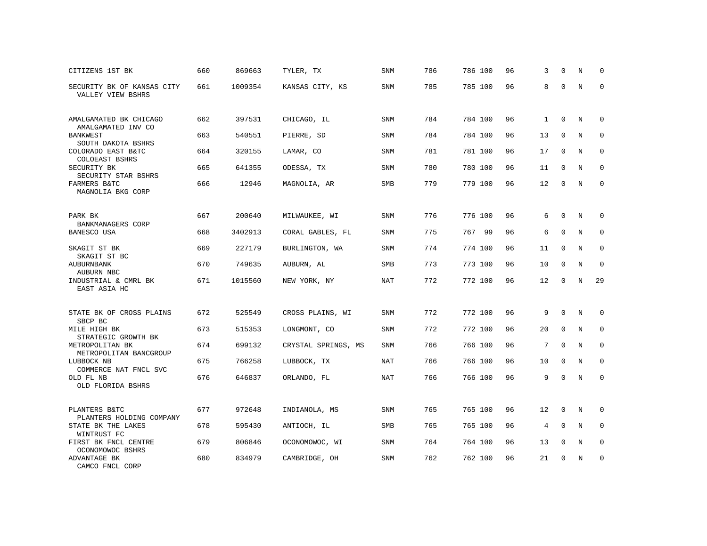| CITIZENS 1ST BK                                 | 660 | 869663  | TYLER, TX           | SNM        | 786 | 786 100 | 96 | 3            | 0           | N          | 0           |
|-------------------------------------------------|-----|---------|---------------------|------------|-----|---------|----|--------------|-------------|------------|-------------|
| SECURITY BK OF KANSAS CITY<br>VALLEY VIEW BSHRS | 661 | 1009354 | KANSAS CITY, KS     | SNM        | 785 | 785 100 | 96 | 8            | $\Omega$    | N          | $\Omega$    |
| AMALGAMATED BK CHICAGO<br>AMALGAMATED INV CO    | 662 | 397531  | CHICAGO, IL         | SNM        | 784 | 784 100 | 96 | $\mathbf{1}$ | $\mathbf 0$ | N          | 0           |
| <b>BANKWEST</b><br>SOUTH DAKOTA BSHRS           | 663 | 540551  | PIERRE, SD          | <b>SNM</b> | 784 | 784 100 | 96 | 13           | $\Omega$    | N          | $\Omega$    |
| COLORADO EAST B&TC<br>COLOEAST BSHRS            | 664 | 320155  | LAMAR, CO           | SNM        | 781 | 781 100 | 96 | 17           | 0           | N          | $\mathbf 0$ |
| SECURITY BK<br>SECURITY STAR BSHRS              | 665 | 641355  | ODESSA, TX          | <b>SNM</b> | 780 | 780 100 | 96 | 11           | $\mathbf 0$ | N          | $\mathbf 0$ |
| FARMERS B&TC<br>MAGNOLIA BKG CORP               | 666 | 12946   | MAGNOLIA, AR        | SMB        | 779 | 779 100 | 96 | 12           | $\Omega$    | $_{\rm N}$ | $\Omega$    |
| PARK BK                                         | 667 | 200640  | MILWAUKEE, WI       | <b>SNM</b> | 776 | 776 100 | 96 | 6            | $\mathbf 0$ | N          | 0           |
| BANKMANAGERS CORP<br>BANESCO USA                | 668 | 3402913 | CORAL GABLES, FL    | SNM        | 775 | 767 99  | 96 | 6            | $\mathbf 0$ | N          | $\mathbf 0$ |
| SKAGIT ST BK<br>SKAGIT ST BC                    | 669 | 227179  | BURLINGTON, WA      | <b>SNM</b> | 774 | 774 100 | 96 | 11           | $\mathbf 0$ | N          | $\mathbf 0$ |
| <b>AUBURNBANK</b><br>AUBURN NBC                 | 670 | 749635  | AUBURN, AL          | <b>SMB</b> | 773 | 773 100 | 96 | 10           | $\Omega$    | N          | $\mathbf 0$ |
| INDUSTRIAL & CMRL BK<br>EAST ASIA HC            | 671 | 1015560 | NEW YORK, NY        | NAT        | 772 | 772 100 | 96 | 12           | $\Omega$    | N          | 29          |
| STATE BK OF CROSS PLAINS<br>SBCP BC             | 672 | 525549  | CROSS PLAINS, WI    | SNM        | 772 | 772 100 | 96 | 9            | $\mathbf 0$ | N          | 0           |
| MILE HIGH BK<br>STRATEGIC GROWTH BK             | 673 | 515353  | LONGMONT, CO        | <b>SNM</b> | 772 | 772 100 | 96 | 20           | $\mathbf 0$ | N          | 0           |
| METROPOLITAN BK<br>METROPOLITAN BANCGROUP       | 674 | 699132  | CRYSTAL SPRINGS, MS | <b>SNM</b> | 766 | 766 100 | 96 | 7            | $\Omega$    | N          | $\mathbf 0$ |
| LUBBOCK NB<br>COMMERCE NAT FNCL SVC             | 675 | 766258  | LUBBOCK, TX         | <b>NAT</b> | 766 | 766 100 | 96 | 10           | $\mathbf 0$ | N          | $\mathbf 0$ |
| OLD FL NB<br>OLD FLORIDA BSHRS                  | 676 | 646837  | ORLANDO, FL         | <b>NAT</b> | 766 | 766 100 | 96 | 9            | $\Omega$    | N          | $\mathbf 0$ |
| PLANTERS B&TC<br>PLANTERS HOLDING COMPANY       | 677 | 972648  | INDIANOLA, MS       | SNM        | 765 | 765 100 | 96 | 12           | 0           | N          | 0           |
| STATE BK THE LAKES<br>WINTRUST FC               | 678 | 595430  | ANTIOCH, IL         | <b>SMB</b> | 765 | 765 100 | 96 | 4            | $\mathbf 0$ | N          | $\mathbf 0$ |
| FIRST BK FNCL CENTRE<br>OCONOMOWOC BSHRS        | 679 | 806846  | OCONOMOWOC, WI      | SNM        | 764 | 764 100 | 96 | 13           | $\mathbf 0$ | N          | 0           |
| ADVANTAGE BK<br>CAMCO FNCL CORP                 | 680 | 834979  | CAMBRIDGE, OH       | <b>SNM</b> | 762 | 762 100 | 96 | 21           | $\Omega$    | N          | $\mathbf 0$ |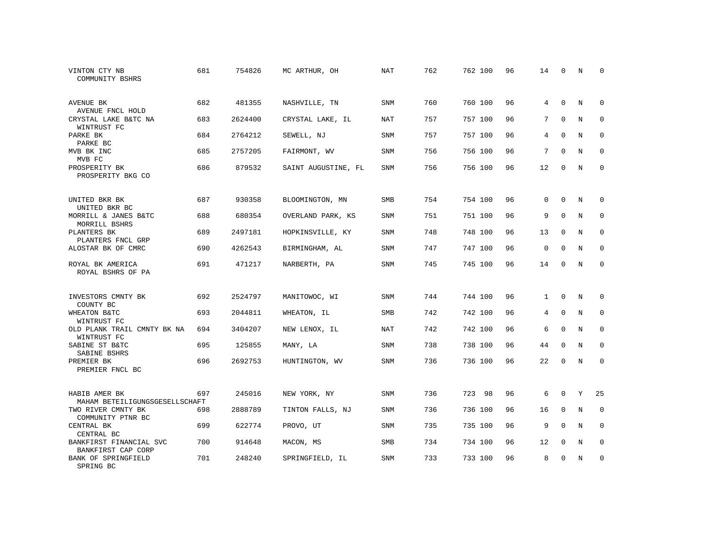| VINTON CTY NB<br>COMMUNITY BSHRS                | 681 | 754826  | MC ARTHUR, OH       | <b>NAT</b> | 762 | 762 100 | 96 | 14             | 0           | N           | $\Omega$    |
|-------------------------------------------------|-----|---------|---------------------|------------|-----|---------|----|----------------|-------------|-------------|-------------|
| AVENUE BK<br>AVENUE FNCL HOLD                   | 682 | 481355  | NASHVILLE, TN       | <b>SNM</b> | 760 | 760 100 | 96 | $\overline{4}$ | $\Omega$    | $_{\rm N}$  | $\Omega$    |
| CRYSTAL LAKE B&TC NA<br>WINTRUST FC             | 683 | 2624400 | CRYSTAL LAKE, IL    | NAT        | 757 | 757 100 | 96 | 7              | $\mathbf 0$ | $\mathbf N$ | $\mathbf 0$ |
| PARKE BK<br>PARKE BC                            | 684 | 2764212 | SEWELL, NJ          | <b>SNM</b> | 757 | 757 100 | 96 | 4              | $\Omega$    | N           | $\Omega$    |
| MVB BK INC<br>MVB FC                            | 685 | 2757205 | FAIRMONT, WV        | SNM        | 756 | 756 100 | 96 | 7              | $\Omega$    | N           | $\mathbf 0$ |
| PROSPERITY BK<br>PROSPERITY BKG CO              | 686 | 879532  | SAINT AUGUSTINE, FL | <b>SNM</b> | 756 | 756 100 | 96 | 12             | $\Omega$    | N           | $\mathbf 0$ |
| UNITED BKR BK<br>UNITED BKR BC                  | 687 | 930358  | BLOOMINGTON, MN     | <b>SMB</b> | 754 | 754 100 | 96 | $\Omega$       | $\Omega$    | N           | 0           |
| MORRILL & JANES B&TC<br>MORRILL BSHRS           | 688 | 680354  | OVERLAND PARK, KS   | <b>SNM</b> | 751 | 751 100 | 96 | 9              | $\Omega$    | N           | $\mathbf 0$ |
| PLANTERS BK<br>PLANTERS FNCL GRP                | 689 | 2497181 | HOPKINSVILLE, KY    | SNM        | 748 | 748 100 | 96 | 13             | 0           | N           | $\mathbf 0$ |
| ALOSTAR BK OF CMRC                              | 690 | 4262543 | BIRMINGHAM, AL      | <b>SNM</b> | 747 | 747 100 | 96 | $\mathbf 0$    | $\Omega$    | $\mathbf N$ | $\mathbf 0$ |
| ROYAL BK AMERICA<br>ROYAL BSHRS OF PA           | 691 | 471217  | NARBERTH, PA        | SNM        | 745 | 745 100 | 96 | 14             | $\Omega$    | $_{\rm N}$  | $\Omega$    |
| INVESTORS CMNTY BK<br>COUNTY BC                 | 692 | 2524797 | MANITOWOC, WI       | <b>SNM</b> | 744 | 744 100 | 96 | $\mathbf{1}$   | $\Omega$    | N           | 0           |
| WHEATON B&TC<br>WINTRUST FC                     | 693 | 2044811 | WHEATON, IL         | SMB        | 742 | 742 100 | 96 | 4              | $\mathbf 0$ | N           | 0           |
| OLD PLANK TRAIL CMNTY BK NA<br>WINTRUST FC      | 694 | 3404207 | NEW LENOX, IL       | <b>NAT</b> | 742 | 742 100 | 96 | 6              | $\Omega$    | N           | $\mathbf 0$ |
| SABINE ST B&TC<br>SABINE BSHRS                  | 695 | 125855  | MANY, LA            | <b>SNM</b> | 738 | 738 100 | 96 | 44             | $\Omega$    | $_{\rm N}$  | $\mathbf 0$ |
| PREMIER BK<br>PREMIER FNCL BC                   | 696 | 2692753 | HUNTINGTON, WV      | <b>SNM</b> | 736 | 736 100 | 96 | 22             | $\mathbf 0$ | N           | $\mathbf 0$ |
| HABIB AMER BK<br>MAHAM BETEILIGUNGSGESELLSCHAFT | 697 | 245016  | NEW YORK, NY        | <b>SNM</b> | 736 | 723 98  | 96 | 6              | $\mathbf 0$ | Y           | 25          |
| TWO RIVER CMNTY BK<br>COMMUNITY PTNR BC         | 698 | 2888789 | TINTON FALLS, NJ    | SNM        | 736 | 736 100 | 96 | 16             | $\mathbf 0$ | N           | $\mathbf 0$ |
| CENTRAL BK<br>CENTRAL BC                        | 699 | 622774  | PROVO, UT           | SNM        | 735 | 735 100 | 96 | 9              | $\Omega$    | N           | $\mathbf 0$ |
| BANKFIRST FINANCIAL SVC<br>BANKFIRST CAP CORP   | 700 | 914648  | MACON, MS           | SMB        | 734 | 734 100 | 96 | 12             | $\mathbf 0$ | N           | 0           |
| BANK OF SPRINGFIELD<br>SPRING BC                | 701 | 248240  | SPRINGFIELD, IL     | <b>SNM</b> | 733 | 733 100 | 96 | 8              | $\Omega$    | N           | $\mathbf 0$ |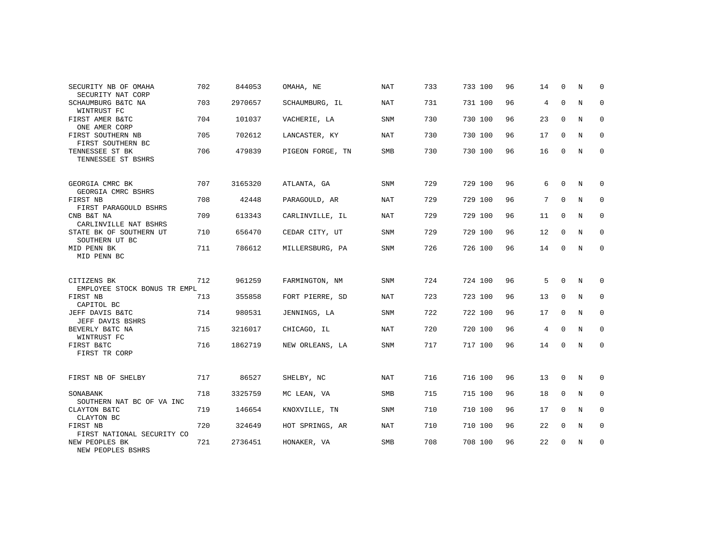| SECURITY NB OF OMAHA                                   | 702 | 844053  | OMAHA, NE        | <b>NAT</b> | 733 | 733 100 | 96 | 14 | $\Omega$    | N | $\Omega$    |
|--------------------------------------------------------|-----|---------|------------------|------------|-----|---------|----|----|-------------|---|-------------|
| SECURITY NAT CORP<br>SCHAUMBURG B&TC NA<br>WINTRUST FC | 703 | 2970657 | SCHAUMBURG, IL   | <b>NAT</b> | 731 | 731 100 | 96 | 4  | $\mathbf 0$ | N | $\mathbf 0$ |
| FIRST AMER B&TC<br>ONE AMER CORP                       | 704 | 101037  | VACHERIE, LA     | <b>SNM</b> | 730 | 730 100 | 96 | 23 | $\mathbf 0$ | N | 0           |
| FIRST SOUTHERN NB<br>FIRST SOUTHERN BC                 | 705 | 702612  | LANCASTER, KY    | NAT        | 730 | 730 100 | 96 | 17 | 0           | N | 0           |
| TENNESSEE ST BK<br>TENNESSEE ST BSHRS                  | 706 | 479839  | PIGEON FORGE, TN | <b>SMB</b> | 730 | 730 100 | 96 | 16 | $\Omega$    | N | $\mathbf 0$ |
| GEORGIA CMRC BK<br>GEORGIA CMRC BSHRS                  | 707 | 3165320 | ATLANTA, GA      | <b>SNM</b> | 729 | 729 100 | 96 | 6  | $\Omega$    | N | $\Omega$    |
| FIRST NB<br>FIRST PARAGOULD BSHRS                      | 708 | 42448   | PARAGOULD, AR    | NAT        | 729 | 729 100 | 96 | 7  | $\Omega$    | N | 0           |
| CNB B&T NA<br>CARLINVILLE NAT BSHRS                    | 709 | 613343  | CARLINVILLE, IL  | NAT        | 729 | 729 100 | 96 | 11 | $\mathbf 0$ | N | 0           |
| STATE BK OF SOUTHERN UT<br>SOUTHERN UT BC              | 710 | 656470  | CEDAR CITY, UT   | SNM        | 729 | 729 100 | 96 | 12 | 0           | N | $\mathbf 0$ |
| MID PENN BK<br>MID PENN BC                             | 711 | 786612  | MILLERSBURG, PA  | <b>SNM</b> | 726 | 726 100 | 96 | 14 | $\mathbf 0$ | N | 0           |
| CITIZENS BK<br>EMPLOYEE STOCK BONUS TR EMPL            | 712 | 961259  | FARMINGTON, NM   | <b>SNM</b> | 724 | 724 100 | 96 | 5  | $\Omega$    | N | 0           |
| FIRST NB<br>CAPITOL BC                                 | 713 | 355858  | FORT PIERRE, SD  | NAT        | 723 | 723 100 | 96 | 13 | 0           | N | $\mathbf 0$ |
| JEFF DAVIS B&TC<br>JEFF DAVIS BSHRS                    | 714 | 980531  | JENNINGS, LA     | <b>SNM</b> | 722 | 722 100 | 96 | 17 | 0           | N | 0           |
| BEVERLY B&TC NA<br>WINTRUST FC                         | 715 | 3216017 | CHICAGO, IL      | NAT        | 720 | 720 100 | 96 | 4  | $\Omega$    | N | $\mathbf 0$ |
| FIRST B&TC<br>FIRST TR CORP                            | 716 | 1862719 | NEW ORLEANS, LA  | <b>SNM</b> | 717 | 717 100 | 96 | 14 | $\mathbf 0$ | N | 0           |
| FIRST NB OF SHELBY                                     | 717 | 86527   | SHELBY, NC       | NAT        | 716 | 716 100 | 96 | 13 | 0           | N | 0           |
| SONABANK<br>SOUTHERN NAT BC OF VA INC                  | 718 | 3325759 | MC LEAN, VA      | <b>SMB</b> | 715 | 715 100 | 96 | 18 | $\Omega$    | N | $\mathbf 0$ |
| CLAYTON B&TC<br>CLAYTON BC                             | 719 | 146654  | KNOXVILLE, TN    | <b>SNM</b> | 710 | 710 100 | 96 | 17 | $\mathbf 0$ | N | 0           |
| FIRST NB<br>FIRST NATIONAL SECURITY CO                 | 720 | 324649  | HOT SPRINGS, AR  | NAT        | 710 | 710 100 | 96 | 22 | $\Omega$    | N | $\mathbf 0$ |
| NEW PEOPLES BK<br>NEW PEOPLES BSHRS                    | 721 | 2736451 | HONAKER, VA      | <b>SMB</b> | 708 | 708 100 | 96 | 22 | $\mathbf 0$ | N | 0           |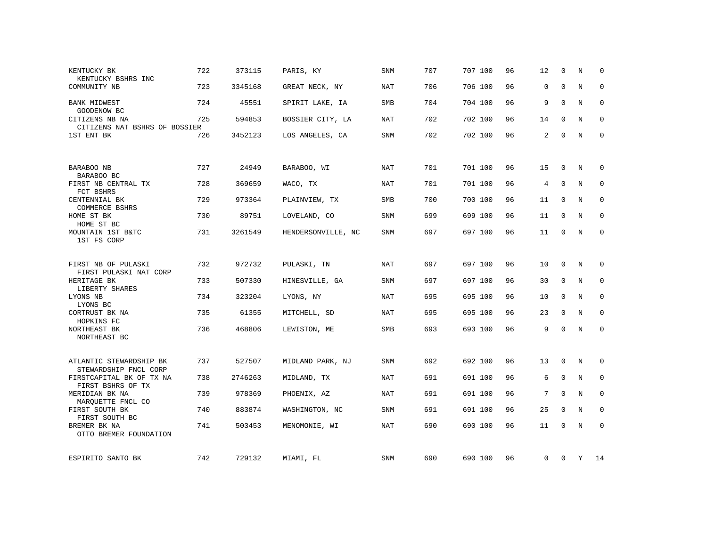| KENTUCKY BK<br>KENTUCKY BSHRS INC                | 722 | 373115  | PARIS, KY          | <b>SNM</b> | 707 | 707 100 | 96 | 12             | $\Omega$     | N           | $\Omega$    |
|--------------------------------------------------|-----|---------|--------------------|------------|-----|---------|----|----------------|--------------|-------------|-------------|
| COMMUNITY NB                                     | 723 | 3345168 | GREAT NECK, NY     | <b>NAT</b> | 706 | 706 100 | 96 | $\mathbf 0$    | $\Omega$     | N           | $\mathbf 0$ |
| <b>BANK MIDWEST</b><br>GOODENOW BC               | 724 | 45551   | SPIRIT LAKE, IA    | SMB        | 704 | 704 100 | 96 | 9              | $\Omega$     | N           | 0           |
| CITIZENS NB NA<br>CITIZENS NAT BSHRS OF BOSSIER  | 725 | 594853  | BOSSIER CITY, LA   | NAT        | 702 | 702 100 | 96 | 14             | 0            | N           | 0           |
| 1ST ENT BK                                       | 726 | 3452123 | LOS ANGELES, CA    | <b>SNM</b> | 702 | 702 100 | 96 | 2              | $\Omega$     | N           | $\mathbf 0$ |
| BARABOO NB                                       | 727 | 24949   | BARABOO, WI        | <b>NAT</b> | 701 | 701 100 | 96 | 15             | 0            | N           | 0           |
| BARABOO BC                                       |     |         |                    |            |     |         |    |                |              |             |             |
| FIRST NB CENTRAL TX<br>FCT BSHRS                 | 728 | 369659  | WACO, TX           | <b>NAT</b> | 701 | 701 100 | 96 | $\overline{4}$ | $\Omega$     | $_{\rm N}$  | $\mathbf 0$ |
| CENTENNIAL BK<br>COMMERCE BSHRS                  | 729 | 973364  | PLAINVIEW, TX      | <b>SMB</b> | 700 | 700 100 | 96 | 11             | $\mathbf 0$  | N           | $\mathbf 0$ |
| HOME ST BK<br>HOME ST BC                         | 730 | 89751   | LOVELAND, CO       | SNM        | 699 | 699 100 | 96 | 11             | $\mathbf 0$  | N           | $\mathbf 0$ |
| MOUNTAIN 1ST B&TC<br>1ST FS CORP                 | 731 | 3261549 | HENDERSONVILLE, NC | SNM        | 697 | 697 100 | 96 | 11             | 0            | N           | $\mathbf 0$ |
| FIRST NB OF PULASKI                              | 732 | 972732  | PULASKI, TN        | <b>NAT</b> | 697 | 697 100 | 96 | 10             | 0            | N           | 0           |
| FIRST PULASKI NAT CORP                           |     |         |                    |            |     |         |    |                |              |             |             |
| HERITAGE BK<br>LIBERTY SHARES                    | 733 | 507330  | HINESVILLE, GA     | SNM        | 697 | 697 100 | 96 | 30             | $\mathbf{0}$ | N           | 0           |
| LYONS NB<br>LYONS BC                             | 734 | 323204  | LYONS, NY          | <b>NAT</b> | 695 | 695 100 | 96 | 10             | $\mathbf 0$  | $\mathbf N$ | $\mathbf 0$ |
| CORTRUST BK NA<br>HOPKINS FC                     | 735 | 61355   | MITCHELL, SD       | NAT        | 695 | 695 100 | 96 | 23             | $\mathbf 0$  | N           | $\mathbf 0$ |
| NORTHEAST BK<br>NORTHEAST BC                     | 736 | 468806  | LEWISTON, ME       | SMB        | 693 | 693 100 | 96 | 9              | $\Omega$     | $\mathbf N$ | 0           |
|                                                  |     |         |                    |            |     |         |    |                |              |             |             |
| ATLANTIC STEWARDSHIP BK<br>STEWARDSHIP FNCL CORP | 737 | 527507  | MIDLAND PARK, NJ   | SNM        | 692 | 692 100 | 96 | 13             | $\mathbf 0$  | N           | 0           |
| FIRSTCAPITAL BK OF TX NA<br>FIRST BSHRS OF TX    | 738 | 2746263 | MIDLAND, TX        | <b>NAT</b> | 691 | 691 100 | 96 | 6              | $\mathbf 0$  | N           | $\mathbf 0$ |
| MERIDIAN BK NA<br>MARQUETTE FNCL CO              | 739 | 978369  | PHOENIX, AZ        | NAT        | 691 | 691 100 | 96 | 7              | $\mathbf 0$  | $\mathbf N$ | $\mathbf 0$ |
| FIRST SOUTH BK<br>FIRST SOUTH BC                 | 740 | 883874  | WASHINGTON, NC     | <b>SNM</b> | 691 | 691 100 | 96 | 25             | $\Omega$     | N           | $\Omega$    |
| BREMER BK NA<br>OTTO BREMER FOUNDATION           | 741 | 503453  | MENOMONIE, WI      | <b>NAT</b> | 690 | 690 100 | 96 | 11             | $\Omega$     | N           | $\mathbf 0$ |
| ESPIRITO SANTO BK                                | 742 | 729132  | MIAMI, FL          | SNM        | 690 | 690 100 | 96 | $\mathbf{0}$   | $\mathbf{0}$ | Y           | 14          |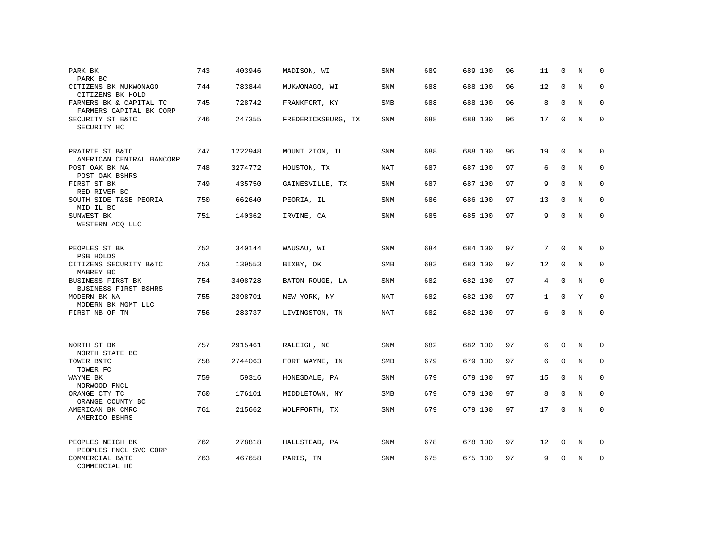| PARK BK<br>PARK BC                                 | 743 | 403946  | MADISON, WI        | SNM        | 689 | 689 100 | 96 | 11           | $\mathbf 0$ | N          | $\mathbf 0$  |
|----------------------------------------------------|-----|---------|--------------------|------------|-----|---------|----|--------------|-------------|------------|--------------|
| CITIZENS BK MUKWONAGO<br>CITIZENS BK HOLD          | 744 | 783844  | MUKWONAGO, WI      | SNM        | 688 | 688 100 | 96 | 12           | $\Omega$    | N          | $\mathbf{0}$ |
| FARMERS BK & CAPITAL TC<br>FARMERS CAPITAL BK CORP | 745 | 728742  | FRANKFORT, KY      | SMB        | 688 | 688 100 | 96 | 8            | 0           | N          | $\mathbf 0$  |
| SECURITY ST B&TC<br>SECURITY HC                    | 746 | 247355  | FREDERICKSBURG, TX | SNM        | 688 | 688 100 | 96 | 17           | $\Omega$    | N          | $\mathbf{0}$ |
| PRAIRIE ST B&TC<br>AMERICAN CENTRAL BANCORP        | 747 | 1222948 | MOUNT ZION, IL     | SNM        | 688 | 688 100 | 96 | 19           | $\Omega$    | N          | $\mathbf 0$  |
| POST OAK BK NA<br>POST OAK BSHRS                   | 748 | 3274772 | HOUSTON, TX        | NAT        | 687 | 687 100 | 97 | 6            | $\mathbf 0$ | N          | $\mathbf 0$  |
| FIRST ST BK<br>RED RIVER BC                        | 749 | 435750  | GAINESVILLE, TX    | SNM        | 687 | 687 100 | 97 | 9            | $\Omega$    | N          | $\mathbf 0$  |
| SOUTH SIDE T&SB PEORIA<br>MID IL BC                | 750 | 662640  | PEORIA, IL         | SNM        | 686 | 686 100 | 97 | 13           | $\mathbf 0$ | N          | $\mathbf 0$  |
| SUNWEST BK<br>WESTERN ACQ LLC                      | 751 | 140362  | IRVINE, CA         | SNM        | 685 | 685 100 | 97 | 9            | $\Omega$    | N          | $\mathbf{0}$ |
| PEOPLES ST BK<br>PSB HOLDS                         | 752 | 340144  | WAUSAU, WI         | SNM        | 684 | 684 100 | 97 | 7            | $\mathbf 0$ | N          | $\mathbf 0$  |
| CITIZENS SECURITY B&TC<br>MABREY BC                | 753 | 139553  | BIXBY, OK          | SMB        | 683 | 683 100 | 97 | 12           | $\Omega$    | N          | $\Omega$     |
| BUSINESS FIRST BK<br>BUSINESS FIRST BSHRS          | 754 | 3408728 | BATON ROUGE, LA    | SNM        | 682 | 682 100 | 97 | 4            | $\mathbf 0$ | N          | $\mathbf{0}$ |
| MODERN BK NA<br>MODERN BK MGMT LLC                 | 755 | 2398701 | NEW YORK, NY       | <b>NAT</b> | 682 | 682 100 | 97 | $\mathbf{1}$ | $\Omega$    | Y          | $\Omega$     |
| FIRST NB OF TN                                     | 756 | 283737  | LIVINGSTON, TN     | NAT        | 682 | 682 100 | 97 | 6            | $\mathbf 0$ | N          | $\mathbf{0}$ |
| NORTH ST BK<br>NORTH STATE BC                      | 757 | 2915461 | RALEIGH, NC        | SNM        | 682 | 682 100 | 97 | 6            | $\mathbf 0$ | N          | $\mathbf 0$  |
| TOWER B&TC<br>TOWER FC                             | 758 | 2744063 | FORT WAYNE, IN     | <b>SMB</b> | 679 | 679 100 | 97 | 6            | $\Omega$    | $_{\rm N}$ | $\mathbf 0$  |
| WAYNE BK<br>NORWOOD FNCL                           | 759 | 59316   | HONESDALE, PA      | SNM        | 679 | 679 100 | 97 | 15           | 0           | N          | 0            |
| ORANGE CTY TC<br>ORANGE COUNTY BC                  | 760 | 176101  | MIDDLETOWN, NY     | <b>SMB</b> | 679 | 679 100 | 97 | 8            | $\mathbf 0$ | N          | $\mathbf 0$  |
| AMERICAN BK CMRC<br>AMERICO BSHRS                  | 761 | 215662  | WOLFFORTH, TX      | SNM        | 679 | 679 100 | 97 | 17           | 0           | N          | $\mathbf{0}$ |
| PEOPLES NEIGH BK<br>PEOPLES FNCL SVC CORP          | 762 | 278818  | HALLSTEAD, PA      | SNM        | 678 | 678 100 | 97 | 12           | 0           | N          | 0            |
| COMMERCIAL B&TC<br>COMMERCIAL HC                   | 763 | 467658  | PARIS, TN          | SNM        | 675 | 675 100 | 97 | 9            | $\Omega$    | N          | $\mathbf{0}$ |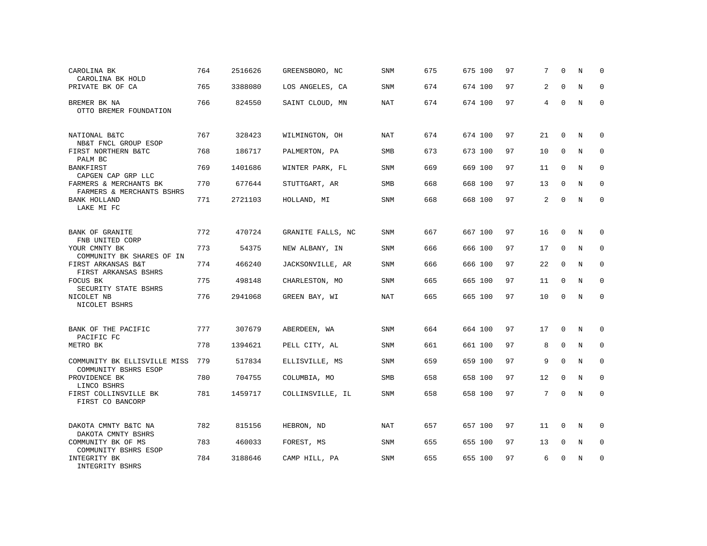| CAROLINA BK<br>CAROLINA BK HOLD                      | 764 | 2516626 | GREENSBORO, NC    | <b>SNM</b> | 675 | 675 100 | 97 | 7              | $\Omega$     | N           | 0            |
|------------------------------------------------------|-----|---------|-------------------|------------|-----|---------|----|----------------|--------------|-------------|--------------|
| PRIVATE BK OF CA                                     | 765 | 3388080 | LOS ANGELES, CA   | SNM        | 674 | 674 100 | 97 | 2              | $\mathbf 0$  | N           | 0            |
| BREMER BK NA<br>OTTO BREMER FOUNDATION               | 766 | 824550  | SAINT CLOUD, MN   | NAT        | 674 | 674 100 | 97 | $\overline{4}$ | $\mathbf 0$  | N           | $\mathbf{0}$ |
| NATIONAL B&TC<br>NB&T FNCL GROUP ESOP                | 767 | 328423  | WILMINGTON, OH    | NAT        | 674 | 674 100 | 97 | 21             | $\Omega$     | N           | $\Omega$     |
| FIRST NORTHERN B&TC<br>PALM BC                       | 768 | 186717  | PALMERTON, PA     | SMB        | 673 | 673 100 | 97 | 10             | $\mathbf 0$  | N           | 0            |
| BANKFIRST<br>CAPGEN CAP GRP LLC                      | 769 | 1401686 | WINTER PARK, FL   | <b>SNM</b> | 669 | 669 100 | 97 | 11             | $\mathbf{0}$ | N           | $\mathbf 0$  |
| FARMERS & MERCHANTS BK<br>FARMERS & MERCHANTS BSHRS  | 770 | 677644  | STUTTGART, AR     | <b>SMB</b> | 668 | 668 100 | 97 | 13             | $\mathbf 0$  | N           | 0            |
| <b>BANK HOLLAND</b><br>LAKE MI FC                    | 771 | 2721103 | HOLLAND, MI       | <b>SNM</b> | 668 | 668 100 | 97 | 2              | $\mathbf{0}$ | $\mathbf N$ | $\mathbf{0}$ |
| <b>BANK OF GRANITE</b><br>FNB UNITED CORP            | 772 | 470724  | GRANITE FALLS, NC | <b>SNM</b> | 667 | 667 100 | 97 | 16             | $\Omega$     | N           | $\mathbf 0$  |
| YOUR CMNTY BK<br>COMMUNITY BK SHARES OF IN           | 773 | 54375   | NEW ALBANY, IN    | SNM        | 666 | 666 100 | 97 | 17             | 0            | N           | $\mathbf 0$  |
| FIRST ARKANSAS B&T<br>FIRST ARKANSAS BSHRS           | 774 | 466240  | JACKSONVILLE, AR  | SNM        | 666 | 666 100 | 97 | 22             | $\mathbf{0}$ | N           | $\mathbf 0$  |
| FOCUS BK<br>SECURITY STATE BSHRS                     | 775 | 498148  | CHARLESTON, MO    | SNM        | 665 | 665 100 | 97 | 11             | $\mathbf{0}$ | N           | 0            |
| NICOLET NB<br>NICOLET BSHRS                          | 776 | 2941068 | GREEN BAY, WI     | <b>NAT</b> | 665 | 665 100 | 97 | 10             | $\mathbf 0$  | $\mathbf N$ | $\mathbf 0$  |
| BANK OF THE PACIFIC<br>PACIFIC FC                    | 777 | 307679  | ABERDEEN, WA      | <b>SNM</b> | 664 | 664 100 | 97 | 17             | $\mathbf 0$  | N           | 0            |
| METRO BK                                             | 778 | 1394621 | PELL CITY, AL     | SNM        | 661 | 661 100 | 97 | 8              | $\mathbf 0$  | N           | 0            |
| COMMUNITY BK ELLISVILLE MISS<br>COMMUNITY BSHRS ESOP | 779 | 517834  | ELLISVILLE, MS    | SNM        | 659 | 659 100 | 97 | 9              | $\Omega$     | N           | 0            |
| PROVIDENCE BK<br>LINCO BSHRS                         | 780 | 704755  | COLUMBIA, MO      | <b>SMB</b> | 658 | 658 100 | 97 | 12             | $\mathbf 0$  | N           | 0            |
| FIRST COLLINSVILLE BK<br>FIRST CO BANCORP            | 781 | 1459717 | COLLINSVILLE, IL  | <b>SNM</b> | 658 | 658 100 | 97 | 7              | $\mathbf 0$  | $\mathbf N$ | $\mathbf 0$  |
| DAKOTA CMNTY B&TC NA<br>DAKOTA CMNTY BSHRS           | 782 | 815156  | HEBRON, ND        | <b>NAT</b> | 657 | 657 100 | 97 | 11             | 0            | N           | $\Omega$     |
| COMMUNITY BK OF MS<br>COMMUNITY BSHRS ESOP           | 783 | 460033  | FOREST, MS        | <b>SNM</b> | 655 | 655 100 | 97 | 13             | $\mathbf 0$  | N           | 0            |
| INTEGRITY BK<br>INTEGRITY BSHRS                      | 784 | 3188646 | CAMP HILL, PA     | <b>SNM</b> | 655 | 655 100 | 97 | 6              | 0            | N           | 0            |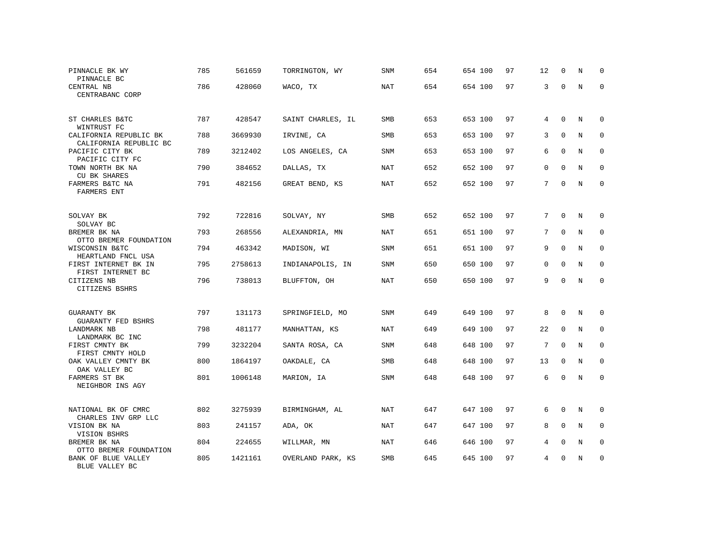| PINNACLE BK WY<br>PINNACLE BC                    | 785 | 561659  | TORRINGTON, WY    | SNM        | 654 | 654 100 | 97 | 12           | 0            | N | 0            |
|--------------------------------------------------|-----|---------|-------------------|------------|-----|---------|----|--------------|--------------|---|--------------|
| CENTRAL NB<br>CENTRABANC CORP                    | 786 | 428060  | WACO, TX          | <b>NAT</b> | 654 | 654 100 | 97 | 3            | $\Omega$     | N | $\Omega$     |
| ST CHARLES B&TC<br>WINTRUST FC                   | 787 | 428547  | SAINT CHARLES, IL | SMB        | 653 | 653 100 | 97 | 4            | $\mathbf 0$  | N | $\Omega$     |
| CALIFORNIA REPUBLIC BK<br>CALIFORNIA REPUBLIC BC | 788 | 3669930 | IRVINE, CA        | <b>SMB</b> | 653 | 653 100 | 97 | 3            | $\mathbf 0$  | N | $\mathbf 0$  |
| PACIFIC CITY BK<br>PACIFIC CITY FC               | 789 | 3212402 | LOS ANGELES, CA   | SNM        | 653 | 653 100 | 97 | 6            | $\mathbf 0$  | N | 0            |
| TOWN NORTH BK NA<br>CU BK SHARES                 | 790 | 384652  | DALLAS, TX        | <b>NAT</b> | 652 | 652 100 | 97 | $\mathbf{0}$ | $\mathbf 0$  | N | $\mathbf{0}$ |
| FARMERS B&TC NA<br><b>FARMERS ENT</b>            | 791 | 482156  | GREAT BEND, KS    | NAT        | 652 | 652 100 | 97 | 7            | $\mathbf 0$  | N | $\mathbf{0}$ |
| SOLVAY BK<br>SOLVAY BC                           | 792 | 722816  | SOLVAY, NY        | <b>SMB</b> | 652 | 652 100 | 97 | 7            | $\mathbf 0$  | N | $\Omega$     |
| BREMER BK NA<br>OTTO BREMER FOUNDATION           | 793 | 268556  | ALEXANDRIA, MN    | <b>NAT</b> | 651 | 651 100 | 97 | 7            | $\mathbf 0$  | N | $\mathbf{0}$ |
| WISCONSIN B&TC<br>HEARTLAND FNCL USA             | 794 | 463342  | MADISON, WI       | SNM        | 651 | 651 100 | 97 | 9            | $\mathbf 0$  | N | 0            |
| FIRST INTERNET BK IN<br>FIRST INTERNET BC        | 795 | 2758613 | INDIANAPOLIS, IN  | <b>SNM</b> | 650 | 650 100 | 97 | $\Omega$     | $\Omega$     | N | $\Omega$     |
| CITIZENS NB<br>CITIZENS BSHRS                    | 796 | 738013  | BLUFFTON, OH      | NAT        | 650 | 650 100 | 97 | 9            | $\Omega$     | N | $\mathbf{0}$ |
| <b>GUARANTY BK</b><br><b>GUARANTY FED BSHRS</b>  | 797 | 131173  | SPRINGFIELD, MO   | SNM        | 649 | 649 100 | 97 | 8            | $\mathbf 0$  | N | $\Omega$     |
| <b>LANDMARK NB</b><br>LANDMARK BC INC            | 798 | 481177  | MANHATTAN, KS     | <b>NAT</b> | 649 | 649 100 | 97 | 22           | $\mathbf{0}$ | N | $\Omega$     |
| FIRST CMNTY BK<br>FIRST CMNTY HOLD               | 799 | 3232204 | SANTA ROSA, CA    | <b>SNM</b> | 648 | 648 100 | 97 | 7            | $\mathbf 0$  | N | $\mathbf{0}$ |
| OAK VALLEY CMNTY BK<br>OAK VALLEY BC             | 800 | 1864197 | OAKDALE, CA       | <b>SMB</b> | 648 | 648 100 | 97 | 13           | $\mathbf{0}$ | N | $\mathbf{0}$ |
| FARMERS ST BK<br>NEIGHBOR INS AGY                | 801 | 1006148 | MARION, IA        | SNM        | 648 | 648 100 | 97 | 6            | $\mathbf 0$  | N | $\mathbf{0}$ |
| NATIONAL BK OF CMRC<br>CHARLES INV GRP LLC       | 802 | 3275939 | BIRMINGHAM, AL    | NAT        | 647 | 647 100 | 97 | 6            | $\mathbf 0$  | N | 0            |
| VISION BK NA<br>VISION BSHRS                     | 803 | 241157  | ADA, OK           | NAT        | 647 | 647 100 | 97 | 8            | $\mathbf 0$  | N | $\mathbf 0$  |
| BREMER BK NA<br>OTTO BREMER FOUNDATION           | 804 | 224655  | WILLMAR, MN       | NAT        | 646 | 646 100 | 97 | 4            | $\mathbf 0$  | N | 0            |
| BANK OF BLUE VALLEY<br>BLUE VALLEY BC            | 805 | 1421161 | OVERLAND PARK, KS | <b>SMB</b> | 645 | 645 100 | 97 | 4            | $\Omega$     | N | $\mathbf{0}$ |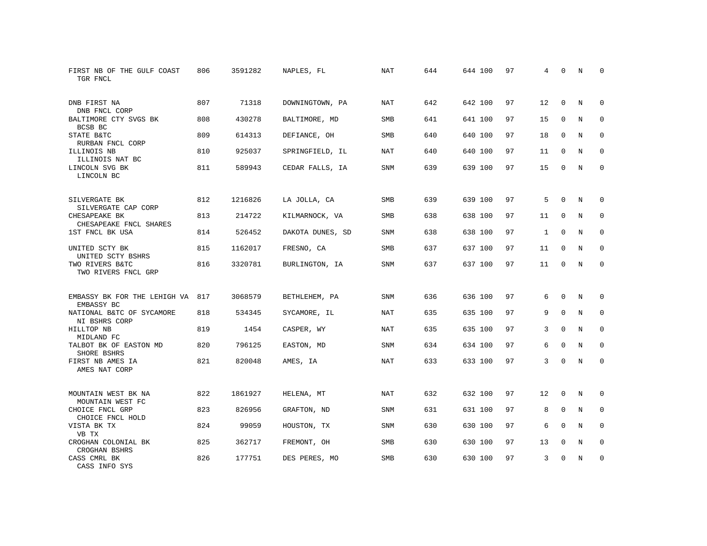| FIRST NB OF THE GULF COAST<br>TGR FNCL         | 806 | 3591282 | NAPLES, FL       | <b>NAT</b> | 644 | 644 100 | 97 | 4            | 0            | N           | $\Omega$    |
|------------------------------------------------|-----|---------|------------------|------------|-----|---------|----|--------------|--------------|-------------|-------------|
| DNB FIRST NA<br>DNB FNCL CORP                  | 807 | 71318   | DOWNINGTOWN, PA  | NAT        | 642 | 642 100 | 97 | 12           | $\Omega$     | N           | $\Omega$    |
| BALTIMORE CTY SVGS BK<br>BCSB BC               | 808 | 430278  | BALTIMORE, MD    | <b>SMB</b> | 641 | 641 100 | 97 | 15           | $\mathbf 0$  | N           | $\mathbf 0$ |
| STATE B&TC<br>RURBAN FNCL CORP                 | 809 | 614313  | DEFIANCE, OH     | <b>SMB</b> | 640 | 640 100 | 97 | 18           | $\Omega$     | N           | $\Omega$    |
| ILLINOIS NB<br>ILLINOIS NAT BC                 | 810 | 925037  | SPRINGFIELD, IL  | NAT        | 640 | 640 100 | 97 | 11           | $\mathbf 0$  | N           | $\mathbf 0$ |
| LINCOLN SVG BK<br>LINCOLN BC                   | 811 | 589943  | CEDAR FALLS, IA  | <b>SNM</b> | 639 | 639 100 | 97 | 15           | $\mathbf 0$  | N           | $\mathbf 0$ |
| SILVERGATE BK<br>SILVERGATE CAP CORP           | 812 | 1216826 | LA JOLLA, CA     | <b>SMB</b> | 639 | 639 100 | 97 | 5            | $\Omega$     | N           | 0           |
| CHESAPEAKE BK<br>CHESAPEAKE FNCL SHARES        | 813 | 214722  | KILMARNOCK, VA   | <b>SMB</b> | 638 | 638 100 | 97 | 11           | $\mathbf 0$  | $\mathbf N$ | $\mathbf 0$ |
| 1ST FNCL BK USA                                | 814 | 526452  | DAKOTA DUNES, SD | SNM        | 638 | 638 100 | 97 | $\mathbf{1}$ | $\mathbf 0$  | N           | 0           |
| UNITED SCTY BK<br>UNITED SCTY BSHRS            | 815 | 1162017 | FRESNO, CA       | <b>SMB</b> | 637 | 637 100 | 97 | 11           | $\mathbf 0$  | N           | $\mathbf 0$ |
| TWO RIVERS B&TC<br>TWO RIVERS FNCL GRP         | 816 | 3320781 | BURLINGTON, IA   | SNM        | 637 | 637 100 | 97 | 11           | $\mathbf 0$  | N           | $\Omega$    |
| EMBASSY BK FOR THE LEHIGH VA 817<br>EMBASSY BC |     | 3068579 | BETHLEHEM, PA    | SNM        | 636 | 636 100 | 97 | 6            | $\Omega$     | N           | 0           |
| NATIONAL B&TC OF SYCAMORE<br>NI BSHRS CORP     | 818 | 534345  | SYCAMORE, IL     | <b>NAT</b> | 635 | 635 100 | 97 | 9            | $\mathbf 0$  | N           | 0           |
| HILLTOP NB<br>MIDLAND FC                       | 819 | 1454    | CASPER, WY       | NAT        | 635 | 635 100 | 97 | 3            | $\Omega$     | N           | $\mathbf 0$ |
| TALBOT BK OF EASTON MD<br>SHORE BSHRS          | 820 | 796125  | EASTON, MD       | SNM        | 634 | 634 100 | 97 | 6            | $\Omega$     | N           | $\Omega$    |
| FIRST NB AMES IA<br>AMES NAT CORP              | 821 | 820048  | AMES, IA         | <b>NAT</b> | 633 | 633 100 | 97 | 3            | $\mathbf 0$  | N           | $\mathbf 0$ |
| MOUNTAIN WEST BK NA<br>MOUNTAIN WEST FC        | 822 | 1861927 | HELENA, MT       | <b>NAT</b> | 632 | 632 100 | 97 | 12           | $\mathbf{0}$ | N           | 0           |
| CHOICE FNCL GRP<br>CHOICE FNCL HOLD            | 823 | 826956  | GRAFTON, ND      | SNM        | 631 | 631 100 | 97 | 8            | $\mathbf 0$  | N           | 0           |
| VISTA BK TX<br>VB TX                           | 824 | 99059   | HOUSTON, TX      | SNM        | 630 | 630 100 | 97 | 6            | $\Omega$     | N           | $\mathbf 0$ |
| CROGHAN COLONIAL BK<br>CROGHAN BSHRS           | 825 | 362717  | FREMONT, OH      | SMB        | 630 | 630 100 | 97 | 13           | $\mathbf 0$  | N           | 0           |
| CASS CMRL BK<br>CASS INFO SYS                  | 826 | 177751  | DES PERES, MO    | <b>SMB</b> | 630 | 630 100 | 97 | 3            | $\Omega$     | N           | $\mathbf 0$ |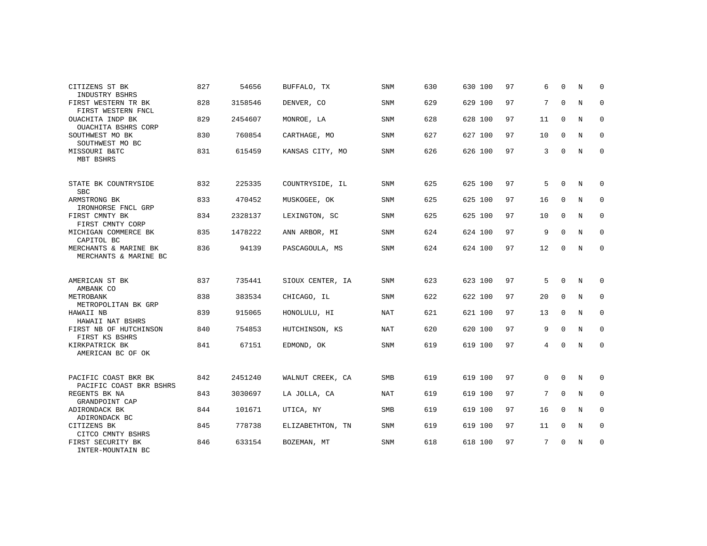| CITIZENS ST BK                                              | 827 | 54656   | BUFFALO, TX      | <b>SNM</b> | 630 | 630 100 | 97 | 6  | $\Omega$    | N | $\Omega$    |
|-------------------------------------------------------------|-----|---------|------------------|------------|-----|---------|----|----|-------------|---|-------------|
| INDUSTRY BSHRS<br>FIRST WESTERN TR BK<br>FIRST WESTERN FNCL | 828 | 3158546 | DENVER, CO       | <b>SNM</b> | 629 | 629 100 | 97 | 7  | $\mathbf 0$ | N | 0           |
| OUACHITA INDP BK<br>OUACHITA BSHRS CORP                     | 829 | 2454607 | MONROE, LA       | SNM        | 628 | 628 100 | 97 | 11 | $\mathbf 0$ | N | $\mathbf 0$ |
| SOUTHWEST MO BK<br>SOUTHWEST MO BC                          | 830 | 760854  | CARTHAGE, MO     | <b>SNM</b> | 627 | 627 100 | 97 | 10 | $\mathbf 0$ | N | 0           |
| MISSOURI B&TC<br>MBT BSHRS                                  | 831 | 615459  | KANSAS CITY, MO  | <b>SNM</b> | 626 | 626 100 | 97 | 3  | 0           | N | $\mathbf 0$ |
| STATE BK COUNTRYSIDE<br><b>SBC</b>                          | 832 | 225335  | COUNTRYSIDE, IL  | SNM        | 625 | 625 100 | 97 | 5  | $\mathbf 0$ | N | 0           |
| ARMSTRONG BK<br>IRONHORSE FNCL GRP                          | 833 | 470452  | MUSKOGEE, OK     | SNM        | 625 | 625 100 | 97 | 16 | $\mathbf 0$ | N | $\mathbf 0$ |
| FIRST CMNTY BK<br>FIRST CMNTY CORP                          | 834 | 2328137 | LEXINGTON, SC    | <b>SNM</b> | 625 | 625 100 | 97 | 10 | $\Omega$    | N | $\mathbf 0$ |
| MICHIGAN COMMERCE BK<br>CAPITOL BC                          | 835 | 1478222 | ANN ARBOR, MI    | SNM        | 624 | 624 100 | 97 | 9  | 0           | N | 0           |
| MERCHANTS & MARINE BK<br>MERCHANTS & MARINE BC              | 836 | 94139   | PASCAGOULA, MS   | <b>SNM</b> | 624 | 624 100 | 97 | 12 | $\Omega$    | N | $\mathbf 0$ |
| AMERICAN ST BK<br>AMBANK CO                                 | 837 | 735441  | SIOUX CENTER, IA | SNM        | 623 | 623 100 | 97 | 5  | 0           | N | 0           |
| METROBANK<br>METROPOLITAN BK GRP                            | 838 | 383534  | CHICAGO, IL      | <b>SNM</b> | 622 | 622 100 | 97 | 20 | $\mathbf 0$ | N | $\mathbf 0$ |
| HAWAII NB<br>HAWAII NAT BSHRS                               | 839 | 915065  | HONOLULU, HI     | NAT        | 621 | 621 100 | 97 | 13 | $\mathbf 0$ | N | 0           |
| FIRST NB OF HUTCHINSON<br>FIRST KS BSHRS                    | 840 | 754853  | HUTCHINSON, KS   | NAT        | 620 | 620 100 | 97 | 9  | $\Omega$    | N | $\mathbf 0$ |
| KIRKPATRICK BK<br>AMERICAN BC OF OK                         | 841 | 67151   | EDMOND, OK       | <b>SNM</b> | 619 | 619 100 | 97 | 4  | $\Omega$    | N | $\mathbf 0$ |
| PACIFIC COAST BKR BK<br>PACIFIC COAST BKR BSHRS             | 842 | 2451240 | WALNUT CREEK, CA | SMB        | 619 | 619 100 | 97 | 0  | $\mathbf 0$ | N | 0           |
| REGENTS BK NA<br>GRANDPOINT CAP                             | 843 | 3030697 | LA JOLLA, CA     | NAT        | 619 | 619 100 | 97 | 7  | $\Omega$    | N | $\mathbf 0$ |
| ADIRONDACK BK<br>ADIRONDACK BC                              | 844 | 101671  | UTICA, NY        | SMB        | 619 | 619 100 | 97 | 16 | 0           | N | 0           |
| CITIZENS BK<br>CITCO CMNTY BSHRS                            | 845 | 778738  | ELIZABETHTON, TN | SNM        | 619 | 619 100 | 97 | 11 | $\mathbf 0$ | N | $\mathbf 0$ |
| FIRST SECURITY BK<br>INTER-MOUNTAIN BC                      | 846 | 633154  | BOZEMAN, MT      | <b>SNM</b> | 618 | 618 100 | 97 | 7  | $\Omega$    | N | 0           |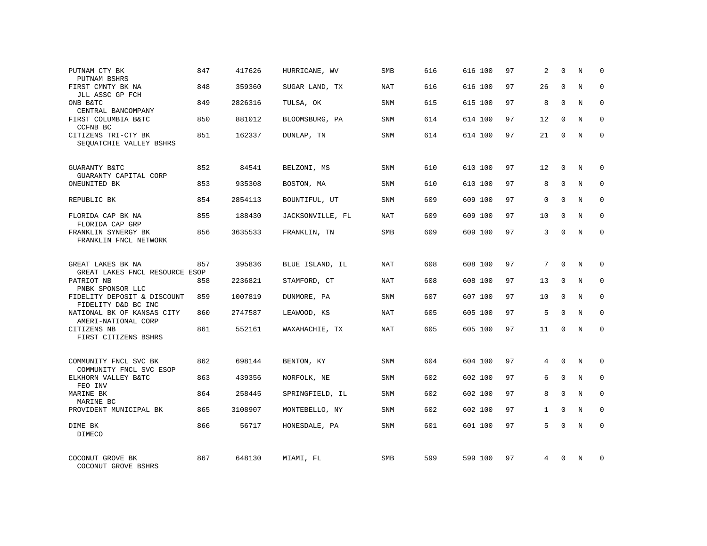| PUTNAM CTY BK                                       | 847 | 417626  | HURRICANE, WV    | SMB        | 616 | 616 100 | 97 | 2            | $\Omega$     | N           | $\mathbf 0$  |
|-----------------------------------------------------|-----|---------|------------------|------------|-----|---------|----|--------------|--------------|-------------|--------------|
| PUTNAM BSHRS<br>FIRST CMNTY BK NA                   | 848 | 359360  | SUGAR LAND, TX   | <b>NAT</b> | 616 | 616 100 | 97 | 26           | $\Omega$     | N           | $\Omega$     |
| JLL ASSC GP FCH<br>ONB B&TC                         | 849 | 2826316 | TULSA, OK        | SNM        | 615 | 615 100 | 97 | 8            | 0            | N           | $\mathbf 0$  |
| CENTRAL BANCOMPANY                                  |     |         |                  |            |     |         |    |              |              |             |              |
| FIRST COLUMBIA B&TC<br>CCFNB BC                     | 850 | 881012  | BLOOMSBURG, PA   | <b>SNM</b> | 614 | 614 100 | 97 | 12           | $\Omega$     | N           | $\Omega$     |
| CITIZENS TRI-CTY BK<br>SEOUATCHIE VALLEY BSHRS      | 851 | 162337  | DUNLAP, TN       | SNM        | 614 | 614 100 | 97 | 21           | 0            | N           | 0            |
| GUARANTY B&TC<br>GUARANTY CAPITAL CORP              | 852 | 84541   | BELZONI, MS      | SNM        | 610 | 610 100 | 97 | 12           | 0            | N           | $\Omega$     |
| ONEUNITED BK                                        | 853 | 935308  | BOSTON, MA       | SNM        | 610 | 610 100 | 97 | 8            | $\Omega$     | N           | $\Omega$     |
| REPUBLIC BK                                         | 854 | 2854113 | BOUNTIFUL, UT    | SNM        | 609 | 609 100 | 97 | $\Omega$     | $\Omega$     | N           | 0            |
| FLORIDA CAP BK NA<br>FLORIDA CAP GRP                | 855 | 188430  | JACKSONVILLE, FL | <b>NAT</b> | 609 | 609 100 | 97 | 10           | $\Omega$     | N           | $\Omega$     |
| FRANKLIN SYNERGY BK<br>FRANKLIN FNCL NETWORK        | 856 | 3635533 | FRANKLIN, TN     | SMB        | 609 | 609 100 | 97 | 3            | $\Omega$     | N           | $\mathbf 0$  |
| GREAT LAKES BK NA<br>GREAT LAKES FNCL RESOURCE ESOP | 857 | 395836  | BLUE ISLAND, IL  | NAT        | 608 | 608 100 | 97 | 7            | $\Omega$     | N           | $\Omega$     |
| PATRIOT NB<br>PNBK SPONSOR LLC                      | 858 | 2236821 | STAMFORD, CT     | <b>NAT</b> | 608 | 608 100 | 97 | 13           | $\mathbf 0$  | N           | $\mathbf{0}$ |
| FIDELITY DEPOSIT & DISCOUNT<br>FIDELITY D&D BC INC  | 859 | 1007819 | DUNMORE, PA      | SNM        | 607 | 607 100 | 97 | 10           | $\Omega$     | N           | $\mathbf 0$  |
| NATIONAL BK OF KANSAS CITY<br>AMERI-NATIONAL CORP   | 860 | 2747587 | LEAWOOD, KS      | <b>NAT</b> | 605 | 605 100 | 97 | 5            | $\mathbf 0$  | N           | $\mathbf{0}$ |
| CITIZENS NB<br>FIRST CITIZENS BSHRS                 | 861 | 552161  | WAXAHACHIE, TX   | <b>NAT</b> | 605 | 605 100 | 97 | 11           | $\mathbf 0$  | N           | $\mathbf{0}$ |
| COMMUNITY FNCL SVC BK                               | 862 | 698144  | BENTON, KY       | <b>SNM</b> | 604 | 604 100 | 97 | 4            | $\Omega$     | N           | $\Omega$     |
| COMMUNITY FNCL SVC ESOP<br>ELKHORN VALLEY B&TC      | 863 | 439356  | NORFOLK, NE      | SNM        | 602 | 602 100 | 97 | 6            | $\mathbf 0$  | $\mathbf N$ | $\mathbf 0$  |
| FEO INV<br>MARINE BK<br>MARINE BC                   | 864 | 258445  | SPRINGFIELD, IL  | <b>SNM</b> | 602 | 602 100 | 97 | 8            | $\Omega$     | N           | $\mathbf 0$  |
| PROVIDENT MUNICIPAL BK                              | 865 | 3108907 | MONTEBELLO, NY   | SNM        | 602 | 602 100 | 97 | $\mathbf{1}$ | $\mathbf 0$  | N           | $\mathbf{0}$ |
| DIME BK<br><b>DIMECO</b>                            | 866 | 56717   | HONESDALE, PA    | SNM        | 601 | 601 100 | 97 | 5            | $\Omega$     | N           | $\mathbf{0}$ |
| COCONUT GROVE BK<br>COCONUT GROVE BSHRS             | 867 | 648130  | MIAMI, FL        | <b>SMB</b> | 599 | 599 100 | 97 | 4            | <sup>0</sup> | N           | $\Omega$     |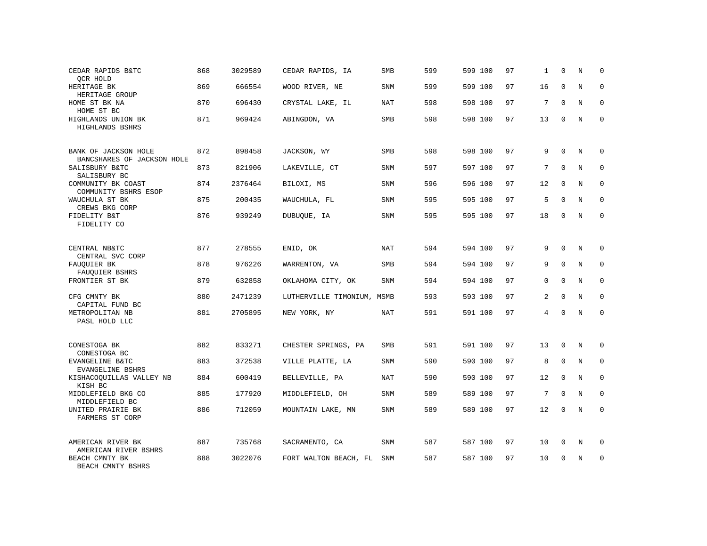| CEDAR RAPIDS B&TC<br>QCR HOLD                      | 868 | 3029589 | CEDAR RAPIDS, IA           | SMB        | 599 | 599 100 | 97 | 1           | $\Omega$    | N           | 0           |
|----------------------------------------------------|-----|---------|----------------------------|------------|-----|---------|----|-------------|-------------|-------------|-------------|
| HERITAGE BK<br>HERITAGE GROUP                      | 869 | 666554  | WOOD RIVER, NE             | SNM        | 599 | 599 100 | 97 | 16          | $\Omega$    | N           | $\mathbf 0$ |
| HOME ST BK NA<br>HOME ST BC                        | 870 | 696430  | CRYSTAL LAKE, IL           | NAT        | 598 | 598 100 | 97 | 7           | $\Omega$    | N           | 0           |
| HIGHLANDS UNION BK<br>HIGHLANDS BSHRS              | 871 | 969424  | ABINGDON, VA               | SMB        | 598 | 598 100 | 97 | 13          | $\Omega$    | N           | $\mathbf 0$ |
| BANK OF JACKSON HOLE<br>BANCSHARES OF JACKSON HOLE | 872 | 898458  | JACKSON, WY                | <b>SMB</b> | 598 | 598 100 | 97 | 9           | $\Omega$    | N           | $\Omega$    |
| SALISBURY B&TC<br>SALISBURY BC                     | 873 | 821906  | LAKEVILLE, CT              | SNM        | 597 | 597 100 | 97 | 7           | $\Omega$    | $_{\rm N}$  | $\mathbf 0$ |
| COMMUNITY BK COAST<br>COMMUNITY BSHRS ESOP         | 874 | 2376464 | BILOXI, MS                 | SNM        | 596 | 596 100 | 97 | 12          | $\Omega$    | N           | $\mathbf 0$ |
| WAUCHULA ST BK<br>CREWS BKG CORP                   | 875 | 200435  | WAUCHULA, FL               | SNM        | 595 | 595 100 | 97 | 5           | $\Omega$    | N           | $\mathbf 0$ |
| FIDELITY B&T<br>FIDELITY CO                        | 876 | 939249  | DUBUQUE, IA                | SNM        | 595 | 595 100 | 97 | 18          | $\Omega$    | N           | $\mathbf 0$ |
| CENTRAL NB&TC<br>CENTRAL SVC CORP                  | 877 | 278555  | ENID, OK                   | NAT        | 594 | 594 100 | 97 | 9           | $\Omega$    | N           | $\mathbf 0$ |
| FAUOUIER BK<br>FAUQUIER BSHRS                      | 878 | 976226  | WARRENTON, VA              | <b>SMB</b> | 594 | 594 100 | 97 | 9           | $\Omega$    | N           | $\Omega$    |
| FRONTIER ST BK                                     | 879 | 632858  | OKLAHOMA CITY, OK          | SNM        | 594 | 594 100 | 97 | $\mathbf 0$ | $\Omega$    | N           | $\mathbf 0$ |
| CFG CMNTY BK<br>CAPITAL FUND BC                    | 880 | 2471239 | LUTHERVILLE TIMONIUM, MSMB |            | 593 | 593 100 | 97 | 2           | $\Omega$    | N           | $\Omega$    |
| METROPOLITAN NB<br>PASL HOLD LLC                   | 881 | 2705895 | NEW YORK, NY               | <b>NAT</b> | 591 | 591 100 | 97 | 4           | $\Omega$    | $\mathbf N$ | $\mathbf 0$ |
| CONESTOGA BK<br>CONESTOGA BC                       | 882 | 833271  | CHESTER SPRINGS, PA        | <b>SMB</b> | 591 | 591 100 | 97 | 13          | $\mathbf 0$ | N           | $\mathbf 0$ |
| EVANGELINE B&TC<br>EVANGELINE BSHRS                | 883 | 372538  | VILLE PLATTE, LA           | <b>SNM</b> | 590 | 590 100 | 97 | 8           | $\Omega$    | N           | $\mathbf 0$ |
| KISHACOQUILLAS VALLEY NB<br>KISH BC                | 884 | 600419  | BELLEVILLE, PA             | <b>NAT</b> | 590 | 590 100 | 97 | 12          | $\mathbf 0$ | N           | 0           |
| MIDDLEFIELD BKG CO<br>MIDDLEFIELD BC               | 885 | 177920  | MIDDLEFIELD, OH            | <b>SNM</b> | 589 | 589 100 | 97 | 7           | $\Omega$    | N           | $\mathbf 0$ |
| UNITED PRAIRIE BK<br>FARMERS ST CORP               | 886 | 712059  | MOUNTAIN LAKE, MN          | SNM        | 589 | 589 100 | 97 | 12          | $\Omega$    | N           | $\mathbf 0$ |
| AMERICAN RIVER BK<br>AMERICAN RIVER BSHRS          | 887 | 735768  | SACRAMENTO, CA             | SNM        | 587 | 587 100 | 97 | 10          | 0           | N           | 0           |
| BEACH CMNTY BK<br>BEACH CMNTY BSHRS                | 888 | 3022076 | FORT WALTON BEACH, FL      | SNM        | 587 | 587 100 | 97 | 10          | $\Omega$    | N           | $\mathbf 0$ |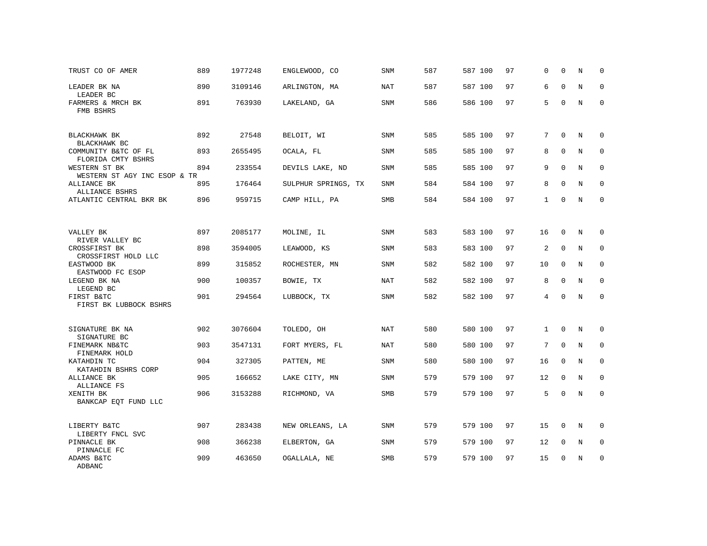| TRUST CO OF AMER                              | 889 | 1977248 | ENGLEWOOD, CO       | <b>SNM</b> | 587 | 587 100 | 97 | $\mathbf 0$    | $\mathbf 0$ | N           | 0           |
|-----------------------------------------------|-----|---------|---------------------|------------|-----|---------|----|----------------|-------------|-------------|-------------|
| LEADER BK NA<br>LEADER BC                     | 890 | 3109146 | ARLINGTON, MA       | <b>NAT</b> | 587 | 587 100 | 97 | 6              | $\Omega$    | $_{\rm N}$  | $\Omega$    |
| FARMERS & MRCH BK<br>FMB BSHRS                | 891 | 763930  | LAKELAND, GA        | <b>SNM</b> | 586 | 586 100 | 97 | 5              | $\Omega$    | N           | $\mathbf 0$ |
| BLACKHAWK BK<br>BLACKHAWK BC                  | 892 | 27548   | BELOIT, WI          | <b>SNM</b> | 585 | 585 100 | 97 | 7              | $\Omega$    | N           | $\Omega$    |
| COMMUNITY B&TC OF FL<br>FLORIDA CMTY BSHRS    | 893 | 2655495 | OCALA, FL           | <b>SNM</b> | 585 | 585 100 | 97 | 8              | $\mathbf 0$ | N           | 0           |
| WESTERN ST BK<br>WESTERN ST AGY INC ESOP & TR | 894 | 233554  | DEVILS LAKE, ND     | <b>SNM</b> | 585 | 585 100 | 97 | 9              | $\Omega$    | N           | $\mathbf 0$ |
| ALLIANCE BK<br>ALLIANCE BSHRS                 | 895 | 176464  | SULPHUR SPRINGS, TX | <b>SNM</b> | 584 | 584 100 | 97 | 8              | $\Omega$    | N           | $\mathbf 0$ |
| ATLANTIC CENTRAL BKR BK                       | 896 | 959715  | CAMP HILL, PA       | SMB        | 584 | 584 100 | 97 | $\mathbf{1}$   | $\mathbf 0$ | N           | $\mathbf 0$ |
|                                               |     |         |                     |            |     |         |    |                |             |             |             |
| VALLEY BK<br>RIVER VALLEY BC                  | 897 | 2085177 | MOLINE, IL          | SNM        | 583 | 583 100 | 97 | 16             | 0           | N           | 0           |
| CROSSFIRST BK<br>CROSSFIRST HOLD LLC          | 898 | 3594005 | LEAWOOD, KS         | SNM        | 583 | 583 100 | 97 | 2              | $\mathbf 0$ | N           | $\mathbf 0$ |
| EASTWOOD BK<br>EASTWOOD FC ESOP               | 899 | 315852  | ROCHESTER, MN       | <b>SNM</b> | 582 | 582 100 | 97 | 10             | 0           | N           | $\mathbf 0$ |
| LEGEND BK NA<br>LEGEND BC                     | 900 | 100357  | BOWIE, TX           | <b>NAT</b> | 582 | 582 100 | 97 | 8              | $\mathbf 0$ | N           | 0           |
| FIRST B&TC<br>FIRST BK LUBBOCK BSHRS          | 901 | 294564  | LUBBOCK, TX         | <b>SNM</b> | 582 | 582 100 | 97 | $\overline{4}$ | $\mathbf 0$ | N           | $\mathbf 0$ |
|                                               |     |         |                     |            |     |         |    |                |             |             |             |
| SIGNATURE BK NA<br>SIGNATURE BC               | 902 | 3076604 | TOLEDO, OH          | <b>NAT</b> | 580 | 580 100 | 97 | $\mathbf{1}$   | $\Omega$    | N           | 0           |
| FINEMARK NB&TC<br>FINEMARK HOLD               | 903 | 3547131 | FORT MYERS, FL      | NAT        | 580 | 580 100 | 97 | 7              | $\mathbf 0$ | N           | 0           |
| KATAHDIN TC<br>KATAHDIN BSHRS CORP            | 904 | 327305  | PATTEN, ME          | <b>SNM</b> | 580 | 580 100 | 97 | 16             | $\mathbf 0$ | $\mathbf N$ | 0           |
| ALLIANCE BK<br>ALLIANCE FS                    | 905 | 166652  | LAKE CITY, MN       | <b>SNM</b> | 579 | 579 100 | 97 | 12             | $\mathbf 0$ | N           | $\mathbf 0$ |
| XENITH BK<br>BANKCAP EOT FUND LLC             | 906 | 3153288 | RICHMOND, VA        | SMB        | 579 | 579 100 | 97 | 5              | $\mathbf 0$ | N           | $\mathbf 0$ |
|                                               |     |         |                     |            |     |         |    |                |             |             |             |
| LIBERTY B&TC<br>LIBERTY FNCL SVC              | 907 | 283438  | NEW ORLEANS, LA     | SNM        | 579 | 579 100 | 97 | 15             | $\mathbf 0$ | N           | 0           |
| PINNACLE BK<br>PINNACLE FC                    | 908 | 366238  | ELBERTON, GA        | <b>SNM</b> | 579 | 579 100 | 97 | 12             | 0           | N           | $\mathbf 0$ |
| ADAMS B&TC<br>ADBANC                          | 909 | 463650  | OGALLALA, NE        | SMB        | 579 | 579 100 | 97 | 15             | $\Omega$    | N           | $\mathbf 0$ |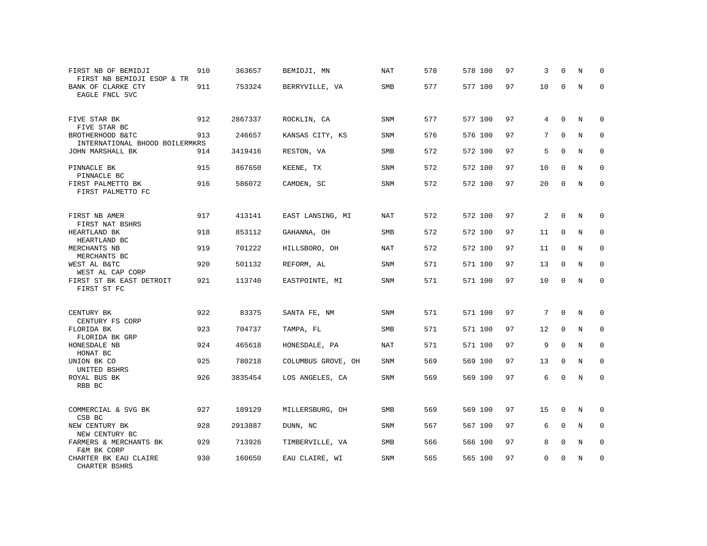| FIRST NB OF BEMIDJI<br>FIRST NB BEMIDJI ESOP & TR  | 910 | 363657  | BEMIDJI, MN        | NAT        | 578 | 578 100 | 97 | 3  | $\Omega$     | N           | $\Omega$    |
|----------------------------------------------------|-----|---------|--------------------|------------|-----|---------|----|----|--------------|-------------|-------------|
| BANK OF CLARKE CTY<br>EAGLE FNCL SVC               | 911 | 753324  | BERRYVILLE, VA     | SMB        | 577 | 577 100 | 97 | 10 | $\Omega$     | N           | $\mathbf 0$ |
| FIVE STAR BK<br>FIVE STAR BC                       | 912 | 2867337 | ROCKLIN, CA        | SNM        | 577 | 577 100 | 97 | 4  | $\mathbf 0$  | N           | $\mathbf 0$ |
| BROTHERHOOD B&TC<br>INTERNATIONAL BHOOD BOILERMKRS | 913 | 246657  | KANSAS CITY, KS    | <b>SNM</b> | 576 | 576 100 | 97 | 7  | $\Omega$     | $_{\rm N}$  | $\mathbf 0$ |
| JOHN MARSHALL BK                                   | 914 | 3419416 | RESTON, VA         | <b>SMB</b> | 572 | 572 100 | 97 | 5  | $\Omega$     | N           | $\mathbf 0$ |
| PINNACLE BK<br>PINNACLE BC                         | 915 | 867650  | KEENE, TX          | <b>SNM</b> | 572 | 572 100 | 97 | 10 | $\mathbf 0$  | N           | $\mathbf 0$ |
| FIRST PALMETTO BK<br>FIRST PALMETTO FC             | 916 | 586072  | CAMDEN, SC         | SNM        | 572 | 572 100 | 97 | 20 | $\mathbf{0}$ | N           | $\mathbf 0$ |
| FIRST NB AMER<br>FIRST NAT BSHRS                   | 917 | 413141  | EAST LANSING, MI   | NAT        | 572 | 572 100 | 97 | 2  | $\mathbf 0$  | N           | 0           |
| HEARTLAND BK<br>HEARTLAND BC                       | 918 | 853112  | GAHANNA, OH        | SMB        | 572 | 572 100 | 97 | 11 | $\mathbf 0$  | N           | $\mathbf 0$ |
| MERCHANTS NB<br>MERCHANTS BC                       | 919 | 701222  | HILLSBORO, OH      | NAT        | 572 | 572 100 | 97 | 11 | $\mathsf{O}$ | N           | $\mathbf 0$ |
| WEST AL B&TC<br>WEST AL CAP CORP                   | 920 | 501132  | REFORM, AL         | SNM        | 571 | 571 100 | 97 | 13 | $\mathbf 0$  | $\mathbf N$ | $\mathbf 0$ |
| FIRST ST BK EAST DETROIT<br>FIRST ST FC            | 921 | 113740  | EASTPOINTE, MI     | SNM        | 571 | 571 100 | 97 | 10 | $\mathbf 0$  | $\mathbf N$ | $\mathbf 0$ |
| CENTURY BK<br>CENTURY FS CORP                      | 922 | 83375   | SANTA FE, NM       | <b>SNM</b> | 571 | 571 100 | 97 | 7  | $\mathbf{0}$ | N           | 0           |
| FLORIDA BK<br>FLORIDA BK GRP                       | 923 | 704737  | TAMPA, FL          | SMB        | 571 | 571 100 | 97 | 12 | $\mathbf 0$  | N           | $\mathbf 0$ |
| HONESDALE NB<br>HONAT BC                           | 924 | 465618  | HONESDALE, PA      | NAT        | 571 | 571 100 | 97 | 9  | $\mathbf 0$  | $\mathbf N$ | $\mathsf 0$ |
| UNION BK CO                                        | 925 | 780218  | COLUMBUS GROVE, OH | SNM        | 569 | 569 100 | 97 | 13 | $\mathbf 0$  | $\rm N$     | $\mathbf 0$ |
| UNITED BSHRS<br>ROYAL BUS BK<br>RBB BC             | 926 | 3835454 | LOS ANGELES, CA    | SNM        | 569 | 569 100 | 97 | 6  | $\Omega$     | $\mathbf N$ | $\mathbf 0$ |
| COMMERCIAL & SVG BK<br>CSB BC                      | 927 | 189129  | MILLERSBURG, OH    | <b>SMB</b> | 569 | 569 100 | 97 | 15 | $\mathbf{0}$ | N           | $\mathbf 0$ |
| NEW CENTURY BK<br>NEW CENTURY BC                   | 928 | 2913887 | DUNN, NC           | SNM        | 567 | 567 100 | 97 | 6  | $\mathbf{0}$ | N           | $\mathbf 0$ |
| FARMERS & MERCHANTS BK<br>F&M BK CORP              | 929 | 713926  | TIMBERVILLE, VA    | SMB        | 566 | 566 100 | 97 | 8  | 0            | N           | $\mathbf 0$ |
| CHARTER BK EAU CLAIRE<br>CHARTER BSHRS             | 930 | 160650  | EAU CLAIRE, WI     | SNM        | 565 | 565 100 | 97 | 0  | 0            | N           | $\mathbf 0$ |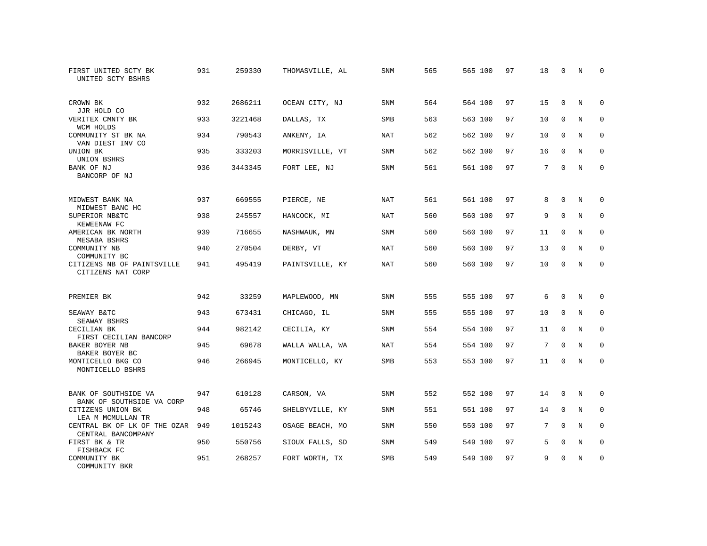| FIRST UNITED SCTY BK<br>UNITED SCTY BSHRS          | 931 | 259330  | THOMASVILLE, AL | SNM        | 565 | 565 100 | 97 | 18 | 0           | N          | $\Omega$    |
|----------------------------------------------------|-----|---------|-----------------|------------|-----|---------|----|----|-------------|------------|-------------|
| CROWN BK<br>JJR HOLD CO                            | 932 | 2686211 | OCEAN CITY, NJ  | <b>SNM</b> | 564 | 564 100 | 97 | 15 | $\Omega$    | N          | $\Omega$    |
| VERITEX CMNTY BK<br>WCM HOLDS                      | 933 | 3221468 | DALLAS, TX      | <b>SMB</b> | 563 | 563 100 | 97 | 10 | $\mathbf 0$ | N          | $\mathbf 0$ |
| COMMUNITY ST BK NA<br>VAN DIEST INV CO             | 934 | 790543  | ANKENY, IA      | <b>NAT</b> | 562 | 562 100 | 97 | 10 | $\Omega$    | N          | $\Omega$    |
| UNION BK<br>UNION BSHRS                            | 935 | 333203  | MORRISVILLE, VT | SNM        | 562 | 562 100 | 97 | 16 | $\mathbf 0$ | N          | $\mathbf 0$ |
| BANK OF NJ<br>BANCORP OF NJ                        | 936 | 3443345 | FORT LEE, NJ    | <b>SNM</b> | 561 | 561 100 | 97 | 7  | $\Omega$    | N          | $\mathbf 0$ |
| MIDWEST BANK NA<br>MIDWEST BANC HC                 | 937 | 669555  | PIERCE, NE      | <b>NAT</b> | 561 | 561 100 | 97 | 8  | $\Omega$    | N          | 0           |
| SUPERIOR NB&TC<br>KEWEENAW FC                      | 938 | 245557  | HANCOCK, MI     | NAT        | 560 | 560 100 | 97 | 9  | $\Omega$    | N          | $\mathbf 0$ |
| AMERICAN BK NORTH<br>MESABA BSHRS                  | 939 | 716655  | NASHWAUK, MN    | <b>SNM</b> | 560 | 560 100 | 97 | 11 | 0           | N          | 0           |
| COMMUNITY NB<br>COMMUNITY BC                       | 940 | 270504  | DERBY, VT       | NAT        | 560 | 560 100 | 97 | 13 | $\Omega$    | N          | $\mathbf 0$ |
| CITIZENS NB OF PAINTSVILLE<br>CITIZENS NAT CORP    | 941 | 495419  | PAINTSVILLE, KY | <b>NAT</b> | 560 | 560 100 | 97 | 10 | $\Omega$    | N          | $\Omega$    |
| PREMIER BK                                         | 942 | 33259   | MAPLEWOOD, MN   | <b>SNM</b> | 555 | 555 100 | 97 | 6  | $\Omega$    | N          | 0           |
| SEAWAY B&TC<br>SEAWAY BSHRS                        | 943 | 673431  | CHICAGO, IL     | SNM        | 555 | 555 100 | 97 | 10 | $\mathbf 0$ | N          | 0           |
| CECILIAN BK<br>FIRST CECILIAN BANCORP              | 944 | 982142  | CECILIA, KY     | <b>SNM</b> | 554 | 554 100 | 97 | 11 | $\mathbf 0$ | N          | 0           |
| BAKER BOYER NB<br>BAKER BOYER BC                   | 945 | 69678   | WALLA WALLA, WA | <b>NAT</b> | 554 | 554 100 | 97 | 7  | $\Omega$    | $_{\rm N}$ | $\Omega$    |
| MONTICELLO BKG CO<br>MONTICELLO BSHRS              | 946 | 266945  | MONTICELLO, KY  | SMB        | 553 | 553 100 | 97 | 11 | 0           | N          | $\mathbf 0$ |
| BANK OF SOUTHSIDE VA<br>BANK OF SOUTHSIDE VA CORP  | 947 | 610128  | CARSON, VA      | SNM        | 552 | 552 100 | 97 | 14 | $\mathbf 0$ | N          | 0           |
| CITIZENS UNION BK<br>LEA M MCMULLAN TR             | 948 | 65746   | SHELBYVILLE, KY | SNM        | 551 | 551 100 | 97 | 14 | $\mathbf 0$ | N          | 0           |
| CENTRAL BK OF LK OF THE OZAR<br>CENTRAL BANCOMPANY | 949 | 1015243 | OSAGE BEACH, MO | SNM        | 550 | 550 100 | 97 | 7  | $\Omega$    | N          | $\Omega$    |
| FIRST BK & TR<br>FISHBACK FC                       | 950 | 550756  | SIOUX FALLS, SD | SNM        | 549 | 549 100 | 97 | 5  | 0           | N          | 0           |
| COMMUNITY BK<br>COMMUNITY BKR                      | 951 | 268257  | FORT WORTH, TX  | <b>SMB</b> | 549 | 549 100 | 97 | 9  | $\Omega$    | N          | $\mathbf 0$ |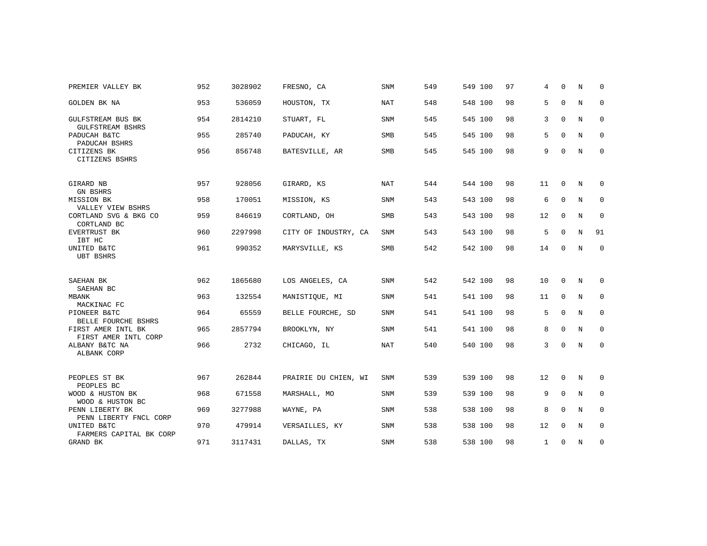| PREMIER VALLEY BK                          | 952 | 3028902 | FRESNO, CA           | <b>SNM</b> | 549 | 549 100 | 97 | 4            | $\Omega$    | N           | 0           |
|--------------------------------------------|-----|---------|----------------------|------------|-----|---------|----|--------------|-------------|-------------|-------------|
| GOLDEN BK NA                               | 953 | 536059  | HOUSTON, TX          | <b>NAT</b> | 548 | 548 100 | 98 | 5            | $\mathbf 0$ | N           | $\mathbf 0$ |
| GULFSTREAM BUS BK<br>GULFSTREAM BSHRS      | 954 | 2814210 | STUART, FL           | <b>SNM</b> | 545 | 545 100 | 98 | 3            | $\Omega$    | N           | $\mathbf 0$ |
| PADUCAH B&TC<br>PADUCAH BSHRS              | 955 | 285740  | PADUCAH, KY          | <b>SMB</b> | 545 | 545 100 | 98 | 5            | $\Omega$    | N           | $\mathbf 0$ |
| CITIZENS BK<br>CITIZENS BSHRS              | 956 | 856748  | BATESVILLE, AR       | SMB        | 545 | 545 100 | 98 | 9            | $\mathbf 0$ | N           | $\mathbf 0$ |
| GIRARD NB<br><b>GN BSHRS</b>               | 957 | 928056  | GIRARD, KS           | <b>NAT</b> | 544 | 544 100 | 98 | 11           | $\mathbf 0$ | N           | 0           |
| MISSION BK<br>VALLEY VIEW BSHRS            | 958 | 170051  | MISSION, KS          | SNM        | 543 | 543 100 | 98 | 6            | $\mathbf 0$ | N           | 0           |
| CORTLAND SVG & BKG CO<br>CORTLAND BC       | 959 | 846619  | CORTLAND, OH         | SMB        | 543 | 543 100 | 98 | 12           | $\mathbf 0$ | N           | 0           |
| EVERTRUST BK<br>IBT HC                     | 960 | 2297998 | CITY OF INDUSTRY, CA | <b>SNM</b> | 543 | 543 100 | 98 | 5            | $\mathbf 0$ | N           | 91          |
| UNITED B&TC<br><b>UBT BSHRS</b>            | 961 | 990352  | MARYSVILLE, KS       | SMB        | 542 | 542 100 | 98 | 14           | $\Omega$    | $\mathbf N$ | $\mathbf 0$ |
| SAEHAN BK                                  | 962 | 1865680 | LOS ANGELES, CA      | SNM        | 542 | 542 100 | 98 | 10           | $\mathbf 0$ | N           | 0           |
| SAEHAN BC<br>MBANK<br>MACKINAC FC          | 963 | 132554  | MANISTIQUE, MI       | SNM        | 541 | 541 100 | 98 | 11           | $\mathbf 0$ | N           | 0           |
| PIONEER B&TC<br>BELLE FOURCHE BSHRS        | 964 | 65559   | BELLE FOURCHE, SD    | <b>SNM</b> | 541 | 541 100 | 98 | 5            | $\mathbf 0$ | N           | $\mathbf 0$ |
| FIRST AMER INTL BK<br>FIRST AMER INTL CORP | 965 | 2857794 | BROOKLYN, NY         | SNM        | 541 | 541 100 | 98 | 8            | $\mathbf 0$ | N           | 0           |
| ALBANY B&TC NA<br>ALBANK CORP              | 966 | 2732    | CHICAGO, IL          | <b>NAT</b> | 540 | 540 100 | 98 | 3            | $\Omega$    | N           | $\mathbf 0$ |
| PEOPLES ST BK<br>PEOPLES BC                | 967 | 262844  | PRAIRIE DU CHIEN, WI | <b>SNM</b> | 539 | 539 100 | 98 | 12           | $\mathbf 0$ | N           | 0           |
| WOOD & HUSTON BK<br>WOOD & HUSTON BC       | 968 | 671558  | MARSHALL, MO         | SNM        | 539 | 539 100 | 98 | 9            | $\mathbf 0$ | N           | 0           |
| PENN LIBERTY BK<br>PENN LIBERTY FNCL CORP  | 969 | 3277988 | WAYNE, PA            | <b>SNM</b> | 538 | 538 100 | 98 | 8            | $\Omega$    | N           | 0           |
| UNITED B&TC<br>FARMERS CAPITAL BK CORP     | 970 | 479914  | VERSAILLES, KY       | SNM        | 538 | 538 100 | 98 | 12           | $\mathbf 0$ | N           | $\mathbf 0$ |
| GRAND BK                                   | 971 | 3117431 | DALLAS, TX           | <b>SNM</b> | 538 | 538 100 | 98 | $\mathbf{1}$ | $\Omega$    | N           | $\mathbf 0$ |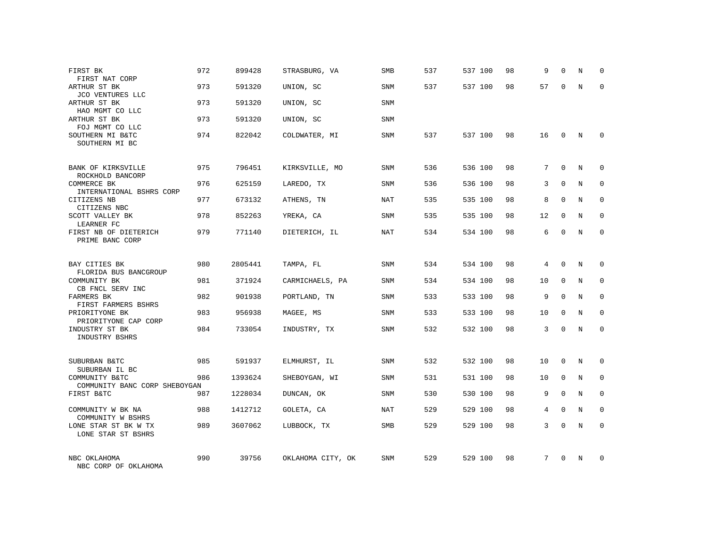| FIRST BK<br>FIRST NAT CORP                      | 972 | 899428  | STRASBURG, VA     | <b>SMB</b> | 537 | 537 100 | 98 | 9  | $\mathbf 0$ | N          | 0           |
|-------------------------------------------------|-----|---------|-------------------|------------|-----|---------|----|----|-------------|------------|-------------|
| ARTHUR ST BK<br>JCO VENTURES LLC                | 973 | 591320  | UNION, SC         | SNM        | 537 | 537 100 | 98 | 57 | $\Omega$    | N          | $\Omega$    |
| ARTHUR ST BK<br>HAO MGMT CO LLC                 | 973 | 591320  | UNION, SC         | SNM        |     |         |    |    |             |            |             |
| ARTHUR ST BK<br>FOJ MGMT CO LLC                 | 973 | 591320  | UNION, SC         | SNM        |     |         |    |    |             |            |             |
| SOUTHERN MI B&TC<br>SOUTHERN MI BC              | 974 | 822042  | COLDWATER, MI     | SNM        | 537 | 537 100 | 98 | 16 | $\Omega$    | N          | $\Omega$    |
| BANK OF KIRKSVILLE<br>ROCKHOLD BANCORP          | 975 | 796451  | KIRKSVILLE, MO    | <b>SNM</b> | 536 | 536 100 | 98 | 7  | $\Omega$    | N          | $\Omega$    |
| COMMERCE BK<br>INTERNATIONAL BSHRS CORP         | 976 | 625159  | LAREDO, TX        | SNM        | 536 | 536 100 | 98 | 3  | $\Omega$    | $_{\rm N}$ | $\Omega$    |
| CITIZENS NB<br>CITIZENS NBC                     | 977 | 673132  | ATHENS, TN        | NAT        | 535 | 535 100 | 98 | 8  | $\Omega$    | N          | $\mathbf 0$ |
| SCOTT VALLEY BK<br>LEARNER FC                   | 978 | 852263  | YREKA, CA         | SNM        | 535 | 535 100 | 98 | 12 | $\mathbf 0$ | N          | $\mathbf 0$ |
| FIRST NB OF DIETERICH<br>PRIME BANC CORP        | 979 | 771140  | DIETERICH, IL     | NAT        | 534 | 534 100 | 98 | 6  | $\mathbf 0$ | N          | $\mathbf 0$ |
| BAY CITIES BK<br>FLORIDA BUS BANCGROUP          | 980 | 2805441 | TAMPA, FL         | SNM        | 534 | 534 100 | 98 | 4  | $\Omega$    | N          | $\Omega$    |
| COMMUNITY BK<br>CB FNCL SERV INC                | 981 | 371924  | CARMICHAELS, PA   | SNM        | 534 | 534 100 | 98 | 10 | 0           | N          | $\mathbf 0$ |
| FARMERS BK<br>FIRST FARMERS BSHRS               | 982 | 901938  | PORTLAND, TN      | SNM        | 533 | 533 100 | 98 | 9  | $\Omega$    | N          | $\mathbf 0$ |
| PRIORITYONE BK<br>PRIORITYONE CAP CORP          | 983 | 956938  | MAGEE, MS         | SNM        | 533 | 533 100 | 98 | 10 | $\mathbf 0$ | N          | $\mathbf 0$ |
| INDUSTRY ST BK<br>INDUSTRY BSHRS                | 984 | 733054  | INDUSTRY, TX      | SNM        | 532 | 532 100 | 98 | 3  | $\Omega$    | N          | $\mathbf 0$ |
| SUBURBAN B&TC<br>SUBURBAN IL BC                 | 985 | 591937  | ELMHURST, IL      | SNM        | 532 | 532 100 | 98 | 10 | 0           | N          | $\mathbf 0$ |
| COMMUNITY B&TC<br>COMMUNITY BANC CORP SHEBOYGAN | 986 | 1393624 | SHEBOYGAN, WI     | SNM        | 531 | 531 100 | 98 | 10 | $\mathbf 0$ | N          | $\mathbf 0$ |
| FIRST B&TC                                      | 987 | 1228034 | DUNCAN, OK        | SNM        | 530 | 530 100 | 98 | 9  | $\mathbf 0$ | N          | 0           |
| COMMUNITY W BK NA<br>COMMUNITY W BSHRS          | 988 | 1412712 | GOLETA, CA        | NAT        | 529 | 529 100 | 98 | 4  | $\mathbf 0$ | N          | $\mathbf 0$ |
| LONE STAR ST BK W TX<br>LONE STAR ST BSHRS      | 989 | 3607062 | LUBBOCK, TX       | SMB        | 529 | 529 100 | 98 | 3  | $\Omega$    | N          | $\Omega$    |
| NBC OKLAHOMA<br>NBC CORP OF OKLAHOMA            | 990 | 39756   | OKLAHOMA CITY, OK | <b>SNM</b> | 529 | 529 100 | 98 | 7  | $\Omega$    | N          | $\Omega$    |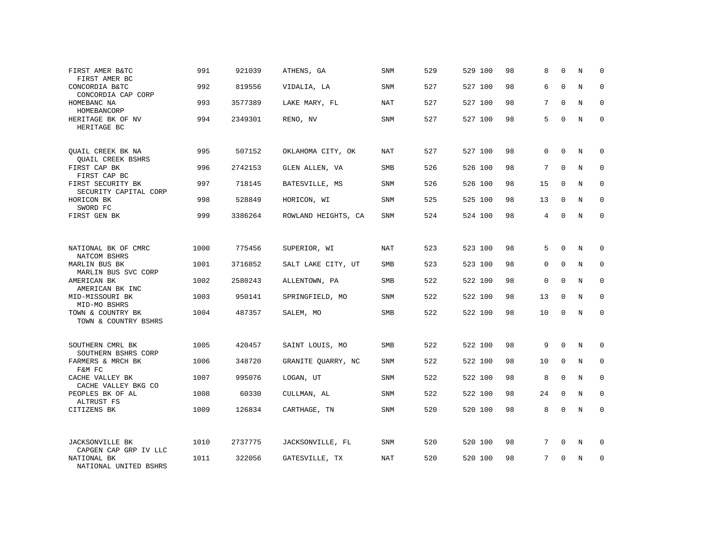| FIRST AMER B&TC<br>FIRST AMER BC                     | 991  | 921039  | ATHENS, GA          | SNM        | 529 | 529 100 | 98 | 8           | $\Omega$    | N | $\Omega$    |
|------------------------------------------------------|------|---------|---------------------|------------|-----|---------|----|-------------|-------------|---|-------------|
| CONCORDIA B&TC<br>CONCORDIA CAP CORP                 | 992  | 819556  | VIDALIA, LA         | SNM        | 527 | 527 100 | 98 | 6           | $\Omega$    | N | $\Omega$    |
| HOMEBANC NA<br>HOMEBANCORP                           | 993  | 3577389 | LAKE MARY, FL       | NAT        | 527 | 527 100 | 98 | 7           | $\Omega$    | N | 0           |
| HERITAGE BK OF NV<br>HERITAGE BC                     | 994  | 2349301 | RENO, NV            | SNM        | 527 | 527 100 | 98 | 5           | $\Omega$    | N | $\Omega$    |
| <b>OUAIL CREEK BK NA</b><br><b>QUAIL CREEK BSHRS</b> | 995  | 507152  | OKLAHOMA CITY, OK   | NAT        | 527 | 527 100 | 98 | $\Omega$    | $\Omega$    | N | $\Omega$    |
| FIRST CAP BK<br>FIRST CAP BC                         | 996  | 2742153 | GLEN ALLEN, VA      | SMB        | 526 | 526 100 | 98 | 7           | $\Omega$    | N | $\mathbf 0$ |
| FIRST SECURITY BK<br>SECURITY CAPITAL CORP           | 997  | 718145  | BATESVILLE, MS      | SNM        | 526 | 526 100 | 98 | 15          | $\Omega$    | N | $\mathbf 0$ |
| HORICON BK<br>SWORD FC                               | 998  | 528849  | HORICON, WI         | SNM        | 525 | 525 100 | 98 | 13          | $\mathbf 0$ | N | $\mathbf 0$ |
| FIRST GEN BK                                         | 999  | 3386264 | ROWLAND HEIGHTS, CA | SNM        | 524 | 524 100 | 98 | 4           | $\Omega$    | N | $\mathbf 0$ |
|                                                      |      |         |                     |            |     |         |    |             |             |   |             |
| NATIONAL BK OF CMRC<br>NATCOM BSHRS                  | 1000 | 775456  | SUPERIOR, WI        | NAT        | 523 | 523 100 | 98 | 5           | $\Omega$    | N | 0           |
| MARLIN BUS BK<br>MARLIN BUS SVC CORP                 | 1001 | 3716852 | SALT LAKE CITY, UT  | SMB        | 523 | 523 100 | 98 | $\Omega$    | $\Omega$    | N | $\Omega$    |
| AMERICAN BK<br>AMERICAN BK INC                       | 1002 | 2580243 | ALLENTOWN, PA       | SMB        | 522 | 522 100 | 98 | $\mathbf 0$ | $\Omega$    | N | $\mathbf 0$ |
| MID-MISSOURI BK<br>MID-MO BSHRS                      | 1003 | 950141  | SPRINGFIELD, MO     | <b>SNM</b> | 522 | 522 100 | 98 | 13          | $\Omega$    | N | $\Omega$    |
| TOWN & COUNTRY BK<br>TOWN & COUNTRY BSHRS            | 1004 | 487357  | SALEM, MO           | SMB        | 522 | 522 100 | 98 | 10          | $\Omega$    | N | $\mathbf 0$ |
|                                                      |      |         |                     |            |     |         |    |             |             |   |             |
| SOUTHERN CMRL BK<br>SOUTHERN BSHRS CORP              | 1005 | 420457  | SAINT LOUIS, MO     | <b>SMB</b> | 522 | 522 100 | 98 | 9           | $\mathbf 0$ | N | 0           |
| FARMERS & MRCH BK<br>F&M FC                          | 1006 | 348720  | GRANITE OUARRY, NC  | <b>SNM</b> | 522 | 522 100 | 98 | 10          | $\Omega$    | N | $\mathbf 0$ |
| CACHE VALLEY BK<br>CACHE VALLEY BKG CO               | 1007 | 995076  | LOGAN, UT           | SNM        | 522 | 522 100 | 98 | 8           | $\mathbf 0$ | N | 0           |
| PEOPLES BK OF AL<br>ALTRUST FS                       | 1008 | 60330   | CULLMAN, AL         | <b>SNM</b> | 522 | 522 100 | 98 | 24          | $\mathbf 0$ | N | $\mathbf 0$ |
| CITIZENS BK                                          | 1009 | 126834  | CARTHAGE, TN        | SNM        | 520 | 520 100 | 98 | 8           | $\Omega$    | N | $\mathbf 0$ |
|                                                      |      |         |                     |            |     |         |    |             |             |   |             |
| <b>JACKSONVILLE BK</b><br>CAPGEN CAP GRP IV LLC      | 1010 | 2737775 | JACKSONVILLE, FL    | SNM        | 520 | 520 100 | 98 | 7           | 0           | N | 0           |
| NATIONAL BK<br>NATIONAL UNITED BSHRS                 | 1011 | 322056  | GATESVILLE, TX      | NAT        | 520 | 520 100 | 98 | 7           | $\Omega$    | N | $\mathbf 0$ |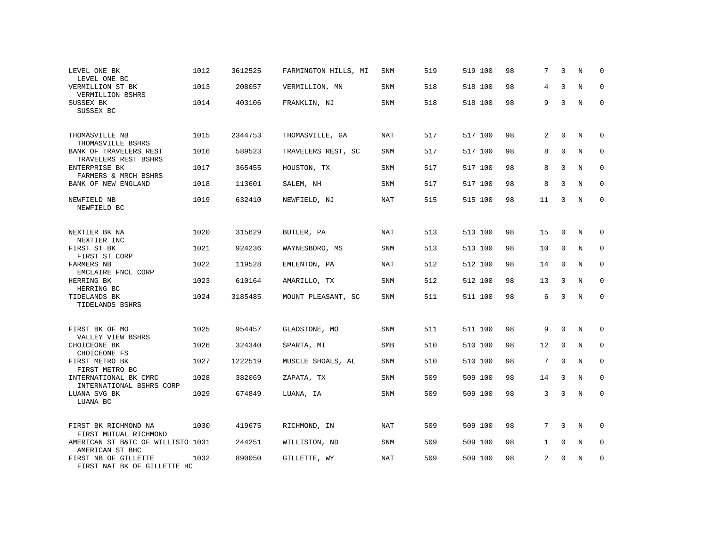| LEVEL ONE BK<br>LEVEL ONE BC                         | 1012 | 3612525 | FARMINGTON HILLS, MI | SNM        | 519 | 519 100 | 98 | 7              | $\Omega$    | N | $\Omega$    |
|------------------------------------------------------|------|---------|----------------------|------------|-----|---------|----|----------------|-------------|---|-------------|
| VERMILLION ST BK<br>VERMILLION BSHRS                 | 1013 | 208057  | VERMILLION, MN       | <b>SNM</b> | 518 | 518 100 | 98 | 4              | $\Omega$    | N | $\Omega$    |
| SUSSEX BK<br>SUSSEX BC                               | 1014 | 403106  | FRANKLIN, NJ         | SNM        | 518 | 518 100 | 98 | 9              | $\Omega$    | N | $\mathbf 0$ |
| THOMASVILLE NB<br>THOMASVILLE BSHRS                  | 1015 | 2344753 | THOMASVILLE, GA      | NAT        | 517 | 517 100 | 98 | 2              | $\Omega$    | N | 0           |
| BANK OF TRAVELERS REST<br>TRAVELERS REST BSHRS       | 1016 | 589523  | TRAVELERS REST, SC   | <b>SNM</b> | 517 | 517 100 | 98 | 8              | $\Omega$    | N | $\mathbf 0$ |
| ENTERPRISE BK<br>FARMERS & MRCH BSHRS                | 1017 | 365455  | HOUSTON, TX          | <b>SNM</b> | 517 | 517 100 | 98 | 8              | $\Omega$    | N | $\mathbf 0$ |
| BANK OF NEW ENGLAND                                  | 1018 | 113601  | SALEM, NH            | <b>SNM</b> | 517 | 517 100 | 98 | 8              | $\Omega$    | N | $\mathbf 0$ |
| NEWFIELD NB<br>NEWFIELD BC                           | 1019 | 632410  | NEWFIELD, NJ         | <b>NAT</b> | 515 | 515 100 | 98 | 11             | $\Omega$    | N | $\mathbf 0$ |
| NEXTIER BK NA<br>NEXTIER INC                         | 1020 | 315629  | BUTLER, PA           | <b>NAT</b> | 513 | 513 100 | 98 | 15             | $\mathbf 0$ | N | 0           |
| FIRST ST BK<br>FIRST ST CORP                         | 1021 | 924236  | WAYNESBORO, MS       | <b>SNM</b> | 513 | 513 100 | 98 | 10             | $\mathbf 0$ | N | $\mathbf 0$ |
| <b>FARMERS NB</b><br>EMCLAIRE FNCL CORP              | 1022 | 119528  | EMLENTON, PA         | <b>NAT</b> | 512 | 512 100 | 98 | 14             | $\Omega$    | N | $\Omega$    |
| HERRING BK<br>HERRING BC                             | 1023 | 610164  | AMARILLO, TX         | <b>SNM</b> | 512 | 512 100 | 98 | 13             | $\Omega$    | N | $\mathbf 0$ |
| TIDELANDS BK<br>TIDELANDS BSHRS                      | 1024 | 3185485 | MOUNT PLEASANT, SC   | <b>SNM</b> | 511 | 511 100 | 98 | 6              | $\Omega$    | N | $\Omega$    |
| FIRST BK OF MO<br>VALLEY VIEW BSHRS                  | 1025 | 954457  | GLADSTONE, MO        | SNM        | 511 | 511 100 | 98 | 9              | $\Omega$    | N | $\Omega$    |
| CHOICEONE BK<br>CHOICEONE FS                         | 1026 | 324340  | SPARTA, MI           | SMB        | 510 | 510 100 | 98 | 12             | $\mathbf 0$ | N | $\mathbf 0$ |
| FIRST METRO BK<br>FIRST METRO BC                     | 1027 | 1222519 | MUSCLE SHOALS, AL    | <b>SNM</b> | 510 | 510 100 | 98 | 7              | $\Omega$    | N | $\Omega$    |
| INTERNATIONAL BK CMRC<br>INTERNATIONAL BSHRS CORP    | 1028 | 382069  | ZAPATA, TX           | <b>SNM</b> | 509 | 509 100 | 98 | 14             | $\mathbf 0$ | N | 0           |
| LUANA SVG BK<br>LUANA BC                             | 1029 | 674849  | LUANA, IA            | SNM        | 509 | 509 100 | 98 | 3              | $\Omega$    | N | $\mathbf 0$ |
| FIRST BK RICHMOND NA<br>FIRST MUTUAL RICHMOND        | 1030 | 419675  | RICHMOND, IN         | <b>NAT</b> | 509 | 509 100 | 98 | 7              | $\Omega$    | N | 0           |
| AMERICAN ST B&TC OF WILLISTO 1031<br>AMERICAN ST BHC |      | 244251  | WILLISTON, ND        | <b>SNM</b> | 509 | 509 100 | 98 | $\mathbf{1}$   | $\mathbf 0$ | N | 0           |
| FIRST NB OF GILLETTE<br>FIRST NAT BK OF GILLETTE HC  | 1032 | 890050  | GILLETTE, WY         | <b>NAT</b> | 509 | 509 100 | 98 | $\overline{2}$ | $\Omega$    | N | $\mathbf 0$ |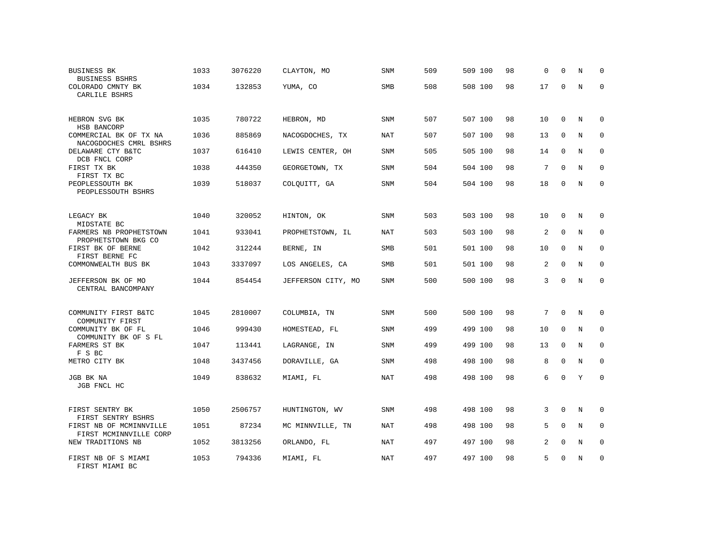| <b>BUSINESS BK</b><br><b>BUSINESS BSHRS</b>       | 1033 | 3076220 | CLAYTON, MO        | SNM        | 509 | 509 100 | 98 | $\Omega$ | $\Omega$    | N | $\Omega$    |
|---------------------------------------------------|------|---------|--------------------|------------|-----|---------|----|----------|-------------|---|-------------|
| COLORADO CMNTY BK<br>CARLILE BSHRS                | 1034 | 132853  | YUMA, CO           | SMB        | 508 | 508 100 | 98 | 17       | $\Omega$    | N | $\Omega$    |
| HEBRON SVG BK<br>HSB BANCORP                      | 1035 | 780722  | HEBRON, MD         | SNM        | 507 | 507 100 | 98 | 10       | $\Omega$    | N | $\Omega$    |
| COMMERCIAL BK OF TX NA<br>NACOGDOCHES CMRL BSHRS  | 1036 | 885869  | NACOGDOCHES, TX    | NAT        | 507 | 507 100 | 98 | 13       | $\mathbf 0$ | N | 0           |
| DELAWARE CTY B&TC<br>DCB FNCL CORP                | 1037 | 616410  | LEWIS CENTER, OH   | <b>SNM</b> | 505 | 505 100 | 98 | 14       | $\Omega$    | N | $\mathbf 0$ |
| FIRST TX BK<br>FIRST TX BC                        | 1038 | 444350  | GEORGETOWN, TX     | SNM        | 504 | 504 100 | 98 | 7        | $\Omega$    | N | $\mathbf 0$ |
| PEOPLESSOUTH BK<br>PEOPLESSOUTH BSHRS             | 1039 | 518037  | COLQUITT, GA       | SNM        | 504 | 504 100 | 98 | 18       | $\Omega$    | N | $\Omega$    |
| LEGACY BK<br>MIDSTATE BC                          | 1040 | 320052  | HINTON, OK         | <b>SNM</b> | 503 | 503 100 | 98 | 10       | $\mathbf 0$ | N | 0           |
| FARMERS NB PROPHETSTOWN<br>PROPHETSTOWN BKG CO    | 1041 | 933041  | PROPHETSTOWN, IL   | <b>NAT</b> | 503 | 503 100 | 98 | 2        | $\mathbf 0$ | N | $\mathbf 0$ |
| FIRST BK OF BERNE<br>FIRST BERNE FC               | 1042 | 312244  | BERNE, IN          | <b>SMB</b> | 501 | 501 100 | 98 | 10       | $\mathbf 0$ | N | $\mathbf 0$ |
| COMMONWEALTH BUS BK                               | 1043 | 3337097 | LOS ANGELES, CA    | <b>SMB</b> | 501 | 501 100 | 98 | 2        | $\Omega$    | N | $\Omega$    |
| JEFFERSON BK OF MO<br>CENTRAL BANCOMPANY          | 1044 | 854454  | JEFFERSON CITY, MO | SNM        | 500 | 500 100 | 98 | 3        | $\Omega$    | N | $\mathbf 0$ |
| COMMUNITY FIRST B&TC<br>COMMUNITY FIRST           | 1045 | 2810007 | COLUMBIA, TN       | <b>SNM</b> | 500 | 500 100 | 98 | 7        | $\mathbf 0$ | N | 0           |
| COMMUNITY BK OF FL<br>COMMUNITY BK OF S FL        | 1046 | 999430  | HOMESTEAD, FL      | <b>SNM</b> | 499 | 499 100 | 98 | 10       | $\Omega$    | N | $\Omega$    |
| FARMERS ST BK<br>F S BC                           | 1047 | 113441  | LAGRANGE, IN       | <b>SNM</b> | 499 | 499 100 | 98 | 13       | $\mathbf 0$ | N | $\mathbf 0$ |
| METRO CITY BK                                     | 1048 | 3437456 | DORAVILLE, GA      | SNM        | 498 | 498 100 | 98 | 8        | $\Omega$    | N | $\Omega$    |
| JGB BK NA<br>JGB FNCL HC                          | 1049 | 838632  | MIAMI, FL          | <b>NAT</b> | 498 | 498 100 | 98 | 6        | $\Omega$    | Y | $\mathbf 0$ |
| FIRST SENTRY BK<br>FIRST SENTRY BSHRS             | 1050 | 2506757 | HUNTINGTON, WV     | SNM        | 498 | 498 100 | 98 | 3        | 0           | N | 0           |
| FIRST NB OF MCMINNVILLE<br>FIRST MCMINNVILLE CORP | 1051 | 87234   | MC MINNVILLE, TN   | <b>NAT</b> | 498 | 498 100 | 98 | 5        | $\Omega$    | N | $\mathbf 0$ |
| NEW TRADITIONS NB                                 | 1052 | 3813256 | ORLANDO, FL        | NAT        | 497 | 497 100 | 98 | 2        | 0           | N | 0           |
| FIRST NB OF S MIAMI<br>FIRST MIAMI BC             | 1053 | 794336  | MIAMI, FL          | <b>NAT</b> | 497 | 497 100 | 98 | 5        | $\Omega$    | N | $\mathbf 0$ |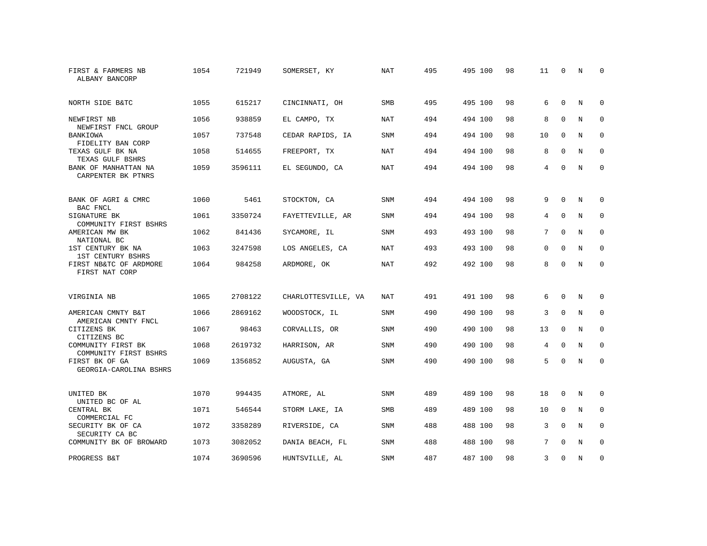| FIRST & FARMERS NB<br>ALBANY BANCORP           | 1054 | 721949  | SOMERSET, KY        | <b>NAT</b> | 495 | 495 100 | 98 | 11          | $\Omega$    | N           | $\Omega$    |
|------------------------------------------------|------|---------|---------------------|------------|-----|---------|----|-------------|-------------|-------------|-------------|
| NORTH SIDE B&TC                                | 1055 | 615217  | CINCINNATI, OH      | <b>SMB</b> | 495 | 495 100 | 98 | 6           | $\Omega$    | N           | 0           |
| NEWFIRST NB<br>NEWFIRST FNCL GROUP             | 1056 | 938859  | EL CAMPO, TX        | <b>NAT</b> | 494 | 494 100 | 98 | 8           | $\Omega$    | N           | $\mathbf 0$ |
| BANKIOWA<br>FIDELITY BAN CORP                  | 1057 | 737548  | CEDAR RAPIDS, IA    | <b>SNM</b> | 494 | 494 100 | 98 | 10          | $\mathbf 0$ | N           | 0           |
| TEXAS GULF BK NA<br>TEXAS GULF BSHRS           | 1058 | 514655  | FREEPORT, TX        | <b>NAT</b> | 494 | 494 100 | 98 | 8           | $\Omega$    | $\mathbf N$ | $\Omega$    |
| BANK OF MANHATTAN NA<br>CARPENTER BK PTNRS     | 1059 | 3596111 | EL SEGUNDO, CA      | NAT        | 494 | 494 100 | 98 | 4           | $\Omega$    | N           | $\mathbf 0$ |
| BANK OF AGRI & CMRC<br>BAC FNCL                | 1060 | 5461    | STOCKTON, CA        | SNM        | 494 | 494 100 | 98 | 9           | $\Omega$    | N           | 0           |
| SIGNATURE BK<br>COMMUNITY FIRST BSHRS          | 1061 | 3350724 | FAYETTEVILLE, AR    | SNM        | 494 | 494 100 | 98 | 4           | 0           | N           | $\mathbf 0$ |
| AMERICAN MW BK<br>NATIONAL BC                  | 1062 | 841436  | SYCAMORE, IL        | <b>SNM</b> | 493 | 493 100 | 98 | 7           | $\Omega$    | $_{\rm N}$  | $\Omega$    |
| 1ST CENTURY BK NA<br>1ST CENTURY BSHRS         | 1063 | 3247598 | LOS ANGELES, CA     | NAT        | 493 | 493 100 | 98 | $\mathbf 0$ | $\Omega$    | N           | $\mathbf 0$ |
| FIRST NB&TC OF ARDMORE<br>FIRST NAT CORP       | 1064 | 984258  | ARDMORE, OK         | NAT        | 492 | 492 100 | 98 | 8           | $\Omega$    | N           | $\mathbf 0$ |
| VIRGINIA NB                                    | 1065 | 2708122 | CHARLOTTESVILLE, VA | NAT        | 491 | 491 100 | 98 | 6           | 0           | N           | 0           |
| AMERICAN CMNTY B&T<br>AMERICAN CMNTY FNCL      | 1066 | 2869162 | WOODSTOCK, IL       | <b>SNM</b> | 490 | 490 100 | 98 | 3           | $\mathbf 0$ | $\mathbf N$ | $\mathbf 0$ |
| CITIZENS BK<br>CITIZENS BC                     | 1067 | 98463   | CORVALLIS, OR       | SNM        | 490 | 490 100 | 98 | 13          | $\mathbf 0$ | N           | 0           |
| COMMUNITY FIRST BK<br>COMMUNITY FIRST BSHRS    | 1068 | 2619732 | HARRISON, AR        | <b>SNM</b> | 490 | 490 100 | 98 | 4           | $\Omega$    | N           | 0           |
| FIRST BK OF GA<br>GEORGIA-CAROLINA BSHRS       | 1069 | 1356852 | AUGUSTA, GA         | SNM        | 490 | 490 100 | 98 | 5           | $\Omega$    | $\mathbf N$ | $\mathbf 0$ |
| UNITED BK                                      | 1070 | 994435  | ATMORE, AL          | <b>SNM</b> | 489 | 489 100 | 98 | 18          | $\mathbf 0$ | N           | $\mathbf 0$ |
| UNITED BC OF AL<br>CENTRAL BK<br>COMMERCIAL FC | 1071 | 546544  | STORM LAKE, IA      | <b>SMB</b> | 489 | 489 100 | 98 | 10          | $\mathbf 0$ | N           | $\mathbf 0$ |
| SECURITY BK OF CA<br>SECURITY CA BC            | 1072 | 3358289 | RIVERSIDE, CA       | <b>SNM</b> | 488 | 488 100 | 98 | 3           | $\Omega$    | N           | $\mathbf 0$ |
| COMMUNITY BK OF BROWARD                        | 1073 | 3082052 | DANIA BEACH, FL     | SNM        | 488 | 488 100 | 98 | 7           | $\Omega$    | N           | $\mathbf 0$ |
| PROGRESS B&T                                   | 1074 | 3690596 | HUNTSVILLE, AL      | SNM        | 487 | 487 100 | 98 | 3           | $\Omega$    | N           | $\mathbf 0$ |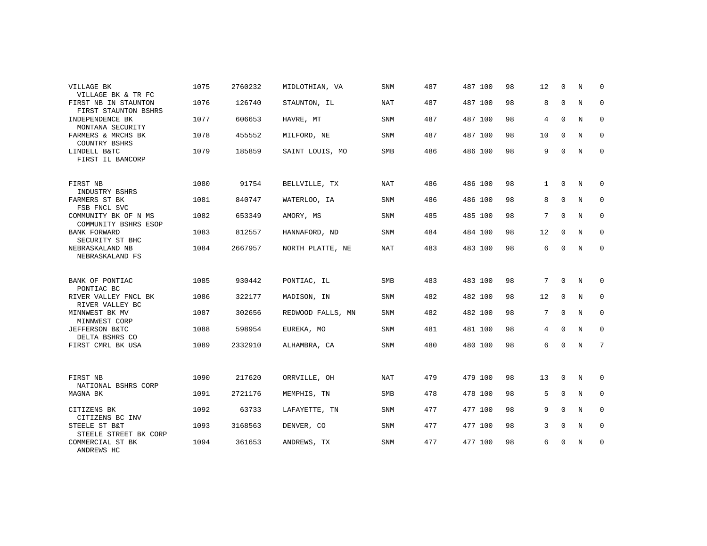| VILLAGE BK<br>VILLAGE BK & TR FC             | 1075 | 2760232 | MIDLOTHIAN, VA    | <b>SNM</b> | 487 | 487 100 | 98 | 12           | $\Omega$    | N          | $\Omega$    |
|----------------------------------------------|------|---------|-------------------|------------|-----|---------|----|--------------|-------------|------------|-------------|
| FIRST NB IN STAUNTON<br>FIRST STAUNTON BSHRS | 1076 | 126740  | STAUNTON, IL      | NAT        | 487 | 487 100 | 98 | 8            | $\mathbf 0$ | N          | $\mathbf 0$ |
| INDEPENDENCE BK<br>MONTANA SECURITY          | 1077 | 606653  | HAVRE, MT         | <b>SNM</b> | 487 | 487 100 | 98 | 4            | $\mathbf 0$ | N          | 0           |
| FARMERS & MRCHS BK<br>COUNTRY BSHRS          | 1078 | 455552  | MILFORD, NE       | <b>SNM</b> | 487 | 487 100 | 98 | 10           | $\Omega$    | N          | 0           |
| LINDELL B&TC<br>FIRST IL BANCORP             | 1079 | 185859  | SAINT LOUIS, MO   | <b>SMB</b> | 486 | 486 100 | 98 | 9            | $\mathbf 0$ | N          | $\mathbf 0$ |
| FIRST NB<br>INDUSTRY BSHRS                   | 1080 | 91754   | BELLVILLE, TX     | NAT        | 486 | 486 100 | 98 | $\mathbf{1}$ | 0           | N          | 0           |
| FARMERS ST BK<br>FSB FNCL SVC                | 1081 | 840747  | WATERLOO, IA      | <b>SNM</b> | 486 | 486 100 | 98 | 8            | $\Omega$    | N          | $\mathbf 0$ |
| COMMUNITY BK OF N MS<br>COMMUNITY BSHRS ESOP | 1082 | 653349  | AMORY, MS         | SNM        | 485 | 485 100 | 98 | 7            | $\Omega$    | N          | 0           |
| <b>BANK FORWARD</b><br>SECURITY ST BHC       | 1083 | 812557  | HANNAFORD, ND     | <b>SNM</b> | 484 | 484 100 | 98 | 12           | $\mathbf 0$ | N          | $\mathbf 0$ |
| NEBRASKALAND NB<br>NEBRASKALAND FS           | 1084 | 2667957 | NORTH PLATTE, NE  | NAT        | 483 | 483 100 | 98 | 6            | $\Omega$    | N          | 0           |
| BANK OF PONTIAC<br>PONTIAC BC                | 1085 | 930442  | PONTIAC, IL       | <b>SMB</b> | 483 | 483 100 | 98 | 7            | $\mathbf 0$ | N          | 0           |
| RIVER VALLEY FNCL BK<br>RIVER VALLEY BC      | 1086 | 322177  | MADISON, IN       | SNM        | 482 | 482 100 | 98 | 12           | 0           | N          | 0           |
| MINNWEST BK MV<br>MINNWEST CORP              | 1087 | 302656  | REDWOOD FALLS, MN | SNM        | 482 | 482 100 | 98 | 7            | $\mathbf 0$ | N          | 0           |
| JEFFERSON B&TC<br>DELTA BSHRS CO             | 1088 | 598954  | EUREKA, MO        | SNM        | 481 | 481 100 | 98 | 4            | $\mathbf 0$ | N          | $\mathbf 0$ |
| FIRST CMRL BK USA                            | 1089 | 2332910 | ALHAMBRA, CA      | SNM        | 480 | 480 100 | 98 | 6            | $\Omega$    | N          | 7           |
| FIRST NB<br>NATIONAL BSHRS CORP              | 1090 | 217620  | ORRVILLE, OH      | <b>NAT</b> | 479 | 479 100 | 98 | 13           | $\mathbf 0$ | N          | 0           |
| MAGNA BK                                     | 1091 | 2721176 | MEMPHIS, TN       | SMB        | 478 | 478 100 | 98 | 5            | $\mathbf 0$ | N          | $\mathbf 0$ |
| CITIZENS BK<br>CITIZENS BC INV               | 1092 | 63733   | LAFAYETTE, TN     | <b>SNM</b> | 477 | 477 100 | 98 | 9            | $\Omega$    | $_{\rm N}$ | $\Omega$    |
| STEELE ST B&T<br>STEELE STREET BK CORP       | 1093 | 3168563 | DENVER, CO        | <b>SNM</b> | 477 | 477 100 | 98 | 3            | $\mathbf 0$ | N          | 0           |
| COMMERCIAL ST BK<br>ANDREWS HC               | 1094 | 361653  | ANDREWS, TX       | <b>SNM</b> | 477 | 477 100 | 98 | 6            | $\mathbf 0$ | N          | $\mathbf 0$ |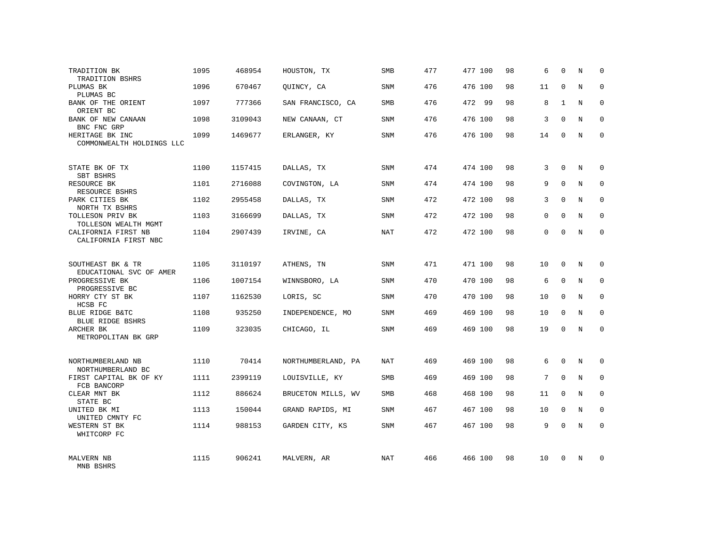| TRADITION BK<br>TRADITION BSHRS              | 1095 | 468954  | HOUSTON, TX        | SMB        | 477 | 477 100 | 98 | 6        | $\Omega$     | N          | $\Omega$    |
|----------------------------------------------|------|---------|--------------------|------------|-----|---------|----|----------|--------------|------------|-------------|
| PLUMAS BK<br>PLUMAS BC                       | 1096 | 670467  | OUINCY, CA         | SNM        | 476 | 476 100 | 98 | 11       | $\Omega$     | N          | $\Omega$    |
| BANK OF THE ORIENT<br>ORIENT BC              | 1097 | 777366  | SAN FRANCISCO, CA  | SMB        | 476 | 472 99  | 98 | 8        | $\mathbf{1}$ | N          | 0           |
| BANK OF NEW CANAAN<br>BNC FNC GRP            | 1098 | 3109043 | NEW CANAAN, CT     | <b>SNM</b> | 476 | 476 100 | 98 | 3        | $\Omega$     | N          | $\Omega$    |
| HERITAGE BK INC<br>COMMONWEALTH HOLDINGS LLC | 1099 | 1469677 | ERLANGER, KY       | SNM        | 476 | 476 100 | 98 | 14       | $\Omega$     | N          | 0           |
| STATE BK OF TX<br>SBT BSHRS                  | 1100 | 1157415 | DALLAS, TX         | SNM        | 474 | 474 100 | 98 | 3        | $\Omega$     | N          | $\Omega$    |
| RESOURCE BK<br>RESOURCE BSHRS                | 1101 | 2716088 | COVINGTON, LA      | SNM        | 474 | 474 100 | 98 | 9        | $\Omega$     | N          | $\Omega$    |
| PARK CITIES BK<br>NORTH TX BSHRS             | 1102 | 2955458 | DALLAS, TX         | SNM        | 472 | 472 100 | 98 | 3        | $\Omega$     | N          | $\mathbf 0$ |
| TOLLESON PRIV BK<br>TOLLESON WEALTH MGMT     | 1103 | 3166699 | DALLAS, TX         | <b>SNM</b> | 472 | 472 100 | 98 | $\Omega$ | $\Omega$     | N          | $\Omega$    |
| CALIFORNIA FIRST NB<br>CALIFORNIA FIRST NBC  | 1104 | 2907439 | IRVINE, CA         | <b>NAT</b> | 472 | 472 100 | 98 | $\Omega$ | $\Omega$     | N          | $\mathbf 0$ |
| SOUTHEAST BK & TR<br>EDUCATIONAL SVC OF AMER | 1105 | 3110197 | ATHENS, TN         | <b>SNM</b> | 471 | 471 100 | 98 | 10       | $\Omega$     | N          | $\Omega$    |
| PROGRESSIVE BK<br>PROGRESSIVE BC             | 1106 | 1007154 | WINNSBORO, LA      | <b>SNM</b> | 470 | 470 100 | 98 | 6        | $\Omega$     | N          | $\mathbf 0$ |
| HORRY CTY ST BK<br>HCSB FC                   | 1107 | 1162530 | LORIS, SC          | <b>SNM</b> | 470 | 470 100 | 98 | 10       | $\Omega$     | N          | $\Omega$    |
| BLUE RIDGE B&TC<br><b>BLUE RIDGE BSHRS</b>   | 1108 | 935250  | INDEPENDENCE, MO   | <b>SNM</b> | 469 | 469 100 | 98 | 10       | $\Omega$     | N          | $\mathbf 0$ |
| ARCHER BK<br>METROPOLITAN BK GRP             | 1109 | 323035  | CHICAGO, IL        | <b>SNM</b> | 469 | 469 100 | 98 | 19       | $\Omega$     | $_{\rm N}$ | $\Omega$    |
| NORTHUMBERLAND NB<br>NORTHUMBERLAND BC       | 1110 | 70414   | NORTHUMBERLAND, PA | <b>NAT</b> | 469 | 469 100 | 98 | 6        | $\Omega$     | $_{\rm N}$ | $\Omega$    |
| FIRST CAPITAL BK OF KY<br>FCB BANCORP        | 1111 | 2399119 | LOUISVILLE, KY     | SMB        | 469 | 469 100 | 98 | 7        | $\mathbf 0$  | N          | $\mathbf 0$ |
| CLEAR MNT BK<br>STATE BC                     | 1112 | 886624  | BRUCETON MILLS, WV | <b>SMB</b> | 468 | 468 100 | 98 | 11       | $\Omega$     | N          | $\Omega$    |
| UNITED BK MI<br>UNITED CMNTY FC              | 1113 | 150044  | GRAND RAPIDS, MI   | SNM        | 467 | 467 100 | 98 | 10       | $\mathbf 0$  | N          | 0           |
| WESTERN ST BK<br>WHITCORP FC                 | 1114 | 988153  | GARDEN CITY, KS    | <b>SNM</b> | 467 | 467 100 | 98 | 9        | $\Omega$     | N          | $\Omega$    |
| <b>MALVERN NB</b><br>MNB BSHRS               | 1115 | 906241  | MALVERN, AR        | <b>NAT</b> | 466 | 466 100 | 98 | 10       | $\Omega$     | N          | $\Omega$    |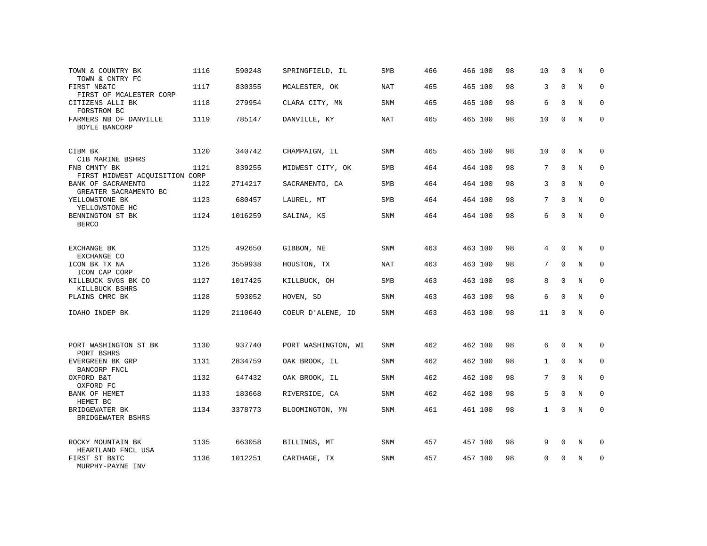| TOWN & COUNTRY BK<br>TOWN & CNTRY FC           | 1116 | 590248  | SPRINGFIELD, IL     | SMB        | 466 | 466 100 | 98 | 10           | $\mathbf 0$ | N | 0           |
|------------------------------------------------|------|---------|---------------------|------------|-----|---------|----|--------------|-------------|---|-------------|
| FIRST NB&TC<br>FIRST OF MCALESTER CORP         | 1117 | 830355  | MCALESTER, OK       | NAT        | 465 | 465 100 | 98 | 3            | $\Omega$    | N | $\Omega$    |
| CITIZENS ALLI BK<br>FORSTROM BC                | 1118 | 279954  | CLARA CITY, MN      | SNM        | 465 | 465 100 | 98 | 6            | $\Omega$    | N | 0           |
| FARMERS NB OF DANVILLE<br>BOYLE BANCORP        | 1119 | 785147  | DANVILLE, KY        | <b>NAT</b> | 465 | 465 100 | 98 | 10           | $\Omega$    | N | $\Omega$    |
| CIBM BK<br>CIB MARINE BSHRS                    | 1120 | 340742  | CHAMPAIGN, IL       | SNM        | 465 | 465 100 | 98 | 10           | $\mathbf 0$ | N | $\Omega$    |
| FNB CMNTY BK<br>FIRST MIDWEST ACQUISITION CORP | 1121 | 839255  | MIDWEST CITY, OK    | SMB        | 464 | 464 100 | 98 | 7            | $\mathbf 0$ | N | $\mathbf 0$ |
| BANK OF SACRAMENTO<br>GREATER SACRAMENTO BC    | 1122 | 2714217 | SACRAMENTO, CA      | SMB        | 464 | 464 100 | 98 | 3            | $\Omega$    | N | $\mathbf 0$ |
| YELLOWSTONE BK<br>YELLOWSTONE HC               | 1123 | 680457  | LAUREL, MT          | SMB        | 464 | 464 100 | 98 | 7            | $\Omega$    | N | $\mathbf 0$ |
| BENNINGTON ST BK<br><b>BERCO</b>               | 1124 | 1016259 | SALINA, KS          | <b>SNM</b> | 464 | 464 100 | 98 | 6            | $\Omega$    | N | $\mathbf 0$ |
| EXCHANGE BK<br>EXCHANGE CO                     | 1125 | 492650  | GIBBON, NE          | SNM        | 463 | 463 100 | 98 | 4            | $\Omega$    | N | 0           |
| ICON BK TX NA<br>ICON CAP CORP                 | 1126 | 3559938 | HOUSTON, TX         | <b>NAT</b> | 463 | 463 100 | 98 | 7            | $\Omega$    | N | $\Omega$    |
| KILLBUCK SVGS BK CO<br>KILLBUCK BSHRS          | 1127 | 1017425 | KILLBUCK, OH        | SMB        | 463 | 463 100 | 98 | 8            | $\Omega$    | N | $\mathbf 0$ |
| PLAINS CMRC BK                                 | 1128 | 593052  | HOVEN, SD           | <b>SNM</b> | 463 | 463 100 | 98 | 6            | $\Omega$    | N | $\Omega$    |
| IDAHO INDEP BK                                 | 1129 | 2110640 | COEUR D'ALENE, ID   | <b>SNM</b> | 463 | 463 100 | 98 | 11           | 0           | N | $\mathbf 0$ |
| PORT WASHINGTON ST BK                          | 1130 | 937740  | PORT WASHINGTON, WI | <b>SNM</b> | 462 | 462 100 | 98 | 6            | $\mathbf 0$ | N | 0           |
| PORT BSHRS<br>EVERGREEN BK GRP                 | 1131 | 2834759 | OAK BROOK, IL       | <b>SNM</b> | 462 | 462 100 | 98 | $\mathbf{1}$ | $\Omega$    | N | $\mathbf 0$ |
| BANCORP FNCL<br>OXFORD B&T<br>OXFORD FC        | 1132 | 647432  | OAK BROOK, IL       | SNM        | 462 | 462 100 | 98 | 7            | $\mathbf 0$ | N | $\mathbf 0$ |
| BANK OF HEMET<br>HEMET BC                      | 1133 | 183668  | RIVERSIDE, CA       | <b>SNM</b> | 462 | 462 100 | 98 | 5            | $\Omega$    | N | $\mathbf 0$ |
| BRIDGEWATER BK<br>BRIDGEWATER BSHRS            | 1134 | 3378773 | BLOOMINGTON, MN     | SNM        | 461 | 461 100 | 98 | $\mathbf{1}$ | 0           | N | $\mathbf 0$ |
| ROCKY MOUNTAIN BK<br>HEARTLAND FNCL USA        | 1135 | 663058  | BILLINGS, MT        | SNM        | 457 | 457 100 | 98 | 9            | $\mathbf 0$ | N | 0           |
| FIRST ST B&TC<br>MURPHY-PAYNE INV              | 1136 | 1012251 | CARTHAGE, TX        | SNM        | 457 | 457 100 | 98 | $\Omega$     | $\Omega$    | N | $\mathbf 0$ |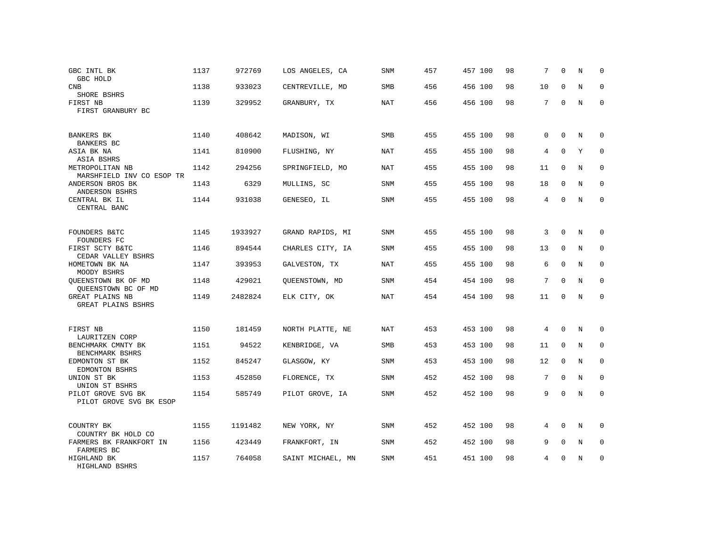| GBC INTL BK<br>GBC HOLD                              | 1137 | 972769  | LOS ANGELES, CA   | <b>SNM</b> | 457 | 457 100 | 98 | 7           | $\Omega$    | N          | 0           |
|------------------------------------------------------|------|---------|-------------------|------------|-----|---------|----|-------------|-------------|------------|-------------|
| <b>CNB</b><br>SHORE BSHRS                            | 1138 | 933023  | CENTREVILLE, MD   | <b>SMB</b> | 456 | 456 100 | 98 | 10          | $\Omega$    | $_{\rm N}$ | $\Omega$    |
| FIRST NB<br>FIRST GRANBURY BC                        | 1139 | 329952  | GRANBURY, TX      | <b>NAT</b> | 456 | 456 100 | 98 | 7           | $\Omega$    | N          | $\mathbf 0$ |
| <b>BANKERS BK</b><br>BANKERS BC                      | 1140 | 408642  | MADISON, WI       | <b>SMB</b> | 455 | 455 100 | 98 | $\mathbf 0$ | $\Omega$    | N          | $\Omega$    |
| ASIA BK NA<br>ASIA BSHRS                             | 1141 | 810900  | FLUSHING, NY      | <b>NAT</b> | 455 | 455 100 | 98 | 4           | $\Omega$    | Y          | $\Omega$    |
| METROPOLITAN NB<br>MARSHFIELD INV CO ESOP TR         | 1142 | 294256  | SPRINGFIELD, MO   | NAT        | 455 | 455 100 | 98 | 11          | $\Omega$    | N          | 0           |
| ANDERSON BROS BK<br>ANDERSON BSHRS                   | 1143 | 6329    | MULLINS, SC       | <b>SNM</b> | 455 | 455 100 | 98 | 18          | $\Omega$    | N          | $\Omega$    |
| CENTRAL BK IL<br>CENTRAL BANC                        | 1144 | 931038  | GENESEO, IL       | SNM        | 455 | 455 100 | 98 | 4           | $\Omega$    | N          | $\mathbf 0$ |
| <b>FOUNDERS B&amp;TC</b>                             | 1145 | 1933927 | GRAND RAPIDS, MI  | SNM        | 455 | 455 100 | 98 | 3           | $\Omega$    | $_{\rm N}$ | $\Omega$    |
| FOUNDERS FC<br>FIRST SCTY B&TC<br>CEDAR VALLEY BSHRS | 1146 | 894544  | CHARLES CITY, IA  | <b>SNM</b> | 455 | 455 100 | 98 | 13          | $\Omega$    | N          | $\Omega$    |
| HOMETOWN BK NA<br>MOODY BSHRS                        | 1147 | 393953  | GALVESTON, TX     | NAT        | 455 | 455 100 | 98 | 6           | $\Omega$    | N          | $\Omega$    |
| QUEENSTOWN BK OF MD<br>QUEENSTOWN BC OF MD           | 1148 | 429021  | QUEENSTOWN, MD    | SNM        | 454 | 454 100 | 98 | 7           | $\Omega$    | $_{\rm N}$ | $\mathbf 0$ |
| GREAT PLAINS NB<br>GREAT PLAINS BSHRS                | 1149 | 2482824 | ELK CITY, OK      | NAT        | 454 | 454 100 | 98 | 11          | $\Omega$    | N          | $\Omega$    |
| FIRST NB<br>LAURITZEN CORP                           | 1150 | 181459  | NORTH PLATTE, NE  | <b>NAT</b> | 453 | 453 100 | 98 | 4           | $\Omega$    | N          | 0           |
| BENCHMARK CMNTY BK<br>BENCHMARK BSHRS                | 1151 | 94522   | KENBRIDGE, VA     | SMB        | 453 | 453 100 | 98 | 11          | $\mathbf 0$ | $\rm N$    | $\mathbf 0$ |
| EDMONTON ST BK<br>EDMONTON BSHRS                     | 1152 | 845247  | GLASGOW, KY       | <b>SNM</b> | 453 | 453 100 | 98 | 12          | $\Omega$    | N          | $\mathbf 0$ |
| UNION ST BK<br>UNION ST BSHRS                        | 1153 | 452850  | FLORENCE, TX      | SNM        | 452 | 452 100 | 98 | 7           | $\mathbf 0$ | $\rm N$    | $\mathbf 0$ |
| PILOT GROVE SVG BK<br>PILOT GROVE SVG BK ESOP        | 1154 | 585749  | PILOT GROVE, IA   | <b>SNM</b> | 452 | 452 100 | 98 | 9           | $\Omega$    | $_{\rm N}$ | $\mathbf 0$ |
| COUNTRY BK<br>COUNTRY BK HOLD CO                     | 1155 | 1191482 | NEW YORK, NY      | <b>SNM</b> | 452 | 452 100 | 98 | 4           | $\Omega$    | N          | 0           |
| FARMERS BK FRANKFORT IN<br>FARMERS BC                | 1156 | 423449  | FRANKFORT, IN     | SNM        | 452 | 452 100 | 98 | 9           | 0           | N          | 0           |
| HIGHLAND BK<br>HIGHLAND BSHRS                        | 1157 | 764058  | SAINT MICHAEL, MN | <b>SNM</b> | 451 | 451 100 | 98 | 4           | $\Omega$    | N          | $\mathbf 0$ |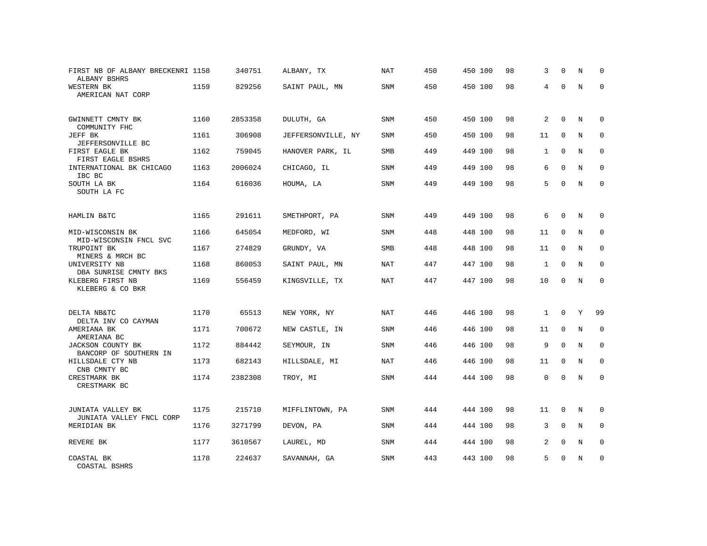| FIRST NB OF ALBANY BRECKENRI 1158<br>ALBANY BSHRS |      | 340751  | ALBANY, TX         | NAT        | 450 | 450 100 | 98 | 3            | $\Omega$    | N           | $\Omega$    |
|---------------------------------------------------|------|---------|--------------------|------------|-----|---------|----|--------------|-------------|-------------|-------------|
| WESTERN BK<br>AMERICAN NAT CORP                   | 1159 | 829256  | SAINT PAUL, MN     | SNM        | 450 | 450 100 | 98 | 4            | $\Omega$    | $\mathbf N$ | $\mathbf 0$ |
| GWINNETT CMNTY BK<br>COMMUNITY FHC                | 1160 | 2853358 | DULUTH, GA         | SNM        | 450 | 450 100 | 98 | 2            | $\mathbf 0$ | N           | 0           |
| JEFF BK<br>JEFFERSONVILLE BC                      | 1161 | 306908  | JEFFERSONVILLE, NY | <b>SNM</b> | 450 | 450 100 | 98 | 11           | $\mathbf 0$ | N           | $\mathbf 0$ |
| FIRST EAGLE BK<br>FIRST EAGLE BSHRS               | 1162 | 759045  | HANOVER PARK, IL   | SMB        | 449 | 449 100 | 98 | $\mathbf{1}$ | $\mathbf 0$ | $\mathbf N$ | 0           |
| INTERNATIONAL BK CHICAGO<br>IBC BC                | 1163 | 2006024 | CHICAGO, IL        | <b>SNM</b> | 449 | 449 100 | 98 | 6            | $\Omega$    | N           | $\mathbf 0$ |
| SOUTH LA BK<br>SOUTH LA FC                        | 1164 | 616036  | HOUMA, LA          | SNM        | 449 | 449 100 | 98 | 5            | $\Omega$    | N           | $\mathbf 0$ |
| HAMLIN B&TC                                       | 1165 | 291611  | SMETHPORT, PA      | SNM        | 449 | 449 100 | 98 | 6            | $\mathbf 0$ | N           | 0           |
| MID-WISCONSIN BK<br>MID-WISCONSIN FNCL SVC        | 1166 | 645054  | MEDFORD, WI        | SNM        | 448 | 448 100 | 98 | 11           | $\Omega$    | N           | $\mathbf 0$ |
| TRUPOINT BK<br>MINERS & MRCH BC                   | 1167 | 274829  | GRUNDY, VA         | <b>SMB</b> | 448 | 448 100 | 98 | 11           | $\mathbf 0$ | N           | $\mathbf 0$ |
| UNIVERSITY NB<br>DBA SUNRISE CMNTY BKS            | 1168 | 860053  | SAINT PAUL, MN     | NAT        | 447 | 447 100 | 98 | $\mathbf{1}$ | $\mathbf 0$ | N           | 0           |
| KLEBERG FIRST NB<br>KLEBERG & CO BKR              | 1169 | 556459  | KINGSVILLE, TX     | <b>NAT</b> | 447 | 447 100 | 98 | 10           | $\mathbf 0$ | $\mathbf N$ | 0           |
| DELTA NB&TC                                       | 1170 | 65513   | NEW YORK, NY       | NAT        | 446 | 446 100 | 98 | $\mathbf{1}$ | $\mathbf 0$ | Y           | 99          |
| DELTA INV CO CAYMAN<br>AMERIANA BK                | 1171 | 700672  | NEW CASTLE, IN     | SNM        | 446 | 446 100 | 98 | 11           | 0           | N           | $\mathbf 0$ |
| AMERIANA BC<br>JACKSON COUNTY BK                  | 1172 | 884442  | SEYMOUR, IN        | SNM        | 446 | 446 100 | 98 | 9            | $\mathbf 0$ | $\mathbf N$ | $\mathbf 0$ |
| BANCORP OF SOUTHERN IN<br>HILLSDALE CTY NB        | 1173 | 682143  | HILLSDALE, MI      | <b>NAT</b> | 446 | 446 100 | 98 | 11           | $\Omega$    | N           | $\Omega$    |
| CNB CMNTY BC<br>CRESTMARK BK<br>CRESTMARK BC      | 1174 | 2382308 | TROY, MI           | SNM        | 444 | 444 100 | 98 | $\Omega$     | $\Omega$    | $\mathbb N$ | $\mathbf 0$ |
| JUNIATA VALLEY BK                                 | 1175 | 215710  | MIFFLINTOWN, PA    | <b>SNM</b> | 444 | 444 100 | 98 | 11           | $\mathbf 0$ | N           | $\mathbf 0$ |
| JUNIATA VALLEY FNCL CORP<br>MERIDIAN BK           | 1176 | 3271799 | DEVON, PA          | <b>SNM</b> | 444 | 444 100 | 98 | 3            | $\Omega$    | N           | $\Omega$    |
| REVERE BK                                         | 1177 | 3610567 | LAUREL, MD         | <b>SNM</b> | 444 | 444 100 | 98 | 2            | $\Omega$    | N           | $\mathbf 0$ |
| COASTAL BK<br>COASTAL BSHRS                       | 1178 | 224637  | SAVANNAH, GA       | SNM        | 443 | 443 100 | 98 | 5            | U           | N           | $\mathbf 0$ |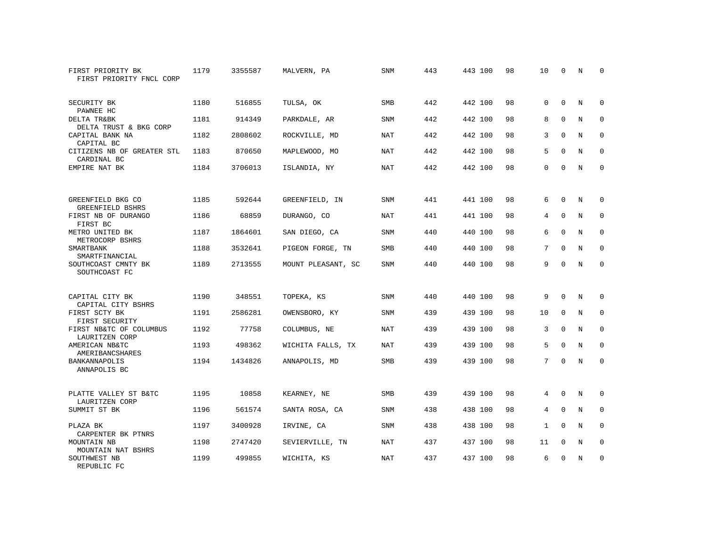| FIRST PRIORITY BK<br>FIRST PRIORITY FNCL CORP | 1179 | 3355587 | MALVERN, PA        | <b>SNM</b> | 443 | 443 100 | 98 | 10           | $\mathbf 0$ | N           | 0           |
|-----------------------------------------------|------|---------|--------------------|------------|-----|---------|----|--------------|-------------|-------------|-------------|
| SECURITY BK<br>PAWNEE HC                      | 1180 | 516855  | TULSA, OK          | <b>SMB</b> | 442 | 442 100 | 98 | $\Omega$     | $\Omega$    | $_{\rm N}$  | $\Omega$    |
| DELTA TR&BK<br>DELTA TRUST & BKG CORP         | 1181 | 914349  | PARKDALE, AR       | <b>SNM</b> | 442 | 442 100 | 98 | 8            | $\mathbf 0$ | $\mathbf N$ | $\mathbf 0$ |
| CAPITAL BANK NA<br>CAPITAL BC                 | 1182 | 2808602 | ROCKVILLE, MD      | <b>NAT</b> | 442 | 442 100 | 98 | 3            | $\Omega$    | N           | $\Omega$    |
| CITIZENS NB OF GREATER STL<br>CARDINAL BC     | 1183 | 870650  | MAPLEWOOD, MO      | NAT        | 442 | 442 100 | 98 | 5            | $\mathbf 0$ | N           | $\mathbf 0$ |
| EMPIRE NAT BK                                 | 1184 | 3706013 | ISLANDIA, NY       | <b>NAT</b> | 442 | 442 100 | 98 | $\Omega$     | $\Omega$    | $\mathbf N$ | $\mathbf 0$ |
| GREENFIELD BKG CO<br>GREENFIELD BSHRS         | 1185 | 592644  | GREENFIELD, IN     | <b>SNM</b> | 441 | 441 100 | 98 | 6            | $\Omega$    | N           | 0           |
| FIRST NB OF DURANGO<br>FIRST BC               | 1186 | 68859   | DURANGO, CO        | <b>NAT</b> | 441 | 441 100 | 98 | 4            | $\Omega$    | N           | $\mathbf 0$ |
| METRO UNITED BK<br>METROCORP BSHRS            | 1187 | 1864601 | SAN DIEGO, CA      | SNM        | 440 | 440 100 | 98 | 6            | $\mathbf 0$ | N           | $\mathbf 0$ |
| SMARTBANK<br>SMARTFINANCIAL                   | 1188 | 3532641 | PIGEON FORGE, TN   | <b>SMB</b> | 440 | 440 100 | 98 | 7            | $\Omega$    | $_{\rm N}$  | $\mathbf 0$ |
| SOUTHCOAST CMNTY BK<br>SOUTHCOAST FC          | 1189 | 2713555 | MOUNT PLEASANT, SC | <b>SNM</b> | 440 | 440 100 | 98 | 9            | $\Omega$    | $_{\rm N}$  | $\Omega$    |
| CAPITAL CITY BK<br>CAPITAL CITY BSHRS         | 1190 | 348551  | TOPEKA, KS         | <b>SNM</b> | 440 | 440 100 | 98 | 9            | $\Omega$    | $_{\rm N}$  | 0           |
| FIRST SCTY BK<br>FIRST SECURITY               | 1191 | 2586281 | OWENSBORO, KY      | SNM        | 439 | 439 100 | 98 | 10           | $\mathbf 0$ | N           | 0           |
| FIRST NB&TC OF COLUMBUS<br>LAURITZEN CORP     | 1192 | 77758   | COLUMBUS, NE       | <b>NAT</b> | 439 | 439 100 | 98 | 3            | $\Omega$    | N           | $\mathbf 0$ |
| AMERICAN NB&TC<br>AMERIBANCSHARES             | 1193 | 498362  | WICHITA FALLS, TX  | <b>NAT</b> | 439 | 439 100 | 98 | 5            | $\Omega$    | $_{\rm N}$  | $\Omega$    |
| BANKANNAPOLIS<br>ANNAPOLIS BC                 | 1194 | 1434826 | ANNAPOLIS, MD      | SMB        | 439 | 439 100 | 98 | 7            | $\Omega$    | N           | $\mathbf 0$ |
| PLATTE VALLEY ST B&TC<br>LAURITZEN CORP       | 1195 | 10858   | KEARNEY, NE        | SMB        | 439 | 439 100 | 98 | 4            | 0           | N           | 0           |
| SUMMIT ST BK                                  | 1196 | 561574  | SANTA ROSA, CA     | <b>SNM</b> | 438 | 438 100 | 98 | 4            | $\mathbf 0$ | N           | $\mathbf 0$ |
| PLAZA BK<br>CARPENTER BK PTNRS                | 1197 | 3400928 | IRVINE, CA         | <b>SNM</b> | 438 | 438 100 | 98 | $\mathbf{1}$ | $\Omega$    | N           | $\mathbf 0$ |
| MOUNTAIN NB<br>MOUNTAIN NAT BSHRS             | 1198 | 2747420 | SEVIERVILLE, TN    | <b>NAT</b> | 437 | 437 100 | 98 | 11           | 0           | N           | $\mathbf 0$ |
| SOUTHWEST NB<br>REPUBLIC FC                   | 1199 | 499855  | WICHITA, KS        | <b>NAT</b> | 437 | 437 100 | 98 | 6            | $\Omega$    | N           | $\mathbf 0$ |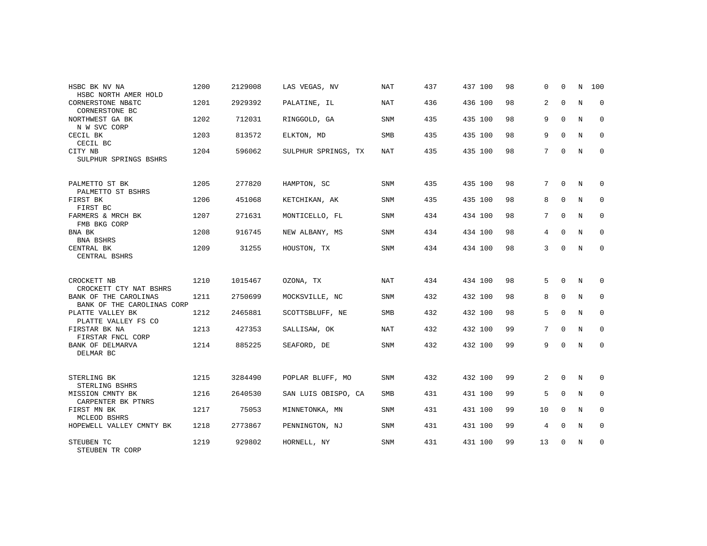|                                                     | 1200 | 2129008 |                     |            |     | 437 100 |    | $\Omega$        | $\Omega$    | N           |             |
|-----------------------------------------------------|------|---------|---------------------|------------|-----|---------|----|-----------------|-------------|-------------|-------------|
| HSBC BK NV NA<br>HSBC NORTH AMER HOLD               |      |         | LAS VEGAS, NV       | <b>NAT</b> | 437 |         | 98 |                 |             |             | 100         |
| CORNERSTONE NB&TC<br>CORNERSTONE BC                 | 1201 | 2929392 | PALATINE, IL        | NAT        | 436 | 436 100 | 98 | 2               | $\mathbf 0$ | N           | $\mathbf 0$ |
| NORTHWEST GA BK                                     | 1202 | 712031  | RINGGOLD, GA        | SNM        | 435 | 435 100 | 98 | 9               | $\mathbf 0$ | N           | $\mathbf 0$ |
| N W SVC CORP<br>CECIL BK<br>CECIL BC                | 1203 | 813572  | ELKTON, MD          | SMB        | 435 | 435 100 | 98 | 9               | $\Omega$    | N           | $\mathbf 0$ |
| CITY NB<br>SULPHUR SPRINGS BSHRS                    | 1204 | 596062  | SULPHUR SPRINGS, TX | <b>NAT</b> | 435 | 435 100 | 98 | $7\overline{ }$ | $\mathbf 0$ | N           | $\mathbf 0$ |
|                                                     |      |         |                     |            |     |         |    |                 |             |             |             |
| PALMETTO ST BK<br>PALMETTO ST BSHRS                 | 1205 | 277820  | HAMPTON, SC         | <b>SNM</b> | 435 | 435 100 | 98 | 7               | $\Omega$    | N           | 0           |
| FIRST BK<br>FIRST BC                                | 1206 | 451068  | KETCHIKAN, AK       | <b>SNM</b> | 435 | 435 100 | 98 | 8               | $\mathbf 0$ | N           | 0           |
| FARMERS & MRCH BK<br>FMB BKG CORP                   | 1207 | 271631  | MONTICELLO, FL      | <b>SNM</b> | 434 | 434 100 | 98 | 7               | $\Omega$    | N           | $\mathbf 0$ |
| BNA BK<br>BNA BSHRS                                 | 1208 | 916745  | NEW ALBANY, MS      | <b>SNM</b> | 434 | 434 100 | 98 | 4               | $\mathbf 0$ | N           | 0           |
| CENTRAL BK<br>CENTRAL BSHRS                         | 1209 | 31255   | HOUSTON, TX         | <b>SNM</b> | 434 | 434 100 | 98 | 3               | $\Omega$    | $\mathbb N$ | $\mathbf 0$ |
|                                                     |      |         |                     |            |     |         |    |                 |             |             |             |
| CROCKETT NB<br>CROCKETT CTY NAT BSHRS               | 1210 | 1015467 | OZONA, TX           | <b>NAT</b> | 434 | 434 100 | 98 | 5               | $\Omega$    | N           | 0           |
| BANK OF THE CAROLINAS<br>BANK OF THE CAROLINAS CORP | 1211 | 2750699 | MOCKSVILLE, NC      | <b>SNM</b> | 432 | 432 100 | 98 | 8               | $\mathbf 0$ | N           | $\mathbf 0$ |
| PLATTE VALLEY BK<br>PLATTE VALLEY FS CO             | 1212 | 2465881 | SCOTTSBLUFF, NE     | SMB        | 432 | 432 100 | 98 | 5               | $\mathbf 0$ | N           | 0           |
| FIRSTAR BK NA                                       | 1213 | 427353  | SALLISAW, OK        | NAT        | 432 | 432 100 | 99 | 7               | $\Omega$    | $_{\rm N}$  | $\Omega$    |
| FIRSTAR FNCL CORP<br>BANK OF DELMARVA<br>DELMAR BC  | 1214 | 885225  | SEAFORD, DE         | SNM        | 432 | 432 100 | 99 | 9               | $\Omega$    | N           | $\mathbf 0$ |
|                                                     |      |         |                     |            |     |         |    |                 |             |             |             |
| STERLING BK<br>STERLING BSHRS                       | 1215 | 3284490 | POPLAR BLUFF, MO    | SNM        | 432 | 432 100 | 99 | $\overline{2}$  | $\mathbf 0$ | N           | 0           |
| MISSION CMNTY BK<br>CARPENTER BK PTNRS              | 1216 | 2640530 | SAN LUIS OBISPO, CA | SMB        | 431 | 431 100 | 99 | 5               | $\Omega$    | N           | 0           |
| FIRST MN BK<br>MCLEOD BSHRS                         | 1217 | 75053   | MINNETONKA, MN      | <b>SNM</b> | 431 | 431 100 | 99 | 10              | $\Omega$    | N           | $\mathbf 0$ |
| HOPEWELL VALLEY CMNTY BK                            | 1218 | 2773867 | PENNINGTON, NJ      | <b>SNM</b> | 431 | 431 100 | 99 | 4               | $\Omega$    | N           | $\mathbf 0$ |
| STEUBEN TC<br>STEUBEN TR CORP                       | 1219 | 929802  | HORNELL, NY         | <b>SNM</b> | 431 | 431 100 | 99 | 13              | $\Omega$    | $_{\rm N}$  | $\mathbf 0$ |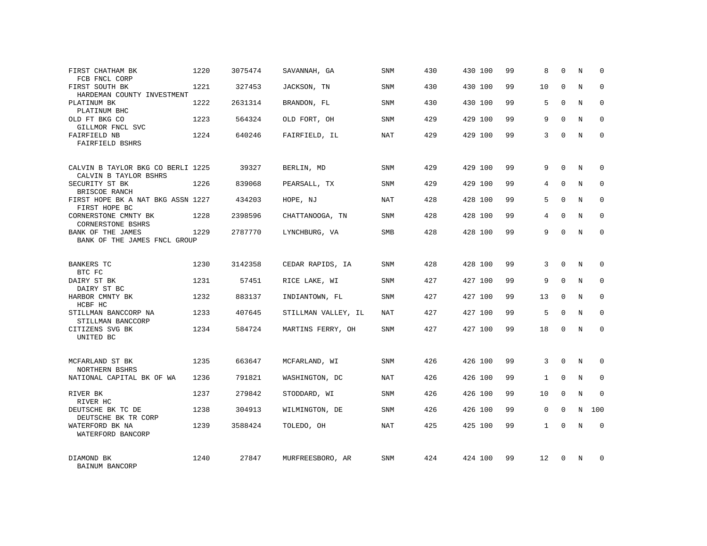| FIRST CHATHAM BK<br>FCB FNCL CORP                          | 1220 | 3075474 | SAVANNAH, GA        | SNM        | 430 | 430 100 | 99 | 8            | $\Omega$    | N          | 0           |
|------------------------------------------------------------|------|---------|---------------------|------------|-----|---------|----|--------------|-------------|------------|-------------|
| FIRST SOUTH BK<br>HARDEMAN COUNTY INVESTMENT               | 1221 | 327453  | JACKSON, TN         | SNM        | 430 | 430 100 | 99 | 10           | $\Omega$    | N          | $\Omega$    |
| PLATINUM BK<br>PLATINUM BHC                                | 1222 | 2631314 | BRANDON, FL         | SNM        | 430 | 430 100 | 99 | 5            | $\Omega$    | N          | $\mathbf 0$ |
| OLD FT BKG CO<br>GILLMOR FNCL SVC                          | 1223 | 564324  | OLD FORT, OH        | SNM        | 429 | 429 100 | 99 | 9            | $\Omega$    | N          | $\Omega$    |
| FAIRFIELD NB<br>FAIRFIELD BSHRS                            | 1224 | 640246  | FAIRFIELD, IL       | NAT        | 429 | 429 100 | 99 | 3            | $\Omega$    | N          | $\mathbf 0$ |
| CALVIN B TAYLOR BKG CO BERLI 1225<br>CALVIN B TAYLOR BSHRS |      | 39327   | BERLIN, MD          | SNM        | 429 | 429 100 | 99 | 9            | $\Omega$    | N          | $\Omega$    |
| SECURITY ST BK<br>BRISCOE RANCH                            | 1226 | 839068  | PEARSALL, TX        | SNM        | 429 | 429 100 | 99 | 4            | $\Omega$    | N          | $\Omega$    |
| FIRST HOPE BK A NAT BKG ASSN 1227<br>FIRST HOPE BC         |      | 434203  | HOPE, NJ            | <b>NAT</b> | 428 | 428 100 | 99 | 5            | $\Omega$    | N          | $\mathbf 0$ |
| CORNERSTONE CMNTY BK<br>CORNERSTONE BSHRS                  | 1228 | 2398596 | CHATTANOOGA, TN     | SNM        | 428 | 428 100 | 99 | 4            | $\Omega$    | N          | $\Omega$    |
| BANK OF THE JAMES<br>BANK OF THE JAMES FNCL GROUP          | 1229 | 2787770 | LYNCHBURG, VA       | <b>SMB</b> | 428 | 428 100 | 99 | 9            | $\Omega$    | N          | $\mathbf 0$ |
| <b>BANKERS TC</b><br>BTC FC                                | 1230 | 3142358 | CEDAR RAPIDS, IA    | <b>SNM</b> | 428 | 428 100 | 99 | 3            | $\Omega$    | N          | $\Omega$    |
| DAIRY ST BK<br>DAIRY ST BC                                 | 1231 | 57451   | RICE LAKE, WI       | SNM        | 427 | 427 100 | 99 | 9            | $\Omega$    | N          | $\mathbf 0$ |
| HARBOR CMNTY BK<br>HCBF HC                                 | 1232 | 883137  | INDIANTOWN, FL      | SNM        | 427 | 427 100 | 99 | 13           | $\Omega$    | N          | $\Omega$    |
| STILLMAN BANCCORP NA<br>STILLMAN BANCCORP                  | 1233 | 407645  | STILLMAN VALLEY, IL | NAT        | 427 | 427 100 | 99 | 5            | $\Omega$    | N          | $\mathbf 0$ |
| CITIZENS SVG BK<br>UNITED BC                               | 1234 | 584724  | MARTINS FERRY, OH   | <b>SNM</b> | 427 | 427 100 | 99 | 18           | $\Omega$    | N          | $\Omega$    |
| MCFARLAND ST BK<br>NORTHERN BSHRS                          | 1235 | 663647  | MCFARLAND, WI       | SNM        | 426 | 426 100 | 99 | 3            | $\Omega$    | N          | $\Omega$    |
| NATIONAL CAPITAL BK OF WA                                  | 1236 | 791821  | WASHINGTON, DC      | NAT        | 426 | 426 100 | 99 | $\mathbf{1}$ | $\mathbf 0$ | N          | $\mathbf 0$ |
| RIVER BK<br>RIVER HC                                       | 1237 | 279842  | STODDARD, WI        | SNM        | 426 | 426 100 | 99 | 10           | $\Omega$    | $_{\rm N}$ | $\Omega$    |
| DEUTSCHE BK TC DE<br>DEUTSCHE BK TR CORP                   | 1238 | 304913  | WILMINGTON, DE      | SNM        | 426 | 426 100 | 99 | $\mathbf 0$  | $\Omega$    | N          | 100         |
| WATERFORD BK NA<br>WATERFORD BANCORP                       | 1239 | 3588424 | TOLEDO, OH          | NAT        | 425 | 425 100 | 99 | $\mathbf{1}$ | $\Omega$    | N          | $\mathbf 0$ |
| DIAMOND BK<br>BAINUM BANCORP                               | 1240 | 27847   | MURFREESBORO, AR    | <b>SNM</b> | 424 | 424 100 | 99 | 12           | $\Omega$    | N          | $\Omega$    |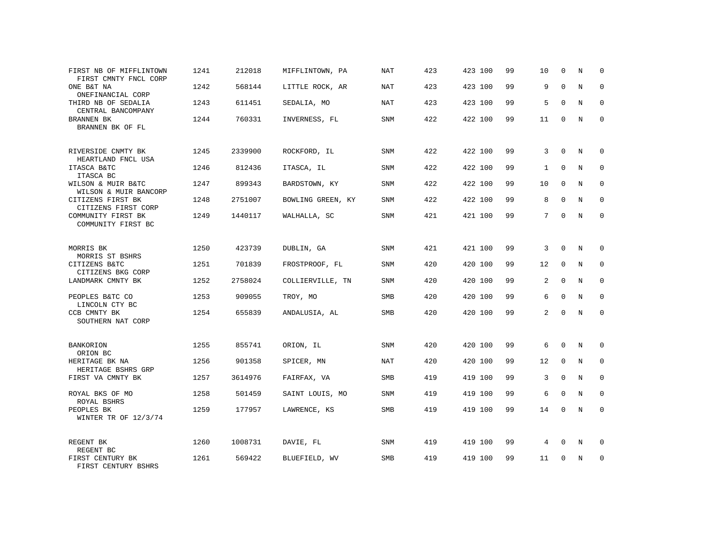| FIRST NB OF MIFFLINTOWN<br>FIRST CMNTY FNCL CORP | 1241 | 212018  | MIFFLINTOWN, PA   | NAT        | 423 | 423 100 | 99 | 10           | $\mathbf 0$ | N           | 0           |
|--------------------------------------------------|------|---------|-------------------|------------|-----|---------|----|--------------|-------------|-------------|-------------|
| ONE B&T NA<br>ONEFINANCIAL CORP                  | 1242 | 568144  | LITTLE ROCK, AR   | <b>NAT</b> | 423 | 423 100 | 99 | 9            | $\Omega$    | $\mathbf N$ | $\mathbf 0$ |
| THIRD NB OF SEDALIA<br>CENTRAL BANCOMPANY        | 1243 | 611451  | SEDALIA, MO       | NAT        | 423 | 423 100 | 99 | 5            | $\Omega$    | N           | 0           |
| BRANNEN BK<br>BRANNEN BK OF FL                   | 1244 | 760331  | INVERNESS, FL     | SNM        | 422 | 422 100 | 99 | 11           | $\Omega$    | N           | $\Omega$    |
| RIVERSIDE CNMTY BK<br>HEARTLAND FNCL USA         | 1245 | 2339900 | ROCKFORD, IL      | SNM        | 422 | 422 100 | 99 | 3            | $\Omega$    | N           | $\Omega$    |
| ITASCA B&TC<br>ITASCA BC                         | 1246 | 812436  | ITASCA, IL        | SNM        | 422 | 422 100 | 99 | $\mathbf{1}$ | $\Omega$    | N           | 0           |
| WILSON & MUIR B&TC<br>WILSON & MUIR BANCORP      | 1247 | 899343  | BARDSTOWN, KY     | SNM        | 422 | 422 100 | 99 | 10           | $\Omega$    | N           | $\Omega$    |
| CITIZENS FIRST BK<br>CITIZENS FIRST CORP         | 1248 | 2751007 | BOWLING GREEN, KY | SNM        | 422 | 422 100 | 99 | 8            | $\Omega$    | N           | $\Omega$    |
| COMMUNITY FIRST BK<br>COMMUNITY FIRST BC         | 1249 | 1440117 | WALHALLA, SC      | SNM        | 421 | 421 100 | 99 | 7            | $\Omega$    | N           | $\Omega$    |
| MORRIS BK<br>MORRIS ST BSHRS                     | 1250 | 423739  | DUBLIN, GA        | SNM        | 421 | 421 100 | 99 | 3            | $\Omega$    | N           | $\Omega$    |
| CITIZENS B&TC<br>CITIZENS BKG CORP               | 1251 | 701839  | FROSTPROOF, FL    | SNM        | 420 | 420 100 | 99 | 12           | $\mathbf 0$ | N           | $\Omega$    |
| LANDMARK CMNTY BK                                | 1252 | 2758024 | COLLIERVILLE, TN  | SNM        | 420 | 420 100 | 99 | 2            | $\mathbf 0$ | $\mathbf N$ | $\mathbf 0$ |
| PEOPLES B&TC CO<br>LINCOLN CTY BC                | 1253 | 909055  | TROY, MO          | <b>SMB</b> | 420 | 420 100 | 99 | 6            | $\Omega$    | N           | $\Omega$    |
| CCB CMNTY BK<br>SOUTHERN NAT CORP                | 1254 | 655839  | ANDALUSIA, AL     | SMB        | 420 | 420 100 | 99 | 2            | $\mathbf 0$ | $\mathbf N$ | $\mathbf 0$ |
| <b>BANKORION</b><br>ORION BC                     | 1255 | 855741  | ORION, IL         | <b>SNM</b> | 420 | 420 100 | 99 | 6            | $\mathbf 0$ | N           | $\mathbf 0$ |
| HERITAGE BK NA<br>HERITAGE BSHRS GRP             | 1256 | 901358  | SPICER, MN        | <b>NAT</b> | 420 | 420 100 | 99 | 12           | $\mathbf 0$ | N           | $\mathbf 0$ |
| FIRST VA CMNTY BK                                | 1257 | 3614976 | FAIRFAX, VA       | SMB        | 419 | 419 100 | 99 | 3            | $\mathbf 0$ | $\mathbf N$ | 0           |
| ROYAL BKS OF MO<br>ROYAL BSHRS                   | 1258 | 501459  | SAINT LOUIS, MO   | <b>SNM</b> | 419 | 419 100 | 99 | 6            | $\Omega$    | N           | $\mathbf 0$ |
| PEOPLES BK<br>WINTER TR OF 12/3/74               | 1259 | 177957  | LAWRENCE, KS      | SMB        | 419 | 419 100 | 99 | 14           | $\mathbf 0$ | $\mathbf N$ | $\mathbf 0$ |
| REGENT BK<br>REGENT BC                           | 1260 | 1008731 | DAVIE, FL         | <b>SNM</b> | 419 | 419 100 | 99 | 4            | $\mathbf 0$ | N           | 0           |
| FIRST CENTURY BK<br>FIRST CENTURY BSHRS          | 1261 | 569422  | BLUEFIELD, WV     | SMB        | 419 | 419 100 | 99 | 11           | $\mathbf 0$ | N           | $\mathbf 0$ |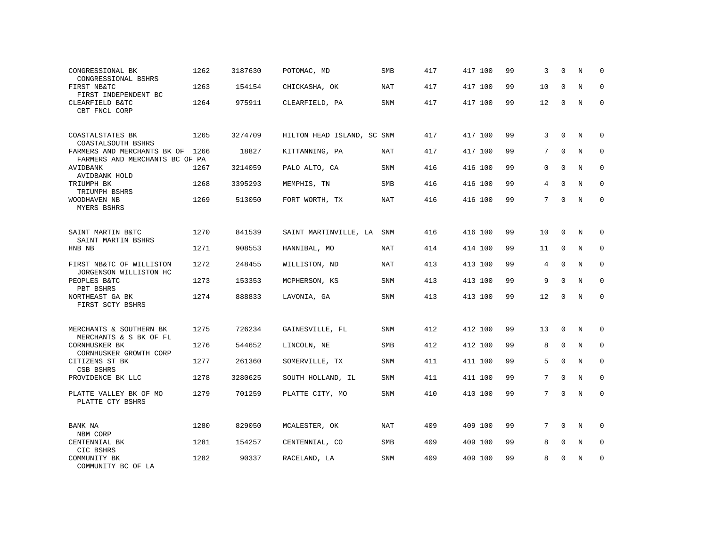| CONGRESSIONAL BK<br>CONGRESSIONAL BSHRS                       | 1262 | 3187630 | POTOMAC, MD                | SMB        | 417 | 417 100 | 99 | 3               | $\Omega$    | N           | $\Omega$    |
|---------------------------------------------------------------|------|---------|----------------------------|------------|-----|---------|----|-----------------|-------------|-------------|-------------|
| FIRST NB&TC<br>FIRST INDEPENDENT BC                           | 1263 | 154154  | CHICKASHA, OK              | <b>NAT</b> | 417 | 417 100 | 99 | 10              | $\Omega$    | N           | $\mathbf 0$ |
| CLEARFIELD B&TC<br>CBT FNCL CORP                              | 1264 | 975911  | CLEARFIELD, PA             | <b>SNM</b> | 417 | 417 100 | 99 | 12              | $\Omega$    | N           | $\Omega$    |
| COASTALSTATES BK<br>COASTALSOUTH BSHRS                        | 1265 | 3274709 | HILTON HEAD ISLAND, SC SNM |            | 417 | 417 100 | 99 | 3               | $\Omega$    | N           | $\Omega$    |
| FARMERS AND MERCHANTS BK OF<br>FARMERS AND MERCHANTS BC OF PA | 1266 | 18827   | KITTANNING, PA             | NAT        | 417 | 417 100 | 99 | $7\overline{ }$ | $\mathbf 0$ | N           | $\mathbf 0$ |
| AVIDBANK<br>AVIDBANK HOLD                                     | 1267 | 3214059 | PALO ALTO, CA              | SNM        | 416 | 416 100 | 99 | $\mathbf{0}$    | $\Omega$    | $\mathbb N$ | $\mathbf 0$ |
| TRIUMPH BK<br>TRIUMPH BSHRS                                   | 1268 | 3395293 | MEMPHIS, TN                | <b>SMB</b> | 416 | 416 100 | 99 | $\overline{4}$  | $\Omega$    | $_{\rm N}$  | $\mathbf 0$ |
| WOODHAVEN NB<br>MYERS BSHRS                                   | 1269 | 513050  | FORT WORTH, TX             | <b>NAT</b> | 416 | 416 100 | 99 | $7\overline{ }$ | $\Omega$    | $_{\rm N}$  | $\mathbf 0$ |
| SAINT MARTIN B&TC<br>SAINT MARTIN BSHRS                       | 1270 | 841539  | SAINT MARTINVILLE, LA      | SNM        | 416 | 416 100 | 99 | 10              | 0           | N           | 0           |
| HNB NB                                                        | 1271 | 908553  | HANNIBAL, MO               | <b>NAT</b> | 414 | 414 100 | 99 | 11              | $\mathsf 0$ | $\mathbb N$ | $\mathsf 0$ |
| FIRST NB&TC OF WILLISTON<br>JORGENSON WILLISTON HC            | 1272 | 248455  | WILLISTON, ND              | <b>NAT</b> | 413 | 413 100 | 99 | 4               | $\Omega$    | $_{\rm N}$  | $\mathbf 0$ |
| PEOPLES B&TC<br>PBT BSHRS                                     | 1273 | 153353  | MCPHERSON, KS              | <b>SNM</b> | 413 | 413 100 | 99 | 9               | $\mathbf 0$ | $_{\rm N}$  | $\mathbf 0$ |
| NORTHEAST GA BK<br>FIRST SCTY BSHRS                           | 1274 | 888833  | LAVONIA, GA                | <b>SNM</b> | 413 | 413 100 | 99 | 12              | $\mathbf 0$ | $\mathbb N$ | $\mathbf 0$ |
| MERCHANTS & SOUTHERN BK<br>MERCHANTS & S BK OF FL             | 1275 | 726234  | GAINESVILLE, FL            | <b>SNM</b> | 412 | 412 100 | 99 | 13              | $\mathbf 0$ | N           | 0           |
| CORNHUSKER BK<br>CORNHUSKER GROWTH CORP                       | 1276 | 544652  | LINCOLN, NE                | <b>SMB</b> | 412 | 412 100 | 99 | 8               | $\mathbf 0$ | N           | $\mathbf 0$ |
| CITIZENS ST BK<br>CSB BSHRS                                   | 1277 | 261360  | SOMERVILLE, TX             | <b>SNM</b> | 411 | 411 100 | 99 | 5               | $\Omega$    | N           | $\mathbf 0$ |
| PROVIDENCE BK LLC                                             | 1278 | 3280625 | SOUTH HOLLAND, IL          | SNM        | 411 | 411 100 | 99 | 7               | $\mathbf 0$ | N           | $\mathbf 0$ |
| PLATTE VALLEY BK OF MO<br>PLATTE CTY BSHRS                    | 1279 | 701259  | PLATTE CITY, MO            | SNM        | 410 | 410 100 | 99 | 7               | $\mathbf 0$ | N           | $\mathbf 0$ |
| BANK NA<br>NBM CORP                                           | 1280 | 829050  | MCALESTER, OK              | <b>NAT</b> | 409 | 409 100 | 99 | 7               | $\Omega$    | N           | 0           |
| CENTENNIAL BK<br>CIC BSHRS                                    | 1281 | 154257  | CENTENNIAL, CO             | <b>SMB</b> | 409 | 409 100 | 99 | 8               | $\mathbf 0$ | N           | $\mathbf 0$ |
| COMMUNITY BK<br>COMMUNITY BC OF LA                            | 1282 | 90337   | RACELAND, LA               | <b>SNM</b> | 409 | 409 100 | 99 | 8               | Ω           | N           | $\mathbf 0$ |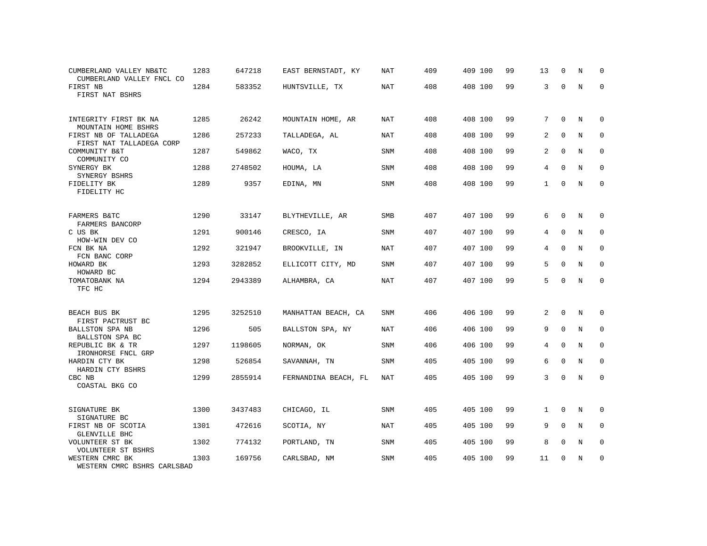| CUMBERLAND VALLEY NB&TC<br>CUMBERLAND VALLEY FNCL CO      | 1283 | 647218  | EAST BERNSTADT, KY   | NAT        | 409 | 409 100 | 99 | 13             | $\Omega$    | N           | $\Omega$    |
|-----------------------------------------------------------|------|---------|----------------------|------------|-----|---------|----|----------------|-------------|-------------|-------------|
| FIRST NB<br>FIRST NAT BSHRS                               | 1284 | 583352  | HUNTSVILLE, TX       | <b>NAT</b> | 408 | 408 100 | 99 | 3              | $\Omega$    | $\mathbf N$ | $\mathbf 0$ |
| INTEGRITY FIRST BK NA<br>MOUNTAIN HOME BSHRS              | 1285 | 26242   | MOUNTAIN HOME, AR    | NAT        | 408 | 408 100 | 99 | 7              | $\Omega$    | N           | $\Omega$    |
| FIRST NB OF TALLADEGA                                     | 1286 | 257233  | TALLADEGA, AL        | NAT        | 408 | 408 100 | 99 | 2              | $\Omega$    | N           | $\mathbf 0$ |
| FIRST NAT TALLADEGA CORP<br>COMMUNITY B&T<br>COMMUNITY CO | 1287 | 549862  | WACO, TX             | <b>SNM</b> | 408 | 408 100 | 99 | 2              | $\mathbf 0$ | N           | $\mathbf 0$ |
| SYNERGY BK<br>SYNERGY BSHRS                               | 1288 | 2748502 | HOUMA, LA            | <b>SNM</b> | 408 | 408 100 | 99 | $\overline{4}$ | $\mathbf 0$ | $\mathbf N$ | 0           |
| FIDELITY BK<br>FIDELITY HC                                | 1289 | 9357    | EDINA, MN            | <b>SNM</b> | 408 | 408 100 | 99 | $\mathbf{1}$   | $\Omega$    | $_{\rm N}$  | $\mathbf 0$ |
| FARMERS B&TC<br>FARMERS BANCORP                           | 1290 | 33147   | BLYTHEVILLE, AR      | <b>SMB</b> | 407 | 407 100 | 99 | 6              | $\mathbf 0$ | N           | 0           |
| C US BK<br>HOW-WIN DEV CO                                 | 1291 | 900146  | CRESCO, IA           | SNM        | 407 | 407 100 | 99 | 4              | 0           | N           | 0           |
| FCN BK NA<br>FCN BANC CORP                                | 1292 | 321947  | BROOKVILLE, IN       | <b>NAT</b> | 407 | 407 100 | 99 | 4              | $\mathbf 0$ | $\mathbf N$ | 0           |
| HOWARD BK<br>HOWARD BC                                    | 1293 | 3282852 | ELLICOTT CITY, MD    | <b>SNM</b> | 407 | 407 100 | 99 | 5              | $\Omega$    | N           | $\mathbf 0$ |
| TOMATOBANK NA<br>TFC HC                                   | 1294 | 2943389 | ALHAMBRA, CA         | <b>NAT</b> | 407 | 407 100 | 99 | 5              | $\Omega$    | $\mathbf N$ | $\mathbf 0$ |
| BEACH BUS BK<br>FIRST PACTRUST BC                         | 1295 | 3252510 | MANHATTAN BEACH, CA  | SNM        | 406 | 406 100 | 99 | 2              | 0           | N           | 0           |
| BALLSTON SPA NB<br>BALLSTON SPA BC                        | 1296 | 505     | BALLSTON SPA, NY     | <b>NAT</b> | 406 | 406 100 | 99 | 9              | $\mathbf 0$ | N           | 0           |
| REPUBLIC BK & TR<br>IRONHORSE FNCL GRP                    | 1297 | 1198605 | NORMAN, OK           | <b>SNM</b> | 406 | 406 100 | 99 | 4              | $\Omega$    | N           | $\mathbf 0$ |
| HARDIN CTY BK<br>HARDIN CTY BSHRS                         | 1298 | 526854  | SAVANNAH, TN         | SNM        | 405 | 405 100 | 99 | 6              | $\Omega$    | N           | $\mathbf 0$ |
| CBC NB<br>COASTAL BKG CO                                  | 1299 | 2855914 | FERNANDINA BEACH, FL | NAT        | 405 | 405 100 | 99 | 3              | $\Omega$    | N           | $\mathbf 0$ |
| SIGNATURE BK<br>SIGNATURE BC                              | 1300 | 3437483 | CHICAGO, IL          | <b>SNM</b> | 405 | 405 100 | 99 | $\mathbf{1}$   | $\mathbf 0$ | N           | $\mathbf 0$ |
| FIRST NB OF SCOTIA<br>GLENVILLE BHC                       | 1301 | 472616  | SCOTIA, NY           | <b>NAT</b> | 405 | 405 100 | 99 | 9              | $\Omega$    | $\rm N$     | $\mathbf 0$ |
| VOLUNTEER ST BK<br>VOLUNTEER ST BSHRS                     | 1302 | 774132  | PORTLAND, TN         | SNM        | 405 | 405 100 | 99 | 8              | 0           | N           | $\mathbf 0$ |
| WESTERN CMRC BK<br>WESTERN CMRC BSHRS CARLSBAD            | 1303 | 169756  | CARLSBAD, NM         | <b>SNM</b> | 405 | 405 100 | 99 | 11             | U           | N           | $\mathbf 0$ |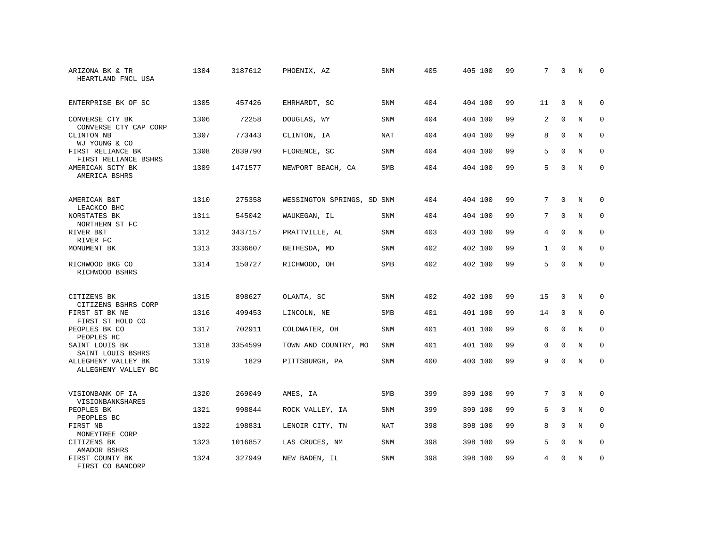| ARIZONA BK & TR<br>HEARTLAND FNCL USA      | 1304 | 3187612 | PHOENIX, AZ                | <b>SNM</b> | 405 | 405 100 | 99 | 7               | $\mathbf 0$ | N           | 0           |
|--------------------------------------------|------|---------|----------------------------|------------|-----|---------|----|-----------------|-------------|-------------|-------------|
| ENTERPRISE BK OF SC                        | 1305 | 457426  | EHRHARDT, SC               | <b>SNM</b> | 404 | 404 100 | 99 | 11              | $\mathbf 0$ | N           | $\mathbf 0$ |
| CONVERSE CTY BK<br>CONVERSE CTY CAP CORP   | 1306 | 72258   | DOUGLAS, WY                | <b>SNM</b> | 404 | 404 100 | 99 | 2               | $\mathbf 0$ | $_{\rm N}$  | $\mathbf 0$ |
| CLINTON NB<br>WJ YOUNG & CO                | 1307 | 773443  | CLINTON, IA                | <b>NAT</b> | 404 | 404 100 | 99 | 8               | $\Omega$    | N           | $\Omega$    |
| FIRST RELIANCE BK<br>FIRST RELIANCE BSHRS  | 1308 | 2839790 | FLORENCE, SC               | <b>SNM</b> | 404 | 404 100 | 99 | 5               | $\Omega$    | N           | $\mathbf 0$ |
| AMERICAN SCTY BK<br>AMERICA BSHRS          | 1309 | 1471577 | NEWPORT BEACH, CA          | <b>SMB</b> | 404 | 404 100 | 99 | 5               | $\Omega$    | $_{\rm N}$  | $\Omega$    |
| AMERICAN B&T<br>LEACKCO BHC                | 1310 | 275358  | WESSINGTON SPRINGS, SD SNM |            | 404 | 404 100 | 99 | 7               | $\Omega$    | N           | $\Omega$    |
| NORSTATES BK<br>NORTHERN ST FC             | 1311 | 545042  | WAUKEGAN, IL               | SNM        | 404 | 404 100 | 99 | 7               | $\mathbf 0$ | N           | 0           |
| RIVER B&T<br>RIVER FC                      | 1312 | 3437157 | PRATTVILLE, AL             | <b>SNM</b> | 403 | 403 100 | 99 | 4               | $\Omega$    | N           | $\Omega$    |
| MONUMENT BK                                | 1313 | 3336607 | BETHESDA, MD               | <b>SNM</b> | 402 | 402 100 | 99 | $\mathbf{1}$    | $\mathbf 0$ | $\mathbf N$ | $\mathbf 0$ |
| RICHWOOD BKG CO<br>RICHWOOD BSHRS          | 1314 | 150727  | RICHWOOD, OH               | <b>SMB</b> | 402 | 402 100 | 99 | 5               | $\Omega$    | $\mathbf N$ | $\mathbf 0$ |
| CITIZENS BK<br>CITIZENS BSHRS CORP         | 1315 | 898627  | OLANTA, SC                 | <b>SNM</b> | 402 | 402 100 | 99 | 15              | $\mathbf 0$ | N           | 0           |
| FIRST ST BK NE<br>FIRST ST HOLD CO         | 1316 | 499453  | LINCOLN, NE                | SMB        | 401 | 401 100 | 99 | 14              | $\mathbf 0$ | N           | $\mathbf 0$ |
| PEOPLES BK CO<br>PEOPLES HC                | 1317 | 702911  | COLDWATER, OH              | SNM        | 401 | 401 100 | 99 | 6               | $\mathbf 0$ | N           | 0           |
| SAINT LOUIS BK<br>SAINT LOUIS BSHRS        | 1318 | 3354599 | TOWN AND COUNTRY, MO       | <b>SNM</b> | 401 | 401 100 | 99 | $\mathbf 0$     | $\Omega$    | $\mathbf N$ | $\mathbf 0$ |
| ALLEGHENY VALLEY BK<br>ALLEGHENY VALLEY BC | 1319 | 1829    | PITTSBURGH, PA             | SNM        | 400 | 400 100 | 99 | 9               | $\mathbf 0$ | $\mathbf N$ | $\mathbf 0$ |
| VISIONBANK OF IA<br>VISIONBANKSHARES       | 1320 | 269049  | AMES, IA                   | SMB        | 399 | 399 100 | 99 | $7\overline{ }$ | $\Omega$    | N           | 0           |
| PEOPLES BK<br>PEOPLES BC                   | 1321 | 998844  | ROCK VALLEY, IA            | SNM        | 399 | 399 100 | 99 | 6               | $\mathbf 0$ | N           | 0           |
| FIRST NB<br>MONEYTREE CORP                 | 1322 | 198831  | LENOIR CITY, TN            | <b>NAT</b> | 398 | 398 100 | 99 | 8               | $\Omega$    | N           | $\mathbf 0$ |
| CITIZENS BK<br>AMADOR BSHRS                | 1323 | 1016857 | LAS CRUCES, NM             | SNM        | 398 | 398 100 | 99 | 5               | 0           | N           | $\mathbf 0$ |
| FIRST COUNTY BK<br>FIRST CO BANCORP        | 1324 | 327949  | NEW BADEN, IL              | <b>SNM</b> | 398 | 398 100 | 99 | 4               | $\Omega$    | N           | $\mathbf 0$ |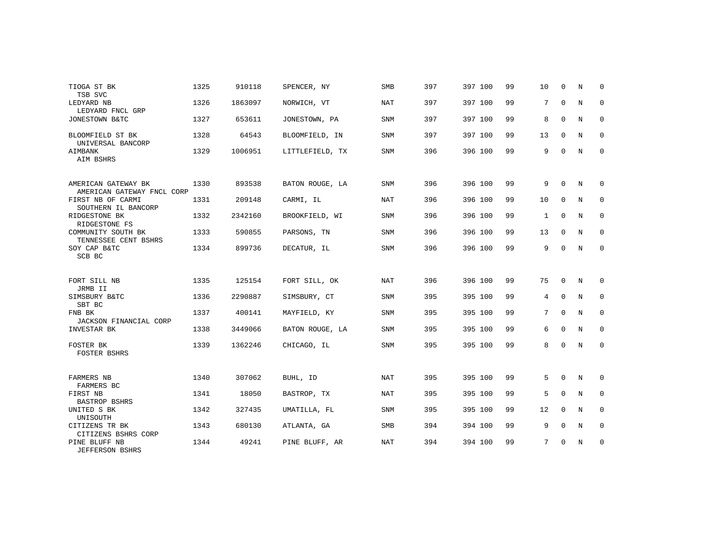| TIOGA ST BK<br>TSB SVC                            | 1325 | 910118  | SPENCER, NY     | <b>SMB</b> | 397 | 397 100 | 99 | 10           | $\Omega$    | N           | $\Omega$    |
|---------------------------------------------------|------|---------|-----------------|------------|-----|---------|----|--------------|-------------|-------------|-------------|
| LEDYARD NB<br>LEDYARD FNCL GRP                    | 1326 | 1863097 | NORWICH, VT     | NAT        | 397 | 397 100 | 99 | 7            | $\mathbf 0$ | N           | 0           |
| JONESTOWN B&TC                                    | 1327 | 653611  | JONESTOWN, PA   | SNM        | 397 | 397 100 | 99 | 8            | $\mathbf 0$ | N           | $\mathbf 0$ |
| BLOOMFIELD ST BK<br>UNIVERSAL BANCORP             | 1328 | 64543   | BLOOMFIELD, IN  | SNM        | 397 | 397 100 | 99 | 13           | $\Omega$    | N           | $\mathbf 0$ |
| AIMBANK<br>AIM BSHRS                              | 1329 | 1006951 | LITTLEFIELD, TX | <b>SNM</b> | 396 | 396 100 | 99 | 9            | $\mathbf 0$ | N           | $\mathbf 0$ |
| AMERICAN GATEWAY BK<br>AMERICAN GATEWAY FNCL CORP | 1330 | 893538  | BATON ROUGE, LA | <b>SNM</b> | 396 | 396 100 | 99 | 9            | $\Omega$    | N           | 0           |
| FIRST NB OF CARMI<br>SOUTHERN IL BANCORP          | 1331 | 209148  | CARMI, IL       | <b>NAT</b> | 396 | 396 100 | 99 | 10           | $\mathbf 0$ | N           | 0           |
| RIDGESTONE BK<br>RIDGESTONE FS                    | 1332 | 2342160 | BROOKFIELD, WI  | <b>SNM</b> | 396 | 396 100 | 99 | $\mathbf{1}$ | $\Omega$    | N           | $\mathbf 0$ |
| COMMUNITY SOUTH BK<br>TENNESSEE CENT BSHRS        | 1333 | 590855  | PARSONS, TN     | <b>SNM</b> | 396 | 396 100 | 99 | 13           | 0           | N           | 0           |
| SOY CAP B&TC<br>SCB BC                            | 1334 | 899736  | DECATUR, IL     | <b>SNM</b> | 396 | 396 100 | 99 | 9            | $\Omega$    | $\mathbb N$ | $\mathbf 0$ |
| FORT SILL NB<br>JRMB II                           | 1335 | 125154  | FORT SILL, OK   | <b>NAT</b> | 396 | 396 100 | 99 | 75           | $\mathbf 0$ | N           | 0           |
| SIMSBURY B&TC<br>SBT BC                           | 1336 | 2290887 | SIMSBURY, CT    | <b>SNM</b> | 395 | 395 100 | 99 | 4            | $\mathbf 0$ | N           | 0           |
| FNB BK<br>JACKSON FINANCIAL CORP                  | 1337 | 400141  | MAYFIELD, KY    | SNM        | 395 | 395 100 | 99 | 7            | $\mathbf 0$ | N           | 0           |
| INVESTAR BK                                       | 1338 | 3449066 | BATON ROUGE, LA | <b>SNM</b> | 395 | 395 100 | 99 | 6            | $\Omega$    | N           | $\mathbf 0$ |
| FOSTER BK<br><b>FOSTER BSHRS</b>                  | 1339 | 1362246 | CHICAGO, IL     | SNM        | 395 | 395 100 | 99 | 8            | $\Omega$    | N           | $\mathbf 0$ |
| FARMERS NB<br>FARMERS BC                          | 1340 | 307062  | BUHL, ID        | NAT        | 395 | 395 100 | 99 | 5            | $\mathbf 0$ | N           | 0           |
| FIRST NB<br>BASTROP BSHRS                         | 1341 | 18050   | BASTROP, TX     | NAT        | 395 | 395 100 | 99 | 5            | $\Omega$    | N           | 0           |
| UNITED S BK<br>UNISOUTH                           | 1342 | 327435  | UMATILLA, FL    | <b>SNM</b> | 395 | 395 100 | 99 | 12           | $\Omega$    | N           | $\mathbf 0$ |
| CITIZENS TR BK<br>CITIZENS BSHRS CORP             | 1343 | 680130  | ATLANTA, GA     | <b>SMB</b> | 394 | 394 100 | 99 | 9            | $\Omega$    | N           | $\mathbf 0$ |
| PINE BLUFF NB<br><b>JEFFERSON BSHRS</b>           | 1344 | 49241   | PINE BLUFF, AR  | <b>NAT</b> | 394 | 394 100 | 99 | 7            | $\Omega$    | N           | $\mathbf 0$ |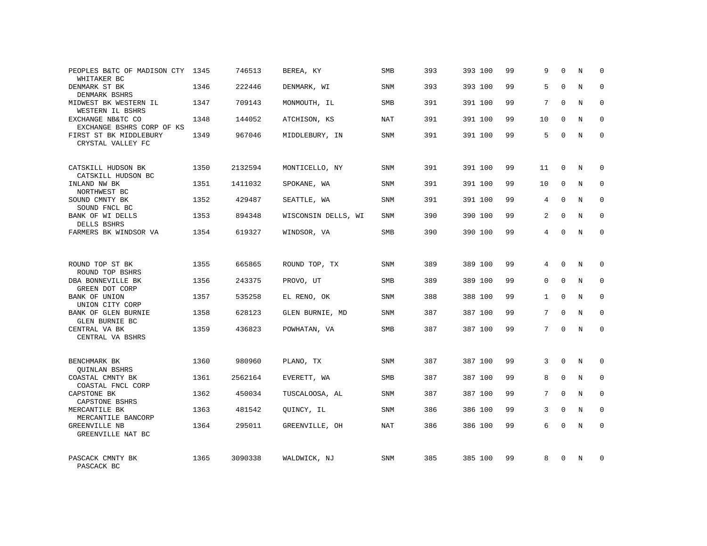| PEOPLES B&TC OF MADISON CTY 1345<br>WHITAKER BC |      | 746513  | BEREA, KY           | SMB        | 393 | 393 100 | 99 | 9            | $\Omega$    | N          | $\mathbf 0$  |
|-------------------------------------------------|------|---------|---------------------|------------|-----|---------|----|--------------|-------------|------------|--------------|
| DENMARK ST BK<br>DENMARK BSHRS                  | 1346 | 222446  | DENMARK, WI         | SNM        | 393 | 393 100 | 99 | 5            | $\Omega$    | N          | $\mathbf{0}$ |
| MIDWEST BK WESTERN IL<br>WESTERN IL BSHRS       | 1347 | 709143  | MONMOUTH, IL        | SMB        | 391 | 391 100 | 99 | 7            | $\Omega$    | N          | $\mathbf 0$  |
| EXCHANGE NB&TC CO<br>EXCHANGE BSHRS CORP OF KS  | 1348 | 144052  | ATCHISON, KS        | <b>NAT</b> | 391 | 391 100 | 99 | 10           | $\Omega$    | N          | $\mathbf{0}$ |
| FIRST ST BK MIDDLEBURY<br>CRYSTAL VALLEY FC     | 1349 | 967046  | MIDDLEBURY, IN      | SNM        | 391 | 391 100 | 99 | 5            | 0           | N          | $\mathbf 0$  |
| CATSKILL HUDSON BK<br>CATSKILL HUDSON BC        | 1350 | 2132594 | MONTICELLO, NY      | SNM        | 391 | 391 100 | 99 | 11           | $\mathbf 0$ | N          | $\mathbf 0$  |
| INLAND NW BK<br>NORTHWEST BC                    | 1351 | 1411032 | SPOKANE, WA         | SNM        | 391 | 391 100 | 99 | 10           | $\mathbf 0$ | N          | $\mathbf 0$  |
| SOUND CMNTY BK<br>SOUND FNCL BC                 | 1352 | 429487  | SEATTLE, WA         | SNM        | 391 | 391 100 | 99 | 4            | $\mathbf 0$ | N          | $\mathbf 0$  |
| BANK OF WI DELLS<br>DELLS BSHRS                 | 1353 | 894348  | WISCONSIN DELLS, WI | <b>SNM</b> | 390 | 390 100 | 99 | 2            | $\Omega$    | N          | $\mathbf 0$  |
| FARMERS BK WINDSOR VA                           | 1354 | 619327  | WINDSOR, VA         | <b>SMB</b> | 390 | 390 100 | 99 | 4            | $\Omega$    | N          | $\mathbf 0$  |
|                                                 |      |         |                     |            |     |         |    |              |             |            |              |
| ROUND TOP ST BK<br>ROUND TOP BSHRS              | 1355 | 665865  | ROUND TOP, TX       | SNM        | 389 | 389 100 | 99 | 4            | $\Omega$    | N          | $\Omega$     |
| DBA BONNEVILLE BK<br>GREEN DOT CORP             | 1356 | 243375  | PROVO, UT           | <b>SMB</b> | 389 | 389 100 | 99 | $\Omega$     | $\Omega$    | N          | $\mathbf 0$  |
| <b>BANK OF UNION</b><br>UNION CITY CORP         | 1357 | 535258  | EL RENO, OK         | SNM        | 388 | 388 100 | 99 | $\mathbf{1}$ | $\Omega$    | N          | $\Omega$     |
| BANK OF GLEN BURNIE<br>GLEN BURNIE BC           | 1358 | 628123  | GLEN BURNIE, MD     | SNM        | 387 | 387 100 | 99 | 7            | $\mathbf 0$ | N          | $\mathbf 0$  |
| CENTRAL VA BK<br>CENTRAL VA BSHRS               | 1359 | 436823  | POWHATAN, VA        | SMB        | 387 | 387 100 | 99 | 7            | $\Omega$    | $_{\rm N}$ | $\Omega$     |
|                                                 |      |         |                     |            |     |         |    |              |             |            |              |
| BENCHMARK BK<br><b>QUINLAN BSHRS</b>            | 1360 | 980960  | PLANO, TX           | SNM        | 387 | 387 100 | 99 | 3            | $\Omega$    | N          | $\Omega$     |
| COASTAL CMNTY BK<br>COASTAL FNCL CORP           | 1361 | 2562164 | EVERETT, WA         | SMB        | 387 | 387 100 | 99 | 8            | $\mathbf 0$ | N          | 0            |
| CAPSTONE BK<br>CAPSTONE BSHRS                   | 1362 | 450034  | TUSCALOOSA, AL      | SNM        | 387 | 387 100 | 99 | 7            | $\Omega$    | $_{\rm N}$ | $\Omega$     |
| MERCANTILE BK<br>MERCANTILE BANCORP             | 1363 | 481542  | QUINCY, IL          | SNM        | 386 | 386 100 | 99 | 3            | $\mathbf 0$ | N          | 0            |
| <b>GREENVILLE NB</b><br>GREENVILLE NAT BC       | 1364 | 295011  | GREENVILLE, OH      | <b>NAT</b> | 386 | 386 100 | 99 | 6            | $\Omega$    | N          | $\mathbf 0$  |
| PASCACK CMNTY BK<br>PASCACK BC                  | 1365 | 3090338 | WALDWICK, NJ        | <b>SNM</b> | 385 | 385 100 | 99 | 8            | $\Omega$    | N          | $\Omega$     |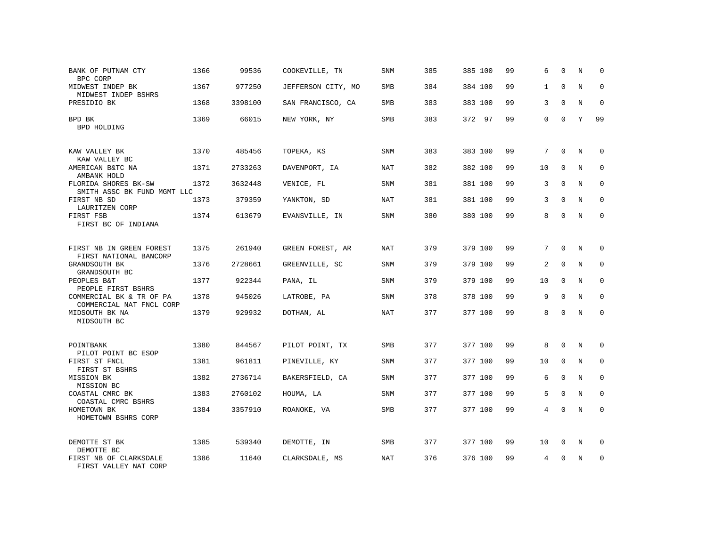| BANK OF PUTNAM CTY<br>BPC CORP                       | 1366 | 99536   | COOKEVILLE, TN     | <b>SNM</b> | 385 | 385 100 | 99 | 6        | $\Omega$    | N       | 0           |
|------------------------------------------------------|------|---------|--------------------|------------|-----|---------|----|----------|-------------|---------|-------------|
| MIDWEST INDEP BK<br>MIDWEST INDEP BSHRS              | 1367 | 977250  | JEFFERSON CITY, MO | <b>SMB</b> | 384 | 384 100 | 99 | 1        | $\Omega$    | N       | $\Omega$    |
| PRESIDIO BK                                          | 1368 | 3398100 | SAN FRANCISCO, CA  | <b>SMB</b> | 383 | 383 100 | 99 | 3        | $\Omega$    | N       | $\mathbf 0$ |
| BPD BK<br>BPD HOLDING                                | 1369 | 66015   | NEW YORK, NY       | <b>SMB</b> | 383 | 372 97  | 99 | $\Omega$ | $\Omega$    | Y       | 99          |
| KAW VALLEY BK<br>KAW VALLEY BC                       | 1370 | 485456  | TOPEKA, KS         | <b>SNM</b> | 383 | 383 100 | 99 | 7        | $\mathbf 0$ | N       | 0           |
| AMERICAN B&TC NA<br>AMBANK HOLD                      | 1371 | 2733263 | DAVENPORT, IA      | NAT        | 382 | 382 100 | 99 | 10       | $\Omega$    | N       | $\Omega$    |
| FLORIDA SHORES BK-SW<br>SMITH ASSC BK FUND MGMT LLC  | 1372 | 3632448 | VENICE, FL         | SNM        | 381 | 381 100 | 99 | 3        | $\mathbf 0$ | N       | 0           |
| FIRST NB SD<br>LAURITZEN CORP                        | 1373 | 379359  | YANKTON, SD        | NAT        | 381 | 381 100 | 99 | 3        | $\Omega$    | N       | $\Omega$    |
| FIRST FSB<br>FIRST BC OF INDIANA                     | 1374 | 613679  | EVANSVILLE, IN     | SNM        | 380 | 380 100 | 99 | 8        | $\Omega$    | N       | $\mathbf 0$ |
| FIRST NB IN GREEN FOREST<br>FIRST NATIONAL BANCORP   | 1375 | 261940  | GREEN FOREST, AR   | NAT        | 379 | 379 100 | 99 | 7        | $\Omega$    | N       | $\Omega$    |
| GRANDSOUTH BK<br>GRANDSOUTH BC                       | 1376 | 2728661 | GREENVILLE, SC     | <b>SNM</b> | 379 | 379 100 | 99 | 2        | $\Omega$    | N       | $\Omega$    |
| PEOPLES B&T<br>PEOPLE FIRST BSHRS                    | 1377 | 922344  | PANA, IL           | SNM        | 379 | 379 100 | 99 | 10       | $\Omega$    | N       | $\mathbf 0$ |
| COMMERCIAL BK & TR OF PA<br>COMMERCIAL NAT FNCL CORP | 1378 | 945026  | LATROBE, PA        | <b>SNM</b> | 378 | 378 100 | 99 | 9        | $\mathbf 0$ | N       | $\mathbf 0$ |
| MIDSOUTH BK NA<br>MIDSOUTH BC                        | 1379 | 929932  | DOTHAN, AL         | NAT        | 377 | 377 100 | 99 | 8        | $\Omega$    | N       | $\mathbf 0$ |
| POINTBANK<br>PILOT POINT BC ESOP                     | 1380 | 844567  | PILOT POINT, TX    | <b>SMB</b> | 377 | 377 100 | 99 | 8        | $\Omega$    | N       | $\mathbf 0$ |
| FIRST ST FNCL<br>FIRST ST BSHRS                      | 1381 | 961811  | PINEVILLE, KY      | SNM        | 377 | 377 100 | 99 | 10       | $\mathbf 0$ | N       | $\mathbf 0$ |
| MISSION BK<br>MISSION BC                             | 1382 | 2736714 | BAKERSFIELD, CA    | <b>SNM</b> | 377 | 377 100 | 99 | 6        | $\Omega$    | N       | $\mathbf 0$ |
| COASTAL CMRC BK<br>COASTAL CMRC BSHRS                | 1383 | 2760102 | HOUMA, LA          | <b>SNM</b> | 377 | 377 100 | 99 | 5        | $\mathbf 0$ | N       | $\mathbf 0$ |
| HOMETOWN BK<br>HOMETOWN BSHRS CORP                   | 1384 | 3357910 | ROANOKE, VA        | SMB        | 377 | 377 100 | 99 | 4        | $\Omega$    | $\rm N$ | $\mathbf 0$ |
| DEMOTTE ST BK<br>DEMOTTE BC                          | 1385 | 539340  | DEMOTTE, IN        | SMB        | 377 | 377 100 | 99 | 10       | 0           | N       | 0           |
| FIRST NB OF CLARKSDALE<br>FIRST VALLEY NAT CORP      | 1386 | 11640   | CLARKSDALE, MS     | <b>NAT</b> | 376 | 376 100 | 99 | 4        | $\Omega$    | N       | 0           |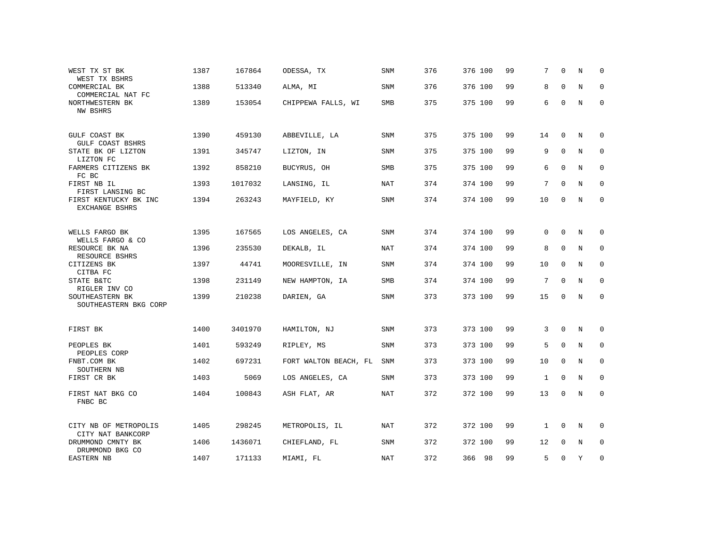| WEST TX ST BK<br>WEST TX BSHRS                       | 1387 | 167864  | ODESSA, TX            | <b>SNM</b> | 376 | 376 100 | 99 | 7            | $\Omega$     | N           | $\Omega$            |
|------------------------------------------------------|------|---------|-----------------------|------------|-----|---------|----|--------------|--------------|-------------|---------------------|
| COMMERCIAL BK<br>COMMERCIAL NAT FC                   | 1388 | 513340  | ALMA, MI              | <b>SNM</b> | 376 | 376 100 | 99 | 8            | $\Omega$     | $\mathbf N$ | $\mathbf{0}$        |
| NORTHWESTERN BK<br>NW BSHRS                          | 1389 | 153054  | CHIPPEWA FALLS, WI    | <b>SMB</b> | 375 | 375 100 | 99 | 6            | $\mathbf 0$  | $\mathbf N$ | $\mathbf 0$         |
| GULF COAST BK<br>GULF COAST BSHRS                    | 1390 | 459130  | ABBEVILLE, LA         | SNM        | 375 | 375 100 | 99 | 14           | $\mathbf{0}$ | N           | 0                   |
| STATE BK OF LIZTON<br>LIZTON FC                      | 1391 | 345747  | LIZTON, IN            | SNM        | 375 | 375 100 | 99 | 9            | $\mathbf 0$  | N           | 0                   |
| FARMERS CITIZENS BK<br>FC BC                         | 1392 | 858210  | BUCYRUS, OH           | <b>SMB</b> | 375 | 375 100 | 99 | 6            | $\Omega$     | N           | $\mathbf 0$         |
| FIRST NB IL<br>FIRST LANSING BC                      | 1393 | 1017032 | LANSING, IL           | <b>NAT</b> | 374 | 374 100 | 99 | 7            | $\Omega$     | $\mathbf N$ | $\mathbf{0}$        |
| FIRST KENTUCKY BK INC<br><b>EXCHANGE BSHRS</b>       | 1394 | 263243  | MAYFIELD, KY          | SNM        | 374 | 374 100 | 99 | 10           | $\mathbf 0$  | N           | $\mathbf 0$         |
| WELLS FARGO BK                                       | 1395 | 167565  | LOS ANGELES, CA       | SNM        | 374 | 374 100 | 99 | 0            | $\mathbf{0}$ | N           | $\mathbf 0$         |
| WELLS FARGO & CO<br>RESOURCE BK NA<br>RESOURCE BSHRS | 1396 | 235530  | DEKALB, IL            | <b>NAT</b> | 374 | 374 100 | 99 | 8            | $\mathbf 0$  | N           | $\mathbf 0$         |
| CITIZENS BK<br>CITBA FC                              | 1397 | 44741   | MOORESVILLE, IN       | <b>SNM</b> | 374 | 374 100 | 99 | 10           | 0            | N           | $\Omega$            |
| STATE B&TC<br>RIGLER INV CO                          | 1398 | 231149  | NEW HAMPTON, IA       | SMB        | 374 | 374 100 | 99 | 7            | $\Omega$     | N           | 0                   |
| SOUTHEASTERN BK<br>SOUTHEASTERN BKG CORP             | 1399 | 210238  | DARIEN, GA            | SNM        | 373 | 373 100 | 99 | 15           | $\mathbf{0}$ | N           | $\mathbf 0$         |
| FIRST BK                                             | 1400 | 3401970 | HAMILTON, NJ          | SNM        | 373 | 373 100 | 99 | 3            | $\mathbf{0}$ | N           | 0                   |
| PEOPLES BK<br>PEOPLES CORP                           | 1401 | 593249  | RIPLEY, MS            | SNM        | 373 | 373 100 | 99 | 5            | 0            | N           | 0                   |
| FNBT.COM BK<br>SOUTHERN NB                           | 1402 | 697231  | FORT WALTON BEACH, FL | SNM        | 373 | 373 100 | 99 | 10           | 0            | N           | 0                   |
| FIRST CR BK                                          | 1403 | 5069    | LOS ANGELES, CA       | <b>SNM</b> | 373 | 373 100 | 99 | $\mathbf{1}$ | $\mathbf{0}$ | N           | $\mathbf 0$         |
| FIRST NAT BKG CO<br>FNBC BC                          | 1404 | 100843  | ASH FLAT, AR          | <b>NAT</b> | 372 | 372 100 | 99 | 13           | $\mathbf 0$  | $\mathbf N$ | $\mathsf{O}\xspace$ |
| CITY NB OF METROPOLIS<br>CITY NAT BANKCORP           | 1405 | 298245  | METROPOLIS, IL        | NAT        | 372 | 372 100 | 99 | $\mathbf{1}$ | 0            | N           | 0                   |
| DRUMMOND CMNTY BK<br>DRUMMOND BKG CO                 | 1406 | 1436071 | CHIEFLAND, FL         | SNM        | 372 | 372 100 | 99 | 12           | $\mathbf{0}$ | Ν           | 0                   |
| EASTERN NB                                           | 1407 | 171133  | MIAMI, FL             | NAT        | 372 | 366 98  | 99 | 5            | 0            | Y           | $\mathbf 0$         |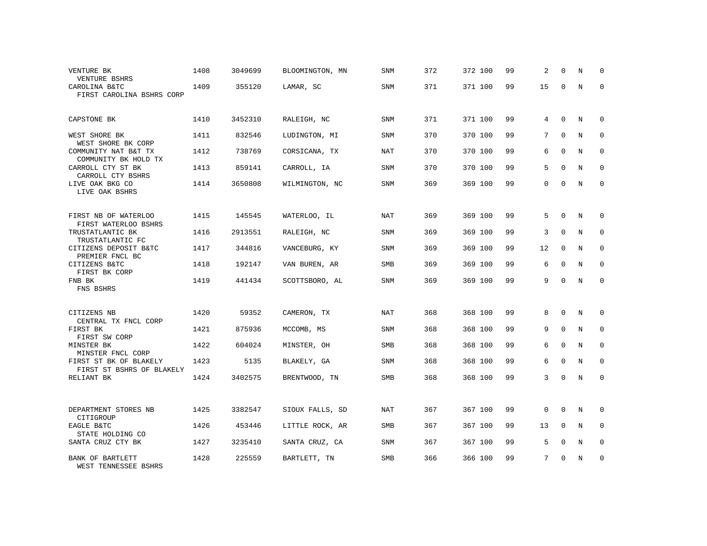| VENTURE BK<br>VENTURE BSHRS                         | 1408 | 3049699 | BLOOMINGTON, MN | SNM        | 372 | 372 100 | 99 | 2           | $\Omega$    | N           | 0           |
|-----------------------------------------------------|------|---------|-----------------|------------|-----|---------|----|-------------|-------------|-------------|-------------|
| CAROLINA B&TC<br>FIRST CAROLINA BSHRS CORP          | 1409 | 355120  | LAMAR, SC       | SNM        | 371 | 371 100 | 99 | 15          | $\Omega$    | $\mathbf N$ | $\Omega$    |
| CAPSTONE BK                                         | 1410 | 3452310 | RALEIGH, NC     | SNM        | 371 | 371 100 | 99 | 4           | $\Omega$    | N           | $\Omega$    |
| WEST SHORE BK<br>WEST SHORE BK CORP                 | 1411 | 832546  | LUDINGTON, MI   | SNM        | 370 | 370 100 | 99 | 7           | $\Omega$    | N           | 0           |
| COMMUNITY NAT B&T TX<br>COMMUNITY BK HOLD TX        | 1412 | 738769  | CORSICANA, TX   | NAT        | 370 | 370 100 | 99 | 6           | $\Omega$    | N           | $\Omega$    |
| CARROLL CTY ST BK<br>CARROLL CTY BSHRS              | 1413 | 859141  | CARROLL, IA     | SNM        | 370 | 370 100 | 99 | 5           | $\Omega$    | N           | 0           |
| LIVE OAK BKG CO<br>LIVE OAK BSHRS                   | 1414 | 3650808 | WILMINGTON, NC  | <b>SNM</b> | 369 | 369 100 | 99 | $\Omega$    | $\Omega$    | N           | $\Omega$    |
| FIRST NB OF WATERLOO<br>FIRST WATERLOO BSHRS        | 1415 | 145545  | WATERLOO, IL    | <b>NAT</b> | 369 | 369 100 | 99 | 5           | $\Omega$    | N           | $\Omega$    |
| TRUSTATLANTIC BK<br>TRUSTATLANTIC FC                | 1416 | 2913551 | RALEIGH, NC     | SNM        | 369 | 369 100 | 99 | 3           | $\Omega$    | N           | $\Omega$    |
| CITIZENS DEPOSIT B&TC<br>PREMIER FNCL BC            | 1417 | 344816  | VANCEBURG, KY   | SNM        | 369 | 369 100 | 99 | 12          | $\Omega$    | N           | $\Omega$    |
| CITIZENS B&TC<br>FIRST BK CORP                      | 1418 | 192147  | VAN BUREN, AR   | <b>SMB</b> | 369 | 369 100 | 99 | 6           | $\Omega$    | N           | $\Omega$    |
| FNB BK<br>FNS BSHRS                                 | 1419 | 441434  | SCOTTSBORO, AL  | <b>SNM</b> | 369 | 369 100 | 99 | 9           | $\Omega$    | N           | $\mathbf 0$ |
| CITIZENS NB<br>CENTRAL TX FNCL CORP                 | 1420 | 59352   | CAMERON, TX     | <b>NAT</b> | 368 | 368 100 | 99 | 8           | $\mathbf 0$ | N           | $\mathbf 0$ |
| FIRST BK<br>FIRST SW CORP                           | 1421 | 875936  | MCCOMB, MS      | <b>SNM</b> | 368 | 368 100 | 99 | 9           | $\Omega$    | N           | $\mathbf 0$ |
| MINSTER BK<br>MINSTER FNCL CORP                     | 1422 | 604024  | MINSTER, OH     | SMB        | 368 | 368 100 | 99 | 6           | $\mathbf 0$ | $\mathbf N$ | $\mathbf 0$ |
| FIRST ST BK OF BLAKELY<br>FIRST ST BSHRS OF BLAKELY | 1423 | 5135    | BLAKELY, GA     | <b>SNM</b> | 368 | 368 100 | 99 | 6           | $\Omega$    | N           | $\mathbf 0$ |
| RELIANT BK                                          | 1424 | 3402575 | BRENTWOOD, TN   | SMB        | 368 | 368 100 | 99 | 3           | $\Omega$    | $\mathbf N$ | $\mathbf 0$ |
| DEPARTMENT STORES NB<br>CITIGROUP                   | 1425 | 3382547 | SIOUX FALLS, SD | NAT        | 367 | 367 100 | 99 | $\mathbf 0$ | $\mathbf 0$ | N           | $\mathbf 0$ |
| EAGLE B&TC<br>STATE HOLDING CO                      | 1426 | 453446  | LITTLE ROCK, AR | SMB        | 367 | 367 100 | 99 | 13          | $\mathbf 0$ | N           | 0           |
| SANTA CRUZ CTY BK                                   | 1427 | 3235410 | SANTA CRUZ, CA  | SNM        | 367 | 367 100 | 99 | 5           | $\mathbf 0$ | N           | 0           |
| BANK OF BARTLETT<br>WEST TENNESSEE BSHRS            | 1428 | 225559  | BARTLETT, TN    | <b>SMB</b> | 366 | 366 100 | 99 | 7           | $\Omega$    | N           | $\mathbf 0$ |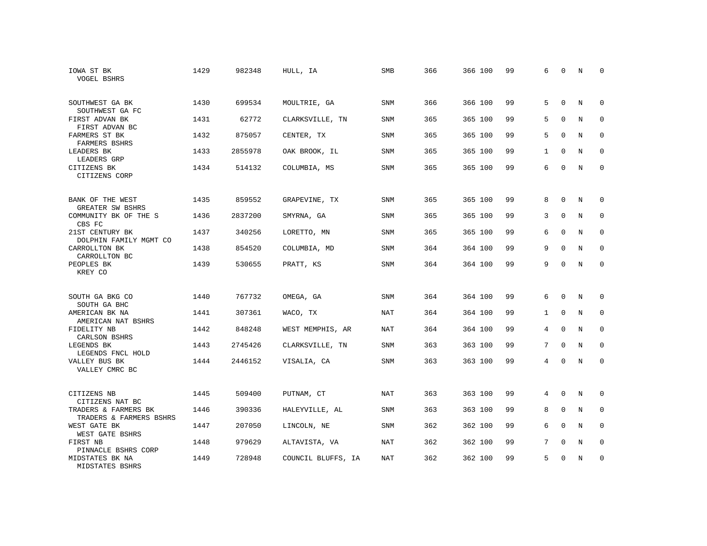| IOWA ST BK<br><b>VOGEL BSHRS</b>                | 1429 | 982348  | HULL, IA           | SMB        | 366 | 366 100 | 99 | 6            | $\mathbf 0$  | N           | 0           |
|-------------------------------------------------|------|---------|--------------------|------------|-----|---------|----|--------------|--------------|-------------|-------------|
| SOUTHWEST GA BK<br>SOUTHWEST GA FC              | 1430 | 699534  | MOULTRIE, GA       | <b>SNM</b> | 366 | 366 100 | 99 | 5            | $\Omega$     | N           | $\Omega$    |
| FIRST ADVAN BK<br>FIRST ADVAN BC                | 1431 | 62772   | CLARKSVILLE, TN    | <b>SNM</b> | 365 | 365 100 | 99 | 5            | $\mathbf 0$  | N           | $\mathbf 0$ |
| FARMERS ST BK<br>FARMERS BSHRS                  | 1432 | 875057  | CENTER, TX         | <b>SNM</b> | 365 | 365 100 | 99 | 5            | $\Omega$     | N           | $\Omega$    |
| LEADERS BK<br>LEADERS GRP                       | 1433 | 2855978 | OAK BROOK, IL      | SNM        | 365 | 365 100 | 99 | $\mathbf{1}$ | $\mathbf 0$  | N           | $\mathbf 0$ |
| CITIZENS BK<br>CITIZENS CORP                    | 1434 | 514132  | COLUMBIA, MS       | <b>SNM</b> | 365 | 365 100 | 99 | 6            | $\Omega$     | N           | $\mathbf 0$ |
| BANK OF THE WEST<br>GREATER SW BSHRS            | 1435 | 859552  | GRAPEVINE, TX      | <b>SNM</b> | 365 | 365 100 | 99 | 8            | $\mathbf 0$  | N           | 0           |
| COMMUNITY BK OF THE S<br>CBS FC                 | 1436 | 2837200 | SMYRNA, GA         | <b>SNM</b> | 365 | 365 100 | 99 | 3            | $\mathbf 0$  | $\mathbf N$ | $\mathbf 0$ |
| 21ST CENTURY BK<br>DOLPHIN FAMILY MGMT CO       | 1437 | 340256  | LORETTO, MN        | SNM        | 365 | 365 100 | 99 | 6            | $\mathbf 0$  | N           | $\mathbf 0$ |
| CARROLLTON BK<br>CARROLLTON BC                  | 1438 | 854520  | COLUMBIA, MD       | <b>SNM</b> | 364 | 364 100 | 99 | 9            | $\Omega$     | $\mathbf N$ | $\mathbf 0$ |
| PEOPLES BK<br>KREY CO                           | 1439 | 530655  | PRATT, KS          | SNM        | 364 | 364 100 | 99 | 9            | $\Omega$     | N           | $\Omega$    |
| SOUTH GA BKG CO<br>SOUTH GA BHC                 | 1440 | 767732  | OMEGA, GA          | <b>SNM</b> | 364 | 364 100 | 99 | 6            | $\Omega$     | N           | 0           |
| AMERICAN BK NA<br>AMERICAN NAT BSHRS            | 1441 | 307361  | WACO, TX           | <b>NAT</b> | 364 | 364 100 | 99 | $\mathbf{1}$ | $\mathbf 0$  | N           | 0           |
| FIDELITY NB<br>CARLSON BSHRS                    | 1442 | 848248  | WEST MEMPHIS, AR   | <b>NAT</b> | 364 | 364 100 | 99 | 4            | $\mathbf 0$  | N           | $\mathbf 0$ |
| LEGENDS BK<br>LEGENDS FNCL HOLD                 | 1443 | 2745426 | CLARKSVILLE, TN    | <b>SNM</b> | 363 | 363 100 | 99 | 7            | $\Omega$     | N           | $\Omega$    |
| VALLEY BUS BK<br>VALLEY CMRC BC                 | 1444 | 2446152 | VISALIA, CA        | <b>SNM</b> | 363 | 363 100 | 99 | 4            | $\mathbf 0$  | N           | $\mathbf 0$ |
| CITIZENS NB<br>CITIZENS NAT BC                  | 1445 | 509400  | PUTNAM, CT         | <b>NAT</b> | 363 | 363 100 | 99 | 4            | $\mathbf{0}$ | N           | 0           |
| TRADERS & FARMERS BK<br>TRADERS & FARMERS BSHRS | 1446 | 390336  | HALEYVILLE, AL     | SNM        | 363 | 363 100 | 99 | 8            | $\mathbf 0$  | N           | 0           |
| WEST GATE BK<br>WEST GATE BSHRS                 | 1447 | 207050  | LINCOLN, NE        | <b>SNM</b> | 362 | 362 100 | 99 | 6            | $\Omega$     | N           | $\mathbf 0$ |
| FIRST NB<br>PINNACLE BSHRS CORP                 | 1448 | 979629  | ALTAVISTA, VA      | <b>NAT</b> | 362 | 362 100 | 99 | 7            | $\mathbf 0$  | N           | 0           |
| MIDSTATES BK NA<br>MIDSTATES BSHRS              | 1449 | 728948  | COUNCIL BLUFFS, IA | <b>NAT</b> | 362 | 362 100 | 99 | 5            | $\Omega$     | N           | $\mathbf 0$ |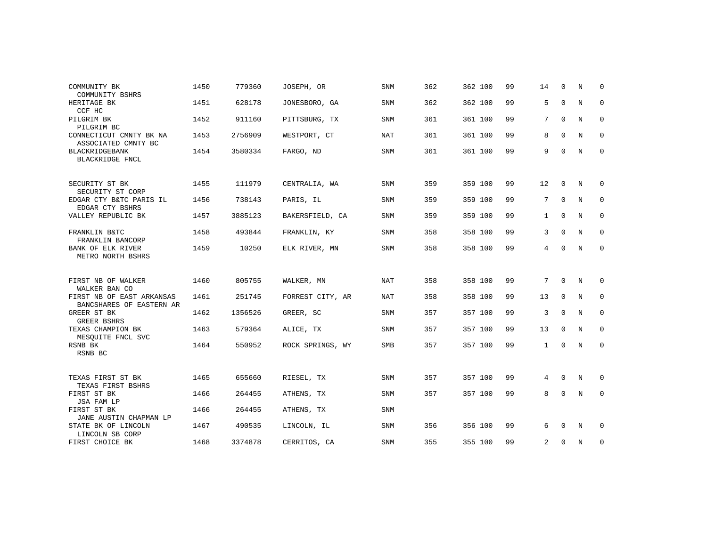| COMMUNITY BK                                                      | 1450 | 779360  | JOSEPH, OR       | <b>SNM</b> | 362 | 362 100 | 99 | 14             | $\mathbf 0$ | N          | 0           |
|-------------------------------------------------------------------|------|---------|------------------|------------|-----|---------|----|----------------|-------------|------------|-------------|
| COMMUNITY BSHRS<br>HERITAGE BK                                    | 1451 | 628178  | JONESBORO, GA    | <b>SNM</b> | 362 | 362 100 | 99 | 5              | $\mathbf 0$ | N          | 0           |
| CCF HC                                                            |      |         |                  |            |     |         | 99 | 7              | $\Omega$    | $_{\rm N}$ | $\mathbf 0$ |
| PILGRIM BK<br>PILGRIM BC                                          | 1452 | 911160  | PITTSBURG, TX    | <b>SNM</b> | 361 | 361 100 |    |                |             |            |             |
| CONNECTICUT CMNTY BK NA<br>ASSOCIATED CMNTY BC                    | 1453 | 2756909 | WESTPORT, CT     | NAT        | 361 | 361 100 | 99 | 8              | $\Omega$    | N          | 0           |
| <b>BLACKRIDGEBANK</b><br>BLACKRIDGE FNCL                          | 1454 | 3580334 | FARGO, ND        | <b>SNM</b> | 361 | 361 100 | 99 | 9              | $\mathbf 0$ | $_{\rm N}$ | $\mathbf 0$ |
|                                                                   |      |         |                  |            |     |         |    |                |             |            |             |
| SECURITY ST BK<br>SECURITY ST CORP                                | 1455 | 111979  | CENTRALIA, WA    | <b>SNM</b> | 359 | 359 100 | 99 | 12             | 0           | N          | 0           |
| EDGAR CTY B&TC PARIS IL<br>EDGAR CTY BSHRS                        | 1456 | 738143  | PARIS, IL        | SNM        | 359 | 359 100 | 99 | 7              | $\mathbf 0$ | N          | $\mathbf 0$ |
| VALLEY REPUBLIC BK                                                | 1457 | 3885123 | BAKERSFIELD, CA  | <b>SNM</b> | 359 | 359 100 | 99 | $\mathbf{1}$   | $\Omega$    | N          | $\mathbf 0$ |
| FRANKLIN B&TC                                                     | 1458 | 493844  | FRANKLIN, KY     | <b>SNM</b> | 358 | 358 100 | 99 | 3              | $\Omega$    | N          | $\mathbf 0$ |
| FRANKLIN BANCORP<br><b>BANK OF ELK RIVER</b><br>METRO NORTH BSHRS | 1459 | 10250   | ELK RIVER, MN    | <b>SNM</b> | 358 | 358 100 | 99 | 4              | $\mathbf 0$ | N          | $\mathbf 0$ |
|                                                                   |      |         |                  |            |     |         |    |                |             |            |             |
| FIRST NB OF WALKER<br>WALKER BAN CO                               | 1460 | 805755  | WALKER, MN       | NAT        | 358 | 358 100 | 99 | 7              | $\mathbf 0$ | N          | 0           |
| FIRST NB OF EAST ARKANSAS<br>BANCSHARES OF EASTERN AR             | 1461 | 251745  | FORREST CITY, AR | NAT        | 358 | 358 100 | 99 | 13             | $\Omega$    | N          | $\mathbf 0$ |
| GREER ST BK<br><b>GREER BSHRS</b>                                 | 1462 | 1356526 | GREER, SC        | SNM        | 357 | 357 100 | 99 | 3              | 0           | N          | 0           |
| TEXAS CHAMPION BK<br>MESOUITE FNCL SVC                            | 1463 | 579364  | ALICE, TX        | <b>SNM</b> | 357 | 357 100 | 99 | 13             | $\Omega$    | N          | 0           |
| RSNB BK<br>RSNB BC                                                | 1464 | 550952  | ROCK SPRINGS, WY | SMB        | 357 | 357 100 | 99 | 1              | $\mathbf 0$ | $_{\rm N}$ | $\mathbf 0$ |
|                                                                   |      |         |                  |            |     |         |    |                |             |            |             |
| TEXAS FIRST ST BK<br>TEXAS FIRST BSHRS                            | 1465 | 655660  | RIESEL, TX       | SNM        | 357 | 357 100 | 99 | 4              | $\mathbf 0$ | N          | 0           |
| FIRST ST BK<br>JSA FAM LP                                         | 1466 | 264455  | ATHENS, TX       | <b>SNM</b> | 357 | 357 100 | 99 | 8              | 0           | N          | $\mathbf 0$ |
| FIRST ST BK<br>JANE AUSTIN CHAPMAN LP                             | 1466 | 264455  | ATHENS, TX       | <b>SNM</b> |     |         |    |                |             |            |             |
| STATE BK OF LINCOLN<br>LINCOLN SB CORP                            | 1467 | 490535  | LINCOLN, IL      | SNM        | 356 | 356 100 | 99 | 6              | $\mathbf 0$ | N          | 0           |
| FIRST CHOICE BK                                                   | 1468 | 3374878 | CERRITOS, CA     | <b>SNM</b> | 355 | 355 100 | 99 | $\overline{a}$ | $\Omega$    | N          | 0           |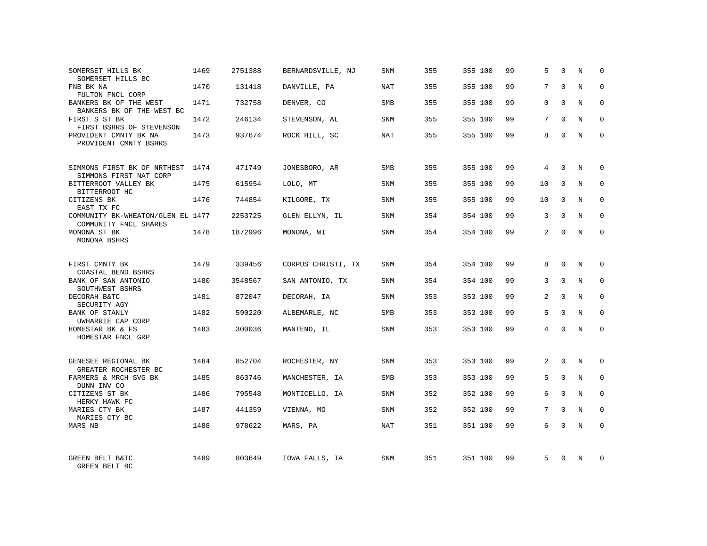| SOMERSET HILLS BK<br>SOMERSET HILLS BC                     | 1469 | 2751388 | BERNARDSVILLE, NJ  | SNM        | 355 | 355 100 | 99 | 5              | $\Omega$    | N          | $\Omega$    |
|------------------------------------------------------------|------|---------|--------------------|------------|-----|---------|----|----------------|-------------|------------|-------------|
| FNB BK NA<br>FULTON FNCL CORP                              | 1470 | 131418  | DANVILLE, PA       | NAT        | 355 | 355 100 | 99 | 7              | $\Omega$    | N          | $\Omega$    |
| BANKERS BK OF THE WEST<br>BANKERS BK OF THE WEST BC        | 1471 | 732758  | DENVER, CO         | SMB        | 355 | 355 100 | 99 | $\Omega$       | $\Omega$    | N          | $\Omega$    |
| FIRST S ST BK<br>FIRST BSHRS OF STEVENSON                  | 1472 | 246134  | STEVENSON, AL      | SNM        | 355 | 355 100 | 99 | 7              | $\Omega$    | N          | $\Omega$    |
| PROVIDENT CMNTY BK NA<br>PROVIDENT CMNTY BSHRS             | 1473 | 937674  | ROCK HILL, SC      | NAT        | 355 | 355 100 | 99 | 8              | $\Omega$    | N          | 0           |
| SIMMONS FIRST BK OF NRTHEST<br>SIMMONS FIRST NAT CORP      | 1474 | 471749  | JONESBORO, AR      | SMB        | 355 | 355 100 | 99 | 4              | $\Omega$    | N          | $\Omega$    |
| BITTERROOT VALLEY BK<br>BITTERROOT HC                      | 1475 | 615954  | LOLO, MT           | SNM        | 355 | 355 100 | 99 | 10             | $\Omega$    | N          | $\Omega$    |
| CITIZENS BK<br>EAST TX FC                                  | 1476 | 744854  | KILGORE, TX        | SNM        | 355 | 355 100 | 99 | 10             | $\Omega$    | N          | $\Omega$    |
| COMMUNITY BK-WHEATON/GLEN EL 1477<br>COMMUNITY FNCL SHARES |      | 2253725 | GLEN ELLYN, IL     | SNM        | 354 | 354 100 | 99 | 3              | $\Omega$    | N          | $\Omega$    |
| MONONA ST BK<br>MONONA BSHRS                               | 1478 | 1872996 | MONONA, WI         | SNM        | 354 | 354 100 | 99 | 2              | $\Omega$    | N          | $\mathbf 0$ |
| FIRST CMNTY BK<br>COASTAL BEND BSHRS                       | 1479 | 339456  | CORPUS CHRISTI, TX | <b>SNM</b> | 354 | 354 100 | 99 | 8              | $\Omega$    | N          | $\Omega$    |
| BANK OF SAN ANTONIO<br>SOUTHWEST BSHRS                     | 1480 | 3548567 | SAN ANTONIO, TX    | SNM        | 354 | 354 100 | 99 | 3              | $\Omega$    | N          | $\mathbf 0$ |
| DECORAH B&TC<br>SECURITY AGY                               | 1481 | 872047  | DECORAH, IA        | <b>SNM</b> | 353 | 353 100 | 99 | $\overline{2}$ | $\Omega$    | N          | $\Omega$    |
| BANK OF STANLY<br>UWHARRIE CAP CORP                        | 1482 | 590220  | ALBEMARLE, NC      | <b>SMB</b> | 353 | 353 100 | 99 | 5              | $\Omega$    | N          | $\mathbf 0$ |
| HOMESTAR BK & FS<br>HOMESTAR FNCL GRP                      | 1483 | 300036  | MANTENO, IL        | <b>SNM</b> | 353 | 353 100 | 99 | $\overline{4}$ | $\Omega$    | $_{\rm N}$ | $\Omega$    |
| GENESEE REGIONAL BK<br>GREATER ROCHESTER BC                | 1484 | 852704  | ROCHESTER, NY      | <b>SNM</b> | 353 | 353 100 | 99 | 2              | $\Omega$    | N          | $\Omega$    |
| FARMERS & MRCH SVG BK<br>DUNN INV CO                       | 1485 | 863746  | MANCHESTER, IA     | SMB        | 353 | 353 100 | 99 | 5              | $\mathbf 0$ | N          | $\mathbf 0$ |
| CITIZENS ST BK<br>HERKY HAWK FC                            | 1486 | 795548  | MONTICELLO, IA     | <b>SNM</b> | 352 | 352 100 | 99 | 6              | $\Omega$    | N          | $\Omega$    |
| MARIES CTY BK<br>MARIES CTY BC                             | 1487 | 441359  | VIENNA, MO         | SNM        | 352 | 352 100 | 99 | 7              | $\Omega$    | N          | $\mathbf 0$ |
| MARS NB                                                    | 1488 | 978622  | MARS, PA           | <b>NAT</b> | 351 | 351 100 | 99 | 6              | $\Omega$    | N          | $\Omega$    |
| GREEN BELT B&TC<br>GREEN BELT BC                           | 1489 | 803649  | IOWA FALLS, IA     | SNM        | 351 | 351 100 | 99 | 5              | $\Omega$    | N          | $\Omega$    |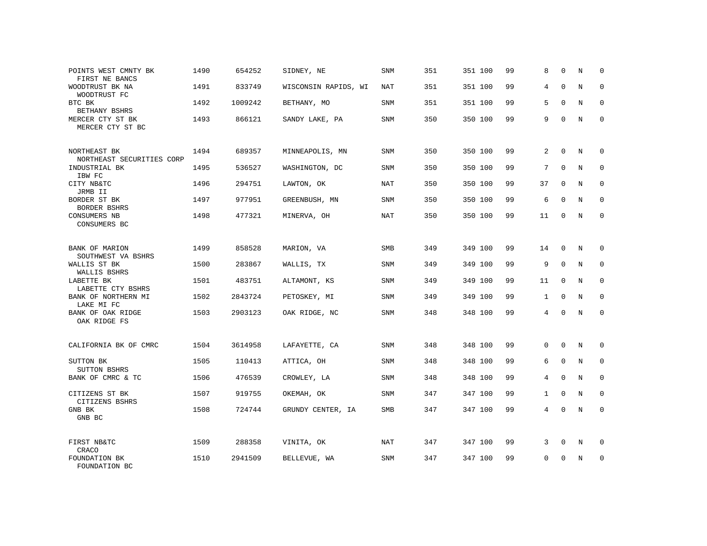| POINTS WEST CMNTY BK<br>FIRST NE BANCS    | 1490 | 654252  | SIDNEY, NE           | SNM        | 351 | 351 100 | 99 | 8            | $\mathbf 0$ | N | 0           |
|-------------------------------------------|------|---------|----------------------|------------|-----|---------|----|--------------|-------------|---|-------------|
| WOODTRUST BK NA<br>WOODTRUST FC           | 1491 | 833749  | WISCONSIN RAPIDS, WI | <b>NAT</b> | 351 | 351 100 | 99 | 4            | $\Omega$    | N | $\mathbf 0$ |
| BTC BK<br>BETHANY BSHRS                   | 1492 | 1009242 | BETHANY, MO          | SNM        | 351 | 351 100 | 99 | 5            | $\Omega$    | N | 0           |
| MERCER CTY ST BK<br>MERCER CTY ST BC      | 1493 | 866121  | SANDY LAKE, PA       | <b>SNM</b> | 350 | 350 100 | 99 | 9            | $\Omega$    | N | $\mathbf 0$ |
| NORTHEAST BK<br>NORTHEAST SECURITIES CORP | 1494 | 689357  | MINNEAPOLIS, MN      | SNM        | 350 | 350 100 | 99 | 2            | $\Omega$    | N | $\Omega$    |
| INDUSTRIAL BK<br>IBW FC                   | 1495 | 536527  | WASHINGTON, DC       | <b>SNM</b> | 350 | 350 100 | 99 | 7            | $\mathbf 0$ | N | $\mathbf 0$ |
| CITY NB&TC<br>JRMB II                     | 1496 | 294751  | LAWTON, OK           | <b>NAT</b> | 350 | 350 100 | 99 | 37           | $\Omega$    | N | $\mathbf 0$ |
| BORDER ST BK<br>BORDER BSHRS              | 1497 | 977951  | GREENBUSH, MN        | <b>SNM</b> | 350 | 350 100 | 99 | 6            | $\mathbf 0$ | N | $\mathbf 0$ |
| CONSUMERS NB<br>CONSUMERS BC              | 1498 | 477321  | MINERVA, OH          | NAT        | 350 | 350 100 | 99 | 11           | $\Omega$    | N | $\mathbf 0$ |
| BANK OF MARION<br>SOUTHWEST VA BSHRS      | 1499 | 858528  | MARION, VA           | SMB        | 349 | 349 100 | 99 | 14           | $\mathbf 0$ | N | $\mathbf 0$ |
| WALLIS ST BK<br>WALLIS BSHRS              | 1500 | 283867  | WALLIS, TX           | <b>SNM</b> | 349 | 349 100 | 99 | 9            | $\Omega$    | N | $\Omega$    |
| LABETTE BK<br>LABETTE CTY BSHRS           | 1501 | 483751  | ALTAMONT, KS         | SNM        | 349 | 349 100 | 99 | 11           | $\mathbf 0$ | N | $\mathbf 0$ |
| BANK OF NORTHERN MI<br>LAKE MI FC         | 1502 | 2843724 | PETOSKEY, MI         | <b>SNM</b> | 349 | 349 100 | 99 | $\mathbf{1}$ | $\Omega$    | N | $\Omega$    |
| BANK OF OAK RIDGE<br>OAK RIDGE FS         | 1503 | 2903123 | OAK RIDGE, NC        | <b>SNM</b> | 348 | 348 100 | 99 | 4            | $\Omega$    | N | $\mathbf 0$ |
| CALIFORNIA BK OF CMRC                     | 1504 | 3614958 | LAFAYETTE, CA        | <b>SNM</b> | 348 | 348 100 | 99 | $\mathbf 0$  | $\mathbf 0$ | N | 0           |
| SUTTON BK<br>SUTTON BSHRS                 | 1505 | 110413  | ATTICA, OH           | <b>SNM</b> | 348 | 348 100 | 99 | 6            | $\Omega$    | N | $\mathbf 0$ |
| BANK OF CMRC & TC                         | 1506 | 476539  | CROWLEY, LA          | SNM        | 348 | 348 100 | 99 | 4            | $\mathbf 0$ | N | 0           |
| CITIZENS ST BK<br>CITIZENS BSHRS          | 1507 | 919755  | OKEMAH, OK           | <b>SNM</b> | 347 | 347 100 | 99 | $\mathbf{1}$ | $\Omega$    | N | $\mathbf 0$ |
| GNB BK<br>GNB BC                          | 1508 | 724744  | GRUNDY CENTER, IA    | SMB        | 347 | 347 100 | 99 | 4            | 0           | N | $\mathbf 0$ |
| FIRST NB&TC<br>CRACO                      | 1509 | 288358  | VINITA, OK           | <b>NAT</b> | 347 | 347 100 | 99 | 3            | $\mathbf 0$ | N | 0           |
| FOUNDATION BK<br>FOUNDATION BC            | 1510 | 2941509 | BELLEVUE, WA         | <b>SNM</b> | 347 | 347 100 | 99 | $\Omega$     | $\Omega$    | N | $\mathbf 0$ |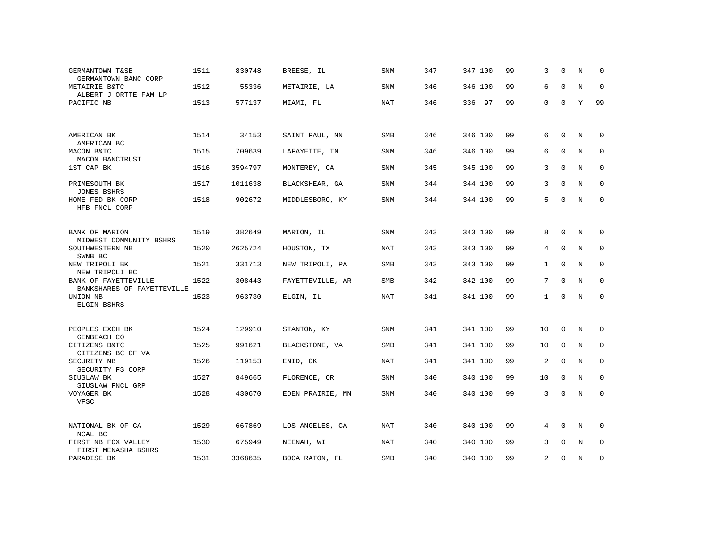| GERMANTOWN T&SB<br>GERMANTOWN BANC CORP            | 1511 | 830748  | BREESE, IL       | <b>SNM</b> | 347 | 347 100 | 99 | 3            | $\Omega$    | N           | $\Omega$    |
|----------------------------------------------------|------|---------|------------------|------------|-----|---------|----|--------------|-------------|-------------|-------------|
| METAIRIE B&TC<br>ALBERT J ORTTE FAM LP             | 1512 | 55336   | METAIRIE, LA     | <b>SNM</b> | 346 | 346 100 | 99 | 6            | $\Omega$    | N           | $\mathbf 0$ |
| PACIFIC NB                                         | 1513 | 577137  | MIAMI, FL        | <b>NAT</b> | 346 | 336 97  | 99 | $\mathbf{0}$ | $\Omega$    | Y           | 99          |
|                                                    |      |         |                  |            |     |         |    |              |             |             |             |
| AMERICAN BK<br>AMERICAN BC                         | 1514 | 34153   | SAINT PAUL, MN   | SMB        | 346 | 346 100 | 99 | 6            | $\Omega$    | N           | 0           |
| MACON B&TC<br>MACON BANCTRUST                      | 1515 | 709639  | LAFAYETTE, TN    | SNM        | 346 | 346 100 | 99 | 6            | $\mathbf 0$ | N           | 0           |
| 1ST CAP BK                                         | 1516 | 3594797 | MONTEREY, CA     | <b>SNM</b> | 345 | 345 100 | 99 | 3            | $\Omega$    | N           | $\mathbf 0$ |
| PRIMESOUTH BK<br><b>JONES BSHRS</b>                | 1517 | 1011638 | BLACKSHEAR, GA   | <b>SNM</b> | 344 | 344 100 | 99 | 3            | $\Omega$    | $\mathbf N$ | $\mathbf 0$ |
| HOME FED BK CORP<br>HFB FNCL CORP                  | 1518 | 902672  | MIDDLESBORO, KY  | <b>SNM</b> | 344 | 344 100 | 99 | 5            | $\Omega$    | N           | $\mathbf 0$ |
|                                                    |      |         |                  |            |     |         |    |              |             |             |             |
| BANK OF MARION<br>MIDWEST COMMUNITY BSHRS          | 1519 | 382649  | MARION, IL       | <b>SNM</b> | 343 | 343 100 | 99 | 8            | $\mathbf 0$ | N           | 0           |
| SOUTHWESTERN NB<br>SWNB BC                         | 1520 | 2625724 | HOUSTON, TX      | <b>NAT</b> | 343 | 343 100 | 99 | 4            | $\mathbf 0$ | N           | $\mathbf 0$ |
| NEW TRIPOLI BK<br>NEW TRIPOLI BC                   | 1521 | 331713  | NEW TRIPOLI, PA  | <b>SMB</b> | 343 | 343 100 | 99 | $\mathbf{1}$ | $\Omega$    | N           | $\Omega$    |
| BANK OF FAYETTEVILLE<br>BANKSHARES OF FAYETTEVILLE | 1522 | 308443  | FAYETTEVILLE, AR | <b>SMB</b> | 342 | 342 100 | 99 | 7            | $\Omega$    | N           | $\mathbf 0$ |
| UNION NB<br><b>ELGIN BSHRS</b>                     | 1523 | 963730  | ELGIN, IL        | <b>NAT</b> | 341 | 341 100 | 99 | $\mathbf{1}$ | $\mathbf 0$ | N           | $\mathbf 0$ |
|                                                    |      |         |                  |            |     |         |    |              |             |             |             |
| PEOPLES EXCH BK<br>GENBEACH CO                     | 1524 | 129910  | STANTON, KY      | <b>SNM</b> | 341 | 341 100 | 99 | 10           | 0           | N           | 0           |
| CITIZENS B&TC<br>CITIZENS BC OF VA                 | 1525 | 991621  | BLACKSTONE, VA   | <b>SMB</b> | 341 | 341 100 | 99 | 10           | $\mathbf 0$ | N           | 0           |
| SECURITY NB<br>SECURITY FS CORP                    | 1526 | 119153  | ENID, OK         | NAT        | 341 | 341 100 | 99 | 2            | 0           | N           | 0           |
| SIUSLAW BK<br>SIUSLAW FNCL GRP                     | 1527 | 849665  | FLORENCE, OR     | <b>SNM</b> | 340 | 340 100 | 99 | 10           | $\mathbf 0$ | $\mathbb N$ | $\mathbf 0$ |
| VOYAGER BK<br>VFSC                                 | 1528 | 430670  | EDEN PRAIRIE, MN | <b>SNM</b> | 340 | 340 100 | 99 | 3            | $\mathbf 0$ | N           | $\mathbf 0$ |
|                                                    |      |         |                  |            |     |         |    |              |             |             |             |
| NATIONAL BK OF CA<br>NCAL BC                       | 1529 | 667869  | LOS ANGELES, CA  | NAT        | 340 | 340 100 | 99 | 4            | $\mathbf 0$ | N           | 0           |
| FIRST NB FOX VALLEY<br>FIRST MENASHA BSHRS         | 1530 | 675949  | NEENAH, WI       | NAT        | 340 | 340 100 | 99 | 3            | $\mathbf 0$ | N           | 0           |
| PARADISE BK                                        | 1531 | 3368635 | BOCA RATON, FL   | SMB        | 340 | 340 100 | 99 | 2            | $\mathbf 0$ | N           | 0           |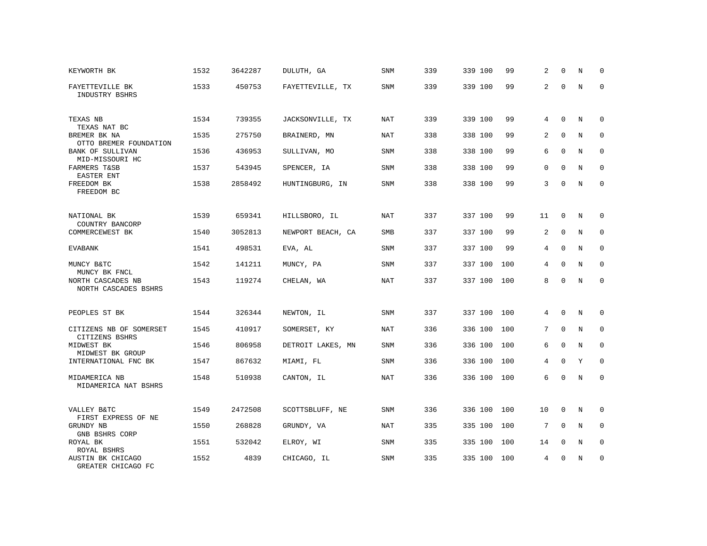| KEYWORTH BK                                | 1532 | 3642287 | DULUTH, GA        | SNM        | 339 | 339 100 | 99  | 2           | $\Omega$    | N          | $\Omega$    |
|--------------------------------------------|------|---------|-------------------|------------|-----|---------|-----|-------------|-------------|------------|-------------|
| FAYETTEVILLE BK<br>INDUSTRY BSHRS          | 1533 | 450753  | FAYETTEVILLE, TX  | SNM        | 339 | 339 100 | 99  | 2           | $\Omega$    | N          | $\Omega$    |
| TEXAS NB<br>TEXAS NAT BC                   | 1534 | 739355  | JACKSONVILLE, TX  | NAT        | 339 | 339 100 | 99  | 4           | $\Omega$    | $_{\rm N}$ | $\Omega$    |
| BREMER BK NA<br>OTTO BREMER FOUNDATION     | 1535 | 275750  | BRAINERD, MN      | NAT        | 338 | 338 100 | 99  | 2           | $\Omega$    | N          | 0           |
| <b>BANK OF SULLIVAN</b><br>MID-MISSOURI HC | 1536 | 436953  | SULLIVAN, MO      | SNM        | 338 | 338 100 | 99  | 6           | $\Omega$    | N          | $\Omega$    |
| FARMERS T&SB<br>EASTER ENT                 | 1537 | 543945  | SPENCER, IA       | <b>SNM</b> | 338 | 338 100 | 99  | $\mathbf 0$ | $\mathbf 0$ | N          | $\mathbf 0$ |
| FREEDOM BK<br>FREEDOM BC                   | 1538 | 2858492 | HUNTINGBURG, IN   | <b>SNM</b> | 338 | 338 100 | 99  | 3           | $\Omega$    | N          | $\mathbf 0$ |
| NATIONAL BK<br>COUNTRY BANCORP             | 1539 | 659341  | HILLSBORO, IL     | NAT        | 337 | 337 100 | 99  | 11          | $\mathbf 0$ | N          | 0           |
| COMMERCEWEST BK                            | 1540 | 3052813 | NEWPORT BEACH, CA | SMB        | 337 | 337 100 | 99  | 2           | $\mathbf 0$ | N          | $\mathbf 0$ |
| <b>EVABANK</b>                             | 1541 | 498531  | EVA, AL           | SNM        | 337 | 337 100 | 99  | 4           | $\Omega$    | N          | $\mathbf 0$ |
| MUNCY B&TC<br>MUNCY BK FNCL                | 1542 | 141211  | MUNCY, PA         | <b>SNM</b> | 337 | 337 100 | 100 | 4           | $\Omega$    | N          | $\Omega$    |
| NORTH CASCADES NB<br>NORTH CASCADES BSHRS  | 1543 | 119274  | CHELAN, WA        | NAT        | 337 | 337 100 | 100 | 8           | $\Omega$    | N          | $\mathbf 0$ |
| PEOPLES ST BK                              | 1544 | 326344  | NEWTON, IL        | SNM        | 337 | 337 100 | 100 | 4           | $\mathbf 0$ | N          | 0           |
| CITIZENS NB OF SOMERSET<br>CITIZENS BSHRS  | 1545 | 410917  | SOMERSET, KY      | <b>NAT</b> | 336 | 336 100 | 100 | 7           | $\Omega$    | N          | $\mathbf 0$ |
| MIDWEST BK<br>MIDWEST BK GROUP             | 1546 | 806958  | DETROIT LAKES, MN | <b>SNM</b> | 336 | 336 100 | 100 | 6           | $\mathbf 0$ | N          | $\mathbf 0$ |
| INTERNATIONAL FNC BK                       | 1547 | 867632  | MIAMI, FL         | <b>SNM</b> | 336 | 336 100 | 100 | 4           | $\Omega$    | Y          | $\Omega$    |
| MIDAMERICA NB<br>MIDAMERICA NAT BSHRS      | 1548 | 510938  | CANTON, IL        | <b>NAT</b> | 336 | 336 100 | 100 | 6           | $\Omega$    | N          | $\mathbf 0$ |
| VALLEY B&TC<br>FIRST EXPRESS OF NE         | 1549 | 2472508 | SCOTTSBLUFF, NE   | <b>SNM</b> | 336 | 336 100 | 100 | 10          | $\mathbf 0$ | N          | 0           |
| GRUNDY NB<br>GNB BSHRS CORP                | 1550 | 268828  | GRUNDY, VA        | <b>NAT</b> | 335 | 335 100 | 100 | 7           | $\Omega$    | N          | $\mathbf 0$ |
| ROYAL BK<br>ROYAL BSHRS                    | 1551 | 532042  | ELROY, WI         | SNM        | 335 | 335 100 | 100 | 14          | $\mathbf 0$ | N          | 0           |
| AUSTIN BK CHICAGO<br>GREATER CHICAGO FC    | 1552 | 4839    | CHICAGO, IL       | <b>SNM</b> | 335 | 335 100 | 100 | 4           | $\Omega$    | N          | $\mathbf 0$ |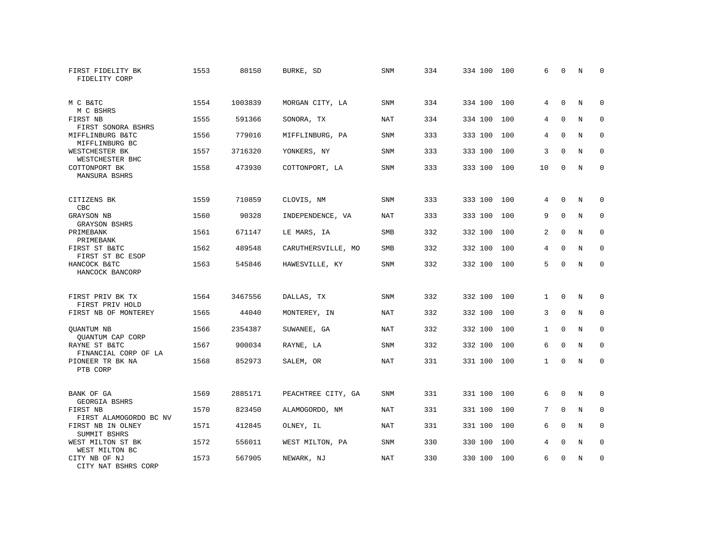| FIRST FIDELITY BK<br>FIDELITY CORP    | 1553 | 80150   | BURKE, SD          | SNM        | 334 | 334 100 | 100 | 6            | $\mathbf 0$ | N           | 0           |
|---------------------------------------|------|---------|--------------------|------------|-----|---------|-----|--------------|-------------|-------------|-------------|
| M C B&TC<br>M C BSHRS                 | 1554 | 1003839 | MORGAN CITY, LA    | <b>SNM</b> | 334 | 334 100 | 100 | 4            | $\Omega$    | N           | $\Omega$    |
| FIRST NB<br>FIRST SONORA BSHRS        | 1555 | 591366  | SONORA, TX         | <b>NAT</b> | 334 | 334 100 | 100 | 4            | $\mathbf 0$ | N           | $\mathbf 0$ |
| MIFFLINBURG B&TC<br>MIFFLINBURG BC    | 1556 | 779016  | MIFFLINBURG, PA    | <b>SNM</b> | 333 | 333 100 | 100 | 4            | $\Omega$    | N           | $\Omega$    |
| WESTCHESTER BK<br>WESTCHESTER BHC     | 1557 | 3716320 | YONKERS, NY        | SNM        | 333 | 333 100 | 100 | 3            | $\mathbf 0$ | N           | $\mathbf 0$ |
| COTTONPORT BK<br><b>MANSURA BSHRS</b> | 1558 | 473930  | COTTONPORT, LA     | <b>SNM</b> | 333 | 333 100 | 100 | 10           | $\mathbf 0$ | N           | $\mathbf 0$ |
| CITIZENS BK<br>CBC                    | 1559 | 710859  | CLOVIS, NM         | <b>SNM</b> | 333 | 333 100 | 100 | 4            | $\mathbf 0$ | N           | 0           |
| GRAYSON NB<br><b>GRAYSON BSHRS</b>    | 1560 | 90328   | INDEPENDENCE, VA   | <b>NAT</b> | 333 | 333 100 | 100 | 9            | $\mathbf 0$ | $\mathbf N$ | $\mathbf 0$ |
| PRIMEBANK<br>PRIMEBANK                | 1561 | 671147  | LE MARS, IA        | SMB        | 332 | 332 100 | 100 | 2            | $\mathbf 0$ | N           | $\mathbf 0$ |
| FIRST ST B&TC<br>FIRST ST BC ESOP     | 1562 | 489548  | CARUTHERSVILLE, MO | <b>SMB</b> | 332 | 332 100 | 100 | 4            | $\Omega$    | $\mathbf N$ | $\mathbf 0$ |
| HANCOCK B&TC<br>HANCOCK BANCORP       | 1563 | 545846  | HAWESVILLE, KY     | SNM        | 332 | 332 100 | 100 | 5            | $\Omega$    | $_{\rm N}$  | $\Omega$    |
| FIRST PRIV BK TX<br>FIRST PRIV HOLD   | 1564 | 3467556 | DALLAS, TX         | <b>SNM</b> | 332 | 332 100 | 100 | $\mathbf{1}$ | $\Omega$    | N           | 0           |
| FIRST NB OF MONTEREY                  | 1565 | 44040   | MONTEREY, IN       | <b>NAT</b> | 332 | 332 100 | 100 | 3            | $\mathbf 0$ | N           | 0           |
| QUANTUM NB<br>QUANTUM CAP CORP        | 1566 | 2354387 | SUWANEE, GA        | <b>NAT</b> | 332 | 332 100 | 100 | $\mathbf{1}$ | $\mathbf 0$ | N           | $\mathbf 0$ |
| RAYNE ST B&TC<br>FINANCIAL CORP OF LA | 1567 | 900034  | RAYNE, LA          | <b>SNM</b> | 332 | 332 100 | 100 | 6            | $\Omega$    | $_{\rm N}$  | $\mathbf 0$ |
| PIONEER TR BK NA<br>PTB CORP          | 1568 | 852973  | SALEM, OR          | <b>NAT</b> | 331 | 331 100 | 100 | $\mathbf{1}$ | $\mathbf 0$ | N           | $\mathbf 0$ |
| BANK OF GA<br>GEORGIA BSHRS           | 1569 | 2885171 | PEACHTREE CITY, GA | SNM        | 331 | 331 100 | 100 | 6            | 0           | N           | 0           |
| FIRST NB<br>FIRST ALAMOGORDO BC NV    | 1570 | 823450  | ALAMOGORDO, NM     | <b>NAT</b> | 331 | 331 100 | 100 | 7            | $\mathbf 0$ | N           | $\mathbf 0$ |
| FIRST NB IN OLNEY<br>SUMMIT BSHRS     | 1571 | 412845  | OLNEY, IL          | NAT        | 331 | 331 100 | 100 | 6            | $\Omega$    | N           | $\mathbf 0$ |
| WEST MILTON ST BK<br>WEST MILTON BC   | 1572 | 556011  | WEST MILTON, PA    | SNM        | 330 | 330 100 | 100 | 4            | 0           | N           | 0           |
| CITY NB OF NJ<br>CITY NAT BSHRS CORP  | 1573 | 567905  | NEWARK, NJ         | <b>NAT</b> | 330 | 330 100 | 100 | 6            | $\Omega$    | N           | $\mathbf 0$ |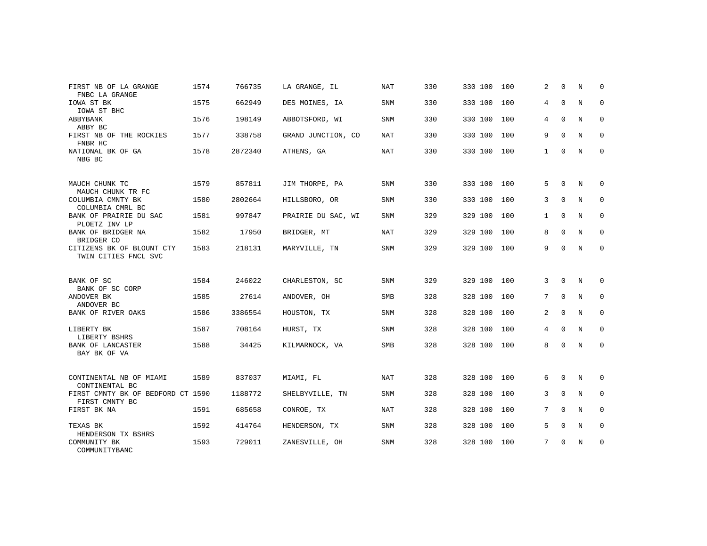| FIRST NB OF LA GRANGE<br>FNBC LA GRANGE             | 1574 | 766735  | LA GRANGE, IL      | <b>NAT</b> | 330 | 330 100 100 |     | 2            | $\Omega$    | N | $\Omega$    |
|-----------------------------------------------------|------|---------|--------------------|------------|-----|-------------|-----|--------------|-------------|---|-------------|
| IOWA ST BK<br>IOWA ST BHC                           | 1575 | 662949  | DES MOINES, IA     | <b>SNM</b> | 330 | 330 100     | 100 | 4            | $\mathbf 0$ | N | 0           |
| ABBYBANK<br>ABBY BC                                 | 1576 | 198149  | ABBOTSFORD, WI     | <b>SNM</b> | 330 | 330 100     | 100 | 4            | $\mathbf 0$ | N | 0           |
| FIRST NB OF THE ROCKIES<br>FNBR HC                  | 1577 | 338758  | GRAND JUNCTION, CO | NAT        | 330 | 330 100     | 100 | 9            | $\Omega$    | N | 0           |
| NATIONAL BK OF GA<br>NBG BC                         | 1578 | 2872340 | ATHENS, GA         | <b>NAT</b> | 330 | 330 100 100 |     | 1            | $\mathbf 0$ | N | 0           |
| MAUCH CHUNK TC<br>MAUCH CHUNK TR FC                 | 1579 | 857811  | JIM THORPE, PA     | <b>SNM</b> | 330 | 330 100     | 100 | 5            | $\Omega$    | N | $\Omega$    |
| COLUMBIA CMNTY BK<br>COLUMBIA CMRL BC               | 1580 | 2802664 | HILLSBORO, OR      | SNM        | 330 | 330 100     | 100 | 3            | $\Omega$    | N | 0           |
| BANK OF PRAIRIE DU SAC<br>PLOETZ INV LP             | 1581 | 997847  | PRAIRIE DU SAC, WI | <b>SNM</b> | 329 | 329 100     | 100 | $\mathbf{1}$ | $\mathbf 0$ | N | 0           |
| BANK OF BRIDGER NA<br>BRIDGER CO                    | 1582 | 17950   | BRIDGER, MT        | NAT        | 329 | 329 100     | 100 | 8            | $\Omega$    | N | $\mathbf 0$ |
| CITIZENS BK OF BLOUNT CTY<br>TWIN CITIES FNCL SVC   | 1583 | 218131  | MARYVILLE, TN      | SNM        | 329 | 329 100 100 |     | 9            | $\Omega$    | N | 0           |
| BANK OF SC<br>BANK OF SC CORP                       | 1584 | 246022  | CHARLESTON, SC     | <b>SNM</b> | 329 | 329 100     | 100 | 3            | $\Omega$    | N | $\Omega$    |
| ANDOVER BK<br>ANDOVER BC                            | 1585 | 27614   | ANDOVER, OH        | SMB        | 328 | 328 100 100 |     | 7            | $\mathbf 0$ | N | 0           |
| BANK OF RIVER OAKS                                  | 1586 | 3386554 | HOUSTON, TX        | <b>SNM</b> | 328 | 328 100     | 100 | 2            | $\mathbf 0$ | N | 0           |
| LIBERTY BK<br>LIBERTY BSHRS                         | 1587 | 708164  | HURST, TX          | <b>SNM</b> | 328 | 328 100     | 100 | 4            | $\Omega$    | N | $\mathbf 0$ |
| BANK OF LANCASTER<br>BAY BK OF VA                   | 1588 | 34425   | KILMARNOCK, VA     | <b>SMB</b> | 328 | 328 100 100 |     | 8            | $\mathbf 0$ | N | 0           |
| CONTINENTAL NB OF MIAMI<br>CONTINENTAL BC           | 1589 | 837037  | MIAMI, FL          | NAT        | 328 | 328 100 100 |     | 6            | $\mathbf 0$ | N | 0           |
| FIRST CMNTY BK OF BEDFORD CT 1590<br>FIRST CMNTY BC |      | 1188772 | SHELBYVILLE, TN    | <b>SNM</b> | 328 | 328 100     | 100 | 3            | $\Omega$    | N | 0           |
| FIRST BK NA                                         | 1591 | 685658  | CONROE, TX         | <b>NAT</b> | 328 | 328 100     | 100 | 7            | $\mathbf 0$ | N | 0           |
| TEXAS BK<br>HENDERSON TX BSHRS                      | 1592 | 414764  | HENDERSON, TX      | <b>SNM</b> | 328 | 328 100 100 |     | 5            | $\Omega$    | N | $\mathbf 0$ |
| COMMUNITY BK<br>COMMUNITYBANC                       | 1593 | 729011  | ZANESVILLE, OH     | <b>SNM</b> | 328 | 328 100 100 |     | 7            | $\mathbf 0$ | N | 0           |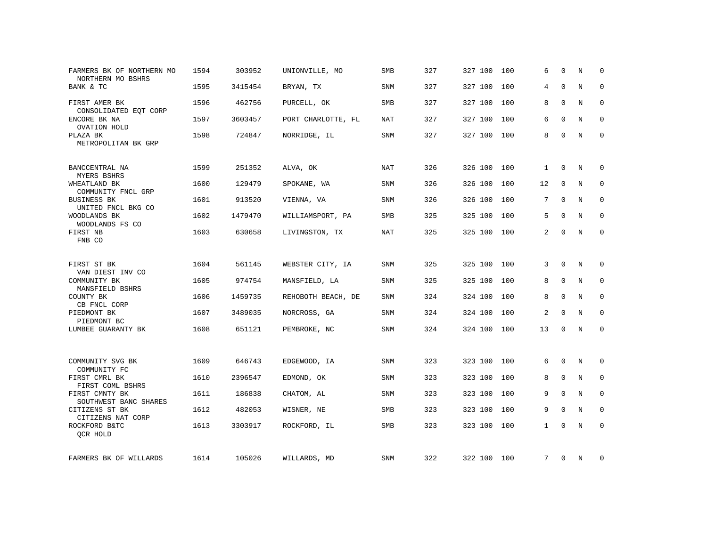| FARMERS BK OF NORTHERN MO<br>NORTHERN MO BSHRS | 1594 | 303952  | UNIONVILLE, MO     | <b>SMB</b> | 327 | 327 100     | 100 | 6            | $\Omega$     | N           | $\Omega$    |
|------------------------------------------------|------|---------|--------------------|------------|-----|-------------|-----|--------------|--------------|-------------|-------------|
| BANK & TC                                      | 1595 | 3415454 | BRYAN, TX          | SNM        | 327 | 327 100     | 100 | 4            | $\Omega$     | N           | $\mathbf 0$ |
| FIRST AMER BK<br>CONSOLIDATED EQT CORP         | 1596 | 462756  | PURCELL, OK        | SMB        | 327 | 327 100     | 100 | 8            | $\Omega$     | N           | 0           |
| ENCORE BK NA<br>OVATION HOLD                   | 1597 | 3603457 | PORT CHARLOTTE, FL | NAT        | 327 | 327 100     | 100 | 6            | $\Omega$     | N           | 0           |
| PLAZA BK<br>METROPOLITAN BK GRP                | 1598 | 724847  | NORRIDGE, IL       | SNM        | 327 | 327 100 100 |     | 8            | $\Omega$     | N           | $\mathbf 0$ |
| BANCCENTRAL NA<br>MYERS BSHRS                  | 1599 | 251352  | ALVA, OK           | <b>NAT</b> | 326 | 326 100     | 100 | $\mathbf{1}$ | 0            | N           | 0           |
| WHEATLAND BK<br>COMMUNITY FNCL GRP             | 1600 | 129479  | SPOKANE, WA        | <b>SNM</b> | 326 | 326 100     | 100 | 12           | $\mathbf 0$  | $_{\rm N}$  | $\mathbf 0$ |
| <b>BUSINESS BK</b><br>UNITED FNCL BKG CO       | 1601 | 913520  | VIENNA, VA         | SNM        | 326 | 326 100     | 100 | 7            | $\mathbf 0$  | N           | $\mathbf 0$ |
| WOODLANDS BK<br>WOODLANDS FS CO                | 1602 | 1479470 | WILLIAMSPORT, PA   | SMB        | 325 | 325 100     | 100 | 5            | $\mathbf 0$  | N           | $\mathbf 0$ |
| FIRST NB<br>FNB CO                             | 1603 | 630658  | LIVINGSTON, TX     | NAT        | 325 | 325 100     | 100 | 2            | 0            | N           | $\mathbf 0$ |
| FIRST ST BK<br>VAN DIEST INV CO                | 1604 | 561145  | WEBSTER CITY, IA   | SNM        | 325 | 325 100 100 |     | 3            | $\mathbf 0$  | N           | 0           |
| COMMUNITY BK<br>MANSFIELD BSHRS                | 1605 | 974754  | MANSFIELD, LA      | SNM        | 325 | 325 100     | 100 | 8            | $\mathbf 0$  | N           | 0           |
| COUNTY BK<br>CB FNCL CORP                      | 1606 | 1459735 | REHOBOTH BEACH, DE | SNM        | 324 | 324 100     | 100 | 8            | $\mathbf 0$  | $\mathbf N$ | $\mathbf 0$ |
| PIEDMONT BK<br>PIEDMONT BC                     | 1607 | 3489035 | NORCROSS, GA       | SNM        | 324 | 324 100     | 100 | 2            | $\mathbf 0$  | N           | $\mathbf 0$ |
| LUMBEE GUARANTY BK                             | 1608 | 651121  | PEMBROKE, NC       | SNM        | 324 | 324 100     | 100 | 13           | $\mathbf 0$  | N           | 0           |
| COMMUNITY SVG BK<br>COMMUNITY FC               | 1609 | 646743  | EDGEWOOD, IA       | SNM        | 323 | 323 100     | 100 | 6            | $\mathbf 0$  | N           | 0           |
| FIRST CMRL BK<br>FIRST COML BSHRS              | 1610 | 2396547 | EDMOND, OK         | SNM        | 323 | 323 100     | 100 | 8            | $\mathbf 0$  | N           | $\mathbf 0$ |
| FIRST CMNTY BK<br>SOUTHWEST BANC SHARES        | 1611 | 186838  | CHATOM, AL         | SNM        | 323 | 323 100     | 100 | 9            | $\mathbf 0$  | N           | $\mathbf 0$ |
| CITIZENS ST BK<br>CITIZENS NAT CORP            | 1612 | 482053  | WISNER, NE         | SMB        | 323 | 323 100     | 100 | 9            | $\Omega$     | N           | $\Omega$    |
| ROCKFORD B&TC<br>QCR HOLD                      | 1613 | 3303917 | ROCKFORD, IL       | SMB        | 323 | 323 100     | 100 | $\mathbf{1}$ | $\Omega$     | N           | $\mathbf 0$ |
| FARMERS BK OF WILLARDS                         | 1614 | 105026  | WILLARDS, MD       | SNM        | 322 | 322 100 100 |     | 7            | $\mathbf{0}$ | N           | 0           |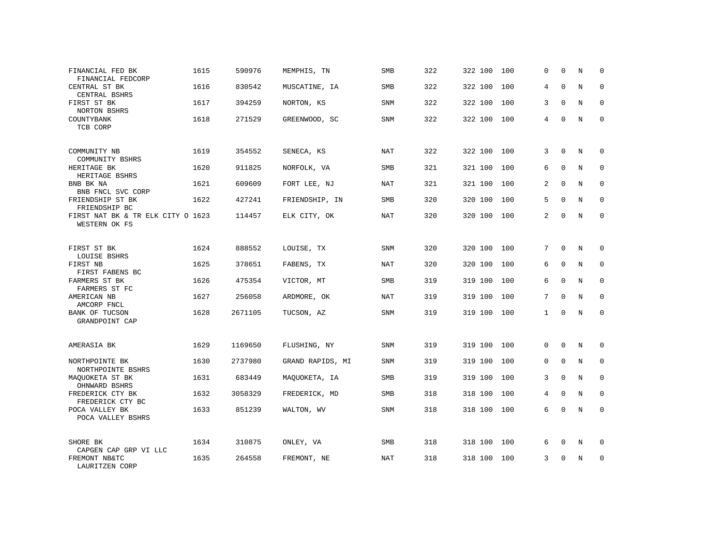| FINANCIAL FED BK<br>FINANCIAL FEDCORP                    | 1615 | 590976  | MEMPHIS, TN      | SMB        | 322 | 322 100 | 100 | 0            | $\mathbf 0$ | N | $\mathbf 0$  |
|----------------------------------------------------------|------|---------|------------------|------------|-----|---------|-----|--------------|-------------|---|--------------|
| CENTRAL ST BK<br>CENTRAL BSHRS                           | 1616 | 830542  | MUSCATINE, IA    | SMB        | 322 | 322 100 | 100 | 4            | $\Omega$    | N | $\mathbf 0$  |
| FIRST ST BK<br>NORTON BSHRS                              | 1617 | 394259  | NORTON, KS       | SNM        | 322 | 322 100 | 100 | 3            | 0           | N | $\mathbf 0$  |
| COUNTYBANK<br>TCB CORP                                   | 1618 | 271529  | GREENWOOD, SC    | SNM        | 322 | 322 100 | 100 | 4            | $\Omega$    | N | $\mathbf 0$  |
| COMMUNITY NB<br>COMMUNITY BSHRS                          | 1619 | 354552  | SENECA, KS       | NAT        | 322 | 322 100 | 100 | 3            | $\Omega$    | N | $\mathbf 0$  |
| HERITAGE BK<br>HERITAGE BSHRS                            | 1620 | 911825  | NORFOLK, VA      | <b>SMB</b> | 321 | 321 100 | 100 | 6            | $\mathbf 0$ | N | $\mathbf 0$  |
| BNB BK NA<br>BNB FNCL SVC CORP                           | 1621 | 609609  | FORT LEE, NJ     | NAT        | 321 | 321 100 | 100 | 2            | $\Omega$    | N | $\mathbf 0$  |
| FRIENDSHIP ST BK<br>FRIENDSHIP BC                        | 1622 | 427241  | FRIENDSHIP, IN   | <b>SMB</b> | 320 | 320 100 | 100 | 5            | $\mathbf 0$ | N | $\mathbf 0$  |
| FIRST NAT BK & TR ELK CITY O 1623<br>WESTERN OK FS       |      | 114457  | ELK CITY, OK     | NAT        | 320 | 320 100 | 100 | 2            | $\Omega$    | N | $\mathbf{0}$ |
| FIRST ST BK<br>LOUISE BSHRS                              | 1624 | 888552  | LOUISE, TX       | SNM        | 320 | 320 100 | 100 | 7            | $\mathbf 0$ | N | $\mathbf 0$  |
| FIRST NB<br>FIRST FABENS BC                              | 1625 | 378651  | FABENS, TX       | <b>NAT</b> | 320 | 320 100 | 100 | 6            | $\Omega$    | N | $\Omega$     |
| FARMERS ST BK<br>FARMERS ST FC                           | 1626 | 475354  | VICTOR, MT       | <b>SMB</b> | 319 | 319 100 | 100 | 6            | $\mathbf 0$ | N | $\mathbf{0}$ |
| AMERICAN NB<br>AMCORP FNCL                               | 1627 | 256058  | ARDMORE, OK      | <b>NAT</b> | 319 | 319 100 | 100 | 7            | $\Omega$    | N | $\Omega$     |
| BANK OF TUCSON<br>GRANDPOINT CAP                         | 1628 | 2671105 | TUCSON, AZ       | SNM        | 319 | 319 100 | 100 | $\mathbf{1}$ | $\mathbf 0$ | N | $\mathbf{0}$ |
| AMERASIA BK                                              | 1629 | 1169650 | FLUSHING, NY     | SNM        | 319 | 319 100 | 100 | 0            | $\mathbf 0$ | N | 0            |
| NORTHPOINTE BK<br>NORTHPOINTE BSHRS                      | 1630 | 2737980 | GRAND RAPIDS, MI | <b>SNM</b> | 319 | 319 100 | 100 | $\Omega$     | $\Omega$    | N | $\mathbf 0$  |
| MAQUOKETA ST BK<br>OHNWARD BSHRS                         | 1631 | 683449  | MAQUOKETA, IA    | SMB        | 319 | 319 100 | 100 | 3            | $\mathbf 0$ | N | 0            |
| FREDERICK CTY BK<br>FREDERICK CTY BC                     | 1632 | 3058329 | FREDERICK, MD    | <b>SMB</b> | 318 | 318 100 | 100 | 4            | $\Omega$    | N | $\mathbf 0$  |
| POCA VALLEY BK<br>POCA VALLEY BSHRS                      | 1633 | 851239  | WALTON, WV       | SNM        | 318 | 318 100 | 100 | 6            | 0           | N | $\mathbf{0}$ |
| SHORE BK                                                 | 1634 | 310875  | ONLEY, VA        | SMB        | 318 | 318 100 | 100 | 6            | 0           | N | 0            |
| CAPGEN CAP GRP VI LLC<br>FREMONT NB&TC<br>LAURITZEN CORP | 1635 | 264558  | FREMONT, NE      | <b>NAT</b> | 318 | 318 100 | 100 | 3            | $\Omega$    | N | $\mathbf{0}$ |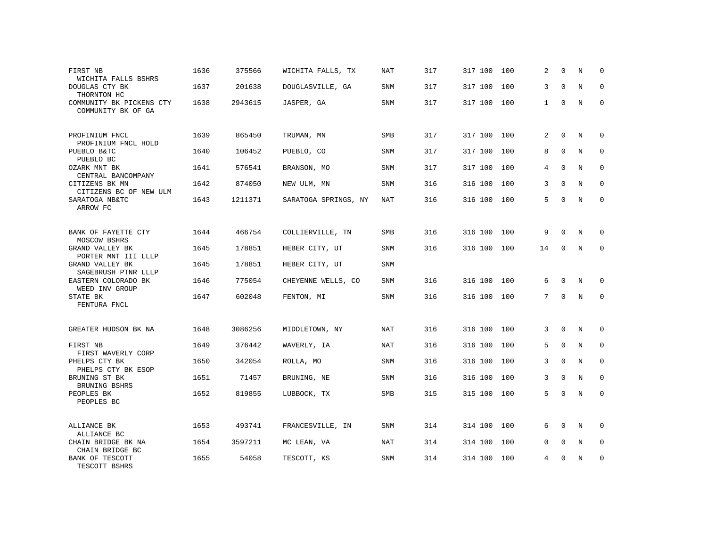| FIRST NB<br>WICHITA FALLS BSHRS                | 1636 | 375566  | WICHITA FALLS, TX    | <b>NAT</b> | 317 | 317 100     | 100 | 2            | $\Omega$            | N           | 0            |
|------------------------------------------------|------|---------|----------------------|------------|-----|-------------|-----|--------------|---------------------|-------------|--------------|
| DOUGLAS CTY BK<br>THORNTON HC                  | 1637 | 201638  | DOUGLASVILLE, GA     | SNM        | 317 | 317 100     | 100 | 3            | $\mathbf 0$         | $\mathbf N$ | 0            |
| COMMUNITY BK PICKENS CTY<br>COMMUNITY BK OF GA | 1638 | 2943615 | JASPER, GA           | <b>SNM</b> | 317 | 317 100     | 100 | $\mathbf{1}$ | $\Omega$            | N           | $\Omega$     |
| PROFINIUM FNCL<br>PROFINIUM FNCL HOLD          | 1639 | 865450  | TRUMAN, MN           | SMB        | 317 | 317 100     | 100 | 2            | $\Omega$            | N           | $\Omega$     |
| PUEBLO B&TC<br>PUEBLO BC                       | 1640 | 106452  | PUEBLO, CO           | SNM        | 317 | 317 100     | 100 | 8            | $\mathbf 0$         | N           | 0            |
| OZARK MNT BK<br>CENTRAL BANCOMPANY             | 1641 | 576541  | BRANSON, MO          | <b>SNM</b> | 317 | 317 100     | 100 | 4            | $\Omega$            | N           | $\Omega$     |
| CITIZENS BK MN<br>CITIZENS BC OF NEW ULM       | 1642 | 874050  | NEW ULM, MN          | <b>SNM</b> | 316 | 316 100     | 100 | 3            | $\Omega$            | N           | $\Omega$     |
| SARATOGA NB&TC<br>ARROW FC                     | 1643 | 1211371 | SARATOGA SPRINGS, NY | NAT        | 316 | 316 100     | 100 | 5            | $\Omega$            | N           | $\mathbf{0}$ |
| BANK OF FAYETTE CTY<br>MOSCOW BSHRS            | 1644 | 466754  | COLLIERVILLE, TN     | <b>SMB</b> | 316 | 316 100     | 100 | 9            | $\Omega$            | N           | $\mathbf 0$  |
| GRAND VALLEY BK<br>PORTER MNT III LLLP         | 1645 | 178851  | HEBER CITY, UT       | SNM        | 316 | 316 100     | 100 | 14           | $\Omega$            | N           | $\mathbf{0}$ |
| GRAND VALLEY BK<br>SAGEBRUSH PTNR LLLP         | 1645 | 178851  | HEBER CITY, UT       | SNM        |     |             |     |              |                     |             |              |
| EASTERN COLORADO BK<br>WEED INV GROUP          | 1646 | 775054  | CHEYENNE WELLS, CO   | SNM        | 316 | 316 100     | 100 | 6            | $\mathbf 0$         | N           | 0            |
| STATE BK<br>FENTURA FNCL                       | 1647 | 602048  | FENTON, MI           | <b>SNM</b> | 316 | 316 100     | 100 | 7            | $\Omega$            | N           | $\mathbf 0$  |
| GREATER HUDSON BK NA                           | 1648 | 3086256 | MIDDLETOWN, NY       | NAT        | 316 | 316 100     | 100 | 3            | $\mathbf 0$         | N           | $\mathbf 0$  |
| FIRST NB<br>FIRST WAVERLY CORP                 | 1649 | 376442  | WAVERLY, IA          | NAT        | 316 | 316 100     | 100 | 5            | $\mathsf{O}\xspace$ | $\mathbf N$ | $\mathbf 0$  |
| PHELPS CTY BK<br>PHELPS CTY BK ESOP            | 1650 | 342054  | ROLLA, MO            | <b>SNM</b> | 316 | 316 100     | 100 | 3            | $\Omega$            | N           | $\mathbf 0$  |
| BRUNING ST BK<br>BRUNING BSHRS                 | 1651 | 71457   | BRUNING, NE          | <b>SNM</b> | 316 | 316 100     | 100 | 3            | $\mathbf 0$         | N           | $\mathbf 0$  |
| PEOPLES BK<br>PEOPLES BC                       | 1652 | 819855  | LUBBOCK, TX          | SMB        | 315 | 315 100     | 100 | 5            | $\mathbf 0$         | N           | $\mathbf 0$  |
| ALLIANCE BK<br>ALLIANCE BC                     | 1653 | 493741  | FRANCESVILLE, IN     | <b>SNM</b> | 314 | 314 100     | 100 | 6            | $\Omega$            | N           | $\Omega$     |
| CHAIN BRIDGE BK NA<br>CHAIN BRIDGE BC          | 1654 | 3597211 | MC LEAN, VA          | <b>NAT</b> | 314 | 314 100     | 100 | $\Omega$     | $\Omega$            | N           | 0            |
| BANK OF TESCOTT<br>TESCOTT BSHRS               | 1655 | 54058   | TESCOTT, KS          | <b>SNM</b> | 314 | 314 100 100 |     | 4            | $\Omega$            | N           | $\mathbf{0}$ |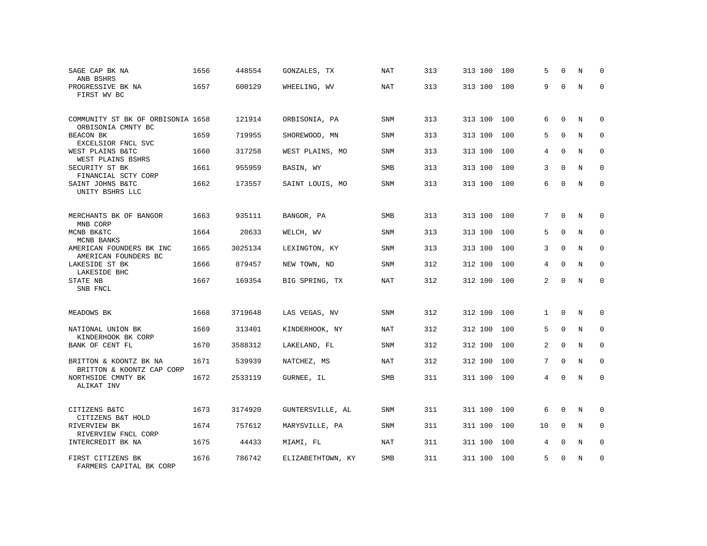| SAGE CAP BK NA<br>ANB BSHRS                             | 1656 | 448554  | GONZALES, TX      | NAT        | 313 | 313 100 | 100 | 5  | $\Omega$    | N | $\Omega$    |
|---------------------------------------------------------|------|---------|-------------------|------------|-----|---------|-----|----|-------------|---|-------------|
| PROGRESSIVE BK NA<br>FIRST WV BC                        | 1657 | 600129  | WHEELING, WV      | <b>NAT</b> | 313 | 313 100 | 100 | 9  | $\Omega$    | N | $\Omega$    |
| COMMUNITY ST BK OF ORBISONIA 1658<br>ORBISONIA CMNTY BC |      | 121914  | ORBISONIA, PA     | SNM        | 313 | 313 100 | 100 | 6  | $\Omega$    | N | $\Omega$    |
| BEACON BK<br>EXCELSIOR FNCL SVC                         | 1659 | 719955  | SHOREWOOD, MN     | SNM        | 313 | 313 100 | 100 | 5  | $\Omega$    | N | 0           |
| WEST PLAINS B&TC<br>WEST PLAINS BSHRS                   | 1660 | 317258  | WEST PLAINS, MO   | SNM        | 313 | 313 100 | 100 | 4  | $\Omega$    | N | $\Omega$    |
| SECURITY ST BK<br>FINANCIAL SCTY CORP                   | 1661 | 955959  | BASIN, WY         | SMB        | 313 | 313 100 | 100 | 3  | $\mathbf 0$ | N | $\mathbf 0$ |
| SAINT JOHNS B&TC<br>UNITY BSHRS LLC                     | 1662 | 173557  | SAINT LOUIS, MO   | SNM        | 313 | 313 100 | 100 | 6  | $\Omega$    | N | $\Omega$    |
| MERCHANTS BK OF BANGOR<br>MNB CORP                      | 1663 | 935111  | BANGOR, PA        | <b>SMB</b> | 313 | 313 100 | 100 | 7  | 0           | N | 0           |
| MCNB BK&TC<br>MCNB BANKS                                | 1664 | 20633   | WELCH, WV         | SNM        | 313 | 313 100 | 100 | 5  | $\Omega$    | N | $\mathbf 0$ |
| AMERICAN FOUNDERS BK INC<br>AMERICAN FOUNDERS BC        | 1665 | 3025134 | LEXINGTON, KY     | SNM        | 313 | 313 100 | 100 | 3  | $\Omega$    | N | $\mathbf 0$ |
| LAKESIDE ST BK<br>LAKESIDE BHC                          | 1666 | 879457  | NEW TOWN, ND      | <b>SNM</b> | 312 | 312 100 | 100 | 4  | $\Omega$    | N | $\Omega$    |
| STATE NB<br>SNB FNCL                                    | 1667 | 169354  | BIG SPRING, TX    | NAT        | 312 | 312 100 | 100 | 2  | $\Omega$    | N | $\mathbf 0$ |
| MEADOWS BK                                              | 1668 | 3719648 | LAS VEGAS, NV     | <b>SNM</b> | 312 | 312 100 | 100 | 1  | 0           | N | 0           |
| NATIONAL UNION BK                                       | 1669 | 313401  | KINDERHOOK, NY    | <b>NAT</b> | 312 | 312 100 | 100 | 5  | $\Omega$    | N | $\Omega$    |
| KINDERHOOK BK CORP<br>BANK OF CENT FL                   | 1670 | 3588312 | LAKELAND, FL      | <b>SNM</b> | 312 | 312 100 | 100 | 2  | $\mathbf 0$ | N | $\mathbf 0$ |
| BRITTON & KOONTZ BK NA<br>BRITTON & KOONTZ CAP CORP     | 1671 | 539939  | NATCHEZ, MS       | <b>NAT</b> | 312 | 312 100 | 100 | 7  | $\Omega$    | N | $\Omega$    |
| NORTHSIDE CMNTY BK<br>ALIKAT INV                        | 1672 | 2533119 | GURNEE, IL        | SMB        | 311 | 311 100 | 100 | 4  | $\Omega$    | N | $\mathbf 0$ |
| CITIZENS B&TC<br>CITIZENS B&T HOLD                      | 1673 | 3174920 | GUNTERSVILLE, AL  | SNM        | 311 | 311 100 | 100 | 6  | 0           | N | 0           |
| RIVERVIEW BK<br>RIVERVIEW FNCL CORP                     | 1674 | 757612  | MARYSVILLE, PA    | SNM        | 311 | 311 100 | 100 | 10 | $\mathbf 0$ | N | 0           |
| INTERCREDIT BK NA                                       | 1675 | 44433   | MIAMI, FL         | NAT        | 311 | 311 100 | 100 | 4  | 0           | N | 0           |
| FIRST CITIZENS BK<br>FARMERS CAPITAL BK CORP            | 1676 | 786742  | ELIZABETHTOWN, KY | <b>SMB</b> | 311 | 311 100 | 100 | 5  | $\Omega$    | N | $\mathbf 0$ |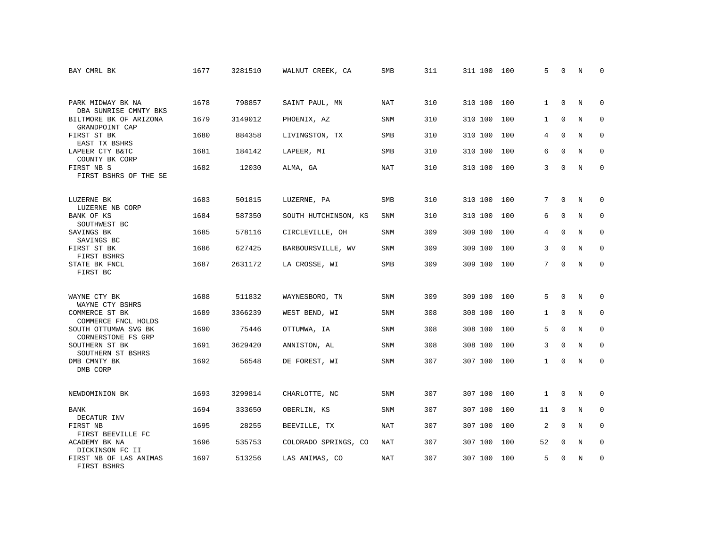| BAY CMRL BK                                | 1677 | 3281510 | WALNUT CREEK, CA     | SMB        | 311 | 311 100 | 100 | 5            | $\Omega$    | N          | $\Omega$    |
|--------------------------------------------|------|---------|----------------------|------------|-----|---------|-----|--------------|-------------|------------|-------------|
|                                            |      |         |                      |            |     |         |     |              |             |            |             |
| PARK MIDWAY BK NA<br>DBA SUNRISE CMNTY BKS | 1678 | 798857  | SAINT PAUL, MN       | <b>NAT</b> | 310 | 310 100 | 100 | $\mathbf{1}$ | $\Omega$    | N          | $\Omega$    |
| BILTMORE BK OF ARIZONA<br>GRANDPOINT CAP   | 1679 | 3149012 | PHOENIX, AZ          | <b>SNM</b> | 310 | 310 100 | 100 | $\mathbf{1}$ | $\mathbf 0$ | N          | $\mathbf 0$ |
| FIRST ST BK<br>EAST TX BSHRS               | 1680 | 884358  | LIVINGSTON, TX       | <b>SMB</b> | 310 | 310 100 | 100 | 4            | $\Omega$    | N          | $\Omega$    |
| LAPEER CTY B&TC<br>COUNTY BK CORP          | 1681 | 184142  | LAPEER, MI           | SMB        | 310 | 310 100 | 100 | 6            | $\mathbf 0$ | N          | $\mathbf 0$ |
| FIRST NB S<br>FIRST BSHRS OF THE SE        | 1682 | 12030   | ALMA, GA             | <b>NAT</b> | 310 | 310 100 | 100 | 3            | $\Omega$    | N          | $\mathbf 0$ |
| LUZERNE BK<br>LUZERNE NB CORP              | 1683 | 501815  | LUZERNE, PA          | <b>SMB</b> | 310 | 310 100 | 100 | 7            | $\Omega$    | N          | 0           |
| BANK OF KS<br>SOUTHWEST BC                 | 1684 | 587350  | SOUTH HUTCHINSON, KS | <b>SNM</b> | 310 | 310 100 | 100 | 6            | $\Omega$    | $\rm N$    | $\mathbf 0$ |
| SAVINGS BK<br>SAVINGS BC                   | 1685 | 578116  | CIRCLEVILLE, OH      | <b>SNM</b> | 309 | 309 100 | 100 | 4            | $\mathbf 0$ | N          | $\mathbf 0$ |
| FIRST ST BK<br>FIRST BSHRS                 | 1686 | 627425  | BARBOURSVILLE, WV    | <b>SNM</b> | 309 | 309 100 | 100 | 3            | $\Omega$    | $_{\rm N}$ | $\mathbf 0$ |
| STATE BK FNCL<br>FIRST BC                  | 1687 | 2631172 | LA CROSSE, WI        | SMB        | 309 | 309 100 | 100 | 7            | $\Omega$    | $_{\rm N}$ | $\Omega$    |
| WAYNE CTY BK<br>WAYNE CTY BSHRS            | 1688 | 511832  | WAYNESBORO, TN       | <b>SNM</b> | 309 | 309 100 | 100 | 5            | $\Omega$    | N          | 0           |
| COMMERCE ST BK<br>COMMERCE FNCL HOLDS      | 1689 | 3366239 | WEST BEND, WI        | SNM        | 308 | 308 100 | 100 | 1            | $\mathbf 0$ | N          | 0           |
| SOUTH OTTUMWA SVG BK<br>CORNERSTONE FS GRP | 1690 | 75446   | OTTUMWA, IA          | <b>SNM</b> | 308 | 308 100 | 100 | 5            | $\Omega$    | N          | 0           |
| SOUTHERN ST BK<br>SOUTHERN ST BSHRS        | 1691 | 3629420 | ANNISTON, AL         | SNM        | 308 | 308 100 | 100 | 3            | $\Omega$    | $_{\rm N}$ | $\Omega$    |
| DMB CMNTY BK<br>DMB CORP                   | 1692 | 56548   | DE FOREST, WI        | SNM        | 307 | 307 100 | 100 | $\mathbf{1}$ | $\mathbf 0$ | N          | $\mathbf 0$ |
| NEWDOMINION BK                             | 1693 | 3299814 | CHARLOTTE, NC        | SNM        | 307 | 307 100 | 100 | 1            | 0           | N          | 0           |
| BANK<br>DECATUR INV                        | 1694 | 333650  | OBERLIN, KS          | <b>SNM</b> | 307 | 307 100 | 100 | 11           | $\mathbf 0$ | N          | 0           |
| FIRST NB<br>FIRST BEEVILLE FC              | 1695 | 28255   | BEEVILLE, TX         | <b>NAT</b> | 307 | 307 100 | 100 | 2            | $\Omega$    | N          | $\mathbf 0$ |
| ACADEMY BK NA<br>DICKINSON FC II           | 1696 | 535753  | COLORADO SPRINGS, CO | NAT        | 307 | 307 100 | 100 | 52           | 0           | N          | 0           |
| FIRST NB OF LAS ANIMAS<br>FIRST BSHRS      | 1697 | 513256  | LAS ANIMAS, CO       | <b>NAT</b> | 307 | 307 100 | 100 | 5            | $\Omega$    | N          | $\mathbf 0$ |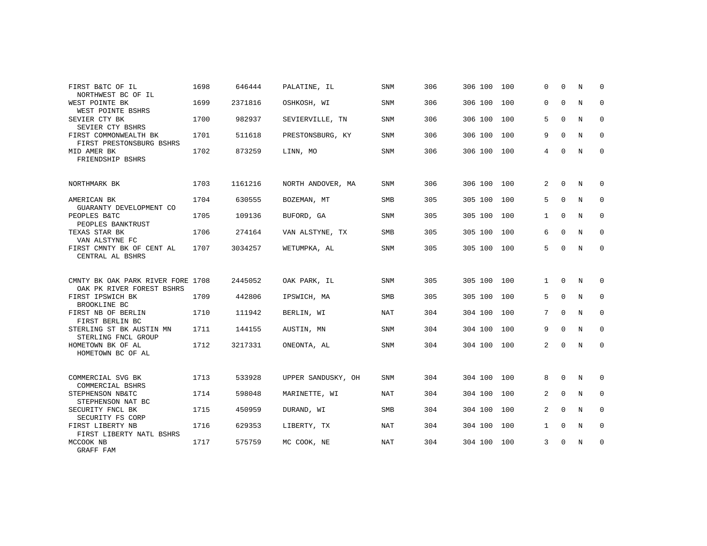| FIRST B&TC OF IL<br>NORTHWEST BC OF IL                           | 1698 | 646444  | PALATINE, IL       | <b>SNM</b> | 306 | 306 100 100 |     | $\Omega$       | $\Omega$    | N | $\Omega$    |
|------------------------------------------------------------------|------|---------|--------------------|------------|-----|-------------|-----|----------------|-------------|---|-------------|
| WEST POINTE BK<br>WEST POINTE BSHRS                              | 1699 | 2371816 | OSHKOSH, WI        | <b>SNM</b> | 306 | 306 100     | 100 | $\Omega$       | 0           | N | $\mathbf 0$ |
| SEVIER CTY BK<br>SEVIER CTY BSHRS                                | 1700 | 982937  | SEVIERVILLE, TN    | <b>SNM</b> | 306 | 306 100     | 100 | 5              | $\mathbf 0$ | N | 0           |
| FIRST COMMONWEALTH BK<br>FIRST PRESTONSBURG BSHRS                | 1701 | 511618  | PRESTONSBURG, KY   | <b>SNM</b> | 306 | 306 100     | 100 | 9              | $\Omega$    | N | 0           |
| MID AMER BK<br>FRIENDSHIP BSHRS                                  | 1702 | 873259  | LINN, MO           | <b>SNM</b> | 306 | 306 100 100 |     | 4              | $\Omega$    | N | 0           |
| NORTHMARK BK                                                     | 1703 | 1161216 | NORTH ANDOVER, MA  | <b>SNM</b> | 306 | 306 100     | 100 | $\overline{2}$ | $\Omega$    | N | $\Omega$    |
| AMERICAN BK<br>GUARANTY DEVELOPMENT CO                           | 1704 | 630555  | BOZEMAN, MT        | SMB        | 305 | 305 100     | 100 | 5              | $\Omega$    | N | $\mathbf 0$ |
| PEOPLES B&TC<br>PEOPLES BANKTRUST                                | 1705 | 109136  | BUFORD, GA         | <b>SNM</b> | 305 | 305 100     | 100 | $\mathbf{1}$   | $\Omega$    | N | 0           |
| TEXAS STAR BK<br>VAN ALSTYNE FC                                  | 1706 | 274164  | VAN ALSTYNE, TX    | SMB        | 305 | 305 100     | 100 | 6              | $\Omega$    | N | $\mathbf 0$ |
| FIRST CMNTY BK OF CENT AL<br>CENTRAL AL BSHRS                    | 1707 | 3034257 | WETUMPKA, AL       | <b>SNM</b> | 305 | 305 100     | 100 | 5              | $\Omega$    | N | 0           |
| CMNTY BK OAK PARK RIVER FORE 1708<br>OAK PK RIVER FOREST BSHRS   |      | 2445052 | OAK PARK, IL       | <b>SNM</b> | 305 | 305 100     | 100 | $\mathbf{1}$   | $\Omega$    | N | $\Omega$    |
| FIRST IPSWICH BK<br>BROOKLINE BC                                 | 1709 | 442806  | IPSWICH, MA        | SMB        | 305 | 305 100 100 |     | 5              | $\mathbf 0$ | N | $\mathbf 0$ |
| FIRST NB OF BERLIN<br>FIRST BERLIN BC                            | 1710 | 111942  | BERLIN, WI         | NAT        | 304 | 304 100     | 100 | 7              | $\mathbf 0$ | N | 0           |
| STERLING ST BK AUSTIN MN<br>STERLING FNCL GROUP                  | 1711 | 144155  | AUSTIN, MN         | <b>SNM</b> | 304 | 304 100     | 100 | 9              | $\Omega$    | N | $\Omega$    |
| HOMETOWN BK OF AL<br>HOMETOWN BC OF AL                           | 1712 | 3217331 | ONEONTA, AL        | <b>SNM</b> | 304 | 304 100 100 |     | 2              | $\Omega$    | N | 0           |
| COMMERCIAL SVG BK                                                | 1713 | 533928  | UPPER SANDUSKY, OH | <b>SNM</b> | 304 | 304 100 100 |     | 8              | $\mathbf 0$ | N | 0           |
| COMMERCIAL BSHRS<br>STEPHENSON NB&TC                             | 1714 | 598048  | MARINETTE, WI      | NAT        | 304 | 304 100     | 100 | 2              | $\Omega$    | N | $\mathbf 0$ |
| STEPHENSON NAT BC<br>SECURITY FNCL BK                            | 1715 | 450959  | DURAND, WI         | <b>SMB</b> | 304 | 304 100     | 100 | 2              | $\mathbf 0$ | N | 0           |
| SECURITY FS CORP<br>FIRST LIBERTY NB<br>FIRST LIBERTY NATL BSHRS | 1716 | 629353  | LIBERTY, TX        | <b>NAT</b> | 304 | 304 100     | 100 | $\mathbf{1}$   | $\Omega$    | N | $\mathbf 0$ |
| MCCOOK NB<br>GRAFF FAM                                           | 1717 | 575759  | MC COOK, NE        | <b>NAT</b> | 304 | 304 100 100 |     | 3              | $\mathbf 0$ | N | 0           |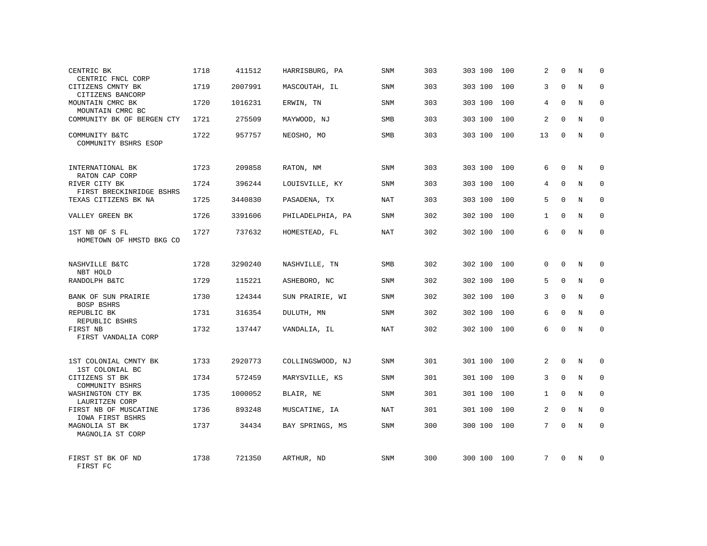| CENTRIC BK<br>CENTRIC FNCL CORP                        | 1718 | 411512  | HARRISBURG, PA   | <b>SNM</b> | 303 | 303 100     | 100 | 2        | $\Omega$    | N           | 0            |
|--------------------------------------------------------|------|---------|------------------|------------|-----|-------------|-----|----------|-------------|-------------|--------------|
| CITIZENS CMNTY BK<br>CITIZENS BANCORP                  | 1719 | 2007991 | MASCOUTAH, IL    | SNM        | 303 | 303 100     | 100 | 3        | $\Omega$    | N           | $\Omega$     |
| MOUNTAIN CMRC BK<br>MOUNTAIN CMRC BC                   | 1720 | 1016231 | ERWIN, TN        | SNM        | 303 | 303 100     | 100 | 4        | $\Omega$    | N           | $\mathbf 0$  |
| COMMUNITY BK OF BERGEN CTY                             | 1721 | 275509  | MAYWOOD, NJ      | SMB        | 303 | 303 100     | 100 | 2        | $\Omega$    | $_{\rm N}$  | $\Omega$     |
| COMMUNITY B&TC<br>COMMUNITY BSHRS ESOP                 | 1722 | 957757  | NEOSHO, MO       | <b>SMB</b> | 303 | 303 100 100 |     | 13       | 0           | N           | $\mathbf 0$  |
| INTERNATIONAL BK<br>RATON CAP CORP                     | 1723 | 209858  | RATON, NM        | SNM        | 303 | 303 100     | 100 | 6        | $\Omega$    | N           | $\Omega$     |
| RIVER CITY BK<br>FIRST BRECKINRIDGE BSHRS              | 1724 | 396244  | LOUISVILLE, KY   | SNM        | 303 | 303 100     | 100 | 4        | $\mathbf 0$ | N           | $\mathbf 0$  |
| TEXAS CITIZENS BK NA                                   | 1725 | 3440830 | PASADENA, TX     | NAT        | 303 | 303 100     | 100 | 5        | $\Omega$    | N           | $\Omega$     |
| VALLEY GREEN BK                                        | 1726 | 3391606 | PHILADELPHIA, PA | SNM        | 302 | 302 100     | 100 | 1        | $\Omega$    | N           | $\mathbf 0$  |
| 1ST NB OF S FL<br>HOMETOWN OF HMSTD BKG CO             | 1727 | 737632  | HOMESTEAD, FL    | <b>NAT</b> | 302 | 302 100 100 |     | 6        | $\Omega$    | N           | $\Omega$     |
| NASHVILLE B&TC<br>NBT HOLD                             | 1728 | 3290240 | NASHVILLE, TN    | <b>SMB</b> | 302 | 302 100     | 100 | $\Omega$ | $\Omega$    | N           | $\Omega$     |
| RANDOLPH B&TC                                          | 1729 | 115221  | ASHEBORO, NC     | SNM        | 302 | 302 100     | 100 | 5        | $\Omega$    | N           | $\mathbf 0$  |
| BANK OF SUN PRAIRIE<br>BOSP BSHRS                      | 1730 | 124344  | SUN PRAIRIE, WI  | SNM        | 302 | 302 100     | 100 | 3        | $\Omega$    | N           | $\mathbf 0$  |
| REPUBLIC BK<br>REPUBLIC BSHRS                          | 1731 | 316354  | DULUTH, MN       | SNM        | 302 | 302 100     | 100 | 6        | $\Omega$    | N           | $\Omega$     |
| FIRST NB<br>FIRST VANDALIA CORP                        | 1732 | 137447  | VANDALIA, IL     | NAT        | 302 | 302 100     | 100 | 6        | $\mathbf 0$ | N           | $\mathbf 0$  |
| 1ST COLONIAL CMNTY BK                                  | 1733 | 2920773 | COLLINGSWOOD, NJ | SNM        | 301 | 301 100     | 100 | 2        | 0           | N           | $\mathbf 0$  |
| 1ST COLONIAL BC<br>CITIZENS ST BK                      | 1734 | 572459  | MARYSVILLE, KS   | SNM        | 301 | 301 100     | 100 | 3        | $\Omega$    | $_{\rm N}$  | $\mathbf{0}$ |
| COMMUNITY BSHRS<br>WASHINGTON CTY BK<br>LAURITZEN CORP | 1735 | 1000052 | BLAIR, NE        | SNM        | 301 | 301 100     | 100 | 1        | $\mathbf 0$ | N           | $\mathbf 0$  |
| FIRST NB OF MUSCATINE<br>IOWA FIRST BSHRS              | 1736 | 893248  | MUSCATINE, IA    | NAT        | 301 | 301 100     | 100 | 2        | $\mathbf 0$ | $\mathbf N$ | $\mathbf{0}$ |
| MAGNOLIA ST BK<br>MAGNOLIA ST CORP                     | 1737 | 34434   | BAY SPRINGS, MS  | SNM        | 300 | 300 100     | 100 | 7        | $\Omega$    | N           | $\mathbf{0}$ |
| FIRST ST BK OF ND<br>FIRST FC                          | 1738 | 721350  | ARTHUR, ND       | <b>SNM</b> | 300 | 300 100     | 100 | 7        | $\Omega$    | N           | $\Omega$     |